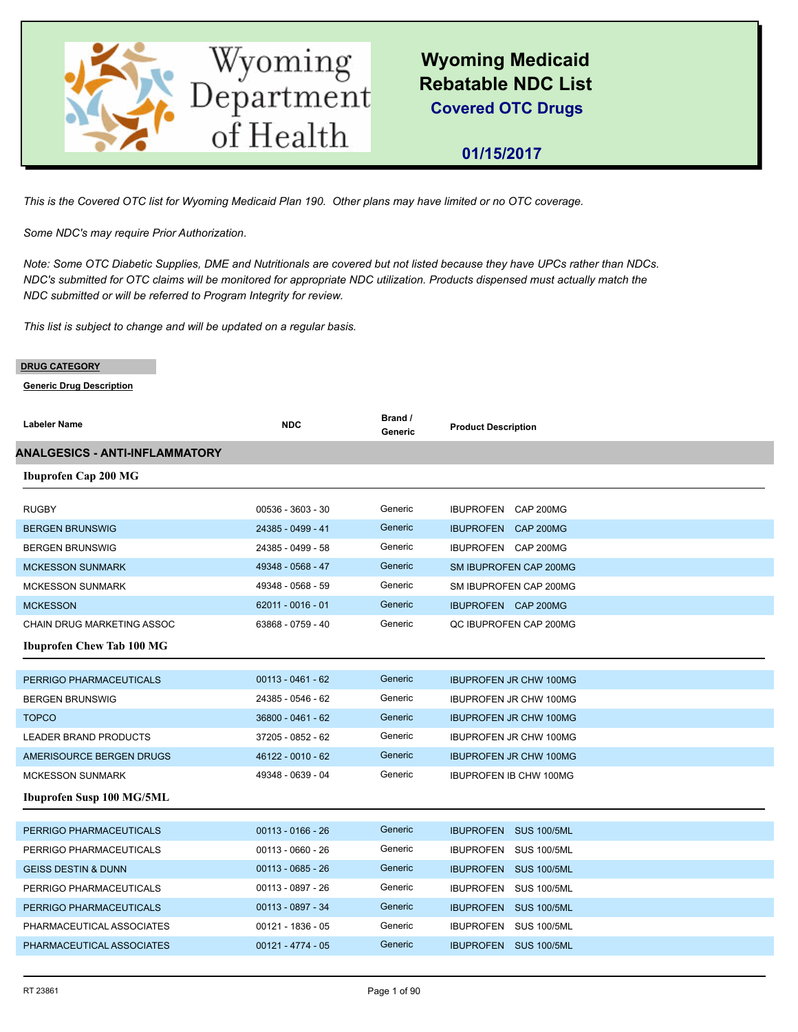

 **01/15/2017**

*This is the Covered OTC list for Wyoming Medicaid Plan 190. Other plans may have limited or no OTC coverage.*

*Some NDC's may require Prior Authorization.*

*Note: Some OTC Diabetic Supplies, DME and Nutritionals are covered but not listed because they have UPCs rather than NDCs. NDC's submitted for OTC claims will be monitored for appropriate NDC utilization. Products dispensed must actually match the NDC submitted or will be referred to Program Integrity for review.*

*This list is subject to change and will be updated on a regular basis.*

#### **DRUG CATEGORY**

| <b>Labeler Name</b>                   | <b>NDC</b>          | Brand /<br>Generic | <b>Product Description</b>    |
|---------------------------------------|---------------------|--------------------|-------------------------------|
| <b>ANALGESICS - ANTI-INFLAMMATORY</b> |                     |                    |                               |
| <b>Ibuprofen Cap 200 MG</b>           |                     |                    |                               |
|                                       |                     |                    |                               |
| <b>RUGBY</b>                          | 00536 - 3603 - 30   | Generic            | IBUPROFEN CAP 200MG           |
| <b>BERGEN BRUNSWIG</b>                | 24385 - 0499 - 41   | Generic            | IBUPROFEN CAP 200MG           |
| <b>BERGEN BRUNSWIG</b>                | 24385 - 0499 - 58   | Generic            | IBUPROFEN CAP 200MG           |
| <b>MCKESSON SUNMARK</b>               | 49348 - 0568 - 47   | Generic            | SM IBUPROFEN CAP 200MG        |
| <b>MCKESSON SUNMARK</b>               | 49348 - 0568 - 59   | Generic            | SM IBUPROFEN CAP 200MG        |
| <b>MCKESSON</b>                       | 62011 - 0016 - 01   | Generic            | IBUPROFEN CAP 200MG           |
| CHAIN DRUG MARKETING ASSOC            | 63868 - 0759 - 40   | Generic            | QC IBUPROFEN CAP 200MG        |
| <b>Ibuprofen Chew Tab 100 MG</b>      |                     |                    |                               |
|                                       |                     |                    |                               |
| PERRIGO PHARMACEUTICALS               | $00113 - 0461 - 62$ | Generic            | <b>IBUPROFEN JR CHW 100MG</b> |
| <b>BERGEN BRUNSWIG</b>                | 24385 - 0546 - 62   | Generic            | <b>IBUPROFEN JR CHW 100MG</b> |
| <b>TOPCO</b>                          | 36800 - 0461 - 62   | Generic            | <b>IBUPROFEN JR CHW 100MG</b> |
| LEADER BRAND PRODUCTS                 | 37205 - 0852 - 62   | Generic            | <b>IBUPROFEN JR CHW 100MG</b> |
| AMERISOURCE BERGEN DRUGS              | 46122 - 0010 - 62   | Generic            | <b>IBUPROFEN JR CHW 100MG</b> |
| <b>MCKESSON SUNMARK</b>               | 49348 - 0639 - 04   | Generic            | <b>IBUPROFEN IB CHW 100MG</b> |
| Ibuprofen Susp 100 MG/5ML             |                     |                    |                               |
|                                       |                     |                    |                               |
| PERRIGO PHARMACEUTICALS               | $00113 - 0166 - 26$ | Generic            | IBUPROFEN SUS 100/5ML         |
| PERRIGO PHARMACEUTICALS               | 00113 - 0660 - 26   | Generic            | IBUPROFEN SUS 100/5ML         |
| <b>GEISS DESTIN &amp; DUNN</b>        | $00113 - 0685 - 26$ | Generic            | IBUPROFEN SUS 100/5ML         |
| PERRIGO PHARMACEUTICALS               | 00113 - 0897 - 26   | Generic            | IBUPROFEN SUS 100/5ML         |
| PERRIGO PHARMACEUTICALS               | 00113 - 0897 - 34   | Generic            | IBUPROFEN SUS 100/5ML         |
| PHARMACEUTICAL ASSOCIATES             | $00121 - 1836 - 05$ | Generic            | IBUPROFEN SUS 100/5ML         |
| PHARMACEUTICAL ASSOCIATES             | $00121 - 4774 - 05$ | Generic            | IBUPROFEN SUS 100/5ML         |
|                                       |                     |                    |                               |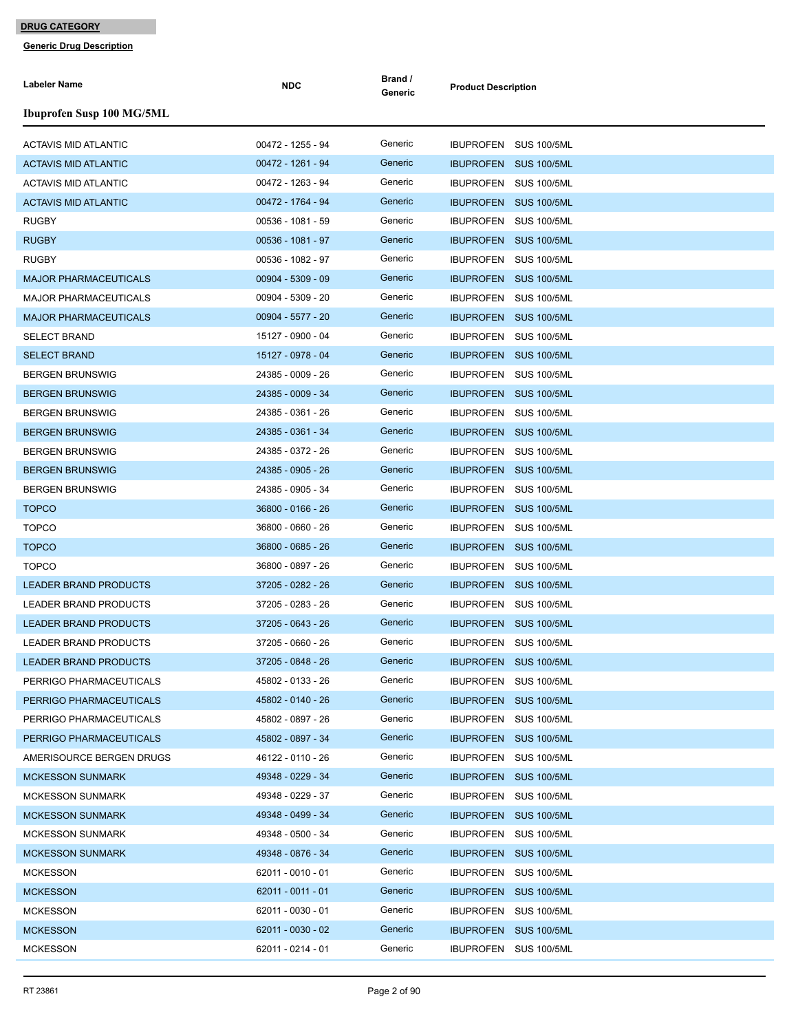| <b>Labeler Name</b>              | <b>NDC</b>          | Brand /<br>Generic | <b>Product Description</b>             |
|----------------------------------|---------------------|--------------------|----------------------------------------|
| <b>Ibuprofen Susp 100 MG/5ML</b> |                     |                    |                                        |
| <b>ACTAVIS MID ATLANTIC</b>      | 00472 - 1255 - 94   | Generic            | IBUPROFEN SUS 100/5ML                  |
| <b>ACTAVIS MID ATLANTIC</b>      | 00472 - 1261 - 94   | Generic            | <b>SUS 100/5ML</b><br><b>IBUPROFEN</b> |
| <b>ACTAVIS MID ATLANTIC</b>      | 00472 - 1263 - 94   | Generic            | IBUPROFEN SUS 100/5ML                  |
| <b>ACTAVIS MID ATLANTIC</b>      | 00472 - 1764 - 94   | Generic            | IBUPROFEN SUS 100/5ML                  |
| <b>RUGBY</b>                     | 00536 - 1081 - 59   | Generic            | IBUPROFEN SUS 100/5ML                  |
| <b>RUGBY</b>                     | 00536 - 1081 - 97   | Generic            | IBUPROFEN SUS 100/5ML                  |
| <b>RUGBY</b>                     | 00536 - 1082 - 97   | Generic            | IBUPROFEN SUS 100/5ML                  |
| <b>MAJOR PHARMACEUTICALS</b>     | $00904 - 5309 - 09$ | Generic            | IBUPROFEN SUS 100/5ML                  |
| <b>MAJOR PHARMACEUTICALS</b>     | 00904 - 5309 - 20   | Generic            | IBUPROFEN SUS 100/5ML                  |
| <b>MAJOR PHARMACEUTICALS</b>     | 00904 - 5577 - 20   | Generic            | IBUPROFEN SUS 100/5ML                  |
| <b>SELECT BRAND</b>              | 15127 - 0900 - 04   | Generic            | IBUPROFEN SUS 100/5ML                  |
| <b>SELECT BRAND</b>              | 15127 - 0978 - 04   | Generic            | IBUPROFEN SUS 100/5ML                  |
| <b>BERGEN BRUNSWIG</b>           | 24385 - 0009 - 26   | Generic            | IBUPROFEN SUS 100/5ML                  |
| <b>BERGEN BRUNSWIG</b>           | 24385 - 0009 - 34   | Generic            | IBUPROFEN SUS 100/5ML                  |
| <b>BERGEN BRUNSWIG</b>           | 24385 - 0361 - 26   | Generic            | IBUPROFEN SUS 100/5ML                  |
| <b>BERGEN BRUNSWIG</b>           | 24385 - 0361 - 34   | Generic            | IBUPROFEN SUS 100/5ML                  |
| <b>BERGEN BRUNSWIG</b>           | 24385 - 0372 - 26   | Generic            | IBUPROFEN SUS 100/5ML                  |
| <b>BERGEN BRUNSWIG</b>           | 24385 - 0905 - 26   | Generic            | IBUPROFEN SUS 100/5ML                  |
| <b>BERGEN BRUNSWIG</b>           | 24385 - 0905 - 34   | Generic            | IBUPROFEN SUS 100/5ML                  |
| <b>TOPCO</b>                     | 36800 - 0166 - 26   | Generic            | <b>IBUPROFEN SUS 100/5ML</b>           |
| <b>TOPCO</b>                     | 36800 - 0660 - 26   | Generic            | IBUPROFEN<br><b>SUS 100/5ML</b>        |
| <b>TOPCO</b>                     | 36800 - 0685 - 26   | Generic            | IBUPROFEN SUS 100/5ML                  |
| <b>TOPCO</b>                     | 36800 - 0897 - 26   | Generic            | IBUPROFEN SUS 100/5ML                  |
| <b>LEADER BRAND PRODUCTS</b>     | 37205 - 0282 - 26   | Generic            | IBUPROFEN SUS 100/5ML                  |
| LEADER BRAND PRODUCTS            | 37205 - 0283 - 26   | Generic            | IBUPROFEN SUS 100/5ML                  |
| <b>LEADER BRAND PRODUCTS</b>     | 37205 - 0643 - 26   | Generic            | IBUPROFEN SUS 100/5ML                  |
| LEADER BRAND PRODUCTS            | 37205 - 0660 - 26   | Generic            | IBUPROFEN SUS 100/5ML                  |
| <b>LEADER BRAND PRODUCTS</b>     | 37205 - 0848 - 26   | Generic            | IBUPROFEN SUS 100/5ML                  |
| PERRIGO PHARMACEUTICALS          | 45802 - 0133 - 26   | Generic            | IBUPROFEN SUS 100/5ML                  |
| PERRIGO PHARMACEUTICALS          | 45802 - 0140 - 26   | Generic            | IBUPROFEN SUS 100/5ML                  |
| PERRIGO PHARMACEUTICALS          | 45802 - 0897 - 26   | Generic            | IBUPROFEN SUS 100/5ML                  |
| PERRIGO PHARMACEUTICALS          | 45802 - 0897 - 34   | Generic            | IBUPROFEN SUS 100/5ML                  |
| AMERISOURCE BERGEN DRUGS         | 46122 - 0110 - 26   | Generic            | IBUPROFEN SUS 100/5ML                  |
| <b>MCKESSON SUNMARK</b>          | 49348 - 0229 - 34   | Generic            | IBUPROFEN SUS 100/5ML                  |
| <b>MCKESSON SUNMARK</b>          | 49348 - 0229 - 37   | Generic            | IBUPROFEN SUS 100/5ML                  |
| <b>MCKESSON SUNMARK</b>          | 49348 - 0499 - 34   | Generic            | IBUPROFEN SUS 100/5ML                  |
| <b>MCKESSON SUNMARK</b>          | 49348 - 0500 - 34   | Generic            | IBUPROFEN SUS 100/5ML                  |
| <b>MCKESSON SUNMARK</b>          | 49348 - 0876 - 34   | Generic            | IBUPROFEN SUS 100/5ML                  |
| <b>MCKESSON</b>                  | 62011 - 0010 - 01   | Generic            | IBUPROFEN SUS 100/5ML                  |
| <b>MCKESSON</b>                  | $62011 - 0011 - 01$ | Generic            | IBUPROFEN SUS 100/5ML                  |
| <b>MCKESSON</b>                  | 62011 - 0030 - 01   | Generic            | IBUPROFEN SUS 100/5ML                  |
| <b>MCKESSON</b>                  | 62011 - 0030 - 02   | Generic            | IBUPROFEN SUS 100/5ML                  |
| <b>MCKESSON</b>                  | 62011 - 0214 - 01   | Generic            | IBUPROFEN SUS 100/5ML                  |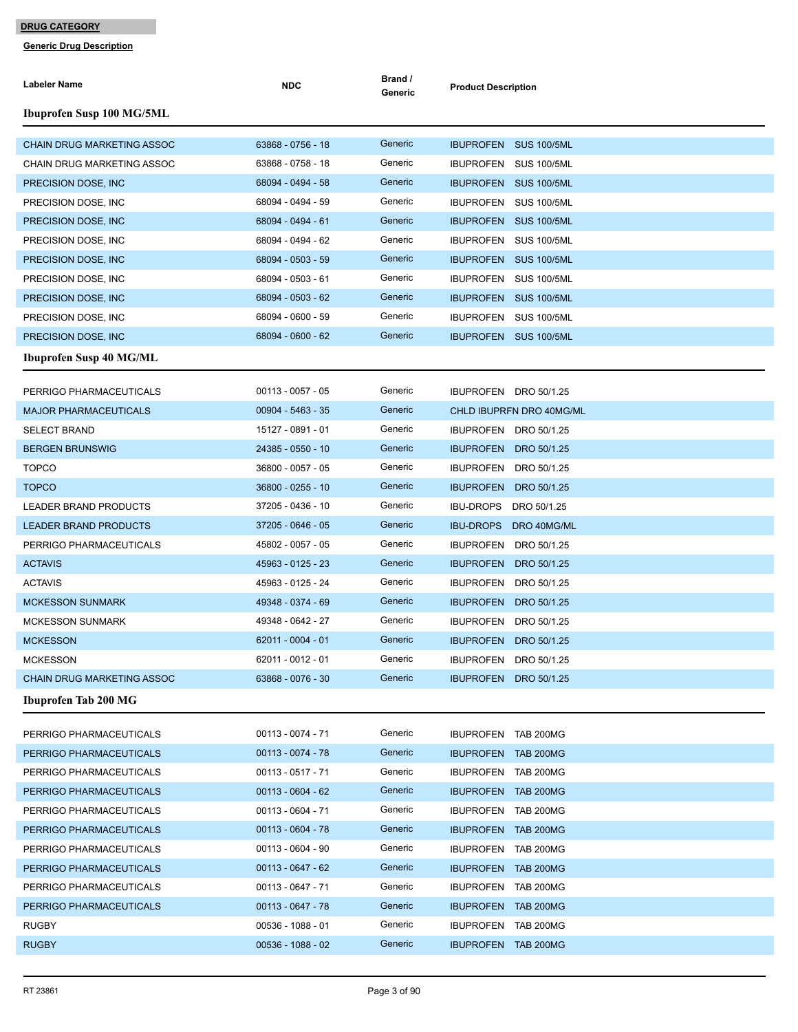| <b>Labeler Name</b>               | <b>NDC</b>          | Brand /<br>Generic | <b>Product Description</b>      |
|-----------------------------------|---------------------|--------------------|---------------------------------|
| Ibuprofen Susp 100 MG/5ML         |                     |                    |                                 |
| <b>CHAIN DRUG MARKETING ASSOC</b> | 63868 - 0756 - 18   | Generic            | IBUPROFEN SUS 100/5ML           |
| <b>CHAIN DRUG MARKETING ASSOC</b> | 63868 - 0758 - 18   | Generic            | IBUPROFEN SUS 100/5ML           |
| PRECISION DOSE, INC.              | 68094 - 0494 - 58   | Generic            | IBUPROFEN SUS 100/5ML           |
| PRECISION DOSE, INC               | 68094 - 0494 - 59   | Generic            | IBUPROFEN SUS 100/5ML           |
| PRECISION DOSE, INC.              | 68094 - 0494 - 61   | Generic            | IBUPROFEN SUS 100/5ML           |
| PRECISION DOSE, INC.              | 68094 - 0494 - 62   | Generic            | IBUPROFEN SUS 100/5ML           |
| PRECISION DOSE, INC.              | 68094 - 0503 - 59   | Generic            | IBUPROFEN SUS 100/5ML           |
| PRECISION DOSE, INC               | 68094 - 0503 - 61   | Generic            | IBUPROFEN SUS 100/5ML           |
| PRECISION DOSE, INC.              | 68094 - 0503 - 62   | Generic            | IBUPROFEN SUS 100/5ML           |
| PRECISION DOSE, INC               | 68094 - 0600 - 59   | Generic            | IBUPROFEN SUS 100/5ML           |
| PRECISION DOSE, INC.              | 68094 - 0600 - 62   | Generic            | IBUPROFEN SUS 100/5ML           |
| <b>Ibuprofen Susp 40 MG/ML</b>    |                     |                    |                                 |
| PERRIGO PHARMACEUTICALS           | $00113 - 0057 - 05$ | Generic            | IBUPROFEN DRO 50/1.25           |
| <b>MAJOR PHARMACEUTICALS</b>      | $00904 - 5463 - 35$ | Generic            | CHLD IBUPRFN DRO 40MG/ML        |
| <b>SELECT BRAND</b>               | 15127 - 0891 - 01   | Generic            | IBUPROFEN DRO 50/1.25           |
| <b>BERGEN BRUNSWIG</b>            | 24385 - 0550 - 10   | Generic            | IBUPROFEN DRO 50/1.25           |
| <b>TOPCO</b>                      | 36800 - 0057 - 05   | Generic            | IBUPROFEN DRO 50/1.25           |
| <b>TOPCO</b>                      | 36800 - 0255 - 10   | Generic            | <b>IBUPROFEN</b><br>DRO 50/1.25 |
| LEADER BRAND PRODUCTS             | 37205 - 0436 - 10   | Generic            | <b>IBU-DROPS</b><br>DRO 50/1.25 |
| <b>LEADER BRAND PRODUCTS</b>      | 37205 - 0646 - 05   | Generic            | <b>IBU-DROPS</b><br>DRO 40MG/ML |
| PERRIGO PHARMACEUTICALS           | 45802 - 0057 - 05   | Generic            | IBUPROFEN DRO 50/1.25           |
| <b>ACTAVIS</b>                    | 45963 - 0125 - 23   | Generic            | <b>IBUPROFEN</b><br>DRO 50/1.25 |
| <b>ACTAVIS</b>                    | 45963 - 0125 - 24   | Generic            | <b>IBUPROFEN</b><br>DRO 50/1.25 |
| <b>MCKESSON SUNMARK</b>           | 49348 - 0374 - 69   | Generic            | <b>IBUPROFEN</b><br>DRO 50/1.25 |
| <b>MCKESSON SUNMARK</b>           | 49348 - 0642 - 27   | Generic            | <b>IBUPROFEN</b><br>DRO 50/1.25 |
| <b>MCKESSON</b>                   | 62011 - 0004 - 01   | Generic            | <b>IBUPROFEN</b><br>DRO 50/1.25 |
| <b>MCKESSON</b>                   | 62011 - 0012 - 01   | Generic            | IBUPROFEN DRO 50/1.25           |
| <b>CHAIN DRUG MARKETING ASSOC</b> | 63868 - 0076 - 30   | Generic            | IBUPROFEN DRO 50/1.25           |
| <b>Ibuprofen Tab 200 MG</b>       |                     |                    |                                 |
| PERRIGO PHARMACEUTICALS           | 00113 - 0074 - 71   | Generic            | IBUPROFEN TAB 200MG             |
| PERRIGO PHARMACEUTICALS           | 00113 - 0074 - 78   | Generic            | <b>IBUPROFEN TAB 200MG</b>      |
| PERRIGO PHARMACEUTICALS           | 00113 - 0517 - 71   | Generic            | IBUPROFEN TAB 200MG             |
| PERRIGO PHARMACEUTICALS           | $00113 - 0604 - 62$ | Generic            | IBUPROFEN TAB 200MG             |
| PERRIGO PHARMACEUTICALS           | 00113 - 0604 - 71   | Generic            | IBUPROFEN TAB 200MG             |
| PERRIGO PHARMACEUTICALS           | $00113 - 0604 - 78$ | Generic            | <b>IBUPROFEN TAB 200MG</b>      |
| PERRIGO PHARMACEUTICALS           | 00113 - 0604 - 90   | Generic            | IBUPROFEN TAB 200MG             |
| PERRIGO PHARMACEUTICALS           | $00113 - 0647 - 62$ | Generic            | <b>IBUPROFEN TAB 200MG</b>      |
| PERRIGO PHARMACEUTICALS           | 00113 - 0647 - 71   | Generic            | IBUPROFEN TAB 200MG             |
| PERRIGO PHARMACEUTICALS           | $00113 - 0647 - 78$ | Generic            | IBUPROFEN TAB 200MG             |
| <b>RUGBY</b>                      | 00536 - 1088 - 01   | Generic            | IBUPROFEN TAB 200MG             |
| <b>RUGBY</b>                      | 00536 - 1088 - 02   | Generic            | <b>IBUPROFEN TAB 200MG</b>      |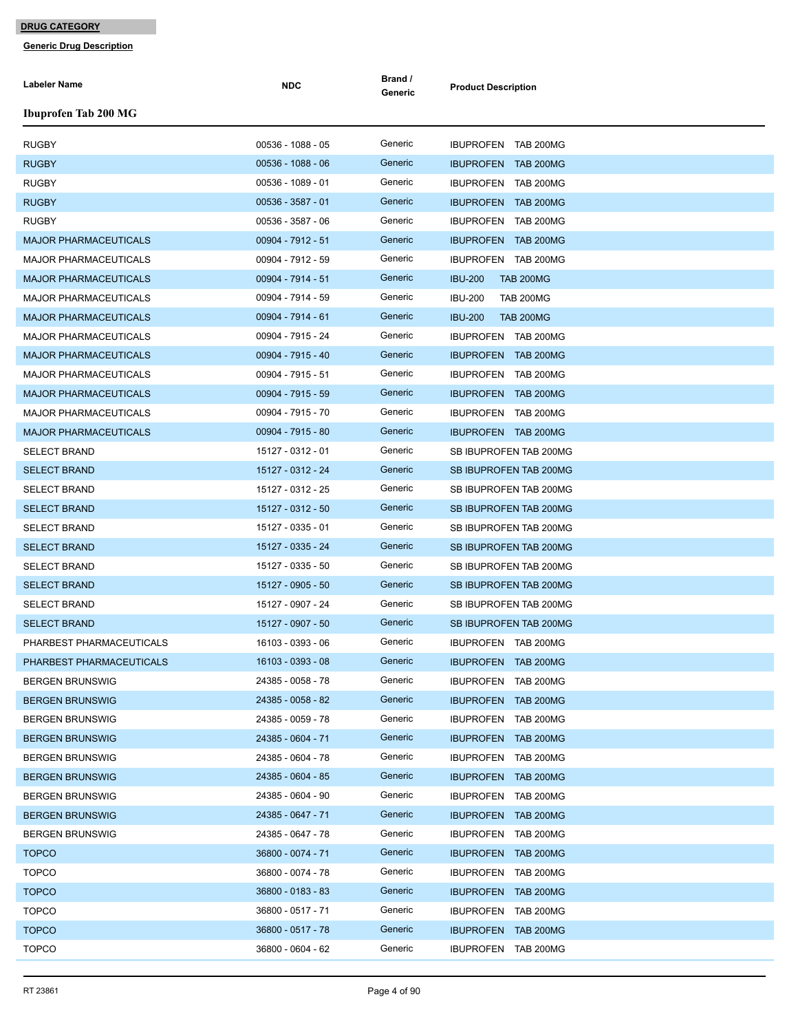| Labeler Name                 | <b>NDC</b>          | Brand /<br>Generic | <b>Product Description</b>         |
|------------------------------|---------------------|--------------------|------------------------------------|
| <b>Ibuprofen Tab 200 MG</b>  |                     |                    |                                    |
| <b>RUGBY</b>                 | 00536 - 1088 - 05   | Generic            | IBUPROFEN TAB 200MG                |
| <b>RUGBY</b>                 | 00536 - 1088 - 06   | Generic            | IBUPROFEN TAB 200MG                |
| <b>RUGBY</b>                 | 00536 - 1089 - 01   | Generic            | IBUPROFEN TAB 200MG                |
| <b>RUGBY</b>                 | $00536 - 3587 - 01$ | Generic            | IBUPROFEN TAB 200MG                |
| <b>RUGBY</b>                 | 00536 - 3587 - 06   | Generic            | IBUPROFEN TAB 200MG                |
| <b>MAJOR PHARMACEUTICALS</b> | 00904 - 7912 - 51   | Generic            | IBUPROFEN TAB 200MG                |
| <b>MAJOR PHARMACEUTICALS</b> | 00904 - 7912 - 59   | Generic            | IBUPROFEN TAB 200MG                |
| <b>MAJOR PHARMACEUTICALS</b> | 00904 - 7914 - 51   | Generic            | <b>IBU-200</b><br><b>TAB 200MG</b> |
| <b>MAJOR PHARMACEUTICALS</b> | 00904 - 7914 - 59   | Generic            | <b>IBU-200</b><br><b>TAB 200MG</b> |
| <b>MAJOR PHARMACEUTICALS</b> | 00904 - 7914 - 61   | Generic            | <b>IBU-200</b><br><b>TAB 200MG</b> |
| <b>MAJOR PHARMACEUTICALS</b> | 00904 - 7915 - 24   | Generic            | IBUPROFEN TAB 200MG                |
| <b>MAJOR PHARMACEUTICALS</b> | 00904 - 7915 - 40   | Generic            | IBUPROFEN TAB 200MG                |
| <b>MAJOR PHARMACEUTICALS</b> | 00904 - 7915 - 51   | Generic            | IBUPROFEN TAB 200MG                |
| <b>MAJOR PHARMACEUTICALS</b> | 00904 - 7915 - 59   | Generic            | IBUPROFEN TAB 200MG                |
|                              |                     | Generic            |                                    |
| <b>MAJOR PHARMACEUTICALS</b> | 00904 - 7915 - 70   | Generic            | IBUPROFEN TAB 200MG                |
| <b>MAJOR PHARMACEUTICALS</b> | 00904 - 7915 - 80   |                    | IBUPROFEN TAB 200MG                |
| <b>SELECT BRAND</b>          | 15127 - 0312 - 01   | Generic            | SB IBUPROFEN TAB 200MG             |
| <b>SELECT BRAND</b>          | 15127 - 0312 - 24   | Generic            | SB IBUPROFEN TAB 200MG             |
| <b>SELECT BRAND</b>          | 15127 - 0312 - 25   | Generic            | SB IBUPROFEN TAB 200MG             |
| <b>SELECT BRAND</b>          | 15127 - 0312 - 50   | Generic            | SB IBUPROFEN TAB 200MG             |
| <b>SELECT BRAND</b>          | 15127 - 0335 - 01   | Generic            | SB IBUPROFEN TAB 200MG             |
| <b>SELECT BRAND</b>          | 15127 - 0335 - 24   | Generic            | SB IBUPROFEN TAB 200MG             |
| <b>SELECT BRAND</b>          | 15127 - 0335 - 50   | Generic            | SB IBUPROFEN TAB 200MG             |
| <b>SELECT BRAND</b>          | 15127 - 0905 - 50   | Generic            | <b>SB IBUPROFEN TAB 200MG</b>      |
| <b>SELECT BRAND</b>          | 15127 - 0907 - 24   | Generic            | SB IBUPROFEN TAB 200MG             |
| <b>SELECT BRAND</b>          | 15127 - 0907 - 50   | Generic            | SB IBUPROFEN TAB 200MG             |
| PHARBEST PHARMACEUTICALS     | 16103 - 0393 - 06   | Generic            | IBUPROFEN TAB 200MG                |
| PHARBEST PHARMACEUTICALS     | 16103 - 0393 - 08   | Generic            | IBUPROFEN TAB 200MG                |
| <b>BERGEN BRUNSWIG</b>       | 24385 - 0058 - 78   | Generic            | IBUPROFEN TAB 200MG                |
| <b>BERGEN BRUNSWIG</b>       | 24385 - 0058 - 82   | Generic            | IBUPROFEN TAB 200MG                |
| <b>BERGEN BRUNSWIG</b>       | 24385 - 0059 - 78   | Generic            | IBUPROFEN TAB 200MG                |
| <b>BERGEN BRUNSWIG</b>       | 24385 - 0604 - 71   | Generic            | IBUPROFEN TAB 200MG                |
| <b>BERGEN BRUNSWIG</b>       | 24385 - 0604 - 78   | Generic            | IBUPROFEN TAB 200MG                |
| <b>BERGEN BRUNSWIG</b>       | 24385 - 0604 - 85   | Generic            | IBUPROFEN TAB 200MG                |
| <b>BERGEN BRUNSWIG</b>       | 24385 - 0604 - 90   | Generic            | IBUPROFEN TAB 200MG                |
| <b>BERGEN BRUNSWIG</b>       | 24385 - 0647 - 71   | Generic            | IBUPROFEN TAB 200MG                |
| <b>BERGEN BRUNSWIG</b>       | 24385 - 0647 - 78   | Generic            | IBUPROFEN TAB 200MG                |
| <b>TOPCO</b>                 | 36800 - 0074 - 71   | Generic            | IBUPROFEN TAB 200MG                |
| <b>TOPCO</b>                 | 36800 - 0074 - 78   | Generic            | IBUPROFEN TAB 200MG                |
| <b>TOPCO</b>                 | 36800 - 0183 - 83   | Generic            | IBUPROFEN TAB 200MG                |
| <b>TOPCO</b>                 | 36800 - 0517 - 71   | Generic            | IBUPROFEN TAB 200MG                |
| <b>TOPCO</b>                 | 36800 - 0517 - 78   | Generic            | IBUPROFEN TAB 200MG                |
| <b>TOPCO</b>                 | 36800 - 0604 - 62   | Generic            | IBUPROFEN TAB 200MG                |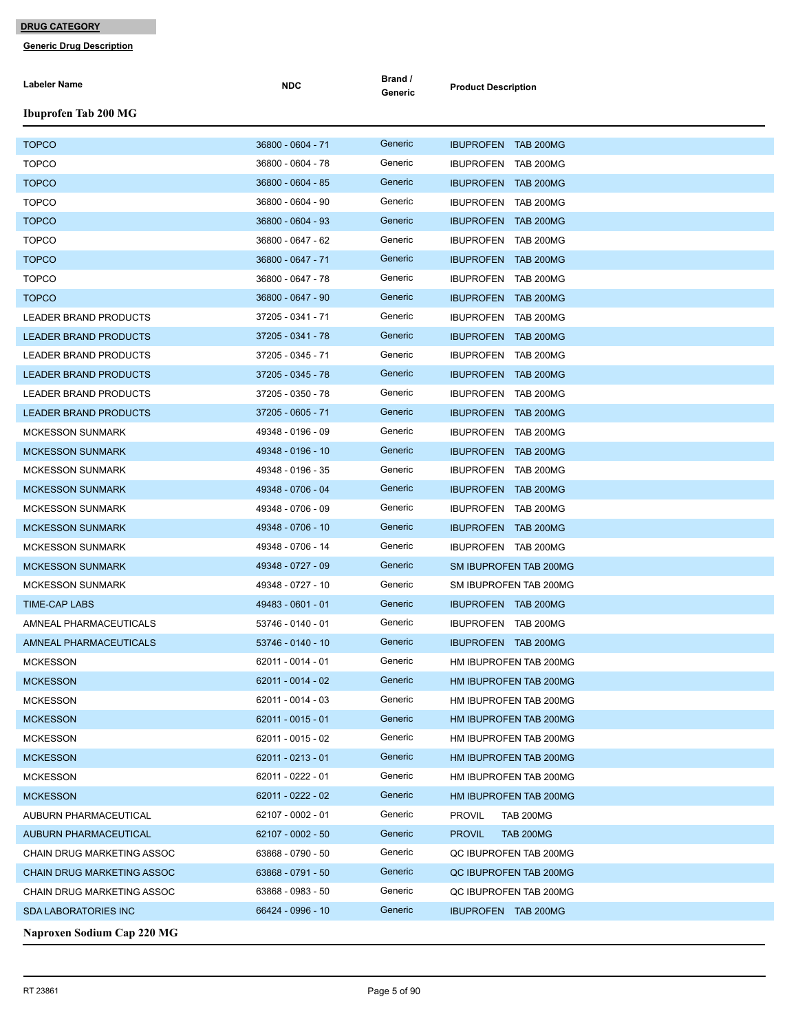| Labeler Name                  | <b>NDC</b>        | Brand /<br>Generic | <b>Product Description</b>        |
|-------------------------------|-------------------|--------------------|-----------------------------------|
| <b>Ibuprofen Tab 200 MG</b>   |                   |                    |                                   |
| <b>TOPCO</b>                  | 36800 - 0604 - 71 | Generic            | IBUPROFEN TAB 200MG               |
| <b>TOPCO</b>                  | 36800 - 0604 - 78 | Generic            | IBUPROFEN TAB 200MG               |
| <b>TOPCO</b>                  | 36800 - 0604 - 85 | Generic            | <b>IBUPROFEN TAB 200MG</b>        |
| <b>TOPCO</b>                  | 36800 - 0604 - 90 | Generic            | IBUPROFEN TAB 200MG               |
| <b>TOPCO</b>                  | 36800 - 0604 - 93 | Generic            | <b>IBUPROFEN TAB 200MG</b>        |
| <b>TOPCO</b>                  | 36800 - 0647 - 62 | Generic            | IBUPROFEN TAB 200MG               |
| <b>TOPCO</b>                  | 36800 - 0647 - 71 | Generic            | <b>IBUPROFEN TAB 200MG</b>        |
| <b>TOPCO</b>                  | 36800 - 0647 - 78 | Generic            | IBUPROFEN TAB 200MG               |
| <b>TOPCO</b>                  | 36800 - 0647 - 90 | Generic            | IBUPROFEN TAB 200MG               |
| <b>LEADER BRAND PRODUCTS</b>  | 37205 - 0341 - 71 | Generic            | IBUPROFEN TAB 200MG               |
| <b>LEADER BRAND PRODUCTS</b>  | 37205 - 0341 - 78 | Generic            | <b>IBUPROFEN TAB 200MG</b>        |
| <b>LEADER BRAND PRODUCTS</b>  | 37205 - 0345 - 71 | Generic            | IBUPROFEN TAB 200MG               |
| <b>LEADER BRAND PRODUCTS</b>  | 37205 - 0345 - 78 | Generic            | <b>IBUPROFEN TAB 200MG</b>        |
| LEADER BRAND PRODUCTS         | 37205 - 0350 - 78 | Generic            | IBUPROFEN TAB 200MG               |
| <b>LEADER BRAND PRODUCTS</b>  | 37205 - 0605 - 71 | Generic            | <b>IBUPROFEN TAB 200MG</b>        |
| <b>MCKESSON SUNMARK</b>       | 49348 - 0196 - 09 | Generic            | IBUPROFEN TAB 200MG               |
| <b>MCKESSON SUNMARK</b>       | 49348 - 0196 - 10 | Generic            | <b>IBUPROFEN TAB 200MG</b>        |
| <b>MCKESSON SUNMARK</b>       | 49348 - 0196 - 35 | Generic            | IBUPROFEN TAB 200MG               |
| <b>MCKESSON SUNMARK</b>       | 49348 - 0706 - 04 | Generic            | IBUPROFEN TAB 200MG               |
| <b>MCKESSON SUNMARK</b>       | 49348 - 0706 - 09 | Generic            | IBUPROFEN TAB 200MG               |
| <b>MCKESSON SUNMARK</b>       | 49348 - 0706 - 10 | Generic            | <b>IBUPROFEN TAB 200MG</b>        |
| <b>MCKESSON SUNMARK</b>       | 49348 - 0706 - 14 | Generic            | IBUPROFEN TAB 200MG               |
| <b>MCKESSON SUNMARK</b>       | 49348 - 0727 - 09 | Generic            | SM IBUPROFEN TAB 200MG            |
| <b>MCKESSON SUNMARK</b>       | 49348 - 0727 - 10 | Generic            | SM IBUPROFEN TAB 200MG            |
| <b>TIME-CAP LABS</b>          | 49483 - 0601 - 01 | Generic            | IBUPROFEN TAB 200MG               |
| AMNEAL PHARMACEUTICALS        | 53746 - 0140 - 01 | Generic            | IBUPROFEN TAB 200MG               |
| <b>AMNEAL PHARMACEUTICALS</b> | 53746 - 0140 - 10 | Generic            | IBUPROFEN TAB 200MG               |
| <b>MCKESSON</b>               | 62011 - 0014 - 01 | Generic            | HM IBUPROFEN TAB 200MG            |
| <b>MCKESSON</b>               | 62011 - 0014 - 02 | Generic            | HM IBUPROFEN TAB 200MG            |
| <b>MCKESSON</b>               | 62011 - 0014 - 03 | Generic            | HM IBUPROFEN TAB 200MG            |
| <b>MCKESSON</b>               | 62011 - 0015 - 01 | Generic            | HM IBUPROFEN TAB 200MG            |
| <b>MCKESSON</b>               | 62011 - 0015 - 02 | Generic            | HM IBUPROFEN TAB 200MG            |
| <b>MCKESSON</b>               | 62011 - 0213 - 01 | Generic            | HM IBUPROFEN TAB 200MG            |
| <b>MCKESSON</b>               | 62011 - 0222 - 01 | Generic            | HM IBUPROFEN TAB 200MG            |
| <b>MCKESSON</b>               | 62011 - 0222 - 02 | Generic            | HM IBUPROFEN TAB 200MG            |
| AUBURN PHARMACEUTICAL         | 62107 - 0002 - 01 | Generic            | <b>PROVIL</b><br><b>TAB 200MG</b> |
| <b>AUBURN PHARMACEUTICAL</b>  | 62107 - 0002 - 50 | Generic            | <b>PROVIL</b><br><b>TAB 200MG</b> |
| CHAIN DRUG MARKETING ASSOC    | 63868 - 0790 - 50 | Generic            | QC IBUPROFEN TAB 200MG            |
| CHAIN DRUG MARKETING ASSOC    | 63868 - 0791 - 50 | Generic            | QC IBUPROFEN TAB 200MG            |
| CHAIN DRUG MARKETING ASSOC    | 63868 - 0983 - 50 | Generic            | QC IBUPROFEN TAB 200MG            |
| <b>SDA LABORATORIES INC</b>   | 66424 - 0996 - 10 | Generic            | <b>IBUPROFEN TAB 200MG</b>        |
| Naproxen Sodium Cap 220 MG    |                   |                    |                                   |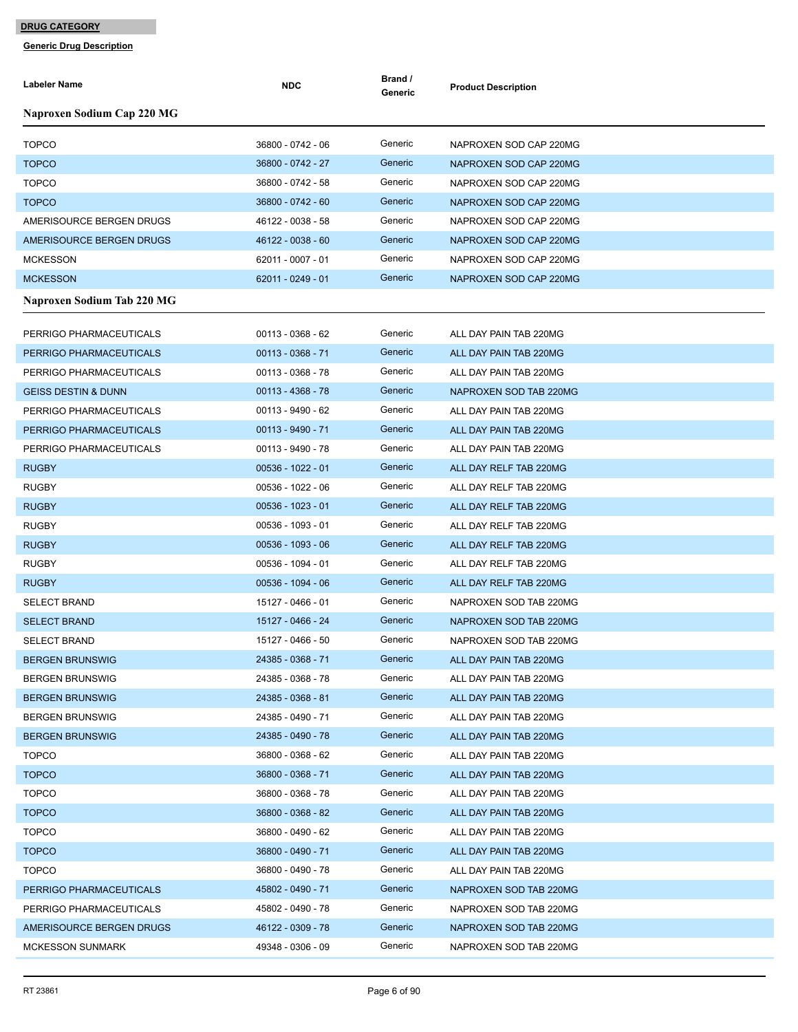| Labeler Name                   | <b>NDC</b>          | Brand /<br>Generic | <b>Product Description</b> |
|--------------------------------|---------------------|--------------------|----------------------------|
| Naproxen Sodium Cap 220 MG     |                     |                    |                            |
| <b>TOPCO</b>                   | 36800 - 0742 - 06   | Generic            | NAPROXEN SOD CAP 220MG     |
| <b>TOPCO</b>                   | 36800 - 0742 - 27   | Generic            | NAPROXEN SOD CAP 220MG     |
| <b>TOPCO</b>                   | 36800 - 0742 - 58   | Generic            | NAPROXEN SOD CAP 220MG     |
| <b>TOPCO</b>                   | 36800 - 0742 - 60   | Generic            | NAPROXEN SOD CAP 220MG     |
| AMERISOURCE BERGEN DRUGS       | 46122 - 0038 - 58   | Generic            | NAPROXEN SOD CAP 220MG     |
| AMERISOURCE BERGEN DRUGS       | 46122 - 0038 - 60   | Generic            | NAPROXEN SOD CAP 220MG     |
| <b>MCKESSON</b>                | 62011 - 0007 - 01   | Generic            | NAPROXEN SOD CAP 220MG     |
| <b>MCKESSON</b>                | 62011 - 0249 - 01   | Generic            | NAPROXEN SOD CAP 220MG     |
| Naproxen Sodium Tab 220 MG     |                     |                    |                            |
|                                |                     |                    |                            |
| PERRIGO PHARMACEUTICALS        | 00113 - 0368 - 62   | Generic            | ALL DAY PAIN TAB 220MG     |
| PERRIGO PHARMACEUTICALS        | $00113 - 0368 - 71$ | Generic            | ALL DAY PAIN TAB 220MG     |
| PERRIGO PHARMACEUTICALS        | 00113 - 0368 - 78   | Generic            | ALL DAY PAIN TAB 220MG     |
| <b>GEISS DESTIN &amp; DUNN</b> | 00113 - 4368 - 78   | Generic            | NAPROXEN SOD TAB 220MG     |
| PERRIGO PHARMACEUTICALS        | 00113 - 9490 - 62   | Generic            | ALL DAY PAIN TAB 220MG     |
| PERRIGO PHARMACEUTICALS        | $00113 - 9490 - 71$ | Generic            | ALL DAY PAIN TAB 220MG     |
| PERRIGO PHARMACEUTICALS        | 00113 - 9490 - 78   | Generic            | ALL DAY PAIN TAB 220MG     |
| <b>RUGBY</b>                   | $00536 - 1022 - 01$ | Generic            | ALL DAY RELF TAB 220MG     |
| <b>RUGBY</b>                   | 00536 - 1022 - 06   | Generic            | ALL DAY RELF TAB 220MG     |
| <b>RUGBY</b>                   | $00536 - 1023 - 01$ | Generic            | ALL DAY RELF TAB 220MG     |
| <b>RUGBY</b>                   | 00536 - 1093 - 01   | Generic            | ALL DAY RELF TAB 220MG     |
| <b>RUGBY</b>                   | $00536 - 1093 - 06$ | Generic            | ALL DAY RELF TAB 220MG     |
| <b>RUGBY</b>                   | 00536 - 1094 - 01   | Generic            | ALL DAY RELF TAB 220MG     |
| <b>RUGBY</b>                   | 00536 - 1094 - 06   | Generic            | ALL DAY RELF TAB 220MG     |
| <b>SELECT BRAND</b>            | 15127 - 0466 - 01   | Generic            | NAPROXEN SOD TAB 220MG     |
| <b>SELECT BRAND</b>            | 15127 - 0466 - 24   | Generic            | NAPROXEN SOD TAB 220MG     |
| <b>SELECT BRAND</b>            | 15127 - 0466 - 50   | Generic            | NAPROXEN SOD TAB 220MG     |
| <b>BERGEN BRUNSWIG</b>         | 24385 - 0368 - 71   | Generic            | ALL DAY PAIN TAB 220MG     |
| <b>BERGEN BRUNSWIG</b>         | 24385 - 0368 - 78   | Generic            | ALL DAY PAIN TAB 220MG     |
| <b>BERGEN BRUNSWIG</b>         | 24385 - 0368 - 81   | Generic            | ALL DAY PAIN TAB 220MG     |
| <b>BERGEN BRUNSWIG</b>         | 24385 - 0490 - 71   | Generic            | ALL DAY PAIN TAB 220MG     |
| <b>BERGEN BRUNSWIG</b>         | 24385 - 0490 - 78   | Generic            | ALL DAY PAIN TAB 220MG     |
| <b>TOPCO</b>                   | 36800 - 0368 - 62   | Generic            | ALL DAY PAIN TAB 220MG     |
| <b>TOPCO</b>                   | 36800 - 0368 - 71   | Generic            | ALL DAY PAIN TAB 220MG     |
| <b>TOPCO</b>                   | 36800 - 0368 - 78   | Generic            | ALL DAY PAIN TAB 220MG     |
| <b>TOPCO</b>                   | 36800 - 0368 - 82   | Generic            | ALL DAY PAIN TAB 220MG     |
| <b>TOPCO</b>                   | 36800 - 0490 - 62   | Generic            | ALL DAY PAIN TAB 220MG     |
| <b>TOPCO</b>                   | 36800 - 0490 - 71   | Generic            | ALL DAY PAIN TAB 220MG     |
| <b>TOPCO</b>                   | 36800 - 0490 - 78   | Generic            | ALL DAY PAIN TAB 220MG     |
| PERRIGO PHARMACEUTICALS        | 45802 - 0490 - 71   | Generic            | NAPROXEN SOD TAB 220MG     |
| PERRIGO PHARMACEUTICALS        | 45802 - 0490 - 78   | Generic            | NAPROXEN SOD TAB 220MG     |
| AMERISOURCE BERGEN DRUGS       | 46122 - 0309 - 78   | Generic            | NAPROXEN SOD TAB 220MG     |
| <b>MCKESSON SUNMARK</b>        | 49348 - 0306 - 09   | Generic            | NAPROXEN SOD TAB 220MG     |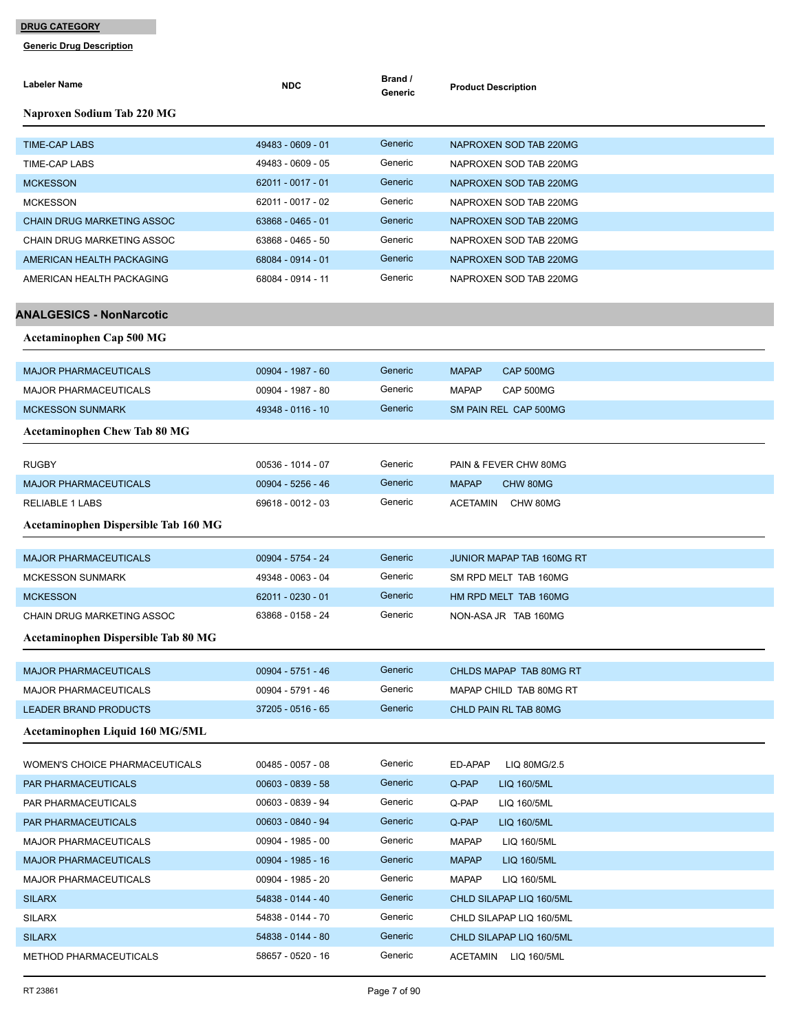| <b>Labeler Name</b>                         | <b>NDC</b>          | Brand /<br>Generic | <b>Product Description</b>       |
|---------------------------------------------|---------------------|--------------------|----------------------------------|
| Naproxen Sodium Tab 220 MG                  |                     |                    |                                  |
| <b>TIME-CAP LABS</b>                        | 49483 - 0609 - 01   | Generic            | NAPROXEN SOD TAB 220MG           |
| <b>TIME-CAP LABS</b>                        | 49483 - 0609 - 05   | Generic            | NAPROXEN SOD TAB 220MG           |
| <b>MCKESSON</b>                             | 62011 - 0017 - 01   | Generic            | NAPROXEN SOD TAB 220MG           |
| <b>MCKESSON</b>                             | 62011 - 0017 - 02   | Generic            | NAPROXEN SOD TAB 220MG           |
| <b>CHAIN DRUG MARKETING ASSOC</b>           | 63868 - 0465 - 01   | Generic            | NAPROXEN SOD TAB 220MG           |
| CHAIN DRUG MARKETING ASSOC                  | 63868 - 0465 - 50   | Generic            | NAPROXEN SOD TAB 220MG           |
| AMERICAN HEALTH PACKAGING                   | 68084 - 0914 - 01   | Generic            | NAPROXEN SOD TAB 220MG           |
| AMERICAN HEALTH PACKAGING                   | 68084 - 0914 - 11   | Generic            | NAPROXEN SOD TAB 220MG           |
| <b>ANALGESICS - NonNarcotic</b>             |                     |                    |                                  |
| <b>Acetaminophen Cap 500 MG</b>             |                     |                    |                                  |
| <b>MAJOR PHARMACEUTICALS</b>                | 00904 - 1987 - 60   | Generic            | <b>MAPAP</b><br>CAP 500MG        |
| <b>MAJOR PHARMACEUTICALS</b>                | 00904 - 1987 - 80   | Generic            | <b>MAPAP</b><br>CAP 500MG        |
| <b>MCKESSON SUNMARK</b>                     | 49348 - 0116 - 10   | Generic            | SM PAIN REL CAP 500MG            |
| <b>Acetaminophen Chew Tab 80 MG</b>         |                     |                    |                                  |
| <b>RUGBY</b>                                | 00536 - 1014 - 07   | Generic            | PAIN & FEVER CHW 80MG            |
| <b>MAJOR PHARMACEUTICALS</b>                | 00904 - 5256 - 46   | Generic            | <b>MAPAP</b><br>CHW 80MG         |
| <b>RELIABLE 1 LABS</b>                      | 69618 - 0012 - 03   | Generic            | <b>ACETAMIN</b><br>CHW 80MG      |
| <b>Acetaminophen Dispersible Tab 160 MG</b> |                     |                    |                                  |
| <b>MAJOR PHARMACEUTICALS</b>                | 00904 - 5754 - 24   | Generic            | <b>JUNIOR MAPAP TAB 160MG RT</b> |
| <b>MCKESSON SUNMARK</b>                     | 49348 - 0063 - 04   | Generic            | SM RPD MELT TAB 160MG            |
| <b>MCKESSON</b>                             | 62011 - 0230 - 01   | Generic            | HM RPD MELT TAB 160MG            |
| CHAIN DRUG MARKETING ASSOC                  | 63868 - 0158 - 24   | Generic            | NON-ASA JR TAB 160MG             |
| Acetaminophen Dispersible Tab 80 MG         |                     |                    |                                  |
| <b>MAJOR PHARMACEUTICALS</b>                | 00904 - 5751 - 46   | Generic            | CHLDS MAPAP TAB 80MG RT          |
| <b>MAJOR PHARMACEUTICALS</b>                | 00904 - 5791 - 46   | Generic            | MAPAP CHILD TAB 80MG RT          |
| <b>LEADER BRAND PRODUCTS</b>                | 37205 - 0516 - 65   | Generic            | CHLD PAIN RL TAB 80MG            |
| Acetaminophen Liquid 160 MG/5ML             |                     |                    |                                  |
| <b>WOMEN'S CHOICE PHARMACEUTICALS</b>       | $00485 - 0057 - 08$ | Generic            | ED-APAP<br>LIQ 80MG/2.5          |
| PAR PHARMACEUTICALS                         | 00603 - 0839 - 58   | Generic            | Q-PAP<br>LIQ 160/5ML             |
| PAR PHARMACEUTICALS                         | 00603 - 0839 - 94   | Generic            | Q-PAP<br>LIQ 160/5ML             |
| PAR PHARMACEUTICALS                         | 00603 - 0840 - 94   | Generic            | Q-PAP<br>LIQ 160/5ML             |
| <b>MAJOR PHARMACEUTICALS</b>                | 00904 - 1985 - 00   | Generic            | <b>MAPAP</b><br>LIQ 160/5ML      |
| <b>MAJOR PHARMACEUTICALS</b>                | 00904 - 1985 - 16   | Generic            | <b>MAPAP</b><br>LIQ 160/5ML      |
| <b>MAJOR PHARMACEUTICALS</b>                | 00904 - 1985 - 20   | Generic            | <b>MAPAP</b><br>LIQ 160/5ML      |
| <b>SILARX</b>                               | 54838 - 0144 - 40   | Generic            | CHLD SILAPAP LIQ 160/5ML         |
| <b>SILARX</b>                               | 54838 - 0144 - 70   | Generic            | CHLD SILAPAP LIQ 160/5ML         |
| <b>SILARX</b>                               | 54838 - 0144 - 80   | Generic            | CHLD SILAPAP LIQ 160/5ML         |
| METHOD PHARMACEUTICALS                      | 58657 - 0520 - 16   | Generic            | ACETAMIN LIQ 160/5ML             |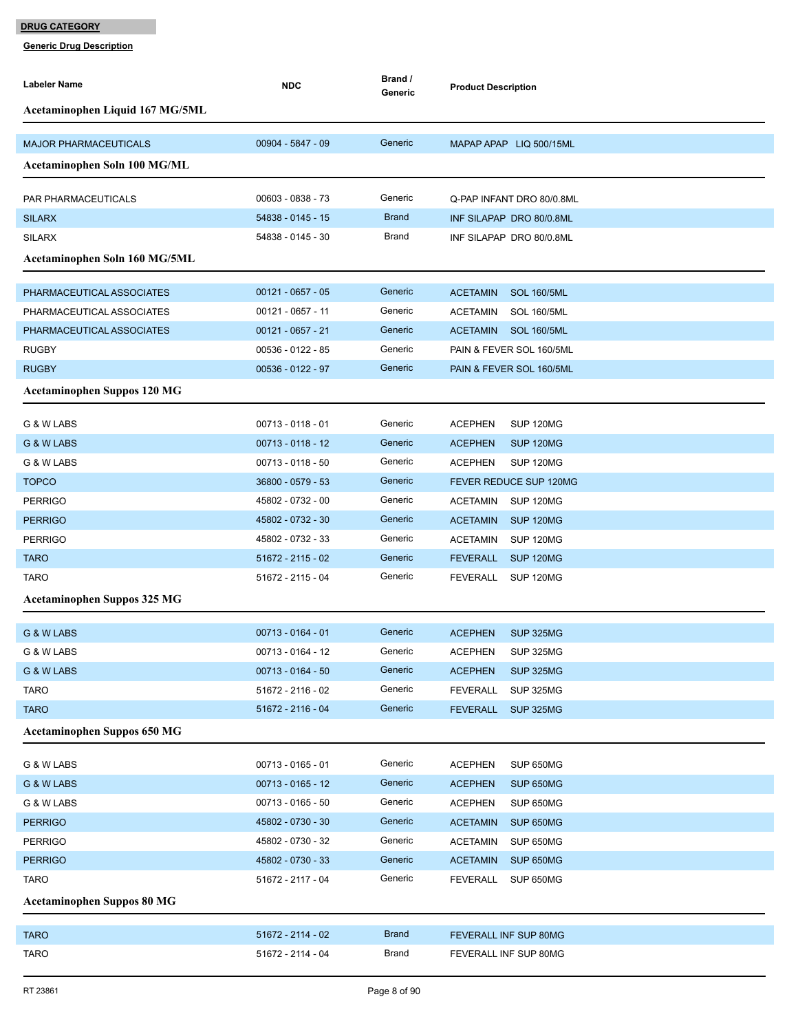| <b>Labeler Name</b>                | <b>NDC</b>          | Brand /<br>Generic | <b>Product Description</b>            |
|------------------------------------|---------------------|--------------------|---------------------------------------|
| Acetaminophen Liquid 167 MG/5ML    |                     |                    |                                       |
| <b>MAJOR PHARMACEUTICALS</b>       |                     | Generic            |                                       |
|                                    | 00904 - 5847 - 09   |                    | MAPAP APAP LIQ 500/15ML               |
| Acetaminophen Soln 100 MG/ML       |                     |                    |                                       |
| PAR PHARMACEUTICALS                | 00603 - 0838 - 73   | Generic            | Q-PAP INFANT DRO 80/0.8ML             |
| <b>SILARX</b>                      | 54838 - 0145 - 15   | <b>Brand</b>       | INF SILAPAP DRO 80/0.8ML              |
| <b>SILARX</b>                      | 54838 - 0145 - 30   | <b>Brand</b>       | INF SILAPAP DRO 80/0.8ML              |
| Acetaminophen Soln 160 MG/5ML      |                     |                    |                                       |
| PHARMACEUTICAL ASSOCIATES          | $00121 - 0657 - 05$ | Generic            | <b>ACETAMIN</b><br><b>SOL 160/5ML</b> |
| PHARMACEUTICAL ASSOCIATES          | 00121 - 0657 - 11   | Generic            | <b>ACETAMIN</b><br><b>SOL 160/5ML</b> |
| PHARMACEUTICAL ASSOCIATES          | $00121 - 0657 - 21$ | Generic            | <b>ACETAMIN</b><br><b>SOL 160/5ML</b> |
| <b>RUGBY</b>                       | 00536 - 0122 - 85   | Generic            | PAIN & FEVER SOL 160/5ML              |
| <b>RUGBY</b>                       | 00536 - 0122 - 97   | Generic            | PAIN & FEVER SOL 160/5ML              |
| <b>Acetaminophen Suppos 120 MG</b> |                     |                    |                                       |
|                                    |                     |                    |                                       |
| G & W LABS                         | $00713 - 0118 - 01$ | Generic            | <b>ACEPHEN</b><br><b>SUP 120MG</b>    |
| G & W LABS                         | $00713 - 0118 - 12$ | Generic            | <b>ACEPHEN</b><br><b>SUP 120MG</b>    |
| G & W LABS                         | 00713 - 0118 - 50   | Generic            | <b>ACEPHEN</b><br>SUP 120MG           |
| <b>TOPCO</b>                       | 36800 - 0579 - 53   | Generic            | FEVER REDUCE SUP 120MG                |
| <b>PERRIGO</b>                     | 45802 - 0732 - 00   | Generic            | <b>SUP 120MG</b><br><b>ACETAMIN</b>   |
| <b>PERRIGO</b>                     | 45802 - 0732 - 30   | Generic            | <b>SUP 120MG</b><br><b>ACETAMIN</b>   |
| <b>PERRIGO</b>                     | 45802 - 0732 - 33   | Generic            | <b>ACETAMIN</b><br>SUP 120MG          |
| <b>TARO</b>                        | 51672 - 2115 - 02   | Generic            | <b>FEVERALL</b><br><b>SUP 120MG</b>   |
| <b>TARO</b>                        | 51672 - 2115 - 04   | Generic            | FEVERALL<br>SUP 120MG                 |
| <b>Acetaminophen Suppos 325 MG</b> |                     |                    |                                       |
| G & W LABS                         | $00713 - 0164 - 01$ | Generic            | <b>ACEPHEN</b><br><b>SUP 325MG</b>    |
| G & W LABS                         | 00713 - 0164 - 12   | Generic            | <b>ACEPHEN</b><br>SUP 325MG           |
| G & W LABS                         | 00713 - 0164 - 50   | Generic            | <b>ACEPHEN</b><br><b>SUP 325MG</b>    |
| <b>TARO</b>                        | 51672 - 2116 - 02   | Generic            | <b>FEVERALL</b><br><b>SUP 325MG</b>   |
| <b>TARO</b>                        | 51672 - 2116 - 04   | Generic            | FEVERALL SUP 325MG                    |
| <b>Acetaminophen Suppos 650 MG</b> |                     |                    |                                       |
| G & W LABS                         | $00713 - 0165 - 01$ | Generic            | SUP 650MG<br><b>ACEPHEN</b>           |
| G & W LABS                         | 00713 - 0165 - 12   | Generic            | <b>ACEPHEN</b><br><b>SUP 650MG</b>    |
| G & W LABS                         | 00713 - 0165 - 50   | Generic            | <b>ACEPHEN</b><br>SUP 650MG           |
| <b>PERRIGO</b>                     | 45802 - 0730 - 30   | Generic            | <b>ACETAMIN</b><br><b>SUP 650MG</b>   |
| <b>PERRIGO</b>                     | 45802 - 0730 - 32   | Generic            | <b>ACETAMIN</b><br>SUP 650MG          |
| <b>PERRIGO</b>                     | 45802 - 0730 - 33   | Generic            | <b>SUP 650MG</b><br><b>ACETAMIN</b>   |
| <b>TARO</b>                        | 51672 - 2117 - 04   | Generic            | FEVERALL<br>SUP 650MG                 |
| <b>Acetaminophen Suppos 80 MG</b>  |                     |                    |                                       |
|                                    |                     |                    |                                       |
| <b>TARO</b>                        | 51672 - 2114 - 02   | <b>Brand</b>       | FEVERALL INF SUP 80MG                 |
| <b>TARO</b>                        | 51672 - 2114 - 04   | Brand              | FEVERALL INF SUP 80MG                 |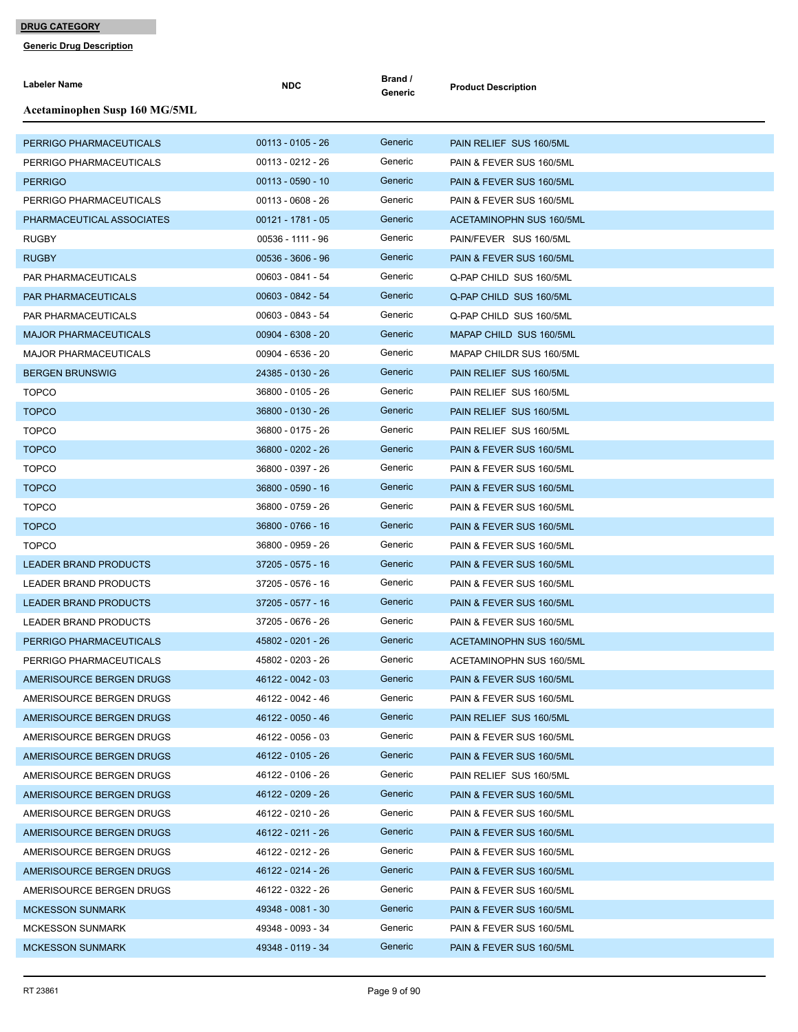| Labeler Name                  | <b>NDC</b>          | Brand /<br>Generic | <b>Product Description</b>      |
|-------------------------------|---------------------|--------------------|---------------------------------|
| Acetaminophen Susp 160 MG/5ML |                     |                    |                                 |
| PERRIGO PHARMACEUTICALS       | $00113 - 0105 - 26$ | Generic            | PAIN RELIEF SUS 160/5ML         |
| PERRIGO PHARMACEUTICALS       | 00113 - 0212 - 26   | Generic            | PAIN & FEVER SUS 160/5ML        |
| <b>PERRIGO</b>                | $00113 - 0590 - 10$ | Generic            | PAIN & FEVER SUS 160/5ML        |
| PERRIGO PHARMACEUTICALS       | $00113 - 0608 - 26$ | Generic            | PAIN & FEVER SUS 160/5ML        |
| PHARMACEUTICAL ASSOCIATES     | $00121 - 1781 - 05$ | Generic            | <b>ACETAMINOPHN SUS 160/5ML</b> |
| <b>RUGBY</b>                  | 00536 - 1111 - 96   | Generic            | PAIN/FEVER SUS 160/5ML          |
| <b>RUGBY</b>                  | $00536 - 3606 - 96$ | Generic            | PAIN & FEVER SUS 160/5ML        |
| PAR PHARMACEUTICALS           | 00603 - 0841 - 54   | Generic            | Q-PAP CHILD SUS 160/5ML         |
| PAR PHARMACEUTICALS           | 00603 - 0842 - 54   | Generic            | Q-PAP CHILD SUS 160/5ML         |
| PAR PHARMACEUTICALS           | 00603 - 0843 - 54   | Generic            | Q-PAP CHILD SUS 160/5ML         |
| <b>MAJOR PHARMACEUTICALS</b>  | 00904 - 6308 - 20   | Generic            | MAPAP CHILD SUS 160/5ML         |
| <b>MAJOR PHARMACEUTICALS</b>  | 00904 - 6536 - 20   | Generic            | MAPAP CHILDR SUS 160/5ML        |
| <b>BERGEN BRUNSWIG</b>        | 24385 - 0130 - 26   | Generic            | PAIN RELIEF SUS 160/5ML         |
| <b>TOPCO</b>                  | 36800 - 0105 - 26   | Generic            | PAIN RELIEF SUS 160/5ML         |
| <b>TOPCO</b>                  | 36800 - 0130 - 26   | Generic            | PAIN RELIEF SUS 160/5ML         |
| <b>TOPCO</b>                  | 36800 - 0175 - 26   | Generic            | PAIN RELIEF SUS 160/5ML         |
| <b>TOPCO</b>                  | 36800 - 0202 - 26   | Generic            | PAIN & FEVER SUS 160/5ML        |
| <b>TOPCO</b>                  | 36800 - 0397 - 26   | Generic            | PAIN & FEVER SUS 160/5ML        |
| <b>TOPCO</b>                  | 36800 - 0590 - 16   | Generic            | PAIN & FEVER SUS 160/5ML        |
| <b>TOPCO</b>                  | 36800 - 0759 - 26   | Generic            | PAIN & FEVER SUS 160/5ML        |
| <b>TOPCO</b>                  | 36800 - 0766 - 16   | Generic            | PAIN & FEVER SUS 160/5ML        |
| <b>TOPCO</b>                  | 36800 - 0959 - 26   | Generic            | PAIN & FEVER SUS 160/5ML        |
| <b>LEADER BRAND PRODUCTS</b>  | 37205 - 0575 - 16   | Generic            | PAIN & FEVER SUS 160/5ML        |
| LEADER BRAND PRODUCTS         | 37205 - 0576 - 16   | Generic            | PAIN & FEVER SUS 160/5ML        |
| <b>LEADER BRAND PRODUCTS</b>  | 37205 - 0577 - 16   | Generic            | PAIN & FEVER SUS 160/5ML        |
| LEADER BRAND PRODUCTS         | 37205 - 0676 - 26   | Generic            | PAIN & FEVER SUS 160/5ML        |
| PERRIGO PHARMACEUTICALS       | 45802 - 0201 - 26   | Generic            | <b>ACETAMINOPHN SUS 160/5ML</b> |
| PERRIGO PHARMACEUTICALS       | 45802 - 0203 - 26   | Generic            | ACETAMINOPHN SUS 160/5ML        |
| AMERISOURCE BERGEN DRUGS      | 46122 - 0042 - 03   | Generic            | PAIN & FEVER SUS 160/5ML        |
| AMERISOURCE BERGEN DRUGS      | 46122 - 0042 - 46   | Generic            | PAIN & FEVER SUS 160/5ML        |
| AMERISOURCE BERGEN DRUGS      | 46122 - 0050 - 46   | Generic            | PAIN RELIEF SUS 160/5ML         |
| AMERISOURCE BERGEN DRUGS      | 46122 - 0056 - 03   | Generic            | PAIN & FEVER SUS 160/5ML        |
| AMERISOURCE BERGEN DRUGS      | 46122 - 0105 - 26   | Generic            | PAIN & FEVER SUS 160/5ML        |
| AMERISOURCE BERGEN DRUGS      | 46122 - 0106 - 26   | Generic            | PAIN RELIEF SUS 160/5ML         |
| AMERISOURCE BERGEN DRUGS      | 46122 - 0209 - 26   | Generic            | PAIN & FEVER SUS 160/5ML        |
| AMERISOURCE BERGEN DRUGS      | 46122 - 0210 - 26   | Generic            | PAIN & FEVER SUS 160/5ML        |
| AMERISOURCE BERGEN DRUGS      | 46122 - 0211 - 26   | Generic            | PAIN & FEVER SUS 160/5ML        |
| AMERISOURCE BERGEN DRUGS      | 46122 - 0212 - 26   | Generic            | PAIN & FEVER SUS 160/5ML        |
| AMERISOURCE BERGEN DRUGS      | 46122 - 0214 - 26   | Generic            | PAIN & FEVER SUS 160/5ML        |
| AMERISOURCE BERGEN DRUGS      | 46122 - 0322 - 26   | Generic            | PAIN & FEVER SUS 160/5ML        |
| <b>MCKESSON SUNMARK</b>       | 49348 - 0081 - 30   | Generic            | PAIN & FEVER SUS 160/5ML        |
| <b>MCKESSON SUNMARK</b>       | 49348 - 0093 - 34   | Generic            | PAIN & FEVER SUS 160/5ML        |
| <b>MCKESSON SUNMARK</b>       | 49348 - 0119 - 34   | Generic            | PAIN & FEVER SUS 160/5ML        |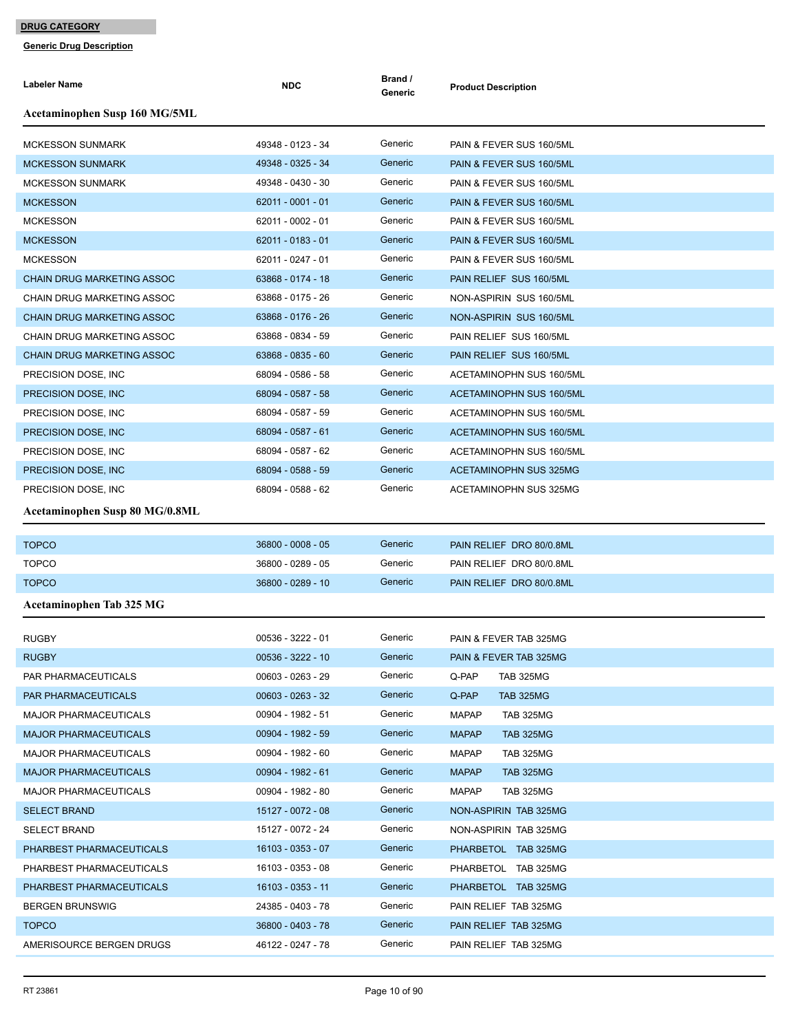| Labeler Name                      | <b>NDC</b>                             | Brand /<br>Generic | <b>Product Description</b>       |
|-----------------------------------|----------------------------------------|--------------------|----------------------------------|
| Acetaminophen Susp 160 MG/5ML     |                                        |                    |                                  |
| <b>MCKESSON SUNMARK</b>           | 49348 - 0123 - 34                      | Generic            | PAIN & FEVER SUS 160/5ML         |
| <b>MCKESSON SUNMARK</b>           | 49348 - 0325 - 34                      | Generic            | PAIN & FEVER SUS 160/5ML         |
| <b>MCKESSON SUNMARK</b>           | 49348 - 0430 - 30                      | Generic            | PAIN & FEVER SUS 160/5ML         |
| <b>MCKESSON</b>                   | 62011 - 0001 - 01                      | Generic            | PAIN & FEVER SUS 160/5ML         |
| <b>MCKESSON</b>                   | 62011 - 0002 - 01                      | Generic            | PAIN & FEVER SUS 160/5ML         |
| <b>MCKESSON</b>                   | 62011 - 0183 - 01                      | Generic            | PAIN & FEVER SUS 160/5ML         |
| <b>MCKESSON</b>                   | 62011 - 0247 - 01                      | Generic            | PAIN & FEVER SUS 160/5ML         |
| <b>CHAIN DRUG MARKETING ASSOC</b> | 63868 - 0174 - 18                      | Generic            | PAIN RELIEF SUS 160/5ML          |
| CHAIN DRUG MARKETING ASSOC        | 63868 - 0175 - 26                      | Generic            | NON-ASPIRIN SUS 160/5ML          |
| <b>CHAIN DRUG MARKETING ASSOC</b> | 63868 - 0176 - 26                      | Generic            | NON-ASPIRIN SUS 160/5ML          |
| CHAIN DRUG MARKETING ASSOC        | 63868 - 0834 - 59                      | Generic            | PAIN RELIEF SUS 160/5ML          |
| <b>CHAIN DRUG MARKETING ASSOC</b> | 63868 - 0835 - 60                      | Generic            | PAIN RELIEF SUS 160/5ML          |
| PRECISION DOSE, INC               | 68094 - 0586 - 58                      | Generic            | ACETAMINOPHN SUS 160/5ML         |
| PRECISION DOSE, INC.              | 68094 - 0587 - 58                      | Generic            | <b>ACETAMINOPHN SUS 160/5ML</b>  |
| PRECISION DOSE, INC               | 68094 - 0587 - 59                      | Generic            | ACETAMINOPHN SUS 160/5ML         |
| PRECISION DOSE, INC.              | 68094 - 0587 - 61                      | Generic            | ACETAMINOPHN SUS 160/5ML         |
| PRECISION DOSE, INC               | 68094 - 0587 - 62                      | Generic            | ACETAMINOPHN SUS 160/5ML         |
| PRECISION DOSE, INC               | 68094 - 0588 - 59                      | Generic            | ACETAMINOPHN SUS 325MG           |
| PRECISION DOSE, INC.              | 68094 - 0588 - 62                      | Generic            | ACETAMINOPHN SUS 325MG           |
| Acetaminophen Susp 80 MG/0.8ML    |                                        |                    |                                  |
| <b>TOPCO</b>                      | 36800 - 0008 - 05                      | Generic            | PAIN RELIEF DRO 80/0.8ML         |
| <b>TOPCO</b>                      | 36800 - 0289 - 05                      | Generic            | PAIN RELIEF DRO 80/0.8ML         |
| <b>TOPCO</b>                      | 36800 - 0289 - 10                      | Generic            | PAIN RELIEF DRO 80/0.8ML         |
| Acetaminophen Tab 325 MG          |                                        |                    |                                  |
|                                   |                                        |                    |                                  |
| <b>RUGBY</b>                      | 00536 - 3222 - 01                      | Generic            | PAIN & FEVER TAB 325MG           |
| <b>RUGBY</b>                      | 00536 - 3222 - 10                      | Generic            | PAIN & FEVER TAB 325MG           |
| PAR PHARMACEUTICALS               | 00603 - 0263 - 29                      | Generic            | Q-PAP<br><b>TAB 325MG</b>        |
| PAR PHARMACEUTICALS               | $00603 - 0263 - 32$                    | Generic            | Q-PAP<br><b>TAB 325MG</b>        |
| <b>MAJOR PHARMACEUTICALS</b>      | 00904 - 1982 - 51                      | Generic<br>Generic | <b>MAPAP</b><br><b>TAB 325MG</b> |
| <b>MAJOR PHARMACEUTICALS</b>      | 00904 - 1982 - 59                      |                    | <b>MAPAP</b><br><b>TAB 325MG</b> |
| <b>MAJOR PHARMACEUTICALS</b>      | 00904 - 1982 - 60                      | Generic            | <b>MAPAP</b><br><b>TAB 325MG</b> |
| <b>MAJOR PHARMACEUTICALS</b>      | 00904 - 1982 - 61<br>00904 - 1982 - 80 | Generic<br>Generic | <b>MAPAP</b><br><b>TAB 325MG</b> |
| <b>MAJOR PHARMACEUTICALS</b>      |                                        | Generic            | <b>MAPAP</b><br><b>TAB 325MG</b> |
| <b>SELECT BRAND</b>               | 15127 - 0072 - 08                      | Generic            | NON-ASPIRIN TAB 325MG            |
| <b>SELECT BRAND</b>               | 15127 - 0072 - 24                      |                    | NON-ASPIRIN TAB 325MG            |
| PHARBEST PHARMACEUTICALS          | 16103 - 0353 - 07                      | Generic            | PHARBETOL TAB 325MG              |
| PHARBEST PHARMACEUTICALS          | 16103 - 0353 - 08                      | Generic            | PHARBETOL TAB 325MG              |
| PHARBEST PHARMACEUTICALS          | 16103 - 0353 - 11                      | Generic            | PHARBETOL TAB 325MG              |
| <b>BERGEN BRUNSWIG</b>            | 24385 - 0403 - 78                      | Generic<br>Generic | PAIN RELIEF TAB 325MG            |
| <b>TOPCO</b>                      | 36800 - 0403 - 78                      |                    | PAIN RELIEF TAB 325MG            |
| AMERISOURCE BERGEN DRUGS          | 46122 - 0247 - 78                      | Generic            | PAIN RELIEF TAB 325MG            |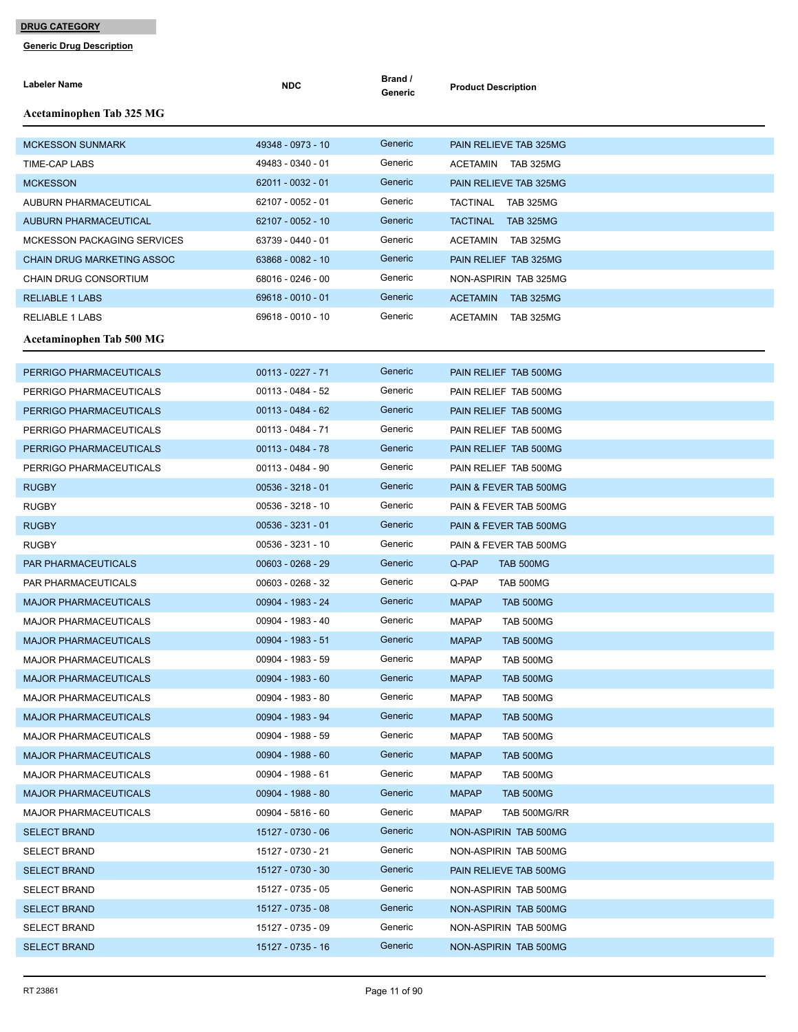| Labeler Name                       | <b>NDC</b>          | Brand /<br>Generic | <b>Product Description</b>       |
|------------------------------------|---------------------|--------------------|----------------------------------|
| <b>Acetaminophen Tab 325 MG</b>    |                     |                    |                                  |
| <b>MCKESSON SUNMARK</b>            | 49348 - 0973 - 10   | Generic            | PAIN RELIEVE TAB 325MG           |
| <b>TIME-CAP LABS</b>               | 49483 - 0340 - 01   | Generic            | <b>ACETAMIN</b><br>TAB 325MG     |
| <b>MCKESSON</b>                    | 62011 - 0032 - 01   | Generic            | PAIN RELIEVE TAB 325MG           |
| <b>AUBURN PHARMACEUTICAL</b>       | 62107 - 0052 - 01   | Generic            | TACTINAL TAB 325MG               |
| <b>AUBURN PHARMACEUTICAL</b>       | 62107 - 0052 - 10   | Generic            | TACTINAL TAB 325MG               |
| <b>MCKESSON PACKAGING SERVICES</b> | 63739 - 0440 - 01   | Generic            | <b>ACETAMIN</b><br>TAB 325MG     |
| <b>CHAIN DRUG MARKETING ASSOC</b>  | 63868 - 0082 - 10   | Generic            | PAIN RELIEF TAB 325MG            |
| <b>CHAIN DRUG CONSORTIUM</b>       | 68016 - 0246 - 00   | Generic            | NON-ASPIRIN TAB 325MG            |
| <b>RELIABLE 1 LABS</b>             | 69618 - 0010 - 01   | Generic            | ACETAMIN TAB 325MG               |
| RELIABLE 1 LABS                    | 69618 - 0010 - 10   | Generic            | TAB 325MG<br>ACETAMIN            |
| Acetaminophen Tab 500 MG           |                     |                    |                                  |
| PERRIGO PHARMACEUTICALS            | 00113 - 0227 - 71   | Generic            | PAIN RELIEF TAB 500MG            |
| PERRIGO PHARMACEUTICALS            | 00113 - 0484 - 52   | Generic            | PAIN RELIEF TAB 500MG            |
| PERRIGO PHARMACEUTICALS            | $00113 - 0484 - 62$ | Generic            | PAIN RELIEF TAB 500MG            |
| PERRIGO PHARMACEUTICALS            | 00113 - 0484 - 71   | Generic            | PAIN RELIEF TAB 500MG            |
| PERRIGO PHARMACEUTICALS            | 00113 - 0484 - 78   | Generic            | PAIN RELIEF TAB 500MG            |
| PERRIGO PHARMACEUTICALS            | 00113 - 0484 - 90   | Generic            | PAIN RELIEF TAB 500MG            |
| <b>RUGBY</b>                       | $00536 - 3218 - 01$ | Generic            | PAIN & FEVER TAB 500MG           |
| <b>RUGBY</b>                       | 00536 - 3218 - 10   | Generic            | PAIN & FEVER TAB 500MG           |
| <b>RUGBY</b>                       | $00536 - 3231 - 01$ | Generic            | PAIN & FEVER TAB 500MG           |
| <b>RUGBY</b>                       | 00536 - 3231 - 10   | Generic            | PAIN & FEVER TAB 500MG           |
| PAR PHARMACEUTICALS                | $00603 - 0268 - 29$ | Generic            | Q-PAP<br>TAB 500MG               |
| PAR PHARMACEUTICALS                | 00603 - 0268 - 32   | Generic            | Q-PAP<br><b>TAB 500MG</b>        |
| <b>MAJOR PHARMACEUTICALS</b>       | 00904 - 1983 - 24   | Generic            | <b>MAPAP</b><br>TAB 500MG        |
| <b>MAJOR PHARMACEUTICALS</b>       | 00904 - 1983 - 40   | Generic            | <b>MAPAP</b><br><b>TAB 500MG</b> |
| <b>MAJOR PHARMACEUTICALS</b>       | 00904 - 1983 - 51   | Generic            | <b>MAPAP</b><br>TAB 500MG        |
| MAJOR PHARMACEUTICALS              | 00904 - 1983 - 59   | Generic            | <b>MAPAP</b><br>TAB 500MG        |
| <b>MAJOR PHARMACEUTICALS</b>       | 00904 - 1983 - 60   | Generic            | <b>MAPAP</b><br>TAB 500MG        |
| <b>MAJOR PHARMACEUTICALS</b>       | 00904 - 1983 - 80   | Generic            | <b>MAPAP</b><br>TAB 500MG        |
| <b>MAJOR PHARMACEUTICALS</b>       | 00904 - 1983 - 94   | Generic            | <b>MAPAP</b><br>TAB 500MG        |
| <b>MAJOR PHARMACEUTICALS</b>       | 00904 - 1988 - 59   | Generic            | <b>MAPAP</b><br>TAB 500MG        |
| <b>MAJOR PHARMACEUTICALS</b>       | 00904 - 1988 - 60   | Generic            | <b>MAPAP</b><br>TAB 500MG        |
| MAJOR PHARMACEUTICALS              | 00904 - 1988 - 61   | Generic            | <b>MAPAP</b><br>TAB 500MG        |
| <b>MAJOR PHARMACEUTICALS</b>       | 00904 - 1988 - 80   | Generic            | <b>MAPAP</b><br><b>TAB 500MG</b> |
| <b>MAJOR PHARMACEUTICALS</b>       | 00904 - 5816 - 60   | Generic            | <b>MAPAP</b><br>TAB 500MG/RR     |
| <b>SELECT BRAND</b>                | 15127 - 0730 - 06   | Generic            | NON-ASPIRIN TAB 500MG            |
| <b>SELECT BRAND</b>                | 15127 - 0730 - 21   | Generic            | NON-ASPIRIN TAB 500MG            |
| <b>SELECT BRAND</b>                | 15127 - 0730 - 30   | Generic            | PAIN RELIEVE TAB 500MG           |
| <b>SELECT BRAND</b>                | 15127 - 0735 - 05   | Generic            | NON-ASPIRIN TAB 500MG            |
| <b>SELECT BRAND</b>                | 15127 - 0735 - 08   | Generic            | NON-ASPIRIN TAB 500MG            |
| <b>SELECT BRAND</b>                | 15127 - 0735 - 09   | Generic            | NON-ASPIRIN TAB 500MG            |
| <b>SELECT BRAND</b>                | 15127 - 0735 - 16   | Generic            | NON-ASPIRIN TAB 500MG            |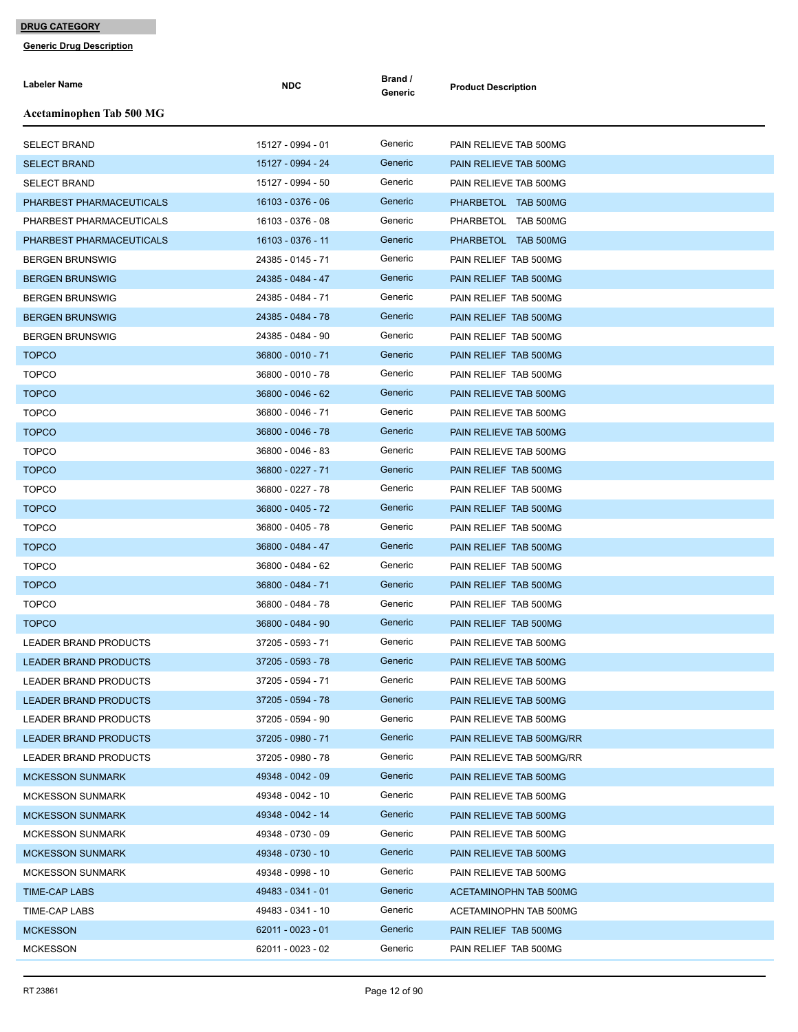| <b>Labeler Name</b>          | <b>NDC</b>        | Brand /<br>Generic | <b>Product Description</b> |
|------------------------------|-------------------|--------------------|----------------------------|
| Acetaminophen Tab 500 MG     |                   |                    |                            |
| <b>SELECT BRAND</b>          | 15127 - 0994 - 01 | Generic            | PAIN RELIEVE TAB 500MG     |
| <b>SELECT BRAND</b>          | 15127 - 0994 - 24 | Generic            | PAIN RELIEVE TAB 500MG     |
| <b>SELECT BRAND</b>          | 15127 - 0994 - 50 | Generic            | PAIN RELIEVE TAB 500MG     |
| PHARBEST PHARMACEUTICALS     | 16103 - 0376 - 06 | Generic            | PHARBETOL TAB 500MG        |
| PHARBEST PHARMACEUTICALS     | 16103 - 0376 - 08 | Generic            | PHARBETOL TAB 500MG        |
| PHARBEST PHARMACEUTICALS     | 16103 - 0376 - 11 | Generic            | PHARBETOL TAB 500MG        |
| <b>BERGEN BRUNSWIG</b>       | 24385 - 0145 - 71 | Generic            | PAIN RELIEF TAB 500MG      |
| <b>BERGEN BRUNSWIG</b>       | 24385 - 0484 - 47 | Generic            | PAIN RELIEF TAB 500MG      |
| <b>BERGEN BRUNSWIG</b>       | 24385 - 0484 - 71 | Generic            | PAIN RELIEF TAB 500MG      |
| <b>BERGEN BRUNSWIG</b>       | 24385 - 0484 - 78 | Generic            | PAIN RELIEF TAB 500MG      |
| <b>BERGEN BRUNSWIG</b>       | 24385 - 0484 - 90 | Generic            | PAIN RELIEF TAB 500MG      |
| <b>TOPCO</b>                 | 36800 - 0010 - 71 | Generic            | PAIN RELIEF TAB 500MG      |
| <b>TOPCO</b>                 | 36800 - 0010 - 78 | Generic            | PAIN RELIEF TAB 500MG      |
| <b>TOPCO</b>                 | 36800 - 0046 - 62 | Generic            | PAIN RELIEVE TAB 500MG     |
| <b>TOPCO</b>                 | 36800 - 0046 - 71 | Generic            | PAIN RELIEVE TAB 500MG     |
| <b>TOPCO</b>                 | 36800 - 0046 - 78 | Generic            | PAIN RELIEVE TAB 500MG     |
| <b>TOPCO</b>                 | 36800 - 0046 - 83 | Generic            | PAIN RELIEVE TAB 500MG     |
| <b>TOPCO</b>                 | 36800 - 0227 - 71 | Generic            | PAIN RELIEF TAB 500MG      |
| <b>TOPCO</b>                 | 36800 - 0227 - 78 | Generic            | PAIN RELIEF TAB 500MG      |
| <b>TOPCO</b>                 | 36800 - 0405 - 72 | Generic            | PAIN RELIEF TAB 500MG      |
| <b>TOPCO</b>                 | 36800 - 0405 - 78 | Generic            | PAIN RELIEF TAB 500MG      |
| <b>TOPCO</b>                 | 36800 - 0484 - 47 | Generic            | PAIN RELIEF TAB 500MG      |
| <b>TOPCO</b>                 | 36800 - 0484 - 62 | Generic            | PAIN RELIEF TAB 500MG      |
| <b>TOPCO</b>                 | 36800 - 0484 - 71 | Generic            | PAIN RELIEF TAB 500MG      |
| <b>TOPCO</b>                 | 36800 - 0484 - 78 | Generic            | PAIN RELIEF TAB 500MG      |
| <b>TOPCO</b>                 | 36800 - 0484 - 90 | Generic            | PAIN RELIEF TAB 500MG      |
| <b>LEADER BRAND PRODUCTS</b> | 37205 - 0593 - 71 | Generic            | PAIN RELIEVE TAB 500MG     |
| <b>LEADER BRAND PRODUCTS</b> | 37205 - 0593 - 78 | Generic            | PAIN RELIEVE TAB 500MG     |
| LEADER BRAND PRODUCTS        | 37205 - 0594 - 71 | Generic            | PAIN RELIEVE TAB 500MG     |
| <b>LEADER BRAND PRODUCTS</b> | 37205 - 0594 - 78 | Generic            | PAIN RELIEVE TAB 500MG     |
| LEADER BRAND PRODUCTS        | 37205 - 0594 - 90 | Generic            | PAIN RELIEVE TAB 500MG     |
| <b>LEADER BRAND PRODUCTS</b> | 37205 - 0980 - 71 | Generic            | PAIN RELIEVE TAB 500MG/RR  |
| LEADER BRAND PRODUCTS        | 37205 - 0980 - 78 | Generic            | PAIN RELIEVE TAB 500MG/RR  |
| <b>MCKESSON SUNMARK</b>      | 49348 - 0042 - 09 | Generic            | PAIN RELIEVE TAB 500MG     |
| <b>MCKESSON SUNMARK</b>      | 49348 - 0042 - 10 | Generic            | PAIN RELIEVE TAB 500MG     |
| <b>MCKESSON SUNMARK</b>      | 49348 - 0042 - 14 | Generic            | PAIN RELIEVE TAB 500MG     |
| <b>MCKESSON SUNMARK</b>      | 49348 - 0730 - 09 | Generic            | PAIN RELIEVE TAB 500MG     |
| <b>MCKESSON SUNMARK</b>      | 49348 - 0730 - 10 | Generic            | PAIN RELIEVE TAB 500MG     |
| <b>MCKESSON SUNMARK</b>      | 49348 - 0998 - 10 | Generic            | PAIN RELIEVE TAB 500MG     |
| TIME-CAP LABS                | 49483 - 0341 - 01 | Generic            | ACETAMINOPHN TAB 500MG     |
| TIME-CAP LABS                | 49483 - 0341 - 10 | Generic            | ACETAMINOPHN TAB 500MG     |
| <b>MCKESSON</b>              | 62011 - 0023 - 01 | Generic            | PAIN RELIEF TAB 500MG      |
| <b>MCKESSON</b>              | 62011 - 0023 - 02 | Generic            | PAIN RELIEF TAB 500MG      |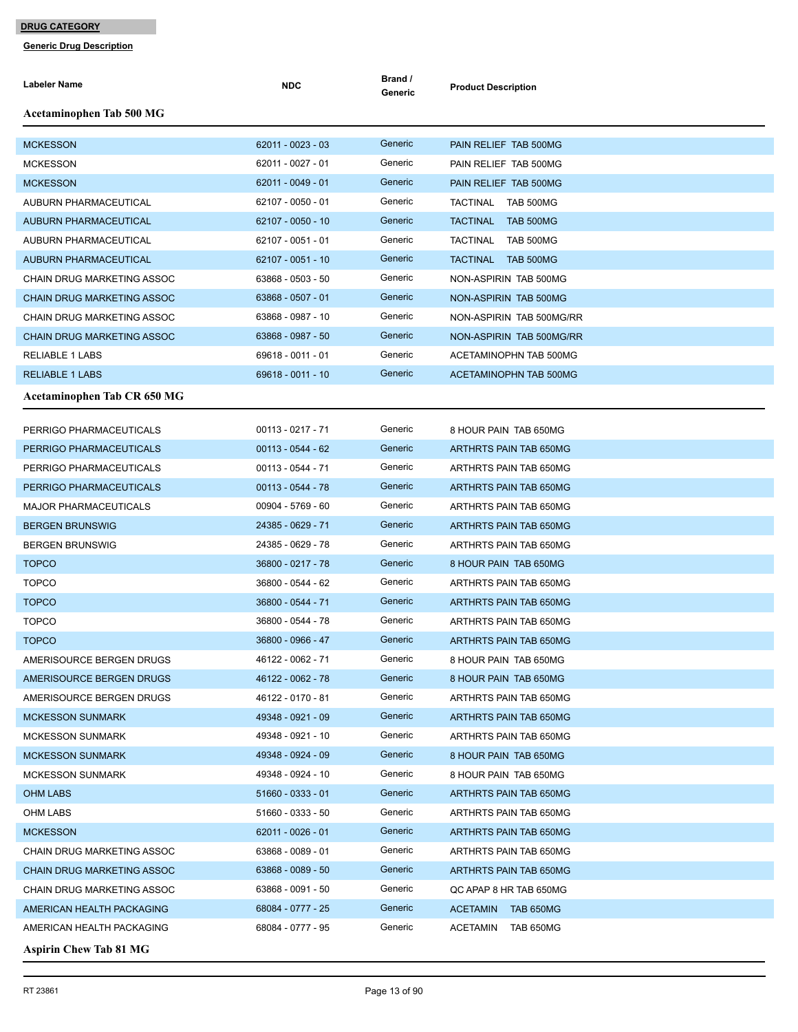**Generic Drug Description**

| Labeler Name                      | <b>NDC</b>          | Brand /<br>Generic | <b>Product Description</b>   |
|-----------------------------------|---------------------|--------------------|------------------------------|
| Acetaminophen Tab 500 MG          |                     |                    |                              |
| <b>MCKESSON</b>                   | 62011 - 0023 - 03   | Generic            | PAIN RELIEF TAB 500MG        |
| <b>MCKESSON</b>                   | 62011 - 0027 - 01   | Generic            | PAIN RELIEF TAB 500MG        |
| <b>MCKESSON</b>                   | 62011 - 0049 - 01   | Generic            | PAIN RELIEF TAB 500MG        |
| AUBURN PHARMACEUTICAL             | 62107 - 0050 - 01   | Generic            | TACTINAL<br>TAB 500MG        |
| <b>AUBURN PHARMACEUTICAL</b>      | 62107 - 0050 - 10   | Generic            | <b>TACTINAL</b><br>TAB 500MG |
| <b>AUBURN PHARMACEUTICAL</b>      | 62107 - 0051 - 01   | Generic            | <b>TACTINAL</b><br>TAB 500MG |
| <b>AUBURN PHARMACEUTICAL</b>      | 62107 - 0051 - 10   | Generic            | TACTINAL<br>TAB 500MG        |
| <b>CHAIN DRUG MARKETING ASSOC</b> | 63868 - 0503 - 50   | Generic            | NON-ASPIRIN TAB 500MG        |
| <b>CHAIN DRUG MARKETING ASSOC</b> | 63868 - 0507 - 01   | Generic            | NON-ASPIRIN TAB 500MG        |
| CHAIN DRUG MARKETING ASSOC        | 63868 - 0987 - 10   | Generic            | NON-ASPIRIN TAB 500MG/RR     |
| <b>CHAIN DRUG MARKETING ASSOC</b> | 63868 - 0987 - 50   | Generic            | NON-ASPIRIN TAB 500MG/RR     |
| <b>RELIABLE 1 LABS</b>            | 69618 - 0011 - 01   | Generic            | ACETAMINOPHN TAB 500MG       |
| <b>RELIABLE 1 LABS</b>            | 69618 - 0011 - 10   | Generic            | ACETAMINOPHN TAB 500MG       |
| Acetaminophen Tab CR 650 MG       |                     |                    |                              |
| PERRIGO PHARMACEUTICALS           | $00113 - 0217 - 71$ | Generic            | 8 HOUR PAIN TAB 650MG        |
| PERRIGO PHARMACEUTICALS           | $00113 - 0544 - 62$ | Generic            | ARTHRTS PAIN TAB 650MG       |
| PERRIGO PHARMACEUTICALS           | 00113 - 0544 - 71   | Generic            | ARTHRTS PAIN TAB 650MG       |
| PERRIGO PHARMACEUTICALS           | $00113 - 0544 - 78$ | Generic            | ARTHRTS PAIN TAB 650MG       |
| <b>MAJOR PHARMACEUTICALS</b>      | 00904 - 5769 - 60   | Generic            | ARTHRTS PAIN TAB 650MG       |
| <b>BERGEN BRUNSWIG</b>            | 24385 - 0629 - 71   | Generic            | ARTHRTS PAIN TAB 650MG       |
| <b>BERGEN BRUNSWIG</b>            | 24385 - 0629 - 78   | Generic            | ARTHRTS PAIN TAB 650MG       |
| <b>TOPCO</b>                      | 36800 - 0217 - 78   | Generic            | 8 HOUR PAIN TAB 650MG        |
| <b>TOPCO</b>                      | 36800 - 0544 - 62   | Generic            | ARTHRTS PAIN TAB 650MG       |
| <b>TOPCO</b>                      | 36800 - 0544 - 71   | Generic            | ARTHRTS PAIN TAB 650MG       |
| <b>TOPCO</b>                      | 36800 - 0544 - 78   | Generic            | ARTHRTS PAIN TAB 650MG       |
| <b>TOPCO</b>                      | 36800 - 0966 - 47   | Generic            | ARTHRTS PAIN TAB 650MG       |
| AMERISOURCE BERGEN DRUGS          | 46122 - 0062 - 71   | Generic            | 8 HOUR PAIN TAB 650MG        |
| AMERISOURCE BERGEN DRUGS          | 46122 - 0062 - 78   | Generic            | 8 HOUR PAIN TAB 650MG        |
| AMERISOURCE BERGEN DRUGS          | 46122 - 0170 - 81   | Generic            | ARTHRTS PAIN TAB 650MG       |
| <b>MCKESSON SUNMARK</b>           | 49348 - 0921 - 09   | Generic            | ARTHRTS PAIN TAB 650MG       |
| <b>MCKESSON SUNMARK</b>           | 49348 - 0921 - 10   | Generic            | ARTHRTS PAIN TAB 650MG       |
| <b>MCKESSON SUNMARK</b>           | 49348 - 0924 - 09   | Generic            | 8 HOUR PAIN TAB 650MG        |
| <b>MCKESSON SUNMARK</b>           | 49348 - 0924 - 10   | Generic            | 8 HOUR PAIN TAB 650MG        |
| <b>OHM LABS</b>                   | $51660 - 0333 - 01$ | Generic            | ARTHRTS PAIN TAB 650MG       |
| OHM LABS                          | 51660 - 0333 - 50   | Generic            | ARTHRTS PAIN TAB 650MG       |
| <b>MCKESSON</b>                   | 62011 - 0026 - 01   | Generic            | ARTHRTS PAIN TAB 650MG       |
| CHAIN DRUG MARKETING ASSOC        | 63868 - 0089 - 01   | Generic            | ARTHRTS PAIN TAB 650MG       |
| <b>CHAIN DRUG MARKETING ASSOC</b> | 63868 - 0089 - 50   | Generic            | ARTHRTS PAIN TAB 650MG       |
| CHAIN DRUG MARKETING ASSOC        | 63868 - 0091 - 50   | Generic            | QC APAP 8 HR TAB 650MG       |
| AMERICAN HEALTH PACKAGING         | 68084 - 0777 - 25   | Generic            | ACETAMIN<br>TAB 650MG        |
| AMERICAN HEALTH PACKAGING         | 68084 - 0777 - 95   | Generic            | ACETAMIN<br>TAB 650MG        |
|                                   |                     |                    |                              |

**Aspirin Chew Tab 81 MG**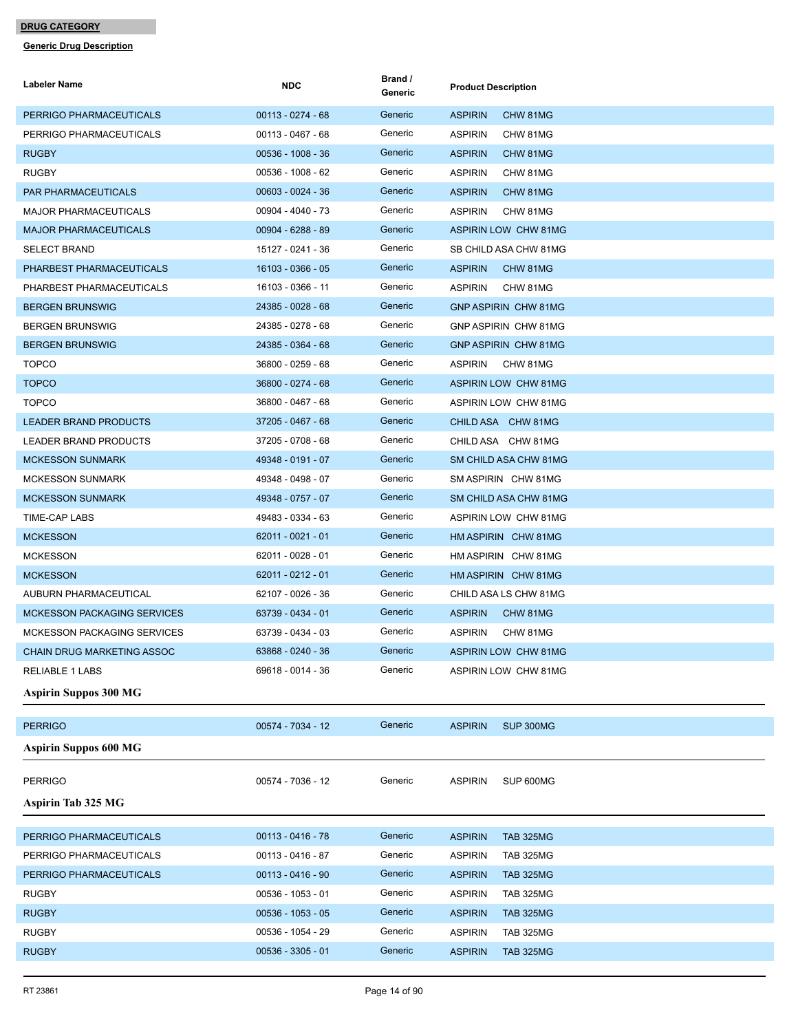| <b>Labeler Name</b>                | <b>NDC</b>          | Brand /<br>Generic | <b>Product Description</b>         |
|------------------------------------|---------------------|--------------------|------------------------------------|
| PERRIGO PHARMACEUTICALS            | $00113 - 0274 - 68$ | Generic            | <b>ASPIRIN</b><br>CHW 81MG         |
| PERRIGO PHARMACEUTICALS            | 00113 - 0467 - 68   | Generic            | <b>ASPIRIN</b><br>CHW 81MG         |
| <b>RUGBY</b>                       | $00536 - 1008 - 36$ | Generic            | <b>ASPIRIN</b><br>CHW 81MG         |
| <b>RUGBY</b>                       | 00536 - 1008 - 62   | Generic            | <b>ASPIRIN</b><br>CHW 81MG         |
| PAR PHARMACEUTICALS                | $00603 - 0024 - 36$ | Generic            | <b>ASPIRIN</b><br>CHW 81MG         |
| <b>MAJOR PHARMACEUTICALS</b>       | 00904 - 4040 - 73   | Generic            | ASPIRIN<br>CHW 81MG                |
| <b>MAJOR PHARMACEUTICALS</b>       | 00904 - 6288 - 89   | Generic            | ASPIRIN LOW CHW 81MG               |
| <b>SELECT BRAND</b>                | 15127 - 0241 - 36   | Generic            | SB CHILD ASA CHW 81MG              |
| PHARBEST PHARMACEUTICALS           | 16103 - 0366 - 05   | Generic            | <b>ASPIRIN</b><br>CHW 81MG         |
| PHARBEST PHARMACEUTICALS           | 16103 - 0366 - 11   | Generic            | <b>ASPIRIN</b><br>CHW 81MG         |
| <b>BERGEN BRUNSWIG</b>             | 24385 - 0028 - 68   | Generic            | GNP ASPIRIN CHW 81MG               |
| <b>BERGEN BRUNSWIG</b>             | 24385 - 0278 - 68   | Generic            | GNP ASPIRIN CHW 81MG               |
| <b>BERGEN BRUNSWIG</b>             | 24385 - 0364 - 68   | Generic            | <b>GNP ASPIRIN CHW 81MG</b>        |
| <b>TOPCO</b>                       | 36800 - 0259 - 68   | Generic            | <b>ASPIRIN</b><br>CHW 81MG         |
| <b>TOPCO</b>                       | 36800 - 0274 - 68   | Generic            | ASPIRIN LOW CHW 81MG               |
| <b>TOPCO</b>                       | 36800 - 0467 - 68   | Generic            | ASPIRIN LOW CHW 81MG               |
| <b>LEADER BRAND PRODUCTS</b>       | 37205 - 0467 - 68   | Generic            | CHILD ASA CHW 81MG                 |
| LEADER BRAND PRODUCTS              | 37205 - 0708 - 68   | Generic            | CHILD ASA CHW 81MG                 |
| <b>MCKESSON SUNMARK</b>            | 49348 - 0191 - 07   | Generic            | SM CHILD ASA CHW 81MG              |
| <b>MCKESSON SUNMARK</b>            | 49348 - 0498 - 07   | Generic            | SM ASPIRIN CHW 81MG                |
| <b>MCKESSON SUNMARK</b>            | 49348 - 0757 - 07   | Generic            | SM CHILD ASA CHW 81MG              |
| TIME-CAP LABS                      | 49483 - 0334 - 63   | Generic            | ASPIRIN LOW CHW 81MG               |
| <b>MCKESSON</b>                    | $62011 - 0021 - 01$ | Generic            | HM ASPIRIN CHW 81MG                |
| <b>MCKESSON</b>                    | 62011 - 0028 - 01   | Generic            | HM ASPIRIN CHW 81MG                |
| <b>MCKESSON</b>                    | $62011 - 0212 - 01$ | Generic            | HM ASPIRIN CHW 81MG                |
| AUBURN PHARMACEUTICAL              | 62107 - 0026 - 36   | Generic            | CHILD ASA LS CHW 81MG              |
| <b>MCKESSON PACKAGING SERVICES</b> | 63739 - 0434 - 01   | Generic            | <b>ASPIRIN</b><br>CHW 81MG         |
| <b>MCKESSON PACKAGING SERVICES</b> | 63739 - 0434 - 03   | Generic            | <b>ASPIRIN</b><br>CHW 81MG         |
| CHAIN DRUG MARKETING ASSOC         | 63868 - 0240 - 36   | Generic            | <b>ASPIRIN LOW CHW 81MG</b>        |
| <b>RELIABLE 1 LABS</b>             | 69618 - 0014 - 36   | Generic            | ASPIRIN LOW CHW 81MG               |
| <b>Aspirin Suppos 300 MG</b>       |                     |                    |                                    |
| <b>PERRIGO</b>                     | 00574 - 7034 - 12   | Generic            | SUP 300MG<br><b>ASPIRIN</b>        |
| <b>Aspirin Suppos 600 MG</b>       |                     |                    |                                    |
| <b>PERRIGO</b>                     | 00574 - 7036 - 12   | Generic            | <b>ASPIRIN</b><br>SUP 600MG        |
| <b>Aspirin Tab 325 MG</b>          |                     |                    |                                    |
| PERRIGO PHARMACEUTICALS            | $00113 - 0416 - 78$ | Generic            | <b>ASPIRIN</b><br><b>TAB 325MG</b> |
| PERRIGO PHARMACEUTICALS            | $00113 - 0416 - 87$ | Generic            | <b>ASPIRIN</b><br><b>TAB 325MG</b> |
| PERRIGO PHARMACEUTICALS            | $00113 - 0416 - 90$ | Generic            | <b>ASPIRIN</b><br><b>TAB 325MG</b> |
| <b>RUGBY</b>                       | 00536 - 1053 - 01   | Generic            | <b>ASPIRIN</b><br><b>TAB 325MG</b> |
| <b>RUGBY</b>                       | 00536 - 1053 - 05   | Generic            | <b>ASPIRIN</b><br><b>TAB 325MG</b> |
| <b>RUGBY</b>                       | 00536 - 1054 - 29   | Generic            | <b>ASPIRIN</b><br>TAB 325MG        |
| <b>RUGBY</b>                       | $00536 - 3305 - 01$ | Generic            | <b>ASPIRIN</b><br><b>TAB 325MG</b> |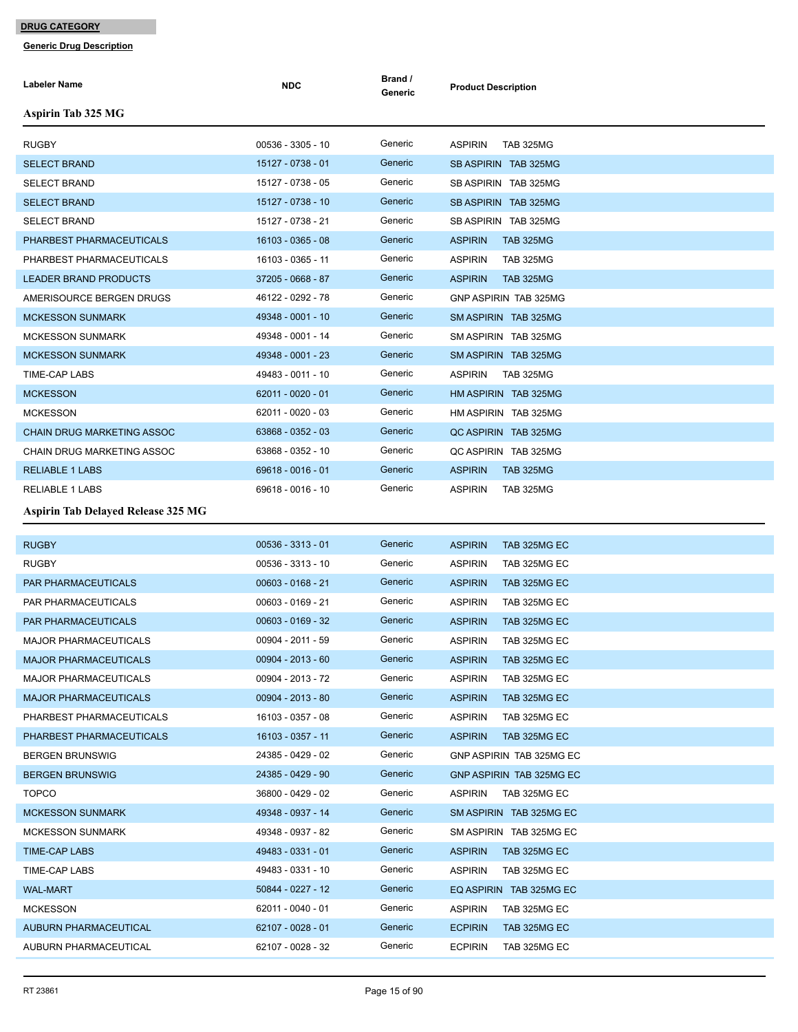| <b>Labeler Name</b>                       | <b>NDC</b>          | Brand /<br>Generic | <b>Product Description</b>         |
|-------------------------------------------|---------------------|--------------------|------------------------------------|
| <b>Aspirin Tab 325 MG</b>                 |                     |                    |                                    |
| <b>RUGBY</b>                              | 00536 - 3305 - 10   | Generic            | <b>ASPIRIN</b><br><b>TAB 325MG</b> |
| <b>SELECT BRAND</b>                       | 15127 - 0738 - 01   | Generic            | SB ASPIRIN TAB 325MG               |
| <b>SELECT BRAND</b>                       | 15127 - 0738 - 05   | Generic            | SB ASPIRIN TAB 325MG               |
| <b>SELECT BRAND</b>                       | 15127 - 0738 - 10   | Generic            | SB ASPIRIN TAB 325MG               |
| <b>SELECT BRAND</b>                       | 15127 - 0738 - 21   | Generic            | SB ASPIRIN TAB 325MG               |
| PHARBEST PHARMACEUTICALS                  | 16103 - 0365 - 08   | Generic            | <b>ASPIRIN</b><br><b>TAB 325MG</b> |
| PHARBEST PHARMACEUTICALS                  | 16103 - 0365 - 11   | Generic            | <b>ASPIRIN</b><br><b>TAB 325MG</b> |
| <b>LEADER BRAND PRODUCTS</b>              | 37205 - 0668 - 87   | Generic            | <b>ASPIRIN</b><br><b>TAB 325MG</b> |
| AMERISOURCE BERGEN DRUGS                  | 46122 - 0292 - 78   | Generic            | <b>GNP ASPIRIN TAB 325MG</b>       |
| <b>MCKESSON SUNMARK</b>                   | 49348 - 0001 - 10   | Generic            | SM ASPIRIN TAB 325MG               |
| <b>MCKESSON SUNMARK</b>                   | 49348 - 0001 - 14   | Generic            | SM ASPIRIN TAB 325MG               |
| <b>MCKESSON SUNMARK</b>                   | 49348 - 0001 - 23   | Generic            | SM ASPIRIN TAB 325MG               |
| TIME-CAP LABS                             | 49483 - 0011 - 10   | Generic            | <b>ASPIRIN</b><br><b>TAB 325MG</b> |
| <b>MCKESSON</b>                           | 62011 - 0020 - 01   | Generic            | HM ASPIRIN TAB 325MG               |
| <b>MCKESSON</b>                           | 62011 - 0020 - 03   | Generic            | HM ASPIRIN TAB 325MG               |
| <b>CHAIN DRUG MARKETING ASSOC</b>         | 63868 - 0352 - 03   | Generic            | QC ASPIRIN TAB 325MG               |
| CHAIN DRUG MARKETING ASSOC                | 63868 - 0352 - 10   | Generic            | QC ASPIRIN TAB 325MG               |
| <b>RELIABLE 1 LABS</b>                    | 69618 - 0016 - 01   | Generic            | <b>ASPIRIN</b><br><b>TAB 325MG</b> |
| <b>RELIABLE 1 LABS</b>                    | 69618 - 0016 - 10   | Generic            | <b>ASPIRIN</b><br><b>TAB 325MG</b> |
| <b>Aspirin Tab Delayed Release 325 MG</b> |                     |                    |                                    |
| <b>RUGBY</b>                              | $00536 - 3313 - 01$ | Generic            | <b>ASPIRIN</b><br>TAB 325MG EC     |
| <b>RUGBY</b>                              | 00536 - 3313 - 10   | Generic            | <b>ASPIRIN</b><br>TAB 325MG EC     |
| PAR PHARMACEUTICALS                       | $00603 - 0168 - 21$ | Generic            | <b>ASPIRIN</b><br>TAB 325MG EC     |
| PAR PHARMACEUTICALS                       | 00603 - 0169 - 21   | Generic            | <b>ASPIRIN</b><br>TAB 325MG EC     |
| PAR PHARMACEUTICALS                       | 00603 - 0169 - 32   | Generic            | <b>ASPIRIN</b><br>TAB 325MG EC     |
| <b>MAJOR PHARMACEUTICALS</b>              | 00904 - 2011 - 59   | Generic            | <b>ASPIRIN</b><br>TAB 325MG EC     |
| <b>MAJOR PHARMACEUTICALS</b>              | 00904 - 2013 - 60   | Generic            | <b>ASPIRIN</b><br>TAB 325MG EC     |
| <b>MAJOR PHARMACEUTICALS</b>              | 00904 - 2013 - 72   | Generic            | <b>ASPIRIN</b><br>TAB 325MG EC     |
| <b>MAJOR PHARMACEUTICALS</b>              | 00904 - 2013 - 80   | Generic            | <b>ASPIRIN</b><br>TAB 325MG EC     |
| PHARBEST PHARMACEUTICALS                  | 16103 - 0357 - 08   | Generic            | <b>ASPIRIN</b><br>TAB 325MG EC     |
| PHARBEST PHARMACEUTICALS                  | 16103 - 0357 - 11   | Generic            | <b>ASPIRIN</b><br>TAB 325MG EC     |
| <b>BERGEN BRUNSWIG</b>                    | 24385 - 0429 - 02   | Generic            | GNP ASPIRIN TAB 325MG EC           |
| <b>BERGEN BRUNSWIG</b>                    | 24385 - 0429 - 90   | Generic            | GNP ASPIRIN TAB 325MG EC           |
| <b>TOPCO</b>                              | 36800 - 0429 - 02   | Generic            | <b>ASPIRIN</b><br>TAB 325MG EC     |
| <b>MCKESSON SUNMARK</b>                   | 49348 - 0937 - 14   | Generic            | SM ASPIRIN TAB 325MG EC            |
| <b>MCKESSON SUNMARK</b>                   | 49348 - 0937 - 82   | Generic            | SM ASPIRIN TAB 325MG EC            |
| TIME-CAP LABS                             | 49483 - 0331 - 01   | Generic            | <b>ASPIRIN</b><br>TAB 325MG EC     |
| TIME-CAP LABS                             | 49483 - 0331 - 10   | Generic            | <b>ASPIRIN</b><br>TAB 325MG EC     |
| <b>WAL-MART</b>                           | 50844 - 0227 - 12   | Generic            | EQ ASPIRIN TAB 325MG EC            |
| <b>MCKESSON</b>                           | 62011 - 0040 - 01   | Generic            | <b>ASPIRIN</b><br>TAB 325MG EC     |
| <b>AUBURN PHARMACEUTICAL</b>              | 62107 - 0028 - 01   | Generic            | <b>ECPIRIN</b><br>TAB 325MG EC     |
| AUBURN PHARMACEUTICAL                     | 62107 - 0028 - 32   | Generic            | <b>ECPIRIN</b><br>TAB 325MG EC     |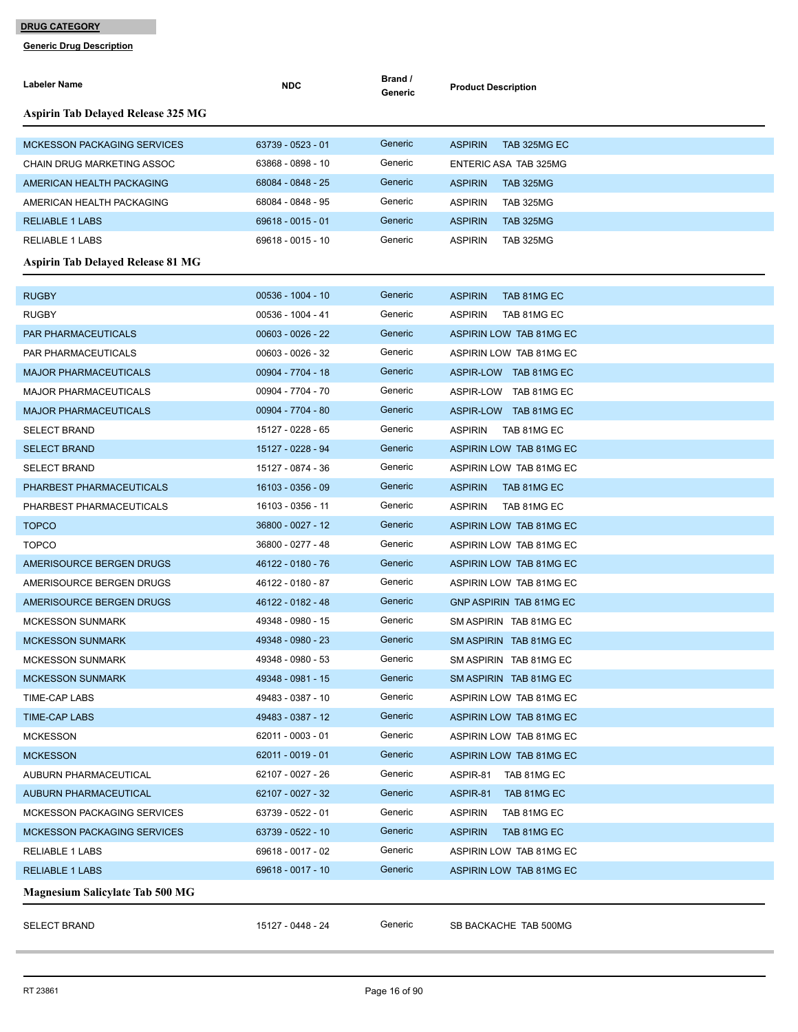| <b>Labeler Name</b>                       | <b>NDC</b>          | Brand /<br>Generic | <b>Product Description</b>         |
|-------------------------------------------|---------------------|--------------------|------------------------------------|
| <b>Aspirin Tab Delayed Release 325 MG</b> |                     |                    |                                    |
| <b>MCKESSON PACKAGING SERVICES</b>        | 63739 - 0523 - 01   | Generic            | <b>ASPIRIN</b><br>TAB 325MG EC     |
| CHAIN DRUG MARKETING ASSOC                | 63868 - 0898 - 10   | Generic            | ENTERIC ASA TAB 325MG              |
| AMERICAN HEALTH PACKAGING                 | 68084 - 0848 - 25   | Generic            | <b>ASPIRIN</b><br><b>TAB 325MG</b> |
| AMERICAN HEALTH PACKAGING                 | 68084 - 0848 - 95   | Generic            | <b>ASPIRIN</b><br><b>TAB 325MG</b> |
| <b>RELIABLE 1 LABS</b>                    | 69618 - 0015 - 01   | Generic            | <b>ASPIRIN</b><br><b>TAB 325MG</b> |
| <b>RELIABLE 1 LABS</b>                    | 69618 - 0015 - 10   | Generic            | <b>ASPIRIN</b><br><b>TAB 325MG</b> |
| <b>Aspirin Tab Delayed Release 81 MG</b>  |                     |                    |                                    |
| <b>RUGBY</b>                              | 00536 - 1004 - 10   | Generic            | <b>ASPIRIN</b><br>TAB 81MG EC      |
| <b>RUGBY</b>                              | 00536 - 1004 - 41   | Generic            | <b>ASPIRIN</b><br>TAB 81MG EC      |
| <b>PAR PHARMACEUTICALS</b>                | $00603 - 0026 - 22$ | Generic            | ASPIRIN LOW TAB 81MG EC            |
| PAR PHARMACEUTICALS                       | 00603 - 0026 - 32   | Generic            | ASPIRIN LOW TAB 81MG EC            |
| <b>MAJOR PHARMACEUTICALS</b>              | 00904 - 7704 - 18   | Generic            | ASPIR-LOW TAB 81MG EC              |
| <b>MAJOR PHARMACEUTICALS</b>              | 00904 - 7704 - 70   | Generic            | ASPIR-LOW TAB 81MG EC              |
| <b>MAJOR PHARMACEUTICALS</b>              | 00904 - 7704 - 80   | Generic            | ASPIR-LOW TAB 81MG EC              |
| <b>SELECT BRAND</b>                       | 15127 - 0228 - 65   | Generic            | <b>ASPIRIN</b><br>TAB 81MG EC      |
| <b>SELECT BRAND</b>                       | 15127 - 0228 - 94   | Generic            | ASPIRIN LOW TAB 81MG EC            |
| <b>SELECT BRAND</b>                       | 15127 - 0874 - 36   | Generic            | ASPIRIN LOW TAB 81MG EC            |
| PHARBEST PHARMACEUTICALS                  | 16103 - 0356 - 09   | Generic            | <b>ASPIRIN</b><br>TAB 81MG EC      |
| PHARBEST PHARMACEUTICALS                  | 16103 - 0356 - 11   | Generic            | <b>ASPIRIN</b><br>TAB 81MG EC      |
| <b>TOPCO</b>                              | 36800 - 0027 - 12   | Generic            | ASPIRIN LOW TAB 81MG EC            |
| <b>TOPCO</b>                              | 36800 - 0277 - 48   | Generic            | ASPIRIN LOW TAB 81MG EC            |
| AMERISOURCE BERGEN DRUGS                  | 46122 - 0180 - 76   | Generic            | ASPIRIN LOW TAB 81MG EC            |
| AMERISOURCE BERGEN DRUGS                  | 46122 - 0180 - 87   | Generic            | ASPIRIN LOW TAB 81MG EC            |
| AMERISOURCE BERGEN DRUGS                  | 46122 - 0182 - 48   | Generic            | <b>GNP ASPIRIN TAB 81MG EC</b>     |
| <b>MCKESSON SUNMARK</b>                   | 49348 - 0980 - 15   | Generic            | SM ASPIRIN TAB 81MG EC             |
| <b>MCKESSON SUNMARK</b>                   | 49348 - 0980 - 23   | Generic            | SM ASPIRIN TAB 81MG EC             |
| <b>MCKESSON SUNMARK</b>                   | 49348 - 0980 - 53   | Generic            | SM ASPIRIN TAB 81MG EC             |
| <b>MCKESSON SUNMARK</b>                   | 49348 - 0981 - 15   | Generic            | SM ASPIRIN TAB 81MG EC             |
| TIME-CAP LABS                             | 49483 - 0387 - 10   | Generic            | ASPIRIN LOW TAB 81MG EC            |
| <b>TIME-CAP LABS</b>                      | 49483 - 0387 - 12   | Generic            | ASPIRIN LOW TAB 81MG EC            |
| <b>MCKESSON</b>                           | 62011 - 0003 - 01   | Generic            | ASPIRIN LOW TAB 81MG EC            |
| <b>MCKESSON</b>                           | 62011 - 0019 - 01   | Generic            | ASPIRIN LOW TAB 81MG EC            |
| AUBURN PHARMACEUTICAL                     | 62107 - 0027 - 26   | Generic            | ASPIR-81<br>TAB 81MG EC            |
| AUBURN PHARMACEUTICAL                     | 62107 - 0027 - 32   | Generic            | ASPIR-81<br>TAB 81MG EC            |
| MCKESSON PACKAGING SERVICES               | 63739 - 0522 - 01   | Generic            | <b>ASPIRIN</b><br>TAB 81MG EC      |
| <b>MCKESSON PACKAGING SERVICES</b>        | 63739 - 0522 - 10   | Generic            | <b>ASPIRIN</b><br>TAB 81MG EC      |
| <b>RELIABLE 1 LABS</b>                    | 69618 - 0017 - 02   | Generic            | ASPIRIN LOW TAB 81MG EC            |
| <b>RELIABLE 1 LABS</b>                    | 69618 - 0017 - 10   | Generic            | ASPIRIN LOW TAB 81MG EC            |
| <b>Magnesium Salicylate Tab 500 MG</b>    |                     |                    |                                    |
| <b>SELECT BRAND</b>                       | 15127 - 0448 - 24   | Generic            | SB BACKACHE TAB 500MG              |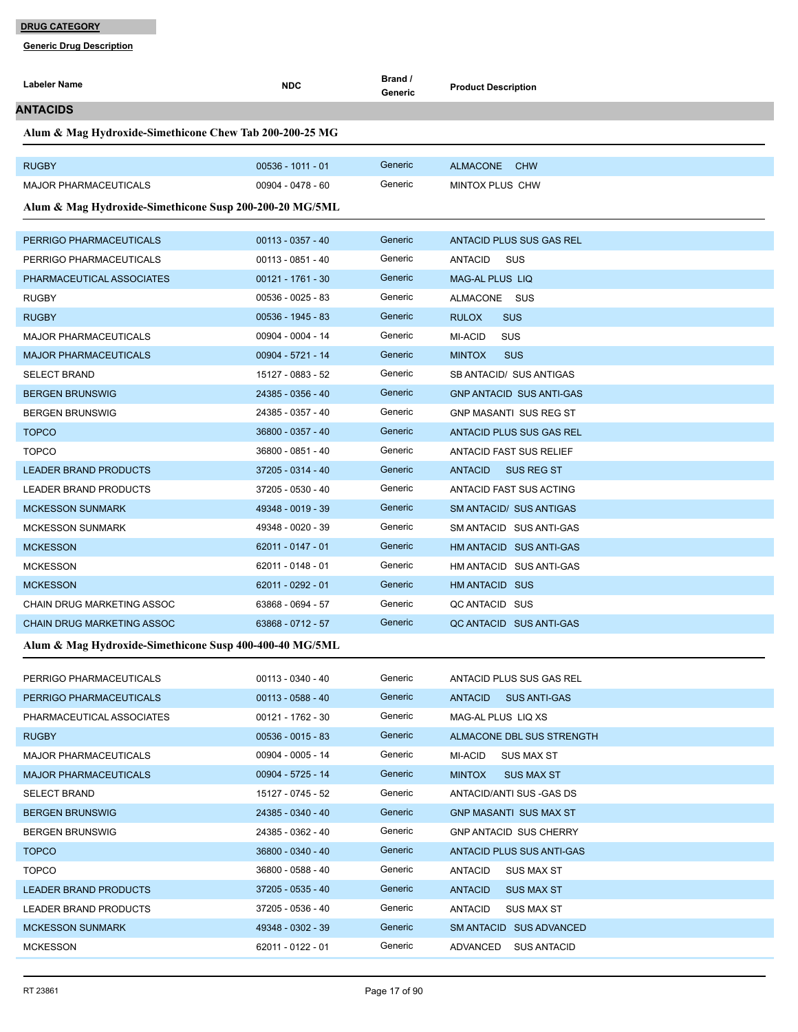| Labeler Name                                            | <b>NDC</b>          | Brand /<br>Generic | <b>Product Description</b>            |
|---------------------------------------------------------|---------------------|--------------------|---------------------------------------|
| ANTACIDS                                                |                     |                    |                                       |
| Alum & Mag Hydroxide-Simethicone Chew Tab 200-200-25 MG |                     |                    |                                       |
|                                                         |                     |                    |                                       |
| <b>RUGBY</b>                                            | $00536 - 1011 - 01$ | Generic            | ALMACONE CHW                          |
| <b>MAJOR PHARMACEUTICALS</b>                            | 00904 - 0478 - 60   | Generic            | MINTOX PLUS CHW                       |
| Alum & Mag Hydroxide-Simethicone Susp 200-200-20 MG/5ML |                     |                    |                                       |
| PERRIGO PHARMACEUTICALS                                 | $00113 - 0357 - 40$ | Generic            | ANTACID PLUS SUS GAS REL              |
| PERRIGO PHARMACEUTICALS                                 | 00113 - 0851 - 40   | Generic            | ANTACID<br>sus                        |
| PHARMACEUTICAL ASSOCIATES                               | $00121 - 1761 - 30$ | Generic            | <b>MAG-AL PLUS LIQ</b>                |
| <b>RUGBY</b>                                            | 00536 - 0025 - 83   | Generic            | ALMACONE SUS                          |
| <b>RUGBY</b>                                            | $00536 - 1945 - 83$ | Generic            | <b>RULOX</b><br><b>SUS</b>            |
| <b>MAJOR PHARMACEUTICALS</b>                            | 00904 - 0004 - 14   | Generic            | MI-ACID<br>SUS                        |
| <b>MAJOR PHARMACEUTICALS</b>                            | 00904 - 5721 - 14   | Generic            | <b>MINTOX</b><br><b>SUS</b>           |
| <b>SELECT BRAND</b>                                     | 15127 - 0883 - 52   | Generic            | SB ANTACID/ SUS ANTIGAS               |
| <b>BERGEN BRUNSWIG</b>                                  | 24385 - 0356 - 40   | Generic            | <b>GNP ANTACID SUS ANTI-GAS</b>       |
| <b>BERGEN BRUNSWIG</b>                                  | 24385 - 0357 - 40   | Generic            | <b>GNP MASANTI SUS REG ST</b>         |
| <b>TOPCO</b>                                            | 36800 - 0357 - 40   | Generic            | ANTACID PLUS SUS GAS REL              |
| <b>TOPCO</b>                                            | 36800 - 0851 - 40   | Generic            | <b>ANTACID FAST SUS RELIEF</b>        |
| <b>LEADER BRAND PRODUCTS</b>                            | 37205 - 0314 - 40   | Generic            | <b>ANTACID</b><br>SUS REG ST          |
| <b>LEADER BRAND PRODUCTS</b>                            | 37205 - 0530 - 40   | Generic            | ANTACID FAST SUS ACTING               |
| <b>MCKESSON SUNMARK</b>                                 | 49348 - 0019 - 39   | Generic            | SM ANTACID/ SUS ANTIGAS               |
| <b>MCKESSON SUNMARK</b>                                 | 49348 - 0020 - 39   | Generic            | SM ANTACID SUS ANTI-GAS               |
| <b>MCKESSON</b>                                         | 62011 - 0147 - 01   | Generic            | HM ANTACID SUS ANTI-GAS               |
| <b>MCKESSON</b>                                         | 62011 - 0148 - 01   | Generic            | HM ANTACID SUS ANTI-GAS               |
| <b>MCKESSON</b>                                         | 62011 - 0292 - 01   | Generic            | HM ANTACID SUS                        |
| CHAIN DRUG MARKETING ASSOC                              | 63868 - 0694 - 57   | Generic            | QC ANTACID SUS                        |
| <b>CHAIN DRUG MARKETING ASSOC</b>                       | 63868 - 0712 - 57   | Generic            | QC ANTACID SUS ANTI-GAS               |
| Alum & Mag Hydroxide-Simethicone Susp 400-400-40 MG/5ML |                     |                    |                                       |
| PERRIGO PHARMACEUTICALS                                 | 00113 - 0340 - 40   | Generic            | ANTACID PLUS SUS GAS REL              |
| PERRIGO PHARMACEUTICALS                                 | $00113 - 0588 - 40$ | Generic            | <b>ANTACID</b><br><b>SUS ANTI-GAS</b> |
| PHARMACEUTICAL ASSOCIATES                               | 00121 - 1762 - 30   | Generic            | MAG-AL PLUS LIQ XS                    |
| <b>RUGBY</b>                                            | $00536 - 0015 - 83$ | Generic            | ALMACONE DBL SUS STRENGTH             |
| <b>MAJOR PHARMACEUTICALS</b>                            | 00904 - 0005 - 14   | Generic            | MI-ACID<br><b>SUS MAX ST</b>          |
| <b>MAJOR PHARMACEUTICALS</b>                            | 00904 - 5725 - 14   | Generic            | <b>MINTOX</b><br><b>SUS MAX ST</b>    |
| <b>SELECT BRAND</b>                                     | 15127 - 0745 - 52   | Generic            | ANTACID/ANTI SUS - GAS DS             |
| <b>BERGEN BRUNSWIG</b>                                  | 24385 - 0340 - 40   | Generic            | <b>GNP MASANTI SUS MAX ST</b>         |
| <b>BERGEN BRUNSWIG</b>                                  | 24385 - 0362 - 40   | Generic            | <b>GNP ANTACID SUS CHERRY</b>         |
| <b>TOPCO</b>                                            | 36800 - 0340 - 40   | Generic            | ANTACID PLUS SUS ANTI-GAS             |
| <b>TOPCO</b>                                            | 36800 - 0588 - 40   | Generic            | <b>ANTACID</b><br><b>SUS MAX ST</b>   |
| LEADER BRAND PRODUCTS                                   | 37205 - 0535 - 40   | Generic            | <b>ANTACID</b><br><b>SUS MAX ST</b>   |
| LEADER BRAND PRODUCTS                                   | 37205 - 0536 - 40   | Generic            | <b>ANTACID</b><br><b>SUS MAX ST</b>   |
| <b>MCKESSON SUNMARK</b>                                 | 49348 - 0302 - 39   | Generic            | SM ANTACID SUS ADVANCED               |
| <b>MCKESSON</b>                                         | 62011 - 0122 - 01   | Generic            | ADVANCED<br><b>SUS ANTACID</b>        |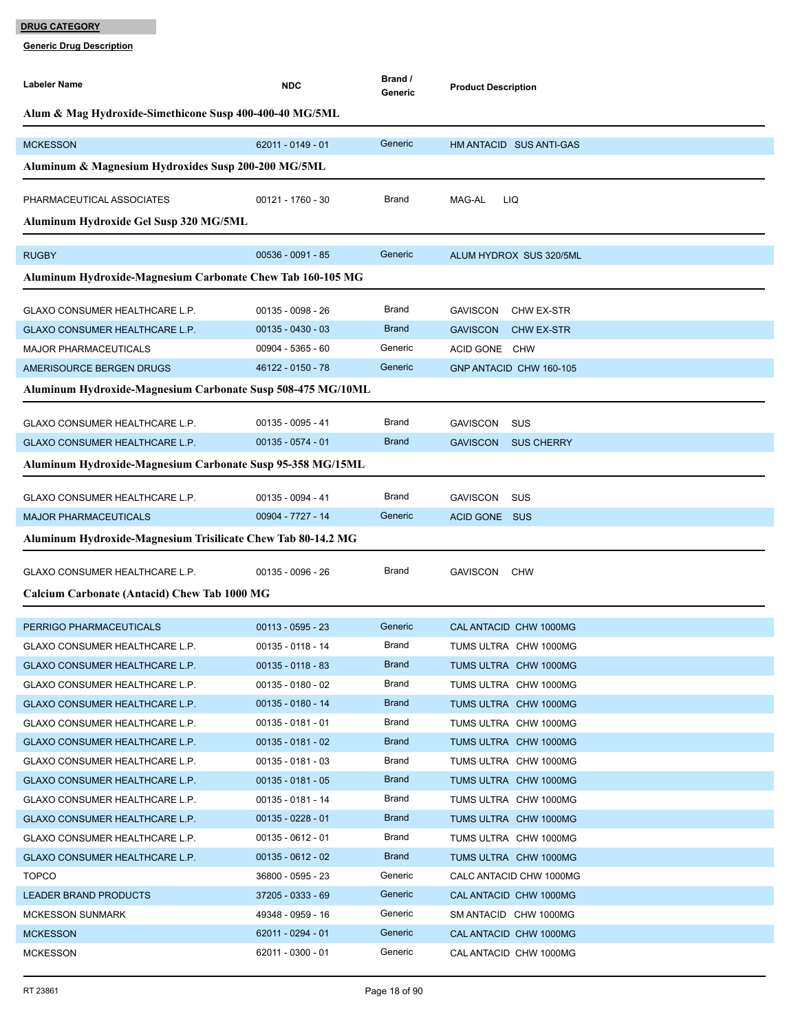| Labeler Name                                                 | <b>NDC</b>          | Brand /<br>Generic | <b>Product Description</b>           |
|--------------------------------------------------------------|---------------------|--------------------|--------------------------------------|
| Alum & Mag Hydroxide-Simethicone Susp 400-400-40 MG/5ML      |                     |                    |                                      |
| <b>MCKESSON</b>                                              | 62011 - 0149 - 01   | Generic            | HM ANTACID SUS ANTI-GAS              |
| Aluminum & Magnesium Hydroxides Susp 200-200 MG/5ML          |                     |                    |                                      |
| PHARMACEUTICAL ASSOCIATES                                    | $00121 - 1760 - 30$ | <b>Brand</b>       | MAG-AL<br>LIQ                        |
| Aluminum Hydroxide Gel Susp 320 MG/5ML                       |                     |                    |                                      |
| <b>RUGBY</b>                                                 | 00536 - 0091 - 85   | Generic            | ALUM HYDROX SUS 320/5ML              |
| Aluminum Hydroxide-Magnesium Carbonate Chew Tab 160-105 MG   |                     |                    |                                      |
| GLAXO CONSUMER HEALTHCARE L.P.                               | 00135 - 0098 - 26   | <b>Brand</b>       | <b>GAVISCON</b><br>CHW EX-STR        |
| GLAXO CONSUMER HEALTHCARE L.P.                               | $00135 - 0430 - 03$ | <b>Brand</b>       | <b>GAVISCON</b><br><b>CHW EX-STR</b> |
| <b>MAJOR PHARMACEUTICALS</b>                                 | 00904 - 5365 - 60   | Generic            | <b>ACID GONE</b><br><b>CHW</b>       |
| AMERISOURCE BERGEN DRUGS                                     | 46122 - 0150 - 78   | Generic            | GNP ANTACID CHW 160-105              |
| Aluminum Hydroxide-Magnesium Carbonate Susp 508-475 MG/10ML  |                     |                    |                                      |
|                                                              |                     |                    |                                      |
| GLAXO CONSUMER HEALTHCARE L.P.                               | $00135 - 0095 - 41$ | <b>Brand</b>       | <b>GAVISCON</b><br><b>SUS</b>        |
| GLAXO CONSUMER HEALTHCARE L.P.                               | 00135 - 0574 - 01   | <b>Brand</b>       | <b>GAVISCON</b><br><b>SUS CHERRY</b> |
| Aluminum Hydroxide-Magnesium Carbonate Susp 95-358 MG/15ML   |                     |                    |                                      |
| GLAXO CONSUMER HEALTHCARE L.P.                               | 00135 - 0094 - 41   | <b>Brand</b>       | <b>GAVISCON</b><br><b>SUS</b>        |
| <b>MAJOR PHARMACEUTICALS</b>                                 | 00904 - 7727 - 14   | Generic            | ACID GONE SUS                        |
| Aluminum Hydroxide-Magnesium Trisilicate Chew Tab 80-14.2 MG |                     |                    |                                      |
| GLAXO CONSUMER HEALTHCARE L.P.                               | 00135 - 0096 - 26   | Brand              | <b>GAVISCON</b><br>CHW               |
|                                                              |                     |                    |                                      |
| Calcium Carbonate (Antacid) Chew Tab 1000 MG                 |                     |                    |                                      |
| PERRIGO PHARMACEUTICALS                                      | $00113 - 0595 - 23$ | Generic            | CAL ANTACID CHW 1000MG               |
| <b>GLAXO CONSUMER HEALTHCARE L.P.</b>                        | 00135 - 0118 - 14   | <b>Brand</b>       | TUMS ULTRA CHW 1000MG                |
| GLAXO CONSUMER HEALTHCARE L.P.                               | $00135 - 0118 - 83$ | <b>Brand</b>       | TUMS ULTRA CHW 1000MG                |
| <b>GLAXO CONSUMER HEALTHCARE L.P.</b>                        | 00135 - 0180 - 02   | Brand              | TUMS ULTRA CHW 1000MG                |
| GLAXO CONSUMER HEALTHCARE L.P.                               | 00135 - 0180 - 14   | <b>Brand</b>       | TUMS ULTRA CHW 1000MG                |
| <b>GLAXO CONSUMER HEALTHCARE L.P.</b>                        | 00135 - 0181 - 01   | Brand              | TUMS ULTRA CHW 1000MG                |
| GLAXO CONSUMER HEALTHCARE L.P.                               | $00135 - 0181 - 02$ | <b>Brand</b>       | TUMS ULTRA CHW 1000MG                |
| GLAXO CONSUMER HEALTHCARE L.P.                               | 00135 - 0181 - 03   | Brand              | TUMS ULTRA CHW 1000MG                |
| GLAXO CONSUMER HEALTHCARE L.P.                               | $00135 - 0181 - 05$ | <b>Brand</b>       | TUMS ULTRA CHW 1000MG                |
| GLAXO CONSUMER HEALTHCARE L.P.                               | 00135 - 0181 - 14   | Brand              | TUMS ULTRA CHW 1000MG                |
| <b>GLAXO CONSUMER HEALTHCARE L.P.</b>                        | $00135 - 0228 - 01$ | <b>Brand</b>       | TUMS ULTRA CHW 1000MG                |
| GLAXO CONSUMER HEALTHCARE L.P.                               | 00135 - 0612 - 01   | Brand              | TUMS ULTRA CHW 1000MG                |
| GLAXO CONSUMER HEALTHCARE L.P.                               | $00135 - 0612 - 02$ | <b>Brand</b>       | TUMS ULTRA CHW 1000MG                |
| <b>TOPCO</b>                                                 | 36800 - 0595 - 23   | Generic            | CALC ANTACID CHW 1000MG              |
| <b>LEADER BRAND PRODUCTS</b>                                 | 37205 - 0333 - 69   | Generic            | CAL ANTACID CHW 1000MG               |
| <b>MCKESSON SUNMARK</b>                                      | 49348 - 0959 - 16   | Generic            | SM ANTACID CHW 1000MG                |
| <b>MCKESSON</b>                                              | 62011 - 0294 - 01   | Generic            | CAL ANTACID CHW 1000MG               |
| <b>MCKESSON</b>                                              | 62011 - 0300 - 01   | Generic            | CAL ANTACID CHW 1000MG               |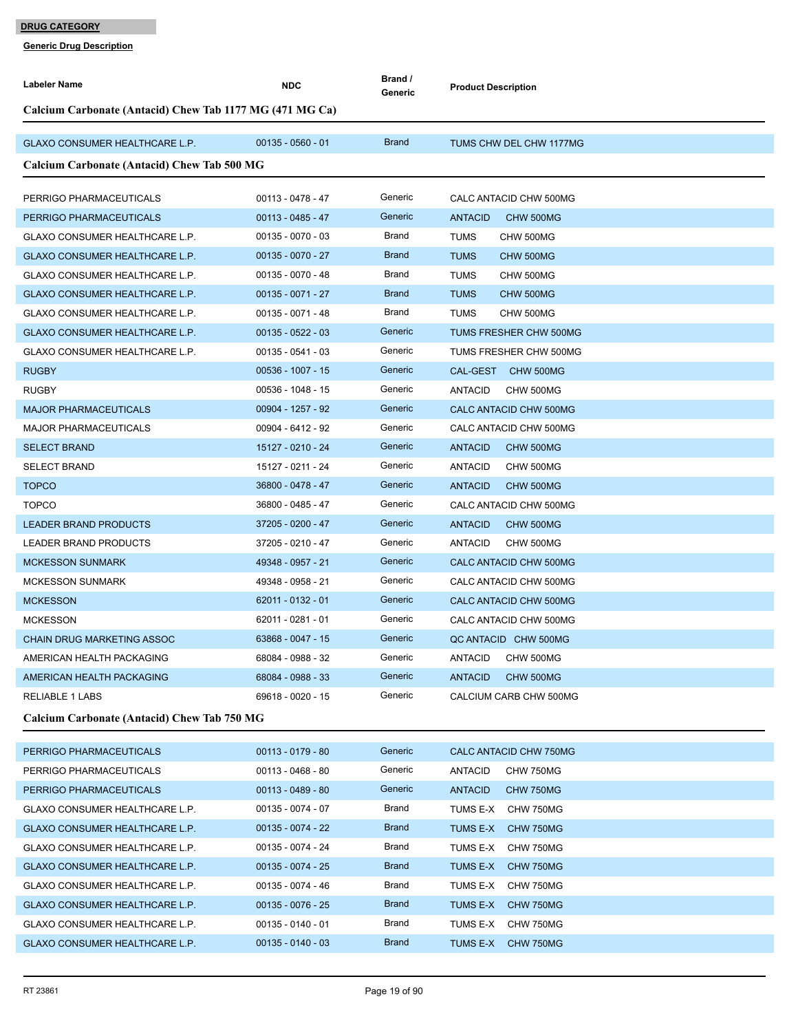| <b>Labeler Name</b>                                      | <b>NDC</b>          | Brand /<br>Generic | <b>Product Description</b>  |  |
|----------------------------------------------------------|---------------------|--------------------|-----------------------------|--|
| Calcium Carbonate (Antacid) Chew Tab 1177 MG (471 MG Ca) |                     |                    |                             |  |
|                                                          |                     |                    |                             |  |
| GLAXO CONSUMER HEALTHCARE L.P.                           | $00135 - 0560 - 01$ | <b>Brand</b>       | TUMS CHW DEL CHW 1177MG     |  |
| Calcium Carbonate (Antacid) Chew Tab 500 MG              |                     |                    |                             |  |
| PERRIGO PHARMACEUTICALS                                  | 00113 - 0478 - 47   | Generic            | CALC ANTACID CHW 500MG      |  |
| PERRIGO PHARMACEUTICALS                                  | $00113 - 0485 - 47$ | Generic            | <b>ANTACID</b><br>CHW 500MG |  |
| <b>GLAXO CONSUMER HEALTHCARE L.P.</b>                    | $00135 - 0070 - 03$ | <b>Brand</b>       | <b>TUMS</b><br>CHW 500MG    |  |
| <b>GLAXO CONSUMER HEALTHCARE L.P.</b>                    | $00135 - 0070 - 27$ | <b>Brand</b>       | <b>TUMS</b><br>CHW 500MG    |  |
| GLAXO CONSUMER HEALTHCARE L.P.                           | $00135 - 0070 - 48$ | Brand              | <b>TUMS</b><br>CHW 500MG    |  |
| <b>GLAXO CONSUMER HEALTHCARE L.P.</b>                    | $00135 - 0071 - 27$ | <b>Brand</b>       | <b>TUMS</b><br>CHW 500MG    |  |
| GLAXO CONSUMER HEALTHCARE L.P.                           | $00135 - 0071 - 48$ | Brand              | <b>TUMS</b><br>CHW 500MG    |  |
| <b>GLAXO CONSUMER HEALTHCARE L.P.</b>                    | $00135 - 0522 - 03$ | Generic            | TUMS FRESHER CHW 500MG      |  |
| <b>GLAXO CONSUMER HEALTHCARE L.P.</b>                    | $00135 - 0541 - 03$ | Generic            | TUMS FRESHER CHW 500MG      |  |
| <b>RUGBY</b>                                             | $00536 - 1007 - 15$ | Generic            | CAL-GEST CHW 500MG          |  |
| <b>RUGBY</b>                                             | 00536 - 1048 - 15   | Generic            | ANTACID<br>CHW 500MG        |  |
| <b>MAJOR PHARMACEUTICALS</b>                             | 00904 - 1257 - 92   | Generic            | CALC ANTACID CHW 500MG      |  |
| <b>MAJOR PHARMACEUTICALS</b>                             | 00904 - 6412 - 92   | Generic            | CALC ANTACID CHW 500MG      |  |
| <b>SELECT BRAND</b>                                      | 15127 - 0210 - 24   | Generic            | <b>ANTACID</b><br>CHW 500MG |  |
| <b>SELECT BRAND</b>                                      | 15127 - 0211 - 24   | Generic            | <b>ANTACID</b><br>CHW 500MG |  |
| <b>TOPCO</b>                                             | 36800 - 0478 - 47   | Generic            | <b>ANTACID</b><br>CHW 500MG |  |
| <b>TOPCO</b>                                             | 36800 - 0485 - 47   | Generic            | CALC ANTACID CHW 500MG      |  |
| <b>LEADER BRAND PRODUCTS</b>                             | 37205 - 0200 - 47   | Generic            | <b>ANTACID</b><br>CHW 500MG |  |
| LEADER BRAND PRODUCTS                                    | 37205 - 0210 - 47   | Generic            | ANTACID<br>CHW 500MG        |  |
| <b>MCKESSON SUNMARK</b>                                  | 49348 - 0957 - 21   | Generic            | CALC ANTACID CHW 500MG      |  |
| <b>MCKESSON SUNMARK</b>                                  | 49348 - 0958 - 21   | Generic            | CALC ANTACID CHW 500MG      |  |
| <b>MCKESSON</b>                                          | 62011 - 0132 - 01   | Generic            | CALC ANTACID CHW 500MG      |  |
| <b>MCKESSON</b>                                          | 62011 - 0281 - 01   | Generic            | CALC ANTACID CHW 500MG      |  |
| <b>CHAIN DRUG MARKETING ASSOC</b>                        | 63868 - 0047 - 15   | Generic            | QC ANTACID CHW 500MG        |  |
| AMERICAN HEALTH PACKAGING                                | 68084 - 0988 - 32   | Generic            | <b>ANTACID</b><br>CHW 500MG |  |
| AMERICAN HEALTH PACKAGING                                | 68084 - 0988 - 33   | Generic            | <b>ANTACID</b><br>CHW 500MG |  |
| <b>RELIABLE 1 LABS</b>                                   | 69618 - 0020 - 15   | Generic            | CALCIUM CARB CHW 500MG      |  |
| Calcium Carbonate (Antacid) Chew Tab 750 MG              |                     |                    |                             |  |
| PERRIGO PHARMACEUTICALS                                  | $00113 - 0179 - 80$ | Generic            | CALC ANTACID CHW 750MG      |  |
| PERRIGO PHARMACEUTICALS                                  | $00113 - 0468 - 80$ | Generic            | <b>ANTACID</b><br>CHW 750MG |  |
| PERRIGO PHARMACEUTICALS                                  | $00113 - 0489 - 80$ | Generic            | <b>ANTACID</b><br>CHW 750MG |  |
| GLAXO CONSUMER HEALTHCARE L.P.                           | $00135 - 0074 - 07$ | Brand              | TUMS E-X CHW 750MG          |  |
| GLAXO CONSUMER HEALTHCARE L.P.                           | $00135 - 0074 - 22$ | <b>Brand</b>       | TUMS E-X CHW 750MG          |  |
| GLAXO CONSUMER HEALTHCARE L.P.                           | 00135 - 0074 - 24   | <b>Brand</b>       | TUMS E-X CHW 750MG          |  |
| <b>GLAXO CONSUMER HEALTHCARE L.P.</b>                    | $00135 - 0074 - 25$ | <b>Brand</b>       | TUMS E-X CHW 750MG          |  |
| GLAXO CONSUMER HEALTHCARE L.P.                           | 00135 - 0074 - 46   | <b>Brand</b>       | TUMS E-X CHW 750MG          |  |
| <b>GLAXO CONSUMER HEALTHCARE L.P.</b>                    | $00135 - 0076 - 25$ | <b>Brand</b>       | TUMS E-X CHW 750MG          |  |
| GLAXO CONSUMER HEALTHCARE L.P.                           | $00135 - 0140 - 01$ | <b>Brand</b>       | TUMS E-X<br>CHW 750MG       |  |
| GLAXO CONSUMER HEALTHCARE L.P.                           | $00135 - 0140 - 03$ | <b>Brand</b>       | TUMS E-X CHW 750MG          |  |
|                                                          |                     |                    |                             |  |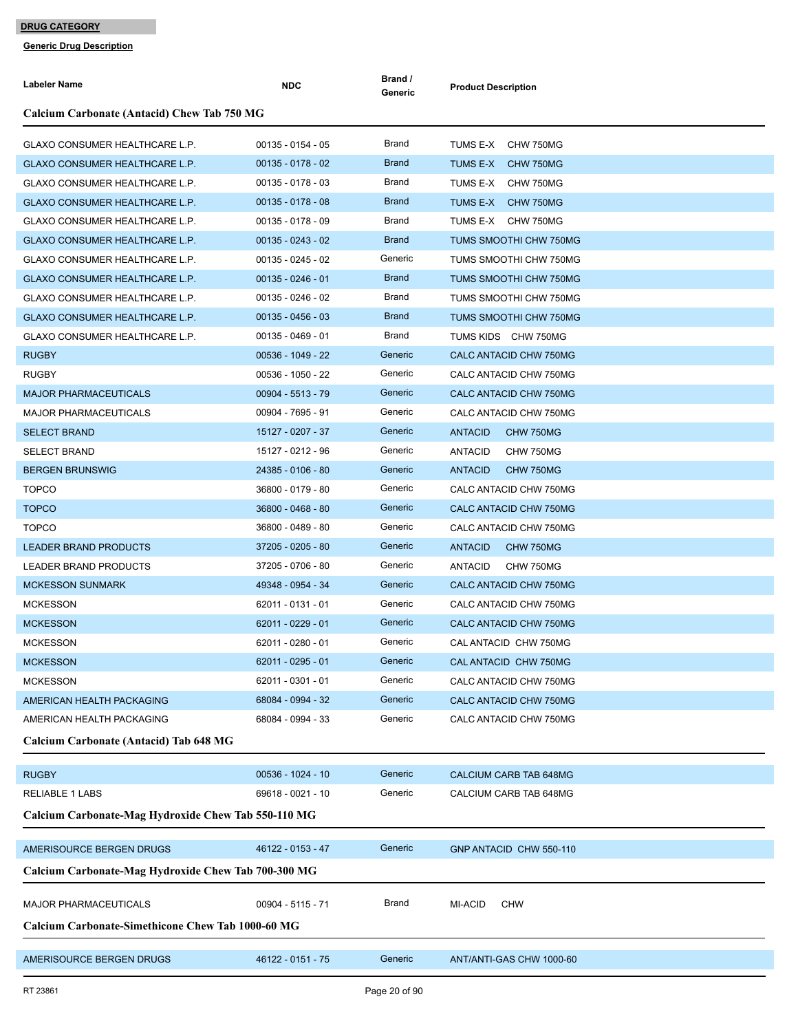| Labeler Name                                             | <b>NDC</b>          | Brand /<br>Generic | <b>Product Description</b>  |
|----------------------------------------------------------|---------------------|--------------------|-----------------------------|
| Calcium Carbonate (Antacid) Chew Tab 750 MG              |                     |                    |                             |
| GLAXO CONSUMER HEALTHCARE L.P.                           | 00135 - 0154 - 05   | Brand              | TUMS E-X CHW 750MG          |
| <b>GLAXO CONSUMER HEALTHCARE L.P.</b>                    | $00135 - 0178 - 02$ | <b>Brand</b>       | TUMS E-X CHW 750MG          |
| GLAXO CONSUMER HEALTHCARE L.P.                           | $00135 - 0178 - 03$ | Brand              | TUMS E-X CHW 750MG          |
| GLAXO CONSUMER HEALTHCARE L.P.                           | $00135 - 0178 - 08$ | <b>Brand</b>       | TUMS E-X CHW 750MG          |
| GLAXO CONSUMER HEALTHCARE L.P.                           | $00135 - 0178 - 09$ | Brand              | TUMS E-X CHW 750MG          |
| <b>GLAXO CONSUMER HEALTHCARE L.P.</b>                    | $00135 - 0243 - 02$ | <b>Brand</b>       | TUMS SMOOTHI CHW 750MG      |
| <b>GLAXO CONSUMER HEALTHCARE L.P.</b>                    | $00135 - 0245 - 02$ | Generic            | TUMS SMOOTHI CHW 750MG      |
| GLAXO CONSUMER HEALTHCARE L.P.                           | $00135 - 0246 - 01$ | <b>Brand</b>       | TUMS SMOOTHI CHW 750MG      |
| GLAXO CONSUMER HEALTHCARE L.P.                           | 00135 - 0246 - 02   | Brand              | TUMS SMOOTHI CHW 750MG      |
| GLAXO CONSUMER HEALTHCARE L.P.                           | $00135 - 0456 - 03$ | <b>Brand</b>       | TUMS SMOOTHI CHW 750MG      |
| GLAXO CONSUMER HEALTHCARE L.P.                           | $00135 - 0469 - 01$ | Brand              | TUMS KIDS CHW 750MG         |
| <b>RUGBY</b>                                             | 00536 - 1049 - 22   | Generic            | CALC ANTACID CHW 750MG      |
| <b>RUGBY</b>                                             | 00536 - 1050 - 22   | Generic            | CALC ANTACID CHW 750MG      |
| <b>MAJOR PHARMACEUTICALS</b>                             | 00904 - 5513 - 79   | Generic            | CALC ANTACID CHW 750MG      |
| <b>MAJOR PHARMACEUTICALS</b>                             | 00904 - 7695 - 91   | Generic            | CALC ANTACID CHW 750MG      |
| <b>SELECT BRAND</b>                                      | 15127 - 0207 - 37   | Generic            | <b>ANTACID</b><br>CHW 750MG |
| <b>SELECT BRAND</b>                                      | 15127 - 0212 - 96   | Generic            | <b>ANTACID</b><br>CHW 750MG |
| <b>BERGEN BRUNSWIG</b>                                   | 24385 - 0106 - 80   | Generic            | <b>ANTACID</b><br>CHW 750MG |
| <b>TOPCO</b>                                             | 36800 - 0179 - 80   | Generic            | CALC ANTACID CHW 750MG      |
| <b>TOPCO</b>                                             | 36800 - 0468 - 80   | Generic            | CALC ANTACID CHW 750MG      |
| <b>TOPCO</b>                                             | 36800 - 0489 - 80   | Generic            | CALC ANTACID CHW 750MG      |
| <b>LEADER BRAND PRODUCTS</b>                             | 37205 - 0205 - 80   | Generic            | <b>ANTACID</b><br>CHW 750MG |
| <b>LEADER BRAND PRODUCTS</b>                             | 37205 - 0706 - 80   | Generic            | <b>ANTACID</b><br>CHW 750MG |
| <b>MCKESSON SUNMARK</b>                                  | 49348 - 0954 - 34   | Generic            | CALC ANTACID CHW 750MG      |
| <b>MCKESSON</b>                                          | 62011 - 0131 - 01   | Generic            | CALC ANTACID CHW 750MG      |
| <b>MCKESSON</b>                                          | 62011 - 0229 - 01   | Generic            | CALC ANTACID CHW 750MG      |
| <b>MCKESSON</b>                                          | 62011 - 0280 - 01   | Generic            | CAL ANTACID CHW 750MG       |
| <b>MCKESSON</b>                                          | 62011 - 0295 - 01   | Generic            | CAL ANTACID CHW 750MG       |
| <b>MCKESSON</b>                                          | 62011 - 0301 - 01   | Generic            | CALC ANTACID CHW 750MG      |
| AMERICAN HEALTH PACKAGING                                | 68084 - 0994 - 32   | Generic            | CALC ANTACID CHW 750MG      |
| AMERICAN HEALTH PACKAGING                                | 68084 - 0994 - 33   | Generic            | CALC ANTACID CHW 750MG      |
| Calcium Carbonate (Antacid) Tab 648 MG                   |                     |                    |                             |
| <b>RUGBY</b>                                             | 00536 - 1024 - 10   | Generic            | CALCIUM CARB TAB 648MG      |
| <b>RELIABLE 1 LABS</b>                                   | 69618 - 0021 - 10   | Generic            | CALCIUM CARB TAB 648MG      |
| Calcium Carbonate-Mag Hydroxide Chew Tab 550-110 MG      |                     |                    |                             |
| AMERISOURCE BERGEN DRUGS                                 | 46122 - 0153 - 47   | Generic            | GNP ANTACID CHW 550-110     |
| Calcium Carbonate-Mag Hydroxide Chew Tab 700-300 MG      |                     |                    |                             |
| <b>MAJOR PHARMACEUTICALS</b>                             | 00904 - 5115 - 71   | Brand              | MI-ACID<br><b>CHW</b>       |
| <b>Calcium Carbonate-Simethicone Chew Tab 1000-60 MG</b> |                     |                    |                             |
| AMERISOURCE BERGEN DRUGS                                 | 46122 - 0151 - 75   | Generic            | ANT/ANTI-GAS CHW 1000-60    |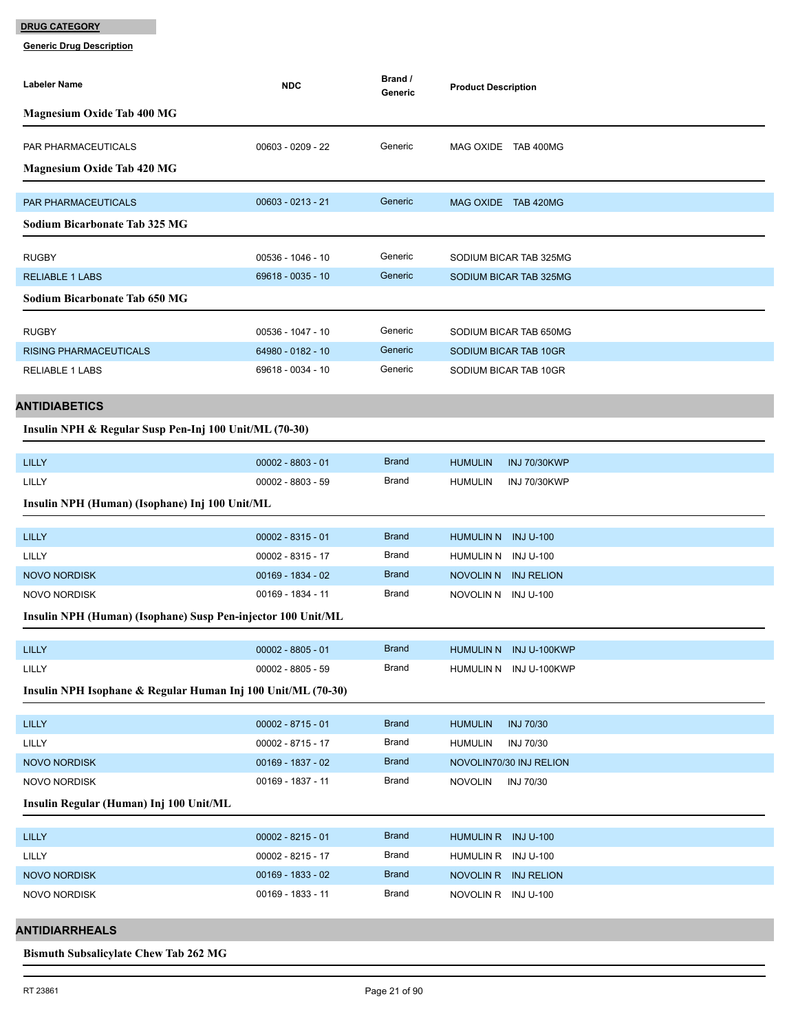**Generic Drug Description**

| Labeler Name                                                 | <b>NDC</b>          | Brand /<br>Generic | <b>Product Description</b>                       |
|--------------------------------------------------------------|---------------------|--------------------|--------------------------------------------------|
| <b>Magnesium Oxide Tab 400 MG</b>                            |                     |                    |                                                  |
| PAR PHARMACEUTICALS                                          | $00603 - 0209 - 22$ | Generic            | MAG OXIDE TAB 400MG                              |
| <b>Magnesium Oxide Tab 420 MG</b>                            |                     |                    |                                                  |
| PAR PHARMACEUTICALS                                          | $00603 - 0213 - 21$ | Generic            | MAG OXIDE TAB 420MG                              |
| <b>Sodium Bicarbonate Tab 325 MG</b>                         |                     |                    |                                                  |
| <b>RUGBY</b>                                                 | 00536 - 1046 - 10   | Generic            | SODIUM BICAR TAB 325MG                           |
| <b>RELIABLE 1 LABS</b>                                       | 69618 - 0035 - 10   | Generic            | SODIUM BICAR TAB 325MG                           |
| <b>Sodium Bicarbonate Tab 650 MG</b>                         |                     |                    |                                                  |
|                                                              |                     |                    |                                                  |
| <b>RUGBY</b>                                                 | 00536 - 1047 - 10   | Generic            | SODIUM BICAR TAB 650MG                           |
| <b>RISING PHARMACEUTICALS</b>                                | 64980 - 0182 - 10   | Generic            | SODIUM BICAR TAB 10GR                            |
| <b>RELIABLE 1 LABS</b>                                       | 69618 - 0034 - 10   | Generic            | SODIUM BICAR TAB 10GR                            |
| <b>ANTIDIABETICS</b>                                         |                     |                    |                                                  |
| Insulin NPH & Regular Susp Pen-Inj 100 Unit/ML (70-30)       |                     |                    |                                                  |
| <b>LILLY</b>                                                 | $00002 - 8803 - 01$ | <b>Brand</b>       | <b>HUMULIN</b><br><b>INJ 70/30KWP</b>            |
| LILLY                                                        | 00002 - 8803 - 59   | Brand              | <b>HUMULIN</b><br><b>INJ 70/30KWP</b>            |
| Insulin NPH (Human) (Isophane) Inj 100 Unit/ML               |                     |                    |                                                  |
| <b>LILLY</b>                                                 | $00002 - 8315 - 01$ | <b>Brand</b>       | HUMULIN N INJ U-100                              |
| LILLY                                                        | 00002 - 8315 - 17   | Brand              | HUMULIN N INJ U-100                              |
| <b>NOVO NORDISK</b>                                          | 00169 - 1834 - 02   | <b>Brand</b>       | NOVOLIN N INJ RELION                             |
| <b>NOVO NORDISK</b>                                          | 00169 - 1834 - 11   | <b>Brand</b>       | NOVOLIN N INJU-100                               |
| Insulin NPH (Human) (Isophane) Susp Pen-injector 100 Unit/ML |                     |                    |                                                  |
|                                                              | $00002 - 8805 - 01$ | <b>Brand</b>       |                                                  |
| LILLY<br>LILLY                                               | $00002 - 8805 - 59$ | Brand              | HUMULIN N INJ U-100KWP<br>HUMULIN N INJ U-100KWP |
| Insulin NPH Isophane & Regular Human Inj 100 Unit/ML (70-30) |                     |                    |                                                  |
|                                                              |                     |                    |                                                  |
| <b>LILLY</b>                                                 | $00002 - 8715 - 01$ | <b>Brand</b>       | <b>INJ 70/30</b><br><b>HUMULIN</b>               |
| LILLY                                                        | 00002 - 8715 - 17   | Brand              | <b>HUMULIN</b><br>INJ 70/30                      |
| <b>NOVO NORDISK</b>                                          | 00169 - 1837 - 02   | <b>Brand</b>       | NOVOLIN70/30 INJ RELION                          |
| <b>NOVO NORDISK</b>                                          | 00169 - 1837 - 11   | Brand              | <b>NOVOLIN</b><br>INJ 70/30                      |
| Insulin Regular (Human) Inj 100 Unit/ML                      |                     |                    |                                                  |
| <b>LILLY</b>                                                 | $00002 - 8215 - 01$ | <b>Brand</b>       | HUMULIN R INJ U-100                              |
| LILLY                                                        | 00002 - 8215 - 17   | Brand              | HUMULIN R INJ U-100                              |
| NOVO NORDISK                                                 | 00169 - 1833 - 02   | <b>Brand</b>       | NOVOLIN R INJ RELION                             |
| <b>NOVO NORDISK</b>                                          | 00169 - 1833 - 11   | Brand              | NOVOLIN R INJ U-100                              |
| <b>ANTIDIARRHEALS</b>                                        |                     |                    |                                                  |

#### **Bismuth Subsalicylate Chew Tab 262 MG**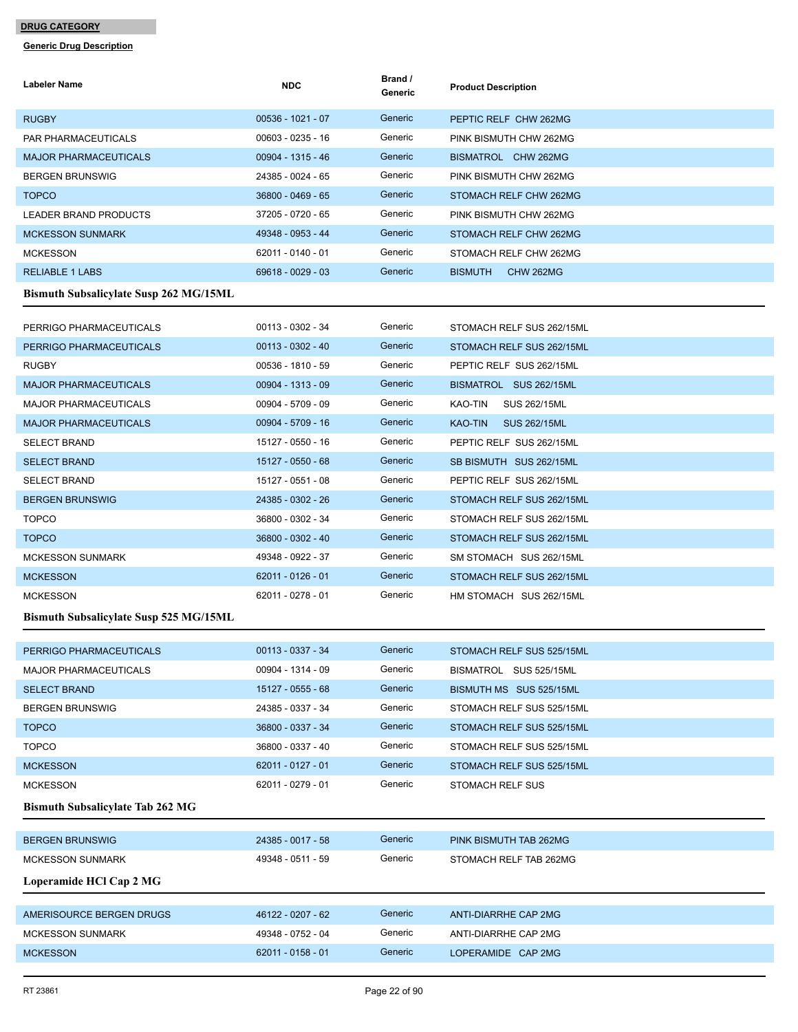| Labeler Name                                  | <b>NDC</b>          | Brand /<br>Generic | <b>Product Description</b>            |
|-----------------------------------------------|---------------------|--------------------|---------------------------------------|
| <b>RUGBY</b>                                  | 00536 - 1021 - 07   | Generic            | PEPTIC RELF CHW 262MG                 |
| PAR PHARMACEUTICALS                           | 00603 - 0235 - 16   | Generic            | PINK BISMUTH CHW 262MG                |
| <b>MAJOR PHARMACEUTICALS</b>                  | 00904 - 1315 - 46   | Generic            | BISMATROL CHW 262MG                   |
| <b>BERGEN BRUNSWIG</b>                        | 24385 - 0024 - 65   | Generic            | PINK BISMUTH CHW 262MG                |
| <b>TOPCO</b>                                  | 36800 - 0469 - 65   | Generic            | STOMACH RELF CHW 262MG                |
| LEADER BRAND PRODUCTS                         | 37205 - 0720 - 65   | Generic            | PINK BISMUTH CHW 262MG                |
| <b>MCKESSON SUNMARK</b>                       | 49348 - 0953 - 44   | Generic            | STOMACH RELF CHW 262MG                |
| <b>MCKESSON</b>                               | 62011 - 0140 - 01   | Generic            | STOMACH RELF CHW 262MG                |
| <b>RELIABLE 1 LABS</b>                        | 69618 - 0029 - 03   | Generic            | <b>BISMUTH</b><br><b>CHW 262MG</b>    |
| <b>Bismuth Subsalicylate Susp 262 MG/15ML</b> |                     |                    |                                       |
| PERRIGO PHARMACEUTICALS                       | 00113 - 0302 - 34   | Generic            | STOMACH RELF SUS 262/15ML             |
| PERRIGO PHARMACEUTICALS                       | $00113 - 0302 - 40$ | Generic            | STOMACH RELF SUS 262/15ML             |
| <b>RUGBY</b>                                  | 00536 - 1810 - 59   | Generic            | PEPTIC RELF SUS 262/15ML              |
| <b>MAJOR PHARMACEUTICALS</b>                  | 00904 - 1313 - 09   | Generic            | BISMATROL SUS 262/15ML                |
| <b>MAJOR PHARMACEUTICALS</b>                  | 00904 - 5709 - 09   | Generic            | KAO-TIN<br>SUS 262/15ML               |
| <b>MAJOR PHARMACEUTICALS</b>                  | 00904 - 5709 - 16   | Generic            | <b>KAO-TIN</b><br><b>SUS 262/15ML</b> |
| <b>SELECT BRAND</b>                           | 15127 - 0550 - 16   | Generic            | PEPTIC RELF SUS 262/15ML              |
| <b>SELECT BRAND</b>                           | 15127 - 0550 - 68   | Generic            | SB BISMUTH SUS 262/15ML               |
| <b>SELECT BRAND</b>                           | 15127 - 0551 - 08   | Generic            | PEPTIC RELF SUS 262/15ML              |
| <b>BERGEN BRUNSWIG</b>                        | 24385 - 0302 - 26   | Generic            | STOMACH RELF SUS 262/15ML             |
| <b>TOPCO</b>                                  | 36800 - 0302 - 34   | Generic            | STOMACH RELF SUS 262/15ML             |
| <b>TOPCO</b>                                  | 36800 - 0302 - 40   | Generic            | STOMACH RELF SUS 262/15ML             |
| <b>MCKESSON SUNMARK</b>                       | 49348 - 0922 - 37   | Generic            | SM STOMACH SUS 262/15ML               |
| <b>MCKESSON</b>                               | 62011 - 0126 - 01   | Generic            | STOMACH RELF SUS 262/15ML             |
| <b>MCKESSON</b>                               | 62011 - 0278 - 01   | Generic            | HM STOMACH SUS 262/15ML               |
| <b>Bismuth Subsalicylate Susp 525 MG/15ML</b> |                     |                    |                                       |
| PERRIGO PHARMACEUTICALS                       | 00113 - 0337 - 34   | Generic            | STOMACH RELF SUS 525/15ML             |
| <b>MAJOR PHARMACEUTICALS</b>                  | 00904 - 1314 - 09   | Generic            | BISMATROL SUS 525/15ML                |
| <b>SELECT BRAND</b>                           | 15127 - 0555 - 68   | Generic            | BISMUTH MS SUS 525/15ML               |
| <b>BERGEN BRUNSWIG</b>                        | 24385 - 0337 - 34   | Generic            | STOMACH RELF SUS 525/15ML             |
| <b>TOPCO</b>                                  | 36800 - 0337 - 34   | Generic            | STOMACH RELF SUS 525/15ML             |
| <b>TOPCO</b>                                  | 36800 - 0337 - 40   | Generic            | STOMACH RELF SUS 525/15ML             |
| <b>MCKESSON</b>                               | 62011 - 0127 - 01   | Generic            | STOMACH RELF SUS 525/15ML             |
| <b>MCKESSON</b>                               | 62011 - 0279 - 01   | Generic            | <b>STOMACH RELF SUS</b>               |
| <b>Bismuth Subsalicylate Tab 262 MG</b>       |                     |                    |                                       |
| <b>BERGEN BRUNSWIG</b>                        | 24385 - 0017 - 58   | Generic            | PINK BISMUTH TAB 262MG                |
| <b>MCKESSON SUNMARK</b>                       | 49348 - 0511 - 59   | Generic            | STOMACH RELF TAB 262MG                |
| Loperamide HCl Cap 2 MG                       |                     |                    |                                       |
|                                               |                     |                    |                                       |
| AMERISOURCE BERGEN DRUGS                      | 46122 - 0207 - 62   | Generic            | ANTI-DIARRHE CAP 2MG                  |
| <b>MCKESSON SUNMARK</b>                       | 49348 - 0752 - 04   | Generic            | ANTI-DIARRHE CAP 2MG                  |
| <b>MCKESSON</b>                               | 62011 - 0158 - 01   | Generic            | LOPERAMIDE CAP 2MG                    |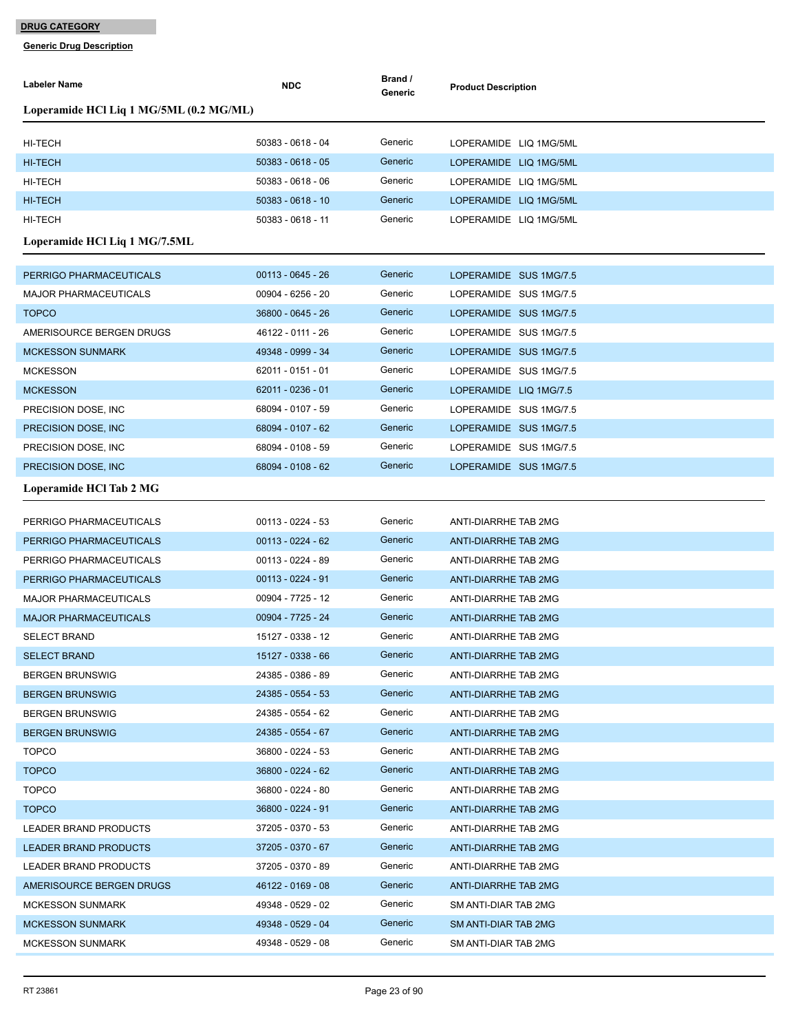| Labeler Name                            | <b>NDC</b>          | Brand /<br>Generic | <b>Product Description</b>  |
|-----------------------------------------|---------------------|--------------------|-----------------------------|
| Loperamide HCl Liq 1 MG/5ML (0.2 MG/ML) |                     |                    |                             |
| HI-TECH                                 | 50383 - 0618 - 04   | Generic            | LOPERAMIDE LIQ 1MG/5ML      |
| <b>HI-TECH</b>                          | $50383 - 0618 - 05$ | Generic            | LOPERAMIDE LIQ 1MG/5ML      |
| HI-TECH                                 | 50383 - 0618 - 06   | Generic            | LOPERAMIDE LIQ 1MG/5ML      |
| <b>HI-TECH</b>                          | 50383 - 0618 - 10   | Generic            | LOPERAMIDE LIQ 1MG/5ML      |
| HI-TECH                                 | 50383 - 0618 - 11   | Generic            | LOPERAMIDE LIQ 1MG/5ML      |
| Loperamide HCl Liq 1 MG/7.5ML           |                     |                    |                             |
| PERRIGO PHARMACEUTICALS                 | $00113 - 0645 - 26$ | Generic            | LOPERAMIDE SUS 1MG/7.5      |
| <b>MAJOR PHARMACEUTICALS</b>            | 00904 - 6256 - 20   | Generic            | LOPERAMIDE SUS 1MG/7.5      |
| <b>TOPCO</b>                            | 36800 - 0645 - 26   | Generic            | LOPERAMIDE SUS 1MG/7.5      |
| AMERISOURCE BERGEN DRUGS                | 46122 - 0111 - 26   | Generic            | LOPERAMIDE SUS 1MG/7.5      |
| <b>MCKESSON SUNMARK</b>                 | 49348 - 0999 - 34   | Generic            | LOPERAMIDE SUS 1MG/7.5      |
| <b>MCKESSON</b>                         | 62011 - 0151 - 01   | Generic            | LOPERAMIDE SUS 1MG/7.5      |
| <b>MCKESSON</b>                         | 62011 - 0236 - 01   | Generic            | LOPERAMIDE LIQ 1MG/7.5      |
| PRECISION DOSE, INC                     | 68094 - 0107 - 59   | Generic            | LOPERAMIDE SUS 1MG/7.5      |
| PRECISION DOSE, INC.                    | 68094 - 0107 - 62   | Generic            | LOPERAMIDE SUS 1MG/7.5      |
| PRECISION DOSE, INC.                    | 68094 - 0108 - 59   | Generic            | LOPERAMIDE SUS 1MG/7.5      |
| PRECISION DOSE, INC.                    | 68094 - 0108 - 62   | Generic            | LOPERAMIDE SUS 1MG/7.5      |
| Loperamide HCl Tab 2 MG                 |                     |                    |                             |
|                                         |                     |                    |                             |
| PERRIGO PHARMACEUTICALS                 | 00113 - 0224 - 53   | Generic            | ANTI-DIARRHE TAB 2MG        |
| PERRIGO PHARMACEUTICALS                 | $00113 - 0224 - 62$ | Generic            | <b>ANTI-DIARRHE TAB 2MG</b> |
| PERRIGO PHARMACEUTICALS                 | 00113 - 0224 - 89   | Generic            | ANTI-DIARRHE TAB 2MG        |
| PERRIGO PHARMACEUTICALS                 | 00113 - 0224 - 91   | Generic            | ANTI-DIARRHE TAB 2MG        |
| <b>MAJOR PHARMACEUTICALS</b>            | 00904 - 7725 - 12   | Generic            | ANTI-DIARRHE TAB 2MG        |
| <b>MAJOR PHARMACEUTICALS</b>            | 00904 - 7725 - 24   | Generic            | <b>ANTI-DIARRHE TAB 2MG</b> |
| <b>SELECT BRAND</b>                     | 15127 - 0338 - 12   | Generic            | ANTI-DIARRHE TAB 2MG        |
| SELECT BRAND                            | 15127 - 0338 - 66   | Generic            | ANTI-DIARRHE TAB 2MG        |
| <b>BERGEN BRUNSWIG</b>                  | 24385 - 0386 - 89   | Generic            | ANTI-DIARRHE TAB 2MG        |
| <b>BERGEN BRUNSWIG</b>                  | 24385 - 0554 - 53   | Generic            | ANTI-DIARRHE TAB 2MG        |
| <b>BERGEN BRUNSWIG</b>                  | 24385 - 0554 - 62   | Generic            | ANTI-DIARRHE TAB 2MG        |
| <b>BERGEN BRUNSWIG</b>                  | 24385 - 0554 - 67   | Generic            | ANTI-DIARRHE TAB 2MG        |
| <b>TOPCO</b>                            | 36800 - 0224 - 53   | Generic            | ANTI-DIARRHE TAB 2MG        |
| <b>TOPCO</b>                            | 36800 - 0224 - 62   | Generic            | ANTI-DIARRHE TAB 2MG        |
| <b>TOPCO</b>                            | 36800 - 0224 - 80   | Generic            | ANTI-DIARRHE TAB 2MG        |
| <b>TOPCO</b>                            | 36800 - 0224 - 91   | Generic            | ANTI-DIARRHE TAB 2MG        |
| LEADER BRAND PRODUCTS                   | 37205 - 0370 - 53   | Generic            | ANTI-DIARRHE TAB 2MG        |
| <b>LEADER BRAND PRODUCTS</b>            | 37205 - 0370 - 67   | Generic            | ANTI-DIARRHE TAB 2MG        |
| LEADER BRAND PRODUCTS                   | 37205 - 0370 - 89   | Generic            | ANTI-DIARRHE TAB 2MG        |
| AMERISOURCE BERGEN DRUGS                | 46122 - 0169 - 08   | Generic            | ANTI-DIARRHE TAB 2MG        |
| <b>MCKESSON SUNMARK</b>                 | 49348 - 0529 - 02   | Generic            | SM ANTI-DIAR TAB 2MG        |
| <b>MCKESSON SUNMARK</b>                 | 49348 - 0529 - 04   | Generic            | SM ANTI-DIAR TAB 2MG        |
| <b>MCKESSON SUNMARK</b>                 | 49348 - 0529 - 08   | Generic            | SM ANTI-DIAR TAB 2MG        |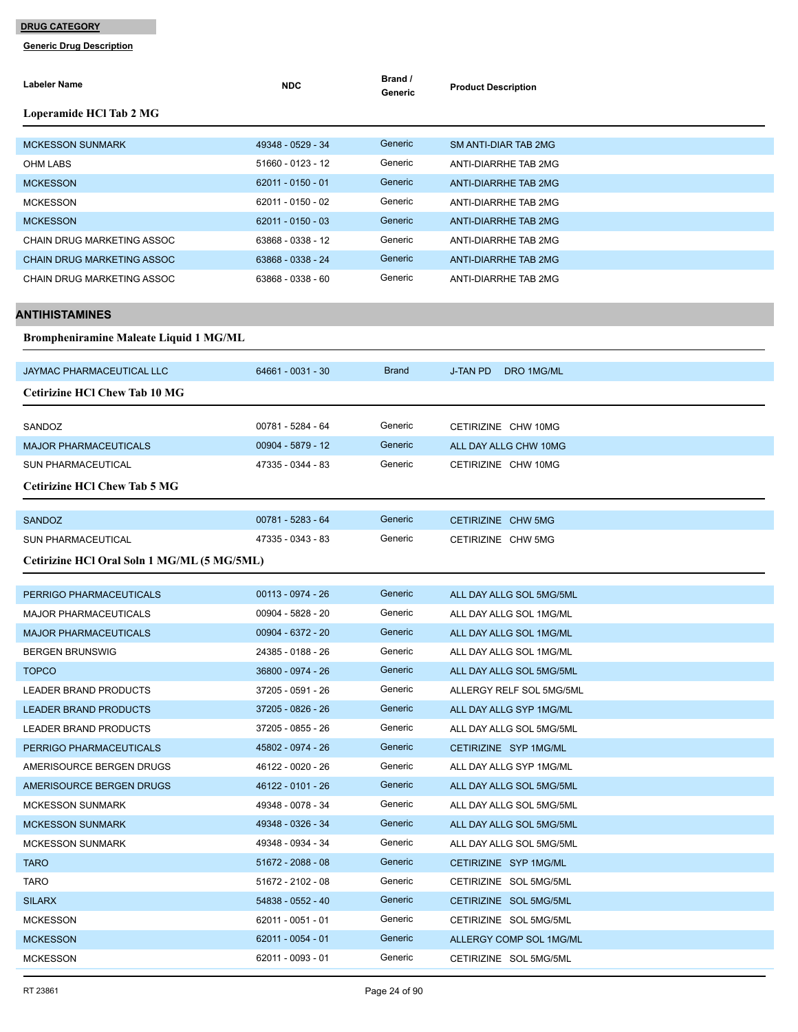**Generic Drug Description**

| Labeler Name                                  | NDC               | Brand /<br>Generic | <b>Product Description</b>    |
|-----------------------------------------------|-------------------|--------------------|-------------------------------|
| Loperamide HCl Tab 2 MG                       |                   |                    |                               |
| <b>MCKESSON SUNMARK</b>                       | 49348 - 0529 - 34 | Generic            | <b>SM ANTI-DIAR TAB 2MG</b>   |
| OHM LABS                                      | 51660 - 0123 - 12 | Generic            | ANTI-DIARRHE TAB 2MG          |
| <b>MCKESSON</b>                               | 62011 - 0150 - 01 | Generic            | ANTI-DIARRHE TAB 2MG          |
| <b>MCKESSON</b>                               | 62011 - 0150 - 02 | Generic            | ANTI-DIARRHE TAB 2MG          |
| <b>MCKESSON</b>                               | 62011 - 0150 - 03 | Generic            | <b>ANTI-DIARRHE TAB 2MG</b>   |
| CHAIN DRUG MARKETING ASSOC                    | 63868 - 0338 - 12 | Generic            | ANTI-DIARRHE TAB 2MG          |
| <b>CHAIN DRUG MARKETING ASSOC</b>             | 63868 - 0338 - 24 | Generic            | ANTI-DIARRHE TAB 2MG          |
| CHAIN DRUG MARKETING ASSOC                    | 63868 - 0338 - 60 | Generic            | ANTI-DIARRHE TAB 2MG          |
| ANTIHISTAMINES                                |                   |                    |                               |
| <b>Brompheniramine Maleate Liquid 1 MG/ML</b> |                   |                    |                               |
| JAYMAC PHARMACEUTICAL LLC                     | 64661 - 0031 - 30 | <b>Brand</b>       | <b>J-TAN PD</b><br>DRO 1MG/ML |
| <b>Cetirizine HCI Chew Tab 10 MG</b>          |                   |                    |                               |
| SANDOZ                                        | 00781 - 5284 - 64 | Generic            | CETIRIZINE CHW 10MG           |
| <b>MAJOR PHARMACEUTICALS</b>                  | 00904 - 5879 - 12 | Generic            | ALL DAY ALLG CHW 10MG         |
| <b>SUN PHARMACEUTICAL</b>                     | 47335 - 0344 - 83 | Generic            | CETIRIZINE CHW 10MG           |
| <b>Cetirizine HCI Chew Tab 5 MG</b>           |                   |                    |                               |
| <b>SANDOZ</b>                                 | 00781 - 5283 - 64 | Generic            | CETIRIZINE CHW 5MG            |
| <b>SUN PHARMACEUTICAL</b>                     | 47335 - 0343 - 83 | Generic            | CETIRIZINE CHW 5MG            |
| Cetirizine HCl Oral Soln 1 MG/ML (5 MG/5ML)   |                   |                    |                               |
| PERRIGO PHARMACEUTICALS                       | 00113 - 0974 - 26 | Generic            | ALL DAY ALLG SOL 5MG/5ML      |
| <b>MAJOR PHARMACEUTICALS</b>                  | 00904 - 5828 - 20 | Generic            | ALL DAY ALLG SOL 1MG/ML       |
| <b>MAJOR PHARMACEUTICALS</b>                  | 00904 - 6372 - 20 | Generic            | ALL DAY ALLG SOL 1MG/ML       |
| <b>BERGEN BRUNSWIG</b>                        | 24385 - 0188 - 26 | Generic            | ALL DAY ALLG SOL 1MG/ML       |
| <b>TOPCO</b>                                  | 36800 - 0974 - 26 | Generic            | ALL DAY ALLG SOL 5MG/5ML      |
| <b>LEADER BRAND PRODUCTS</b>                  | 37205 - 0591 - 26 | Generic            | ALLERGY RELF SOL 5MG/5ML      |
| <b>LEADER BRAND PRODUCTS</b>                  | 37205 - 0826 - 26 | Generic            | ALL DAY ALLG SYP 1MG/ML       |
| <b>LEADER BRAND PRODUCTS</b>                  | 37205 - 0855 - 26 | Generic            | ALL DAY ALLG SOL 5MG/5ML      |
| PERRIGO PHARMACEUTICALS                       | 45802 - 0974 - 26 | Generic            | CETIRIZINE SYP 1MG/ML         |
| AMERISOURCE BERGEN DRUGS                      | 46122 - 0020 - 26 | Generic            | ALL DAY ALLG SYP 1MG/ML       |
| AMERISOURCE BERGEN DRUGS                      | 46122 - 0101 - 26 | Generic            | ALL DAY ALLG SOL 5MG/5ML      |
| <b>MCKESSON SUNMARK</b>                       | 49348 - 0078 - 34 | Generic            | ALL DAY ALLG SOL 5MG/5ML      |
| <b>MCKESSON SUNMARK</b>                       | 49348 - 0326 - 34 | Generic            | ALL DAY ALLG SOL 5MG/5ML      |
| <b>MCKESSON SUNMARK</b>                       | 49348 - 0934 - 34 | Generic            | ALL DAY ALLG SOL 5MG/5ML      |
| <b>TARO</b>                                   | 51672 - 2088 - 08 | Generic            | CETIRIZINE SYP 1MG/ML         |
| TARO                                          | 51672 - 2102 - 08 | Generic            | CETIRIZINE SOL 5MG/5ML        |
| <b>SILARX</b>                                 | 54838 - 0552 - 40 | Generic            | CETIRIZINE SOL 5MG/5ML        |
| <b>MCKESSON</b>                               | 62011 - 0051 - 01 | Generic            | CETIRIZINE SOL 5MG/5ML        |
| <b>MCKESSON</b>                               | 62011 - 0054 - 01 | Generic            | ALLERGY COMP SOL 1MG/ML       |

MCKESSON 62011 - 0093 - 01 Generic CETIRIZINE SOL 5MG/5ML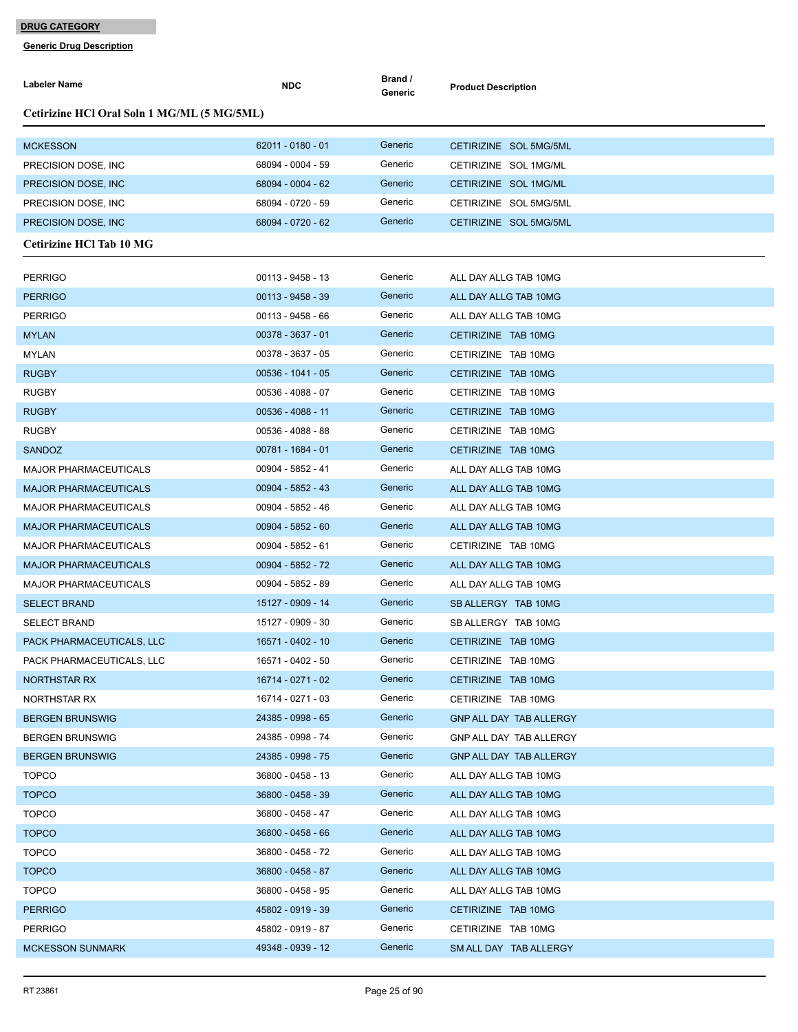| Labeler Name                                | <b>NDC</b>          | Brand /<br>Generic | <b>Product Description</b> |  |  |  |
|---------------------------------------------|---------------------|--------------------|----------------------------|--|--|--|
| Cetirizine HCl Oral Soln 1 MG/ML (5 MG/5ML) |                     |                    |                            |  |  |  |
| <b>MCKESSON</b>                             | $62011 - 0180 - 01$ | Generic            | CETIRIZINE SOL 5MG/5ML     |  |  |  |
| PRECISION DOSE, INC.                        | 68094 - 0004 - 59   | Generic            | CETIRIZINE SOL 1MG/ML      |  |  |  |
| PRECISION DOSE, INC.                        | 68094 - 0004 - 62   | Generic            | CETIRIZINE SOL 1MG/ML      |  |  |  |
| PRECISION DOSE, INC.                        | 68094 - 0720 - 59   | Generic            | CETIRIZINE SOL 5MG/5ML     |  |  |  |
| PRECISION DOSE, INC.                        | 68094 - 0720 - 62   | Generic            | CETIRIZINE SOL 5MG/5ML     |  |  |  |
| <b>Cetirizine HCl Tab 10 MG</b>             |                     |                    |                            |  |  |  |
| <b>PERRIGO</b>                              | 00113 - 9458 - 13   | Generic            | ALL DAY ALLG TAB 10MG      |  |  |  |
| <b>PERRIGO</b>                              | $00113 - 9458 - 39$ | Generic            | ALL DAY ALLG TAB 10MG      |  |  |  |
| <b>PERRIGO</b>                              | 00113 - 9458 - 66   | Generic            | ALL DAY ALLG TAB 10MG      |  |  |  |
| <b>MYLAN</b>                                | 00378 - 3637 - 01   | Generic            | CETIRIZINE TAB 10MG        |  |  |  |
| <b>MYLAN</b>                                | 00378 - 3637 - 05   | Generic            | CETIRIZINE TAB 10MG        |  |  |  |
| <b>RUGBY</b>                                | $00536 - 1041 - 05$ | Generic            | CETIRIZINE TAB 10MG        |  |  |  |
| <b>RUGBY</b>                                | 00536 - 4088 - 07   | Generic            | CETIRIZINE TAB 10MG        |  |  |  |
| <b>RUGBY</b>                                | $00536 - 4088 - 11$ | Generic            | CETIRIZINE TAB 10MG        |  |  |  |
| <b>RUGBY</b>                                | 00536 - 4088 - 88   | Generic            | CETIRIZINE TAB 10MG        |  |  |  |
| <b>SANDOZ</b>                               | 00781 - 1684 - 01   | Generic            | CETIRIZINE TAB 10MG        |  |  |  |
| <b>MAJOR PHARMACEUTICALS</b>                | 00904 - 5852 - 41   | Generic            | ALL DAY ALLG TAB 10MG      |  |  |  |
| <b>MAJOR PHARMACEUTICALS</b>                | $00904 - 5852 - 43$ | Generic            | ALL DAY ALLG TAB 10MG      |  |  |  |
| <b>MAJOR PHARMACEUTICALS</b>                | 00904 - 5852 - 46   | Generic            | ALL DAY ALLG TAB 10MG      |  |  |  |
| <b>MAJOR PHARMACEUTICALS</b>                | $00904 - 5852 - 60$ | Generic            | ALL DAY ALLG TAB 10MG      |  |  |  |
| <b>MAJOR PHARMACEUTICALS</b>                | 00904 - 5852 - 61   | Generic            | CETIRIZINE TAB 10MG        |  |  |  |
| <b>MAJOR PHARMACEUTICALS</b>                | 00904 - 5852 - 72   | Generic            | ALL DAY ALLG TAB 10MG      |  |  |  |
| <b>MAJOR PHARMACEUTICALS</b>                | 00904 - 5852 - 89   | Generic            | ALL DAY ALLG TAB 10MG      |  |  |  |
| <b>SELECT BRAND</b>                         | 15127 - 0909 - 14   | Generic            | SB ALLERGY TAB 10MG        |  |  |  |
| <b>SELECT BRAND</b>                         | 15127 - 0909 - 30   | Generic            | SB ALLERGY TAB 10MG        |  |  |  |
| PACK PHARMACEUTICALS, LLC                   | 16571 - 0402 - 10   | Generic            | CETIRIZINE TAB 10MG        |  |  |  |
| PACK PHARMACEUTICALS, LLC                   | 16571 - 0402 - 50   | Generic            | CETIRIZINE TAB 10MG        |  |  |  |
| NORTHSTAR RX                                | 16714 - 0271 - 02   | Generic            | CETIRIZINE TAB 10MG        |  |  |  |
| NORTHSTAR RX                                | 16714 - 0271 - 03   | Generic            | CETIRIZINE TAB 10MG        |  |  |  |
| <b>BERGEN BRUNSWIG</b>                      | 24385 - 0998 - 65   | Generic            | GNP ALL DAY TAB ALLERGY    |  |  |  |
| <b>BERGEN BRUNSWIG</b>                      | 24385 - 0998 - 74   | Generic            | GNP ALL DAY TAB ALLERGY    |  |  |  |
| <b>BERGEN BRUNSWIG</b>                      | 24385 - 0998 - 75   | Generic            | GNP ALL DAY TAB ALLERGY    |  |  |  |
| <b>TOPCO</b>                                | 36800 - 0458 - 13   | Generic            | ALL DAY ALLG TAB 10MG      |  |  |  |
| <b>TOPCO</b>                                | 36800 - 0458 - 39   | Generic            | ALL DAY ALLG TAB 10MG      |  |  |  |
| <b>TOPCO</b>                                | 36800 - 0458 - 47   | Generic            | ALL DAY ALLG TAB 10MG      |  |  |  |
| <b>TOPCO</b>                                | 36800 - 0458 - 66   | Generic            | ALL DAY ALLG TAB 10MG      |  |  |  |
| <b>TOPCO</b>                                | 36800 - 0458 - 72   | Generic            | ALL DAY ALLG TAB 10MG      |  |  |  |
| <b>TOPCO</b>                                | 36800 - 0458 - 87   | Generic            | ALL DAY ALLG TAB 10MG      |  |  |  |
| <b>TOPCO</b>                                | 36800 - 0458 - 95   | Generic            | ALL DAY ALLG TAB 10MG      |  |  |  |
| <b>PERRIGO</b>                              | 45802 - 0919 - 39   | Generic            | CETIRIZINE TAB 10MG        |  |  |  |
| <b>PERRIGO</b>                              | 45802 - 0919 - 87   | Generic            | CETIRIZINE TAB 10MG        |  |  |  |
| <b>MCKESSON SUNMARK</b>                     | 49348 - 0939 - 12   | Generic            | SM ALL DAY TAB ALLERGY     |  |  |  |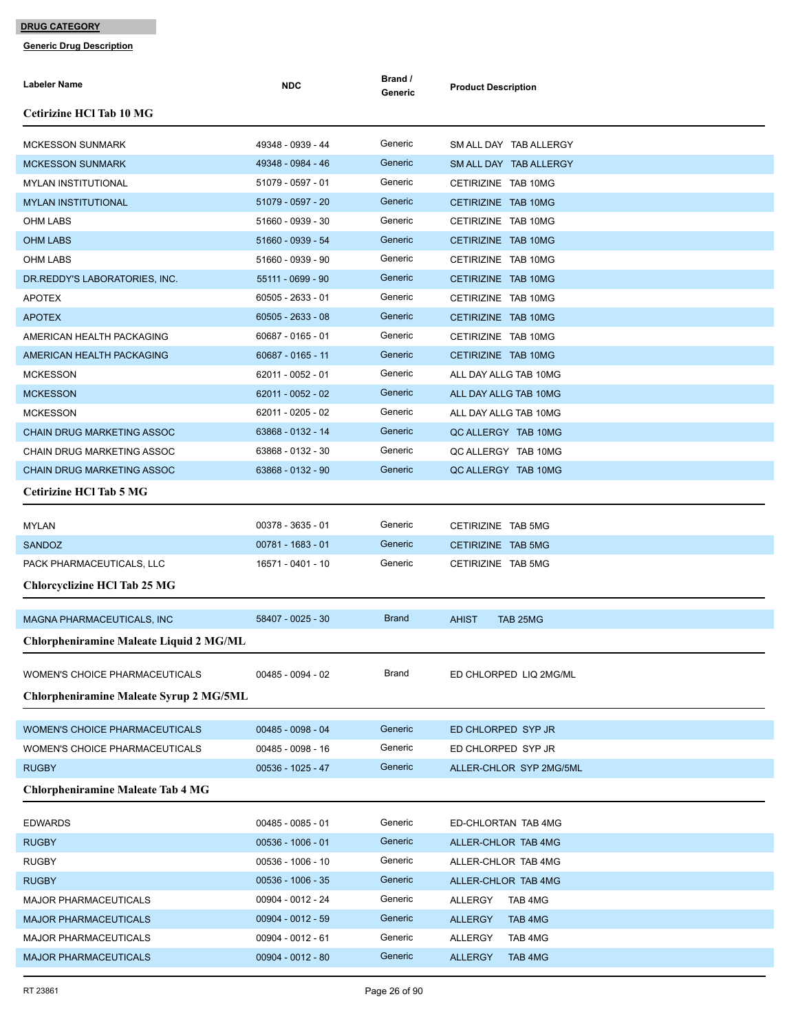| Labeler Name                                             | <b>NDC</b>                             | Brand /<br>Generic | <b>Product Description</b> |
|----------------------------------------------------------|----------------------------------------|--------------------|----------------------------|
| <b>Cetirizine HCl Tab 10 MG</b>                          |                                        |                    |                            |
| <b>MCKESSON SUNMARK</b>                                  | 49348 - 0939 - 44                      | Generic            | SM ALL DAY TAB ALLERGY     |
| <b>MCKESSON SUNMARK</b>                                  | 49348 - 0984 - 46                      | Generic            | SM ALL DAY TAB ALLERGY     |
| <b>MYLAN INSTITUTIONAL</b>                               | 51079 - 0597 - 01                      | Generic            | CETIRIZINE TAB 10MG        |
| <b>MYLAN INSTITUTIONAL</b>                               | 51079 - 0597 - 20                      | Generic            | CETIRIZINE TAB 10MG        |
| <b>OHM LABS</b>                                          | 51660 - 0939 - 30                      | Generic            | CETIRIZINE TAB 10MG        |
| <b>OHM LABS</b>                                          | 51660 - 0939 - 54                      | Generic            | CETIRIZINE TAB 10MG        |
| <b>OHM LABS</b>                                          | 51660 - 0939 - 90                      | Generic            | CETIRIZINE TAB 10MG        |
| DR.REDDY'S LABORATORIES, INC.                            | 55111 - 0699 - 90                      | Generic            | CETIRIZINE TAB 10MG        |
| <b>APOTEX</b>                                            | 60505 - 2633 - 01                      | Generic            | CETIRIZINE TAB 10MG        |
| <b>APOTEX</b>                                            | $60505 - 2633 - 08$                    | Generic            | CETIRIZINE TAB 10MG        |
| AMERICAN HEALTH PACKAGING                                | 60687 - 0165 - 01                      | Generic            | CETIRIZINE TAB 10MG        |
| AMERICAN HEALTH PACKAGING                                | 60687 - 0165 - 11                      | Generic            | CETIRIZINE TAB 10MG        |
| <b>MCKESSON</b>                                          | 62011 - 0052 - 01                      | Generic            | ALL DAY ALLG TAB 10MG      |
| <b>MCKESSON</b>                                          | 62011 - 0052 - 02                      | Generic            | ALL DAY ALLG TAB 10MG      |
| <b>MCKESSON</b>                                          | 62011 - 0205 - 02                      | Generic            | ALL DAY ALLG TAB 10MG      |
| <b>CHAIN DRUG MARKETING ASSOC</b>                        | 63868 - 0132 - 14                      | Generic            | QC ALLERGY TAB 10MG        |
| CHAIN DRUG MARKETING ASSOC                               | 63868 - 0132 - 30                      | Generic            | QC ALLERGY TAB 10MG        |
| <b>CHAIN DRUG MARKETING ASSOC</b>                        | 63868 - 0132 - 90                      | Generic            | QC ALLERGY TAB 10MG        |
| <b>Cetirizine HCl Tab 5 MG</b>                           |                                        |                    |                            |
| <b>MYLAN</b>                                             | 00378 - 3635 - 01                      | Generic            | CETIRIZINE TAB 5MG         |
| <b>SANDOZ</b>                                            | 00781 - 1683 - 01                      | Generic            | CETIRIZINE TAB 5MG         |
| PACK PHARMACEUTICALS, LLC                                | 16571 - 0401 - 10                      | Generic            | CETIRIZINE TAB 5MG         |
| <b>Chlorcyclizine HCl Tab 25 MG</b>                      |                                        |                    |                            |
| MAGNA PHARMACEUTICALS, INC                               | 58407 - 0025 - 30                      | <b>Brand</b>       | <b>AHIST</b><br>TAB 25MG   |
| Chlorpheniramine Maleate Liquid 2 MG/ML                  |                                        |                    |                            |
| <b>WOMEN'S CHOICE PHARMACEUTICALS</b>                    | 00485 - 0094 - 02                      | Brand              | ED CHLORPED LIQ 2MG/ML     |
| <b>Chlorpheniramine Maleate Syrup 2 MG/5ML</b>           |                                        |                    |                            |
|                                                          |                                        | Generic            |                            |
| WOMEN'S CHOICE PHARMACEUTICALS                           | 00485 - 0098 - 04                      | Generic            | ED CHLORPED SYP JR         |
| WOMEN'S CHOICE PHARMACEUTICALS                           | 00485 - 0098 - 16<br>00536 - 1025 - 47 |                    | ED CHLORPED SYP JR         |
| <b>RUGBY</b><br><b>Chlorpheniramine Maleate Tab 4 MG</b> |                                        | Generic            | ALLER-CHLOR SYP 2MG/5ML    |
|                                                          |                                        |                    |                            |
| <b>EDWARDS</b>                                           | 00485 - 0085 - 01                      | Generic            | ED-CHLORTAN TAB 4MG        |
| <b>RUGBY</b>                                             | $00536 - 1006 - 01$                    | Generic            | ALLER-CHLOR TAB 4MG        |
| <b>RUGBY</b>                                             | 00536 - 1006 - 10                      | Generic            | ALLER-CHLOR TAB 4MG        |
| <b>RUGBY</b>                                             | 00536 - 1006 - 35                      | Generic            | ALLER-CHLOR TAB 4MG        |
| <b>MAJOR PHARMACEUTICALS</b>                             | 00904 - 0012 - 24                      | Generic            | ALLERGY<br>TAB 4MG         |
| <b>MAJOR PHARMACEUTICALS</b>                             | $00904 - 0012 - 59$                    | Generic            | TAB 4MG<br><b>ALLERGY</b>  |
| <b>MAJOR PHARMACEUTICALS</b>                             | 00904 - 0012 - 61                      | Generic            | TAB 4MG<br>ALLERGY         |
| <b>MAJOR PHARMACEUTICALS</b>                             | $00904 - 0012 - 80$                    | Generic            | <b>ALLERGY</b><br>TAB 4MG  |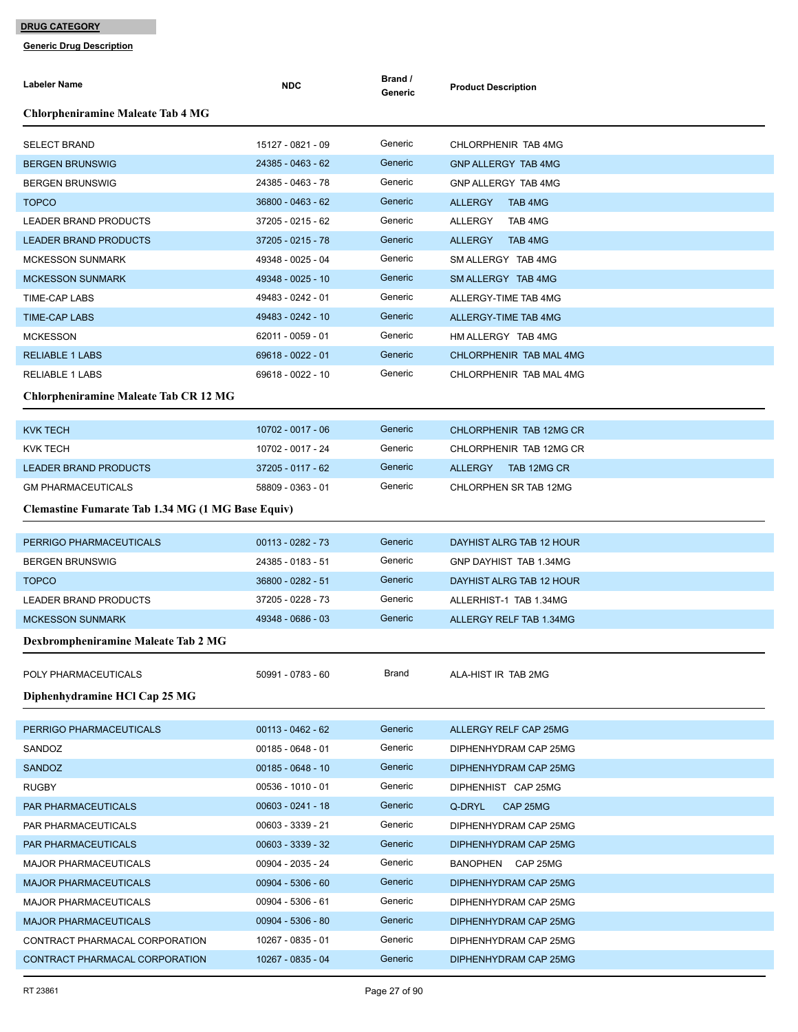| Labeler Name                                             | <b>NDC</b>          | Brand /<br>Generic | <b>Product Description</b>       |
|----------------------------------------------------------|---------------------|--------------------|----------------------------------|
| <b>Chlorpheniramine Maleate Tab 4 MG</b>                 |                     |                    |                                  |
| <b>SELECT BRAND</b>                                      | 15127 - 0821 - 09   | Generic            | CHLORPHENIR TAB 4MG              |
| <b>BERGEN BRUNSWIG</b>                                   | 24385 - 0463 - 62   | Generic            | <b>GNP ALLERGY TAB 4MG</b>       |
| <b>BERGEN BRUNSWIG</b>                                   | 24385 - 0463 - 78   | Generic            | GNP ALLERGY TAB 4MG              |
| <b>TOPCO</b>                                             | 36800 - 0463 - 62   | Generic            | <b>ALLERGY</b><br>TAB 4MG        |
| <b>LEADER BRAND PRODUCTS</b>                             | 37205 - 0215 - 62   | Generic            | ALLERGY<br>TAB 4MG               |
| <b>LEADER BRAND PRODUCTS</b>                             | 37205 - 0215 - 78   | Generic            | <b>ALLERGY</b><br><b>TAB 4MG</b> |
| <b>MCKESSON SUNMARK</b>                                  | 49348 - 0025 - 04   | Generic            | SM ALLERGY TAB 4MG               |
| <b>MCKESSON SUNMARK</b>                                  | 49348 - 0025 - 10   | Generic            | SM ALLERGY TAB 4MG               |
| <b>TIME-CAP LABS</b>                                     | 49483 - 0242 - 01   | Generic            | ALLERGY-TIME TAB 4MG             |
| <b>TIME-CAP LABS</b>                                     | 49483 - 0242 - 10   | Generic            | ALLERGY-TIME TAB 4MG             |
| <b>MCKESSON</b>                                          | 62011 - 0059 - 01   | Generic            | HM ALLERGY TAB 4MG               |
| <b>RELIABLE 1 LABS</b>                                   | 69618 - 0022 - 01   | Generic            | CHLORPHENIR TAB MAL 4MG          |
| <b>RELIABLE 1 LABS</b>                                   | 69618 - 0022 - 10   | Generic            | CHLORPHENIR TAB MAL 4MG          |
| <b>Chlorpheniramine Maleate Tab CR 12 MG</b>             |                     |                    |                                  |
| <b>KVK TECH</b>                                          | 10702 - 0017 - 06   | Generic            | CHLORPHENIR TAB 12MG CR          |
| KVK TECH                                                 | 10702 - 0017 - 24   | Generic            | CHLORPHENIR TAB 12MG CR          |
| <b>LEADER BRAND PRODUCTS</b>                             | 37205 - 0117 - 62   | Generic            | ALLERGY<br>TAB 12MG CR           |
| <b>GM PHARMACEUTICALS</b>                                | 58809 - 0363 - 01   | Generic            | CHLORPHEN SR TAB 12MG            |
| <b>Clemastine Fumarate Tab 1.34 MG (1 MG Base Equiv)</b> |                     |                    |                                  |
| PERRIGO PHARMACEUTICALS                                  | $00113 - 0282 - 73$ | Generic            | DAYHIST ALRG TAB 12 HOUR         |
| <b>BERGEN BRUNSWIG</b>                                   | 24385 - 0183 - 51   | Generic            | GNP DAYHIST TAB 1.34MG           |
| <b>TOPCO</b>                                             | 36800 - 0282 - 51   | Generic            | DAYHIST ALRG TAB 12 HOUR         |
| <b>LEADER BRAND PRODUCTS</b>                             | 37205 - 0228 - 73   | Generic            | ALLERHIST-1 TAB 1.34MG           |
| <b>MCKESSON SUNMARK</b>                                  | 49348 - 0686 - 03   | Generic            | ALLERGY RELF TAB 1.34MG          |
| Dexbrompheniramine Maleate Tab 2 MG                      |                     |                    |                                  |
| POLY PHARMACEUTICALS                                     | 50991 - 0783 - 60   | <b>Brand</b>       | ALA-HIST IR TAB 2MG              |
| Diphenhydramine HCl Cap 25 MG                            |                     |                    |                                  |
| PERRIGO PHARMACEUTICALS                                  | 00113 - 0462 - 62   | Generic            | ALLERGY RELF CAP 25MG            |
| SANDOZ                                                   | $00185 - 0648 - 01$ | Generic            | DIPHENHYDRAM CAP 25MG            |
| <b>SANDOZ</b>                                            | $00185 - 0648 - 10$ | Generic            | DIPHENHYDRAM CAP 25MG            |
| <b>RUGBY</b>                                             | 00536 - 1010 - 01   | Generic            | DIPHENHIST CAP 25MG              |
| PAR PHARMACEUTICALS                                      | $00603 - 0241 - 18$ | Generic            | Q-DRYL<br>CAP 25MG               |
| PAR PHARMACEUTICALS                                      | 00603 - 3339 - 21   | Generic            | DIPHENHYDRAM CAP 25MG            |
| PAR PHARMACEUTICALS                                      | 00603 - 3339 - 32   | Generic            | DIPHENHYDRAM CAP 25MG            |
| <b>MAJOR PHARMACEUTICALS</b>                             | 00904 - 2035 - 24   | Generic            | BANOPHEN CAP 25MG                |
| <b>MAJOR PHARMACEUTICALS</b>                             | $00904 - 5306 - 60$ | Generic            | DIPHENHYDRAM CAP 25MG            |
| <b>MAJOR PHARMACEUTICALS</b>                             | 00904 - 5306 - 61   | Generic            | DIPHENHYDRAM CAP 25MG            |
| <b>MAJOR PHARMACEUTICALS</b>                             | 00904 - 5306 - 80   | Generic            | DIPHENHYDRAM CAP 25MG            |
| CONTRACT PHARMACAL CORPORATION                           | 10267 - 0835 - 01   | Generic            | DIPHENHYDRAM CAP 25MG            |
| CONTRACT PHARMACAL CORPORATION                           | 10267 - 0835 - 04   | Generic            | DIPHENHYDRAM CAP 25MG            |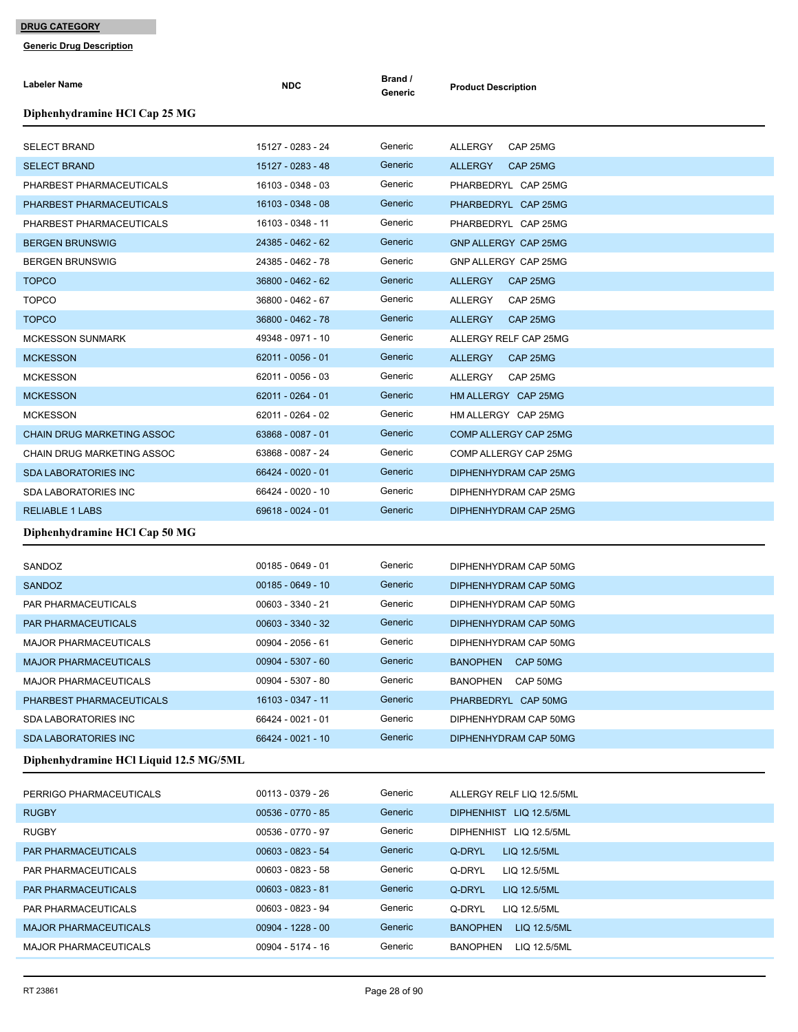| <b>Labeler Name</b>                    | <b>NDC</b>          | Brand /<br>Generic | <b>Product Description</b>      |
|----------------------------------------|---------------------|--------------------|---------------------------------|
| Diphenhydramine HCl Cap 25 MG          |                     |                    |                                 |
| <b>SELECT BRAND</b>                    | 15127 - 0283 - 24   | Generic            | CAP 25MG<br>ALLERGY             |
| <b>SELECT BRAND</b>                    | 15127 - 0283 - 48   | Generic            | <b>ALLERGY</b><br>CAP 25MG      |
| PHARBEST PHARMACEUTICALS               | 16103 - 0348 - 03   | Generic            | PHARBEDRYL CAP 25MG             |
| PHARBEST PHARMACEUTICALS               | 16103 - 0348 - 08   | Generic            | PHARBEDRYL CAP 25MG             |
| PHARBEST PHARMACEUTICALS               | 16103 - 0348 - 11   | Generic            | PHARBEDRYL CAP 25MG             |
| <b>BERGEN BRUNSWIG</b>                 | 24385 - 0462 - 62   | Generic            | GNP ALLERGY CAP 25MG            |
| <b>BERGEN BRUNSWIG</b>                 | 24385 - 0462 - 78   | Generic            | GNP ALLERGY CAP 25MG            |
| <b>TOPCO</b>                           | 36800 - 0462 - 62   | Generic            | <b>ALLERGY</b><br>CAP 25MG      |
| <b>TOPCO</b>                           | 36800 - 0462 - 67   | Generic            | CAP 25MG<br><b>ALLERGY</b>      |
| <b>TOPCO</b>                           | 36800 - 0462 - 78   | Generic            | CAP 25MG<br><b>ALLERGY</b>      |
| <b>MCKESSON SUNMARK</b>                | 49348 - 0971 - 10   | Generic            | ALLERGY RELF CAP 25MG           |
| <b>MCKESSON</b>                        | 62011 - 0056 - 01   | Generic            | <b>ALLERGY</b><br>CAP 25MG      |
| <b>MCKESSON</b>                        | 62011 - 0056 - 03   | Generic            | <b>ALLERGY</b><br>CAP 25MG      |
| <b>MCKESSON</b>                        | 62011 - 0264 - 01   | Generic            | HM ALLERGY CAP 25MG             |
| <b>MCKESSON</b>                        | 62011 - 0264 - 02   | Generic            | HM ALLERGY CAP 25MG             |
| <b>CHAIN DRUG MARKETING ASSOC</b>      | 63868 - 0087 - 01   | Generic            | COMP ALLERGY CAP 25MG           |
| CHAIN DRUG MARKETING ASSOC             | 63868 - 0087 - 24   | Generic            | COMP ALLERGY CAP 25MG           |
| <b>SDA LABORATORIES INC</b>            | 66424 - 0020 - 01   | Generic            | DIPHENHYDRAM CAP 25MG           |
| <b>SDA LABORATORIES INC</b>            | 66424 - 0020 - 10   | Generic            | DIPHENHYDRAM CAP 25MG           |
| <b>RELIABLE 1 LABS</b>                 | 69618 - 0024 - 01   | Generic            | DIPHENHYDRAM CAP 25MG           |
| Diphenhydramine HCl Cap 50 MG          |                     |                    |                                 |
| SANDOZ                                 | $00185 - 0649 - 01$ | Generic            | DIPHENHYDRAM CAP 50MG           |
| <b>SANDOZ</b>                          | $00185 - 0649 - 10$ | Generic            | DIPHENHYDRAM CAP 50MG           |
| PAR PHARMACEUTICALS                    | 00603 - 3340 - 21   | Generic            | DIPHENHYDRAM CAP 50MG           |
| <b>PAR PHARMACEUTICALS</b>             | 00603 - 3340 - 32   | Generic            | DIPHENHYDRAM CAP 50MG           |
| <b>MAJOR PHARMACEUTICALS</b>           | 00904 - 2056 - 61   | Generic            | DIPHENHYDRAM CAP 50MG           |
| <b>MAJOR PHARMACEUTICALS</b>           | 00904 - 5307 - 60   | Generic            | BANOPHEN CAP 50MG               |
| <b>MAJOR PHARMACEUTICALS</b>           | 00904 - 5307 - 80   | Generic            | BANOPHEN<br>CAP 50MG            |
| PHARBEST PHARMACEUTICALS               | 16103 - 0347 - 11   | Generic            | PHARBEDRYL CAP 50MG             |
| <b>SDA LABORATORIES INC</b>            | 66424 - 0021 - 01   | Generic            | DIPHENHYDRAM CAP 50MG           |
| <b>SDA LABORATORIES INC</b>            | 66424 - 0021 - 10   | Generic            | DIPHENHYDRAM CAP 50MG           |
| Diphenhydramine HCl Liquid 12.5 MG/5ML |                     |                    |                                 |
| PERRIGO PHARMACEUTICALS                | 00113 - 0379 - 26   | Generic            | ALLERGY RELF LIQ 12.5/5ML       |
| <b>RUGBY</b>                           | 00536 - 0770 - 85   | Generic            | DIPHENHIST LIQ 12.5/5ML         |
| <b>RUGBY</b>                           | 00536 - 0770 - 97   | Generic            | DIPHENHIST LIQ 12.5/5ML         |
| PAR PHARMACEUTICALS                    | 00603 - 0823 - 54   | Generic            | Q-DRYL<br>LIQ 12.5/5ML          |
| PAR PHARMACEUTICALS                    | 00603 - 0823 - 58   | Generic            | Q-DRYL<br>LIQ 12.5/5ML          |
| PAR PHARMACEUTICALS                    | $00603 - 0823 - 81$ | Generic            | Q-DRYL<br>LIQ 12.5/5ML          |
| PAR PHARMACEUTICALS                    | 00603 - 0823 - 94   | Generic            | Q-DRYL<br>LIQ 12.5/5ML          |
| <b>MAJOR PHARMACEUTICALS</b>           | $00904 - 1228 - 00$ | Generic            | <b>BANOPHEN</b><br>LIQ 12.5/5ML |
| <b>MAJOR PHARMACEUTICALS</b>           | 00904 - 5174 - 16   | Generic            | BANOPHEN LIQ 12.5/5ML           |
|                                        |                     |                    |                                 |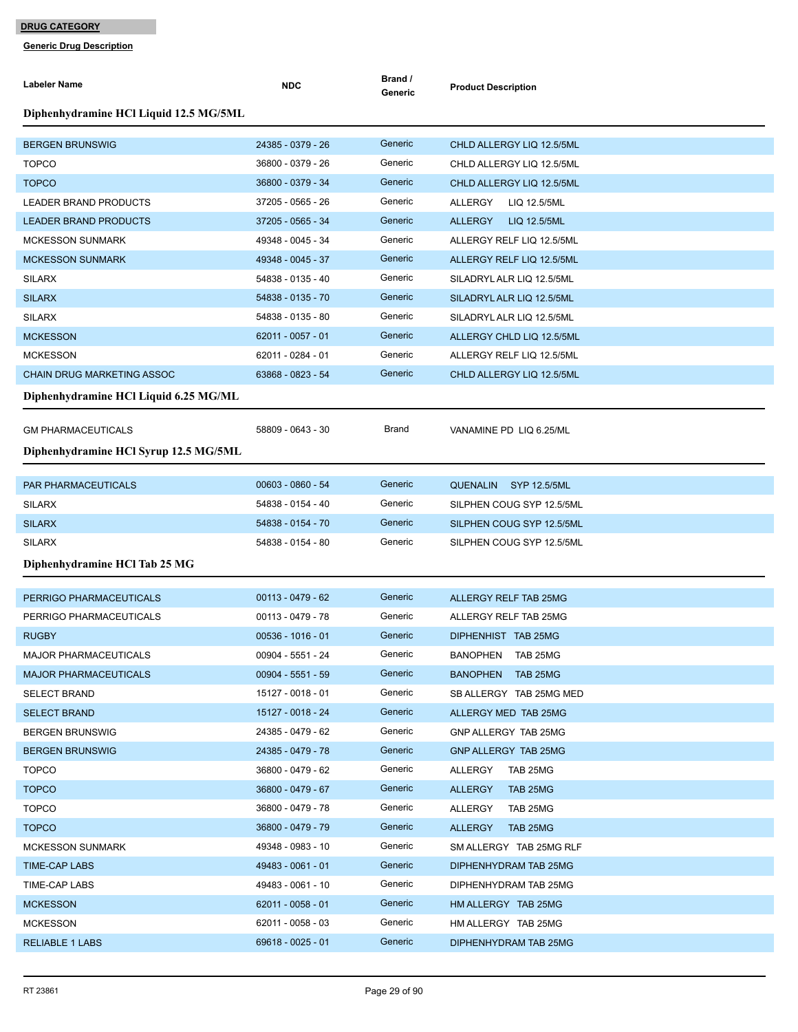| <b>Labeler Name</b>                    | <b>NDC</b>          | Brand /<br>Generic | <b>Product Description</b>                   |
|----------------------------------------|---------------------|--------------------|----------------------------------------------|
| Diphenhydramine HCl Liquid 12.5 MG/5ML |                     |                    |                                              |
| <b>BERGEN BRUNSWIG</b>                 | 24385 - 0379 - 26   | Generic            | CHLD ALLERGY LIQ 12.5/5ML                    |
| <b>TOPCO</b>                           | 36800 - 0379 - 26   | Generic            | CHLD ALLERGY LIQ 12.5/5ML                    |
| <b>TOPCO</b>                           | 36800 - 0379 - 34   | Generic            | CHLD ALLERGY LIQ 12.5/5ML                    |
| LEADER BRAND PRODUCTS                  | 37205 - 0565 - 26   | Generic            | ALLERGY<br>LIQ 12.5/5ML                      |
| <b>LEADER BRAND PRODUCTS</b>           | 37205 - 0565 - 34   | Generic            | <b>ALLERGY</b><br>LIQ 12.5/5ML               |
| <b>MCKESSON SUNMARK</b>                | 49348 - 0045 - 34   | Generic            | ALLERGY RELF LIQ 12.5/5ML                    |
| <b>MCKESSON SUNMARK</b>                | 49348 - 0045 - 37   | Generic            | ALLERGY RELF LIQ 12.5/5ML                    |
| <b>SILARX</b>                          | 54838 - 0135 - 40   | Generic            | SILADRYL ALR LIQ 12.5/5ML                    |
| <b>SILARX</b>                          | 54838 - 0135 - 70   | Generic            | SILADRYL ALR LIQ 12.5/5ML                    |
| <b>SILARX</b>                          | 54838 - 0135 - 80   | Generic            | SILADRYL ALR LIQ 12.5/5ML                    |
| <b>MCKESSON</b>                        | 62011 - 0057 - 01   | Generic            | ALLERGY CHLD LIQ 12.5/5ML                    |
| <b>MCKESSON</b>                        | 62011 - 0284 - 01   | Generic            | ALLERGY RELF LIQ 12.5/5ML                    |
| <b>CHAIN DRUG MARKETING ASSOC</b>      | 63868 - 0823 - 54   | Generic            | CHLD ALLERGY LIQ 12.5/5ML                    |
| Diphenhydramine HCl Liquid 6.25 MG/ML  |                     |                    |                                              |
| <b>GM PHARMACEUTICALS</b>              | 58809 - 0643 - 30   | Brand              | VANAMINE PD LIQ 6.25/ML                      |
| Diphenhydramine HCl Syrup 12.5 MG/5ML  |                     |                    |                                              |
| PAR PHARMACEUTICALS                    | 00603 - 0860 - 54   | Generic            | SYP 12.5/5ML                                 |
| <b>SILARX</b>                          | 54838 - 0154 - 40   | Generic            | <b>QUENALIN</b><br>SILPHEN COUG SYP 12.5/5ML |
| <b>SILARX</b>                          | 54838 - 0154 - 70   | Generic            | SILPHEN COUG SYP 12.5/5ML                    |
| <b>SILARX</b>                          | 54838 - 0154 - 80   | Generic            | SILPHEN COUG SYP 12.5/5ML                    |
|                                        |                     |                    |                                              |
| Diphenhydramine HCl Tab 25 MG          |                     |                    |                                              |
| PERRIGO PHARMACEUTICALS                | $00113 - 0479 - 62$ | Generic            | ALLERGY RELF TAB 25MG                        |
| PERRIGO PHARMACEUTICALS                | 00113 - 0479 - 78   | Generic            | ALLERGY RELF TAB 25MG                        |
| <b>RUGBY</b>                           | $00536 - 1016 - 01$ | Generic            | DIPHENHIST TAB 25MG                          |
| <b>MAJOR PHARMACEUTICALS</b>           | 00904 - 5551 - 24   | Generic            | BANOPHEN TAB 25MG                            |
| <b>MAJOR PHARMACEUTICALS</b>           | $00904 - 5551 - 59$ | Generic            | BANOPHEN TAB 25MG                            |
| <b>SELECT BRAND</b>                    | 15127 - 0018 - 01   | Generic            | SB ALLERGY TAB 25MG MED                      |
| <b>SELECT BRAND</b>                    | 15127 - 0018 - 24   | Generic            | ALLERGY MED TAB 25MG                         |
| <b>BERGEN BRUNSWIG</b>                 | 24385 - 0479 - 62   | Generic            | GNP ALLERGY TAB 25MG                         |
| <b>BERGEN BRUNSWIG</b>                 | 24385 - 0479 - 78   | Generic            | GNP ALLERGY TAB 25MG                         |
| <b>TOPCO</b>                           | 36800 - 0479 - 62   | Generic            | ALLERGY TAB 25MG                             |
| <b>TOPCO</b>                           | 36800 - 0479 - 67   | Generic            | <b>ALLERGY</b><br>TAB 25MG                   |
| <b>TOPCO</b>                           | 36800 - 0479 - 78   | Generic            | ALLERGY<br>TAB 25MG                          |
| <b>TOPCO</b>                           | 36800 - 0479 - 79   | Generic            | <b>ALLERGY</b><br>TAB 25MG                   |
| <b>MCKESSON SUNMARK</b>                | 49348 - 0983 - 10   | Generic            | SM ALLERGY TAB 25MG RLF                      |
| TIME-CAP LABS                          | 49483 - 0061 - 01   | Generic            | DIPHENHYDRAM TAB 25MG                        |
| TIME-CAP LABS                          | 49483 - 0061 - 10   | Generic            | DIPHENHYDRAM TAB 25MG                        |
| <b>MCKESSON</b>                        | 62011 - 0058 - 01   | Generic            | HM ALLERGY TAB 25MG                          |
| <b>MCKESSON</b>                        | 62011 - 0058 - 03   | Generic            | HM ALLERGY TAB 25MG                          |
| <b>RELIABLE 1 LABS</b>                 | 69618 - 0025 - 01   | Generic            | DIPHENHYDRAM TAB 25MG                        |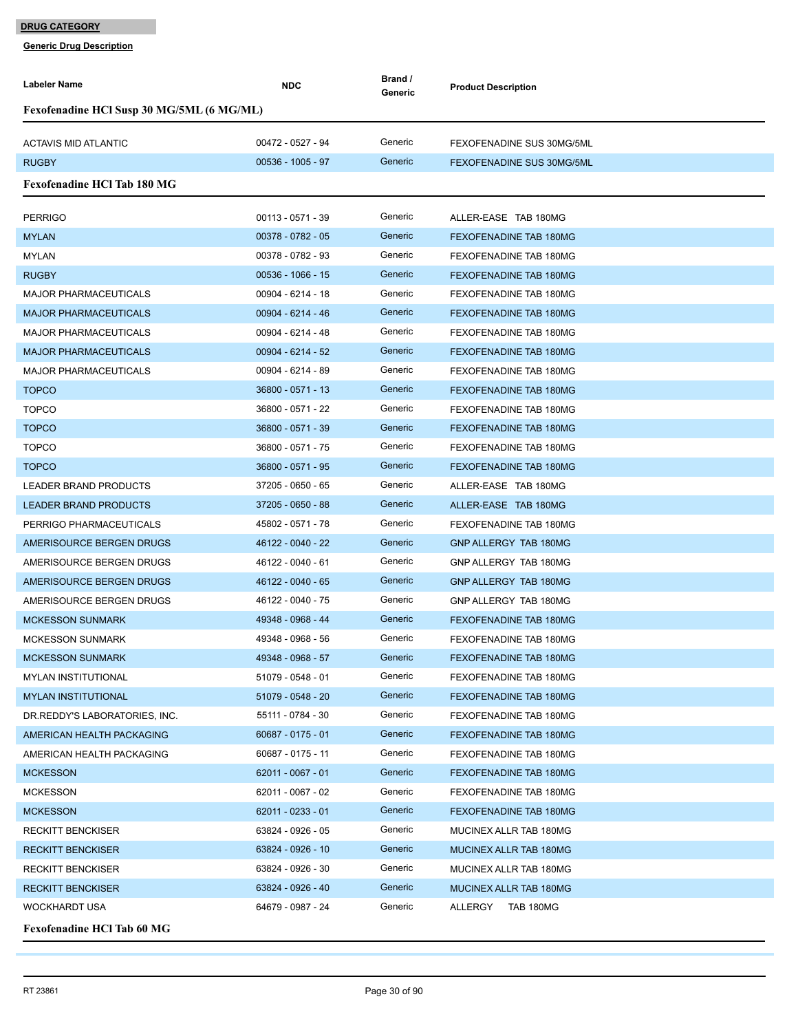| Labeler Name                              | <b>NDC</b>          | Brand /<br>Generic | <b>Product Description</b>    |
|-------------------------------------------|---------------------|--------------------|-------------------------------|
| Fexofenadine HCl Susp 30 MG/5ML (6 MG/ML) |                     |                    |                               |
|                                           |                     |                    |                               |
| <b>ACTAVIS MID ATLANTIC</b>               | 00472 - 0527 - 94   | Generic            | FEXOFENADINE SUS 30MG/5ML     |
| <b>RUGBY</b>                              | $00536 - 1005 - 97$ | Generic            | FEXOFENADINE SUS 30MG/5ML     |
| <b>Fexofenadine HCl Tab 180 MG</b>        |                     |                    |                               |
| <b>PERRIGO</b>                            | $00113 - 0571 - 39$ | Generic            | ALLER-EASE TAB 180MG          |
| <b>MYLAN</b>                              | 00378 - 0782 - 05   | Generic            | <b>FEXOFENADINE TAB 180MG</b> |
| <b>MYLAN</b>                              | 00378 - 0782 - 93   | Generic            | <b>FEXOFENADINE TAB 180MG</b> |
| <b>RUGBY</b>                              | 00536 - 1066 - 15   | Generic            | FEXOFENADINE TAB 180MG        |
| <b>MAJOR PHARMACEUTICALS</b>              | 00904 - 6214 - 18   | Generic            | FEXOFENADINE TAB 180MG        |
| <b>MAJOR PHARMACEUTICALS</b>              | 00904 - 6214 - 46   | Generic            | FEXOFENADINE TAB 180MG        |
| <b>MAJOR PHARMACEUTICALS</b>              | 00904 - 6214 - 48   | Generic            | FEXOFENADINE TAB 180MG        |
| <b>MAJOR PHARMACEUTICALS</b>              | 00904 - 6214 - 52   | Generic            | FEXOFENADINE TAB 180MG        |
| <b>MAJOR PHARMACEUTICALS</b>              | 00904 - 6214 - 89   | Generic            | FEXOFENADINE TAB 180MG        |
| <b>TOPCO</b>                              | 36800 - 0571 - 13   | Generic            | FEXOFENADINE TAB 180MG        |
| <b>TOPCO</b>                              | 36800 - 0571 - 22   | Generic            | FEXOFENADINE TAB 180MG        |
| <b>TOPCO</b>                              | 36800 - 0571 - 39   | Generic            | FEXOFENADINE TAB 180MG        |
| <b>TOPCO</b>                              | 36800 - 0571 - 75   | Generic            | FEXOFENADINE TAB 180MG        |
| <b>TOPCO</b>                              | 36800 - 0571 - 95   | Generic            | FEXOFENADINE TAB 180MG        |
| LEADER BRAND PRODUCTS                     | 37205 - 0650 - 65   | Generic            | ALLER-EASE TAB 180MG          |
| <b>LEADER BRAND PRODUCTS</b>              | 37205 - 0650 - 88   | Generic            | ALLER-EASE TAB 180MG          |
| PERRIGO PHARMACEUTICALS                   | 45802 - 0571 - 78   | Generic            | FEXOFENADINE TAB 180MG        |
| AMERISOURCE BERGEN DRUGS                  | 46122 - 0040 - 22   | Generic            | GNP ALLERGY TAB 180MG         |
| AMERISOURCE BERGEN DRUGS                  | 46122 - 0040 - 61   | Generic            | GNP ALLERGY TAB 180MG         |
| AMERISOURCE BERGEN DRUGS                  | 46122 - 0040 - 65   | Generic            | GNP ALLERGY TAB 180MG         |
| AMERISOURCE BERGEN DRUGS                  | 46122 - 0040 - 75   | Generic            | GNP ALLERGY TAB 180MG         |
| <b>MCKESSON SUNMARK</b>                   | 49348 - 0968 - 44   | Generic            | <b>FEXOFENADINE TAB 180MG</b> |
| <b>MCKESSON SUNMARK</b>                   | 49348 - 0968 - 56   | Generic            | FEXOFENADINE TAB 180MG        |
| <b>MCKESSON SUNMARK</b>                   | 49348 - 0968 - 57   | Generic            | FEXOFENADINE TAB 180MG        |
| <b>MYLAN INSTITUTIONAL</b>                | 51079 - 0548 - 01   | Generic            | FEXOFENADINE TAB 180MG        |
| <b>MYLAN INSTITUTIONAL</b>                | 51079 - 0548 - 20   | Generic            | FEXOFENADINE TAB 180MG        |
| DR. REDDY'S LABORATORIES, INC.            | 55111 - 0784 - 30   | Generic            | FEXOFENADINE TAB 180MG        |
| AMERICAN HEALTH PACKAGING                 | 60687 - 0175 - 01   | Generic            | FEXOFENADINE TAB 180MG        |
| AMERICAN HEALTH PACKAGING                 | 60687 - 0175 - 11   | Generic            | FEXOFENADINE TAB 180MG        |
| <b>MCKESSON</b>                           | 62011 - 0067 - 01   | Generic            | FEXOFENADINE TAB 180MG        |
| <b>MCKESSON</b>                           | 62011 - 0067 - 02   | Generic            | FEXOFENADINE TAB 180MG        |
| <b>MCKESSON</b>                           | $62011 - 0233 - 01$ | Generic            | FEXOFENADINE TAB 180MG        |
| <b>RECKITT BENCKISER</b>                  | 63824 - 0926 - 05   | Generic            | MUCINEX ALLR TAB 180MG        |
| <b>RECKITT BENCKISER</b>                  | 63824 - 0926 - 10   | Generic            | MUCINEX ALLR TAB 180MG        |
| <b>RECKITT BENCKISER</b>                  | 63824 - 0926 - 30   | Generic            | MUCINEX ALLR TAB 180MG        |
| <b>RECKITT BENCKISER</b>                  | 63824 - 0926 - 40   | Generic            | MUCINEX ALLR TAB 180MG        |
| <b>WOCKHARDT USA</b>                      | 64679 - 0987 - 24   | Generic            | TAB 180MG<br>ALLERGY          |
| <b>Fexofenadine HCl Tab 60 MG</b>         |                     |                    |                               |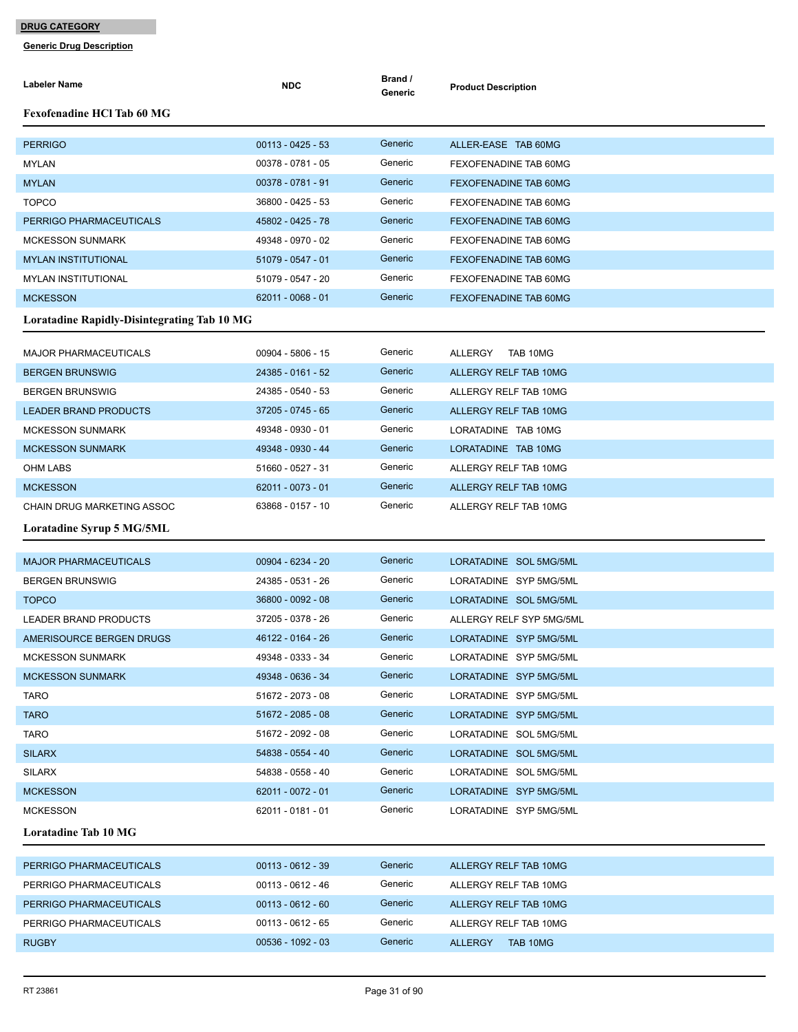| <b>Labeler Name</b>                                | <b>NDC</b>          | Brand /<br>Generic | <b>Product Description</b>   |
|----------------------------------------------------|---------------------|--------------------|------------------------------|
| <b>Fexofenadine HCl Tab 60 MG</b>                  |                     |                    |                              |
| <b>PERRIGO</b>                                     | $00113 - 0425 - 53$ | Generic            | ALLER-EASE TAB 60MG          |
| <b>MYLAN</b>                                       | 00378 - 0781 - 05   | Generic            | FEXOFENADINE TAB 60MG        |
| <b>MYLAN</b>                                       | 00378 - 0781 - 91   | Generic            | FEXOFENADINE TAB 60MG        |
| <b>TOPCO</b>                                       | 36800 - 0425 - 53   | Generic            | FEXOFENADINE TAB 60MG        |
| PERRIGO PHARMACEUTICALS                            | 45802 - 0425 - 78   | Generic            | <b>FEXOFENADINE TAB 60MG</b> |
| <b>MCKESSON SUNMARK</b>                            | 49348 - 0970 - 02   | Generic            | FEXOFENADINE TAB 60MG        |
| <b>MYLAN INSTITUTIONAL</b>                         | 51079 - 0547 - 01   | Generic            | FEXOFENADINE TAB 60MG        |
| <b>MYLAN INSTITUTIONAL</b>                         | 51079 - 0547 - 20   | Generic            | FEXOFENADINE TAB 60MG        |
| <b>MCKESSON</b>                                    | $62011 - 0068 - 01$ | Generic            | FEXOFENADINE TAB 60MG        |
| <b>Loratadine Rapidly-Disintegrating Tab 10 MG</b> |                     |                    |                              |
| <b>MAJOR PHARMACEUTICALS</b>                       | 00904 - 5806 - 15   | Generic            | ALLERGY<br>TAB 10MG          |
| <b>BERGEN BRUNSWIG</b>                             | 24385 - 0161 - 52   | Generic            | ALLERGY RELF TAB 10MG        |
| <b>BERGEN BRUNSWIG</b>                             | 24385 - 0540 - 53   | Generic            | ALLERGY RELF TAB 10MG        |
| <b>LEADER BRAND PRODUCTS</b>                       | 37205 - 0745 - 65   | Generic            | ALLERGY RELF TAB 10MG        |
| <b>MCKESSON SUNMARK</b>                            | 49348 - 0930 - 01   | Generic            | LORATADINE TAB 10MG          |
| <b>MCKESSON SUNMARK</b>                            | 49348 - 0930 - 44   | Generic            | LORATADINE TAB 10MG          |
| <b>OHM LABS</b>                                    | 51660 - 0527 - 31   | Generic            | ALLERGY RELF TAB 10MG        |
| <b>MCKESSON</b>                                    | 62011 - 0073 - 01   | Generic            | ALLERGY RELF TAB 10MG        |
| CHAIN DRUG MARKETING ASSOC                         | 63868 - 0157 - 10   | Generic            | ALLERGY RELF TAB 10MG        |
| Loratadine Syrup 5 MG/5ML                          |                     |                    |                              |
| <b>MAJOR PHARMACEUTICALS</b>                       | 00904 - 6234 - 20   | Generic            | LORATADINE SOL 5MG/5ML       |
| <b>BERGEN BRUNSWIG</b>                             | 24385 - 0531 - 26   | Generic            | LORATADINE SYP 5MG/5ML       |
| <b>TOPCO</b>                                       | 36800 - 0092 - 08   | Generic            | LORATADINE SOL 5MG/5ML       |
| LEADER BRAND PRODUCTS                              | 37205 - 0378 - 26   | Generic            | ALLERGY RELF SYP 5MG/5ML     |
| AMERISOURCE BERGEN DRUGS                           | 46122 - 0164 - 26   | Generic            | LORATADINE SYP 5MG/5ML       |
| <b>MCKESSON SUNMARK</b>                            | 49348 - 0333 - 34   | Generic            | LORATADINE SYP 5MG/5ML       |
| <b>MCKESSON SUNMARK</b>                            | 49348 - 0636 - 34   | Generic            | LORATADINE SYP 5MG/5ML       |
| TARO                                               | 51672 - 2073 - 08   | Generic            | LORATADINE SYP 5MG/5ML       |
| <b>TARO</b>                                        | 51672 - 2085 - 08   | Generic            | LORATADINE SYP 5MG/5ML       |
| <b>TARO</b>                                        | 51672 - 2092 - 08   | Generic            | LORATADINE SOL 5MG/5ML       |
| <b>SILARX</b>                                      | 54838 - 0554 - 40   | Generic            | LORATADINE SOL 5MG/5ML       |
| <b>SILARX</b>                                      | 54838 - 0558 - 40   | Generic            | LORATADINE SOL 5MG/5ML       |
| <b>MCKESSON</b>                                    | 62011 - 0072 - 01   | Generic            | LORATADINE SYP 5MG/5ML       |
| <b>MCKESSON</b>                                    | 62011 - 0181 - 01   | Generic            | LORATADINE SYP 5MG/5ML       |
| Loratadine Tab 10 MG                               |                     |                    |                              |
| PERRIGO PHARMACEUTICALS                            | 00113 - 0612 - 39   | Generic            | ALLERGY RELF TAB 10MG        |
| PERRIGO PHARMACEUTICALS                            | 00113 - 0612 - 46   | Generic            | ALLERGY RELF TAB 10MG        |
| PERRIGO PHARMACEUTICALS                            | $00113 - 0612 - 60$ | Generic            | ALLERGY RELF TAB 10MG        |
| PERRIGO PHARMACEUTICALS                            | $00113 - 0612 - 65$ | Generic            | ALLERGY RELF TAB 10MG        |
| <b>RUGBY</b>                                       | 00536 - 1092 - 03   | Generic            | ALLERGY TAB 10MG             |
|                                                    |                     |                    |                              |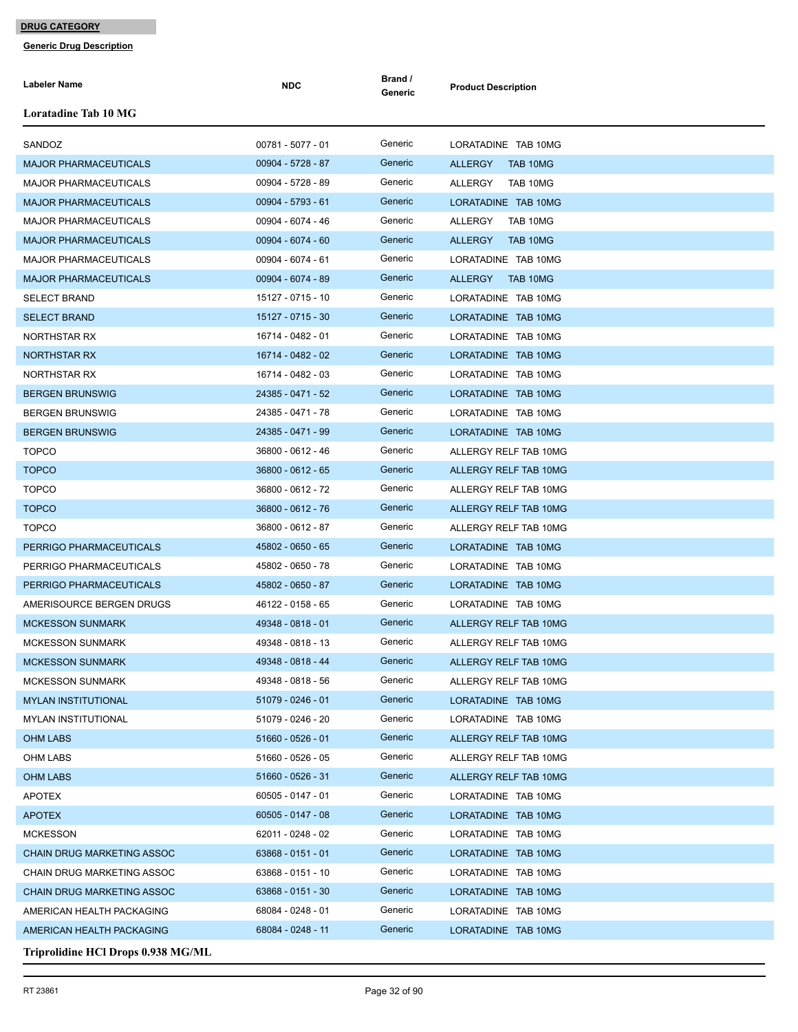| <b>Labeler Name</b>                | <b>NDC</b>          | Brand /<br>Generic | <b>Product Description</b> |
|------------------------------------|---------------------|--------------------|----------------------------|
| <b>Loratadine Tab 10 MG</b>        |                     |                    |                            |
| SANDOZ                             | 00781 - 5077 - 01   | Generic            | LORATADINE TAB 10MG        |
| <b>MAJOR PHARMACEUTICALS</b>       | 00904 - 5728 - 87   | Generic            | <b>ALLERGY</b><br>TAB 10MG |
| <b>MAJOR PHARMACEUTICALS</b>       | 00904 - 5728 - 89   | Generic            | ALLERGY<br>TAB 10MG        |
| <b>MAJOR PHARMACEUTICALS</b>       | 00904 - 5793 - 61   | Generic            | LORATADINE TAB 10MG        |
| <b>MAJOR PHARMACEUTICALS</b>       | 00904 - 6074 - 46   | Generic            | ALLERGY<br>TAB 10MG        |
| <b>MAJOR PHARMACEUTICALS</b>       | $00904 - 6074 - 60$ | Generic            | <b>ALLERGY</b><br>TAB 10MG |
| <b>MAJOR PHARMACEUTICALS</b>       | 00904 - 6074 - 61   | Generic            | LORATADINE TAB 10MG        |
| <b>MAJOR PHARMACEUTICALS</b>       | 00904 - 6074 - 89   | Generic            | ALLERGY<br>TAB 10MG        |
| <b>SELECT BRAND</b>                | 15127 - 0715 - 10   | Generic            | LORATADINE TAB 10MG        |
| <b>SELECT BRAND</b>                | 15127 - 0715 - 30   | Generic            | LORATADINE TAB 10MG        |
| NORTHSTAR RX                       | 16714 - 0482 - 01   | Generic            | LORATADINE TAB 10MG        |
| <b>NORTHSTAR RX</b>                | 16714 - 0482 - 02   | Generic            | LORATADINE TAB 10MG        |
| <b>NORTHSTAR RX</b>                | 16714 - 0482 - 03   | Generic            | LORATADINE TAB 10MG        |
| <b>BERGEN BRUNSWIG</b>             | 24385 - 0471 - 52   | Generic            | LORATADINE TAB 10MG        |
| <b>BERGEN BRUNSWIG</b>             | 24385 - 0471 - 78   | Generic            | LORATADINE TAB 10MG        |
| <b>BERGEN BRUNSWIG</b>             | 24385 - 0471 - 99   | Generic            | LORATADINE TAB 10MG        |
| <b>TOPCO</b>                       | 36800 - 0612 - 46   | Generic            | ALLERGY RELF TAB 10MG      |
| <b>TOPCO</b>                       | 36800 - 0612 - 65   | Generic            | ALLERGY RELF TAB 10MG      |
| <b>TOPCO</b>                       | 36800 - 0612 - 72   | Generic            | ALLERGY RELF TAB 10MG      |
| <b>TOPCO</b>                       | 36800 - 0612 - 76   | Generic            | ALLERGY RELF TAB 10MG      |
| <b>TOPCO</b>                       | 36800 - 0612 - 87   | Generic            | ALLERGY RELF TAB 10MG      |
| PERRIGO PHARMACEUTICALS            | 45802 - 0650 - 65   | Generic            | LORATADINE TAB 10MG        |
| PERRIGO PHARMACEUTICALS            | 45802 - 0650 - 78   | Generic            | LORATADINE TAB 10MG        |
| PERRIGO PHARMACEUTICALS            | 45802 - 0650 - 87   | Generic            | LORATADINE TAB 10MG        |
| AMERISOURCE BERGEN DRUGS           | 46122 - 0158 - 65   | Generic            | LORATADINE TAB 10MG        |
| <b>MCKESSON SUNMARK</b>            | 49348 - 0818 - 01   | Generic            | ALLERGY RELF TAB 10MG      |
| <b>MCKESSON SUNMARK</b>            | 49348 - 0818 - 13   | Generic            | ALLERGY RELF TAB 10MG      |
| <b>MCKESSON SUNMARK</b>            | 49348 - 0818 - 44   | Generic            | ALLERGY RELF TAB 10MG      |
| <b>MCKESSON SUNMARK</b>            | 49348 - 0818 - 56   | Generic            | ALLERGY RELF TAB 10MG      |
| <b>MYLAN INSTITUTIONAL</b>         | 51079 - 0246 - 01   | Generic            | LORATADINE TAB 10MG        |
| <b>MYLAN INSTITUTIONAL</b>         | 51079 - 0246 - 20   | Generic            | LORATADINE TAB 10MG        |
| <b>OHM LABS</b>                    | 51660 - 0526 - 01   | Generic            | ALLERGY RELF TAB 10MG      |
| OHM LABS                           | 51660 - 0526 - 05   | Generic            | ALLERGY RELF TAB 10MG      |
| OHM LABS                           | 51660 - 0526 - 31   | Generic            | ALLERGY RELF TAB 10MG      |
| APOTEX                             | 60505 - 0147 - 01   | Generic            | LORATADINE TAB 10MG        |
| <b>APOTEX</b>                      | 60505 - 0147 - 08   | Generic            | LORATADINE TAB 10MG        |
| <b>MCKESSON</b>                    | 62011 - 0248 - 02   | Generic            | LORATADINE TAB 10MG        |
| <b>CHAIN DRUG MARKETING ASSOC</b>  | 63868 - 0151 - 01   | Generic            | LORATADINE TAB 10MG        |
| CHAIN DRUG MARKETING ASSOC         | 63868 - 0151 - 10   | Generic            | LORATADINE TAB 10MG        |
| <b>CHAIN DRUG MARKETING ASSOC</b>  | 63868 - 0151 - 30   | Generic            | LORATADINE TAB 10MG        |
| AMERICAN HEALTH PACKAGING          | 68084 - 0248 - 01   | Generic            | LORATADINE TAB 10MG        |
| AMERICAN HEALTH PACKAGING          | 68084 - 0248 - 11   | Generic            | LORATADINE TAB 10MG        |
| Triprolidine HCl Drops 0.938 MG/ML |                     |                    |                            |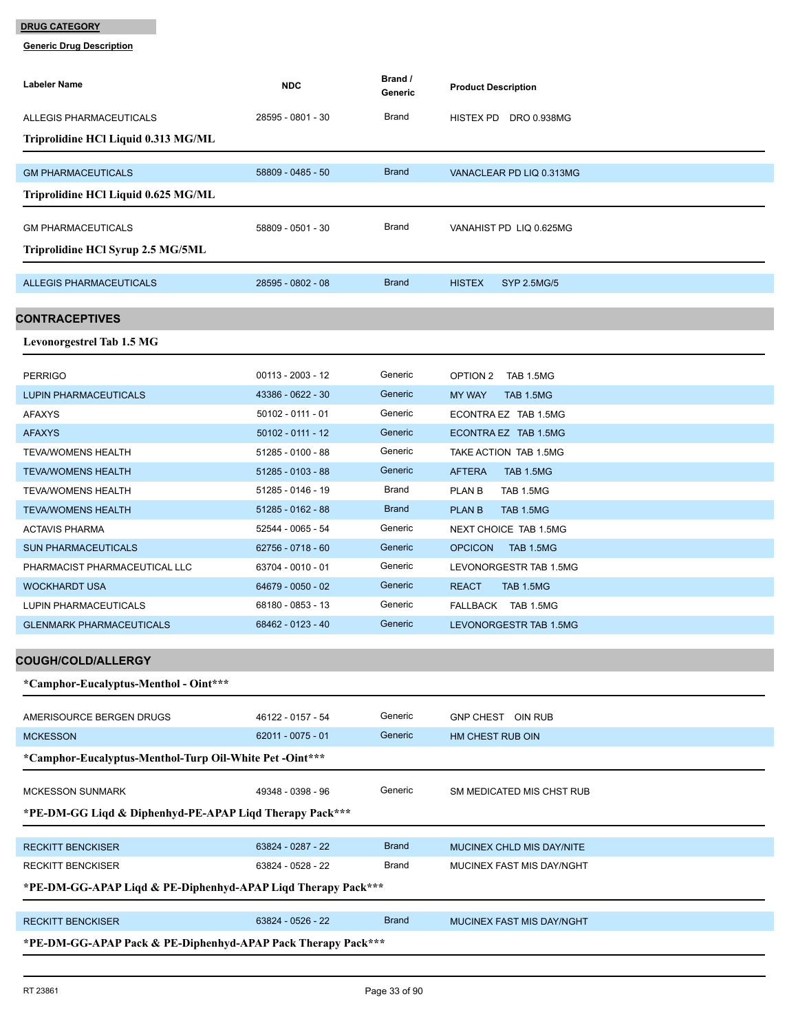| Labeler Name                                                 | <b>NDC</b>          | Brand /<br>Generic | <b>Product Description</b>          |  |  |
|--------------------------------------------------------------|---------------------|--------------------|-------------------------------------|--|--|
| ALLEGIS PHARMACEUTICALS                                      | 28595 - 0801 - 30   | Brand              | HISTEX PD DRO 0.938MG               |  |  |
| Triprolidine HCl Liquid 0.313 MG/ML                          |                     |                    |                                     |  |  |
|                                                              |                     |                    |                                     |  |  |
| <b>GM PHARMACEUTICALS</b>                                    | 58809 - 0485 - 50   | <b>Brand</b>       | VANACLEAR PD LIQ 0.313MG            |  |  |
| Triprolidine HCl Liquid 0.625 MG/ML                          |                     |                    |                                     |  |  |
| <b>GM PHARMACEUTICALS</b>                                    | 58809 - 0501 - 30   | Brand              | VANAHIST PD LIQ 0.625MG             |  |  |
| Triprolidine HCl Syrup 2.5 MG/5ML                            |                     |                    |                                     |  |  |
| <b>ALLEGIS PHARMACEUTICALS</b>                               | 28595 - 0802 - 08   | <b>Brand</b>       | <b>HISTEX</b><br><b>SYP 2.5MG/5</b> |  |  |
|                                                              |                     |                    |                                     |  |  |
| CONTRACEPTIVES                                               |                     |                    |                                     |  |  |
| <b>Levonorgestrel Tab 1.5 MG</b>                             |                     |                    |                                     |  |  |
| <b>PERRIGO</b>                                               | $00113 - 2003 - 12$ | Generic            | OPTION 2<br>TAB 1.5MG               |  |  |
| <b>LUPIN PHARMACEUTICALS</b>                                 | 43386 - 0622 - 30   | Generic            | <b>MY WAY</b><br>TAB 1.5MG          |  |  |
| <b>AFAXYS</b>                                                | $50102 - 0111 - 01$ | Generic            | ECONTRA EZ TAB 1.5MG                |  |  |
| <b>AFAXYS</b>                                                | $50102 - 0111 - 12$ | Generic            | ECONTRA EZ TAB 1.5MG                |  |  |
| <b>TEVA/WOMENS HEALTH</b>                                    | 51285 - 0100 - 88   | Generic            | TAKE ACTION TAB 1.5MG               |  |  |
| <b>TEVA/WOMENS HEALTH</b>                                    | 51285 - 0103 - 88   | Generic            | <b>AFTERA</b><br><b>TAB 1.5MG</b>   |  |  |
| <b>TEVA/WOMENS HEALTH</b>                                    | 51285 - 0146 - 19   | <b>Brand</b>       | PLAN B<br>TAB 1.5MG                 |  |  |
| <b>TEVA/WOMENS HEALTH</b>                                    | 51285 - 0162 - 88   | <b>Brand</b>       | <b>PLAN B</b><br>TAB 1.5MG          |  |  |
| <b>ACTAVIS PHARMA</b>                                        | 52544 - 0065 - 54   | Generic            | NEXT CHOICE TAB 1.5MG               |  |  |
| <b>SUN PHARMACEUTICALS</b>                                   | 62756 - 0718 - 60   | Generic            | <b>OPCICON</b><br>TAB 1.5MG         |  |  |
| PHARMACIST PHARMACEUTICAL LLC                                | 63704 - 0010 - 01   | Generic            | LEVONORGESTR TAB 1.5MG              |  |  |
| <b>WOCKHARDT USA</b>                                         | 64679 - 0050 - 02   | Generic            | <b>REACT</b><br>TAB 1.5MG           |  |  |
| <b>LUPIN PHARMACEUTICALS</b>                                 | 68180 - 0853 - 13   | Generic            | FALLBACK TAB 1.5MG                  |  |  |
| <b>GLENMARK PHARMACEUTICALS</b>                              | 68462 - 0123 - 40   | Generic            | LEVONORGESTR TAB 1.5MG              |  |  |
| COUGH/COLD/ALLERGY                                           |                     |                    |                                     |  |  |
| *Camphor-Eucalyptus-Menthol - Oint***                        |                     |                    |                                     |  |  |
|                                                              |                     |                    |                                     |  |  |
| AMERISOURCE BERGEN DRUGS                                     | 46122 - 0157 - 54   | Generic            | GNP CHEST OIN RUB                   |  |  |
| <b>MCKESSON</b>                                              | 62011 - 0075 - 01   | Generic            | HM CHEST RUB OIN                    |  |  |
| *Camphor-Eucalyptus-Menthol-Turp Oil-White Pet -Oint***      |                     |                    |                                     |  |  |
| <b>MCKESSON SUNMARK</b>                                      | 49348 - 0398 - 96   | Generic            | SM MEDICATED MIS CHST RUB           |  |  |
| *PE-DM-GG Liqd & Diphenhyd-PE-APAP Liqd Therapy Pack***      |                     |                    |                                     |  |  |
| <b>RECKITT BENCKISER</b>                                     | 63824 - 0287 - 22   | <b>Brand</b>       | MUCINEX CHLD MIS DAY/NITE           |  |  |
| RECKITT BENCKISER                                            | 63824 - 0528 - 22   | <b>Brand</b>       | MUCINEX FAST MIS DAY/NGHT           |  |  |
| *PE-DM-GG-APAP Liqd & PE-Diphenhyd-APAP Liqd Therapy Pack*** |                     |                    |                                     |  |  |
|                                                              |                     |                    |                                     |  |  |
| <b>RECKITT BENCKISER</b>                                     | 63824 - 0526 - 22   | <b>Brand</b>       | MUCINEX FAST MIS DAY/NGHT           |  |  |
| *PE-DM-GG-APAP Pack & PE-Diphenhyd-APAP Pack Therapy Pack*** |                     |                    |                                     |  |  |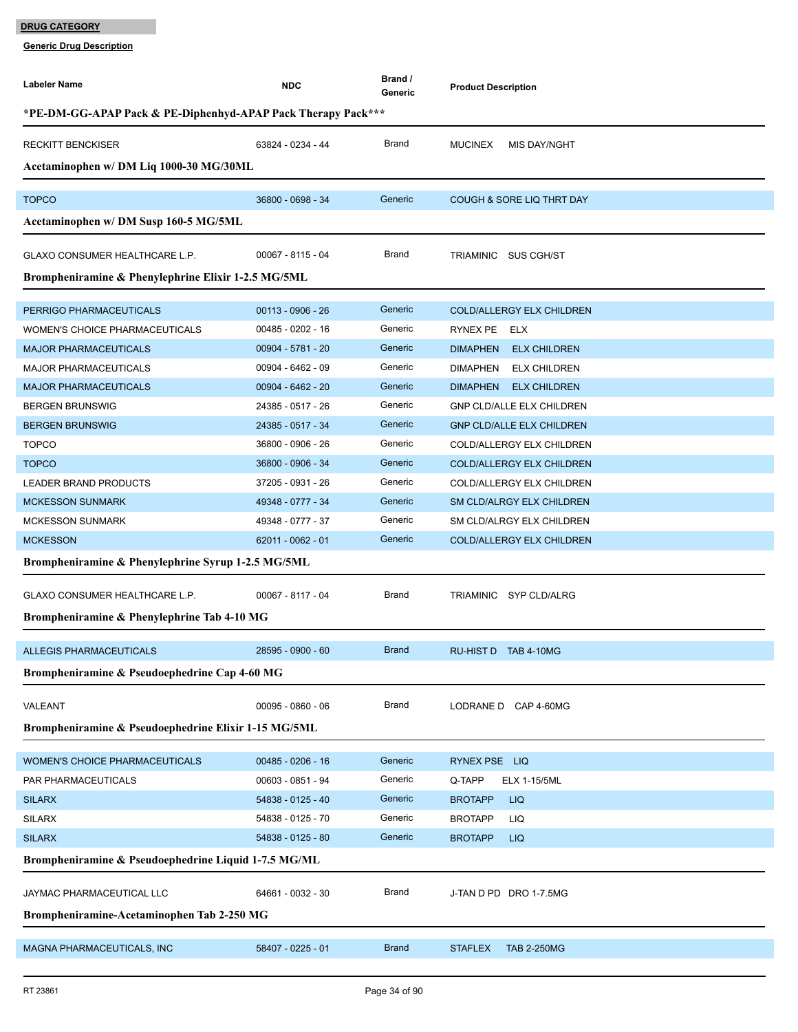| Labeler Name                                                 | <b>NDC</b>          | Brand /<br>Generic | <b>Product Description</b>             |  |  |  |
|--------------------------------------------------------------|---------------------|--------------------|----------------------------------------|--|--|--|
| *PE-DM-GG-APAP Pack & PE-Diphenhyd-APAP Pack Therapy Pack*** |                     |                    |                                        |  |  |  |
| <b>RECKITT BENCKISER</b>                                     | 63824 - 0234 - 44   | Brand              | <b>MUCINEX</b><br>MIS DAY/NGHT         |  |  |  |
| Acetaminophen w/ DM Liq 1000-30 MG/30ML                      |                     |                    |                                        |  |  |  |
| <b>TOPCO</b>                                                 | 36800 - 0698 - 34   | Generic            | <b>COUGH &amp; SORE LIQ THRT DAY</b>   |  |  |  |
| Acetaminophen w/ DM Susp 160-5 MG/5ML                        |                     |                    |                                        |  |  |  |
|                                                              |                     |                    |                                        |  |  |  |
| GLAXO CONSUMER HEALTHCARE L.P.                               | 00067 - 8115 - 04   | Brand              | TRIAMINIC SUS CGH/ST                   |  |  |  |
| Brompheniramine & Phenylephrine Elixir 1-2.5 MG/5ML          |                     |                    |                                        |  |  |  |
| PERRIGO PHARMACEUTICALS                                      | $00113 - 0906 - 26$ | Generic            | <b>COLD/ALLERGY ELX CHILDREN</b>       |  |  |  |
| WOMEN'S CHOICE PHARMACEUTICALS                               | 00485 - 0202 - 16   | Generic            | RYNEX PE ELX                           |  |  |  |
| <b>MAJOR PHARMACEUTICALS</b>                                 | 00904 - 5781 - 20   | Generic            | <b>ELX CHILDREN</b><br><b>DIMAPHEN</b> |  |  |  |
| MAJOR PHARMACEUTICALS                                        | 00904 - 6462 - 09   | Generic            | DIMAPHEN ELX CHILDREN                  |  |  |  |
| <b>MAJOR PHARMACEUTICALS</b>                                 | 00904 - 6462 - 20   | Generic            | DIMAPHEN ELX CHILDREN                  |  |  |  |
| <b>BERGEN BRUNSWIG</b>                                       | 24385 - 0517 - 26   | Generic            | <b>GNP CLD/ALLE ELX CHILDREN</b>       |  |  |  |
| <b>BERGEN BRUNSWIG</b>                                       | 24385 - 0517 - 34   | Generic            | <b>GNP CLD/ALLE ELX CHILDREN</b>       |  |  |  |
| <b>TOPCO</b>                                                 | 36800 - 0906 - 26   | Generic            | COLD/ALLERGY ELX CHILDREN              |  |  |  |
| <b>TOPCO</b>                                                 | 36800 - 0906 - 34   | Generic            | COLD/ALLERGY ELX CHILDREN              |  |  |  |
| LEADER BRAND PRODUCTS                                        | 37205 - 0931 - 26   | Generic            | COLD/ALLERGY ELX CHILDREN              |  |  |  |
| <b>MCKESSON SUNMARK</b>                                      | 49348 - 0777 - 34   | Generic            | SM CLD/ALRGY ELX CHILDREN              |  |  |  |
| <b>MCKESSON SUNMARK</b>                                      | 49348 - 0777 - 37   | Generic            | SM CLD/ALRGY ELX CHILDREN              |  |  |  |
| <b>MCKESSON</b>                                              | 62011 - 0062 - 01   | Generic            | <b>COLD/ALLERGY ELX CHILDREN</b>       |  |  |  |
| Brompheniramine & Phenylephrine Syrup 1-2.5 MG/5ML           |                     |                    |                                        |  |  |  |
| GLAXO CONSUMER HEALTHCARE L.P.                               | 00067 - 8117 - 04   | Brand              | TRIAMINIC SYP CLD/ALRG                 |  |  |  |
| Brompheniramine & Phenylephrine Tab 4-10 MG                  |                     |                    |                                        |  |  |  |
|                                                              |                     |                    |                                        |  |  |  |
| <b>ALLEGIS PHARMACEUTICALS</b>                               | 28595 - 0900 - 60   | <b>Brand</b>       | RU-HIST D TAB 4-10MG                   |  |  |  |
| Brompheniramine & Pseudoephedrine Cap 4-60 MG                |                     |                    |                                        |  |  |  |
| VALEANT                                                      | $00095 - 0860 - 06$ | Brand              | LODRANE D CAP 4-60MG                   |  |  |  |
| Brompheniramine & Pseudoephedrine Elixir 1-15 MG/5ML         |                     |                    |                                        |  |  |  |
| WOMEN'S CHOICE PHARMACEUTICALS                               | $00485 - 0206 - 16$ | Generic            | RYNEX PSE LIQ                          |  |  |  |
| PAR PHARMACEUTICALS                                          | 00603 - 0851 - 94   | Generic            | Q-TAPP<br><b>ELX 1-15/5ML</b>          |  |  |  |
| <b>SILARX</b>                                                | 54838 - 0125 - 40   | Generic            | <b>BROTAPP</b><br><b>LIQ</b>           |  |  |  |
| <b>SILARX</b>                                                | 54838 - 0125 - 70   | Generic            | <b>BROTAPP</b><br>LIQ                  |  |  |  |
| <b>SILARX</b>                                                | 54838 - 0125 - 80   | Generic            | <b>BROTAPP</b><br><b>LIQ</b>           |  |  |  |
| Brompheniramine & Pseudoephedrine Liquid 1-7.5 MG/ML         |                     |                    |                                        |  |  |  |
|                                                              |                     |                    |                                        |  |  |  |
| JAYMAC PHARMACEUTICAL LLC                                    | 64661 - 0032 - 30   | Brand              | J-TAN D PD DRO 1-7.5MG                 |  |  |  |
| Brompheniramine-Acetaminophen Tab 2-250 MG                   |                     |                    |                                        |  |  |  |
| MAGNA PHARMACEUTICALS, INC                                   | 58407 - 0225 - 01   | <b>Brand</b>       | <b>STAFLEX</b><br><b>TAB 2-250MG</b>   |  |  |  |
|                                                              |                     |                    |                                        |  |  |  |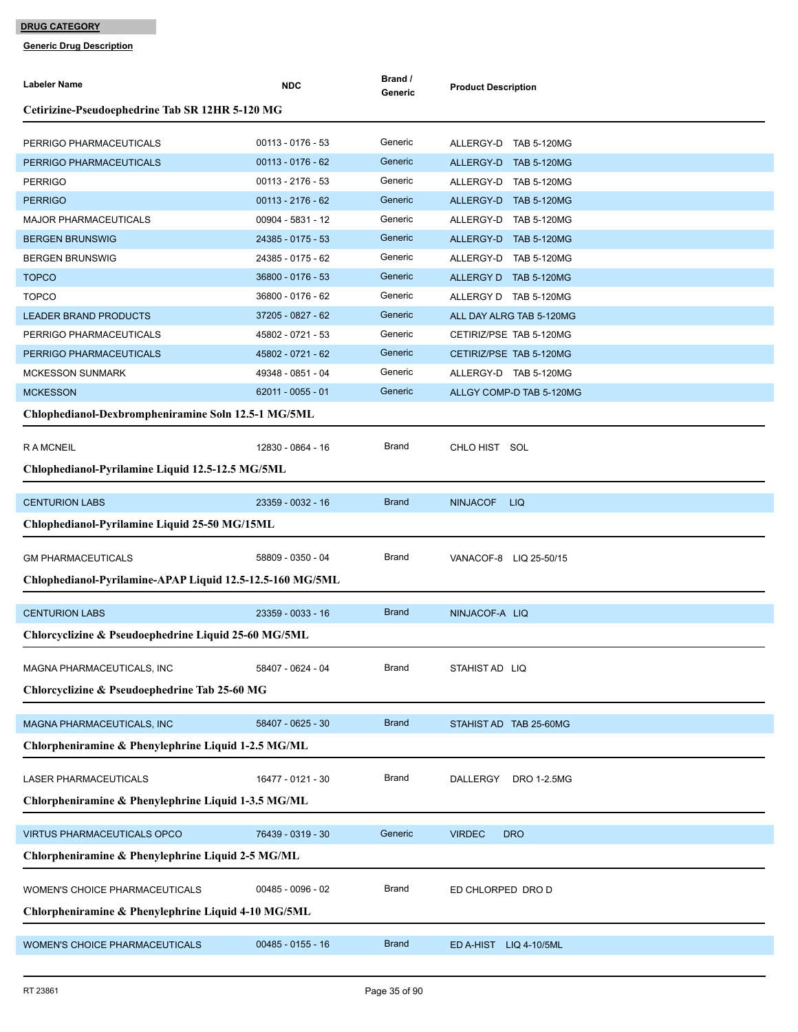| <b>Labeler Name</b>                                       | <b>NDC</b>                               | Brand /<br>Generic | <b>Product Description</b>                     |  |  |
|-----------------------------------------------------------|------------------------------------------|--------------------|------------------------------------------------|--|--|
| Cetirizine-Pseudoephedrine Tab SR 12HR 5-120 MG           |                                          |                    |                                                |  |  |
|                                                           |                                          |                    |                                                |  |  |
| PERRIGO PHARMACEUTICALS                                   | $00113 - 0176 - 53$                      | Generic            | ALLERGY-D TAB 5-120MG                          |  |  |
| PERRIGO PHARMACEUTICALS                                   | $00113 - 0176 - 62$                      | Generic            | ALLERGY-D TAB 5-120MG                          |  |  |
| <b>PERRIGO</b>                                            | 00113 - 2176 - 53                        | Generic            | ALLERGY-D TAB 5-120MG                          |  |  |
| <b>PERRIGO</b>                                            | $00113 - 2176 - 62$<br>00904 - 5831 - 12 | Generic<br>Generic | ALLERGY-D TAB 5-120MG                          |  |  |
| <b>MAJOR PHARMACEUTICALS</b>                              | 24385 - 0175 - 53                        | Generic            | ALLERGY-D TAB 5-120MG                          |  |  |
| <b>BERGEN BRUNSWIG</b><br><b>BERGEN BRUNSWIG</b>          | 24385 - 0175 - 62                        | Generic            | ALLERGY-D TAB 5-120MG<br>ALLERGY-D TAB 5-120MG |  |  |
| <b>TOPCO</b>                                              | 36800 - 0176 - 53                        | Generic            | ALLERGY D TAB 5-120MG                          |  |  |
| <b>TOPCO</b>                                              | 36800 - 0176 - 62                        | Generic            | ALLERGY D TAB 5-120MG                          |  |  |
| <b>LEADER BRAND PRODUCTS</b>                              | 37205 - 0827 - 62                        | Generic            | ALL DAY ALRG TAB 5-120MG                       |  |  |
| PERRIGO PHARMACEUTICALS                                   | 45802 - 0721 - 53                        | Generic            | CETIRIZ/PSE TAB 5-120MG                        |  |  |
| PERRIGO PHARMACEUTICALS                                   | 45802 - 0721 - 62                        | Generic            | CETIRIZ/PSE TAB 5-120MG                        |  |  |
| <b>MCKESSON SUNMARK</b>                                   | 49348 - 0851 - 04                        | Generic            | ALLERGY-D TAB 5-120MG                          |  |  |
| <b>MCKESSON</b>                                           | $62011 - 0055 - 01$                      | Generic            | ALLGY COMP-D TAB 5-120MG                       |  |  |
| Chlophedianol-Dexbrompheniramine Soln 12.5-1 MG/5ML       |                                          |                    |                                                |  |  |
|                                                           |                                          |                    |                                                |  |  |
| <b>RAMCNEIL</b>                                           | 12830 - 0864 - 16                        | Brand              | CHLO HIST SOL                                  |  |  |
| Chlophedianol-Pyrilamine Liquid 12.5-12.5 MG/5ML          |                                          |                    |                                                |  |  |
| <b>CENTURION LABS</b>                                     | 23359 - 0032 - 16                        | <b>Brand</b>       | <b>NINJACOF</b><br><b>LIQ</b>                  |  |  |
| Chlophedianol-Pyrilamine Liquid 25-50 MG/15ML             |                                          |                    |                                                |  |  |
|                                                           |                                          |                    |                                                |  |  |
| <b>GM PHARMACEUTICALS</b>                                 | 58809 - 0350 - 04                        | Brand              | VANACOF-8 LIQ 25-50/15                         |  |  |
| Chlophedianol-Pyrilamine-APAP Liquid 12.5-12.5-160 MG/5ML |                                          |                    |                                                |  |  |
| <b>CENTURION LABS</b>                                     | 23359 - 0033 - 16                        | <b>Brand</b>       | NINJACOF-A LIQ                                 |  |  |
| Chlorcyclizine & Pseudoephedrine Liquid 25-60 MG/5ML      |                                          |                    |                                                |  |  |
| MAGNA PHARMACEUTICALS, INC                                | 58407 - 0624 - 04                        | Brand              | STAHIST AD LIQ                                 |  |  |
| Chlorcyclizine & Pseudoephedrine Tab 25-60 MG             |                                          |                    |                                                |  |  |
| MAGNA PHARMACEUTICALS, INC                                | 58407 - 0625 - 30                        | <b>Brand</b>       | STAHIST AD TAB 25-60MG                         |  |  |
| Chlorpheniramine & Phenylephrine Liquid 1-2.5 MG/ML       |                                          |                    |                                                |  |  |
| LASER PHARMACEUTICALS                                     | 16477 - 0121 - 30                        | Brand              | DALLERGY<br>DRO 1-2.5MG                        |  |  |
| Chlorpheniramine & Phenylephrine Liquid 1-3.5 MG/ML       |                                          |                    |                                                |  |  |
|                                                           |                                          |                    |                                                |  |  |
| <b>VIRTUS PHARMACEUTICALS OPCO</b>                        | 76439 - 0319 - 30                        | Generic            | <b>DRO</b><br><b>VIRDEC</b>                    |  |  |
| Chlorpheniramine & Phenylephrine Liquid 2-5 MG/ML         |                                          |                    |                                                |  |  |
| WOMEN'S CHOICE PHARMACEUTICALS                            | 00485 - 0096 - 02                        | Brand              | ED CHLORPED DRO D                              |  |  |
| Chlorpheniramine & Phenylephrine Liquid 4-10 MG/5ML       |                                          |                    |                                                |  |  |
| WOMEN'S CHOICE PHARMACEUTICALS                            | $00485 - 0155 - 16$                      | <b>Brand</b>       | ED A-HIST LIQ 4-10/5ML                         |  |  |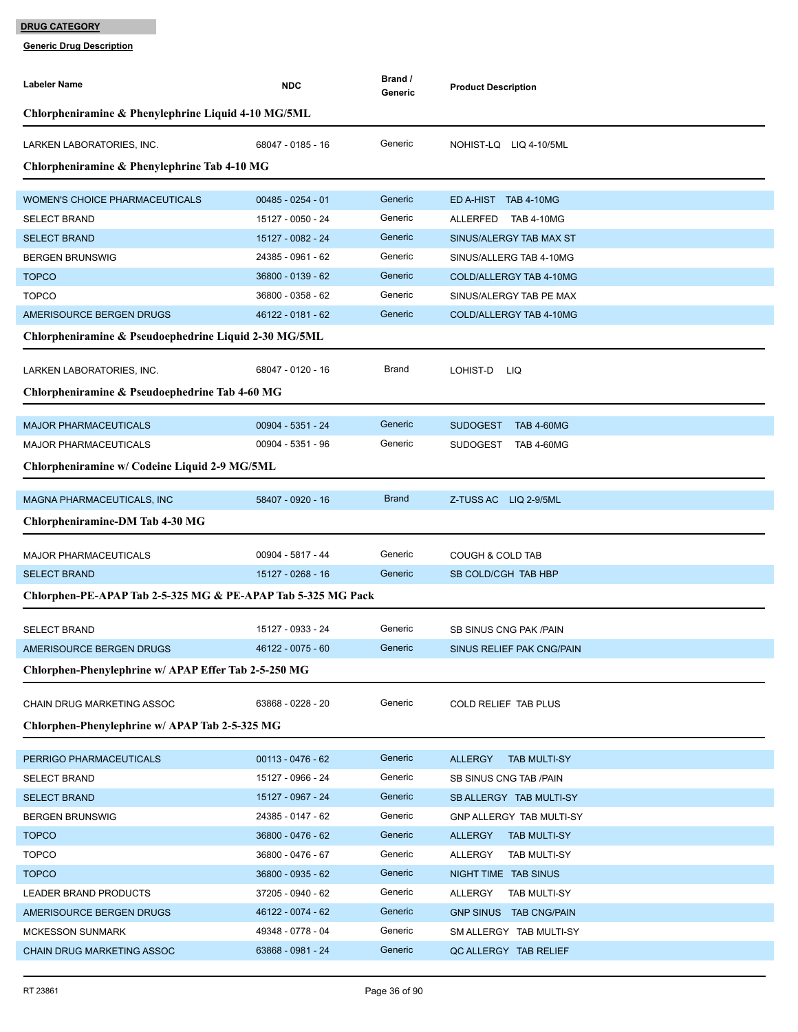| <b>Labeler Name</b>                                          | <b>NDC</b>          | Brand /<br>Generic | <b>Product Description</b>            |
|--------------------------------------------------------------|---------------------|--------------------|---------------------------------------|
| Chlorpheniramine & Phenylephrine Liquid 4-10 MG/5ML          |                     |                    |                                       |
| LARKEN LABORATORIES, INC.                                    | 68047 - 0185 - 16   | Generic            | NOHIST-LQ LIQ 4-10/5ML                |
| Chlorpheniramine & Phenylephrine Tab 4-10 MG                 |                     |                    |                                       |
| <b>WOMEN'S CHOICE PHARMACEUTICALS</b>                        | $00485 - 0254 - 01$ | Generic            | ED A-HIST TAB 4-10MG                  |
| <b>SELECT BRAND</b>                                          | 15127 - 0050 - 24   | Generic            | <b>TAB 4-10MG</b><br>ALLERFED         |
| <b>SELECT BRAND</b>                                          | 15127 - 0082 - 24   | Generic            | SINUS/ALERGY TAB MAX ST               |
| <b>BERGEN BRUNSWIG</b>                                       | 24385 - 0961 - 62   | Generic            | SINUS/ALLERG TAB 4-10MG               |
| <b>TOPCO</b>                                                 | 36800 - 0139 - 62   | Generic            | COLD/ALLERGY TAB 4-10MG               |
| <b>TOPCO</b>                                                 | 36800 - 0358 - 62   | Generic            | SINUS/ALERGY TAB PE MAX               |
| AMERISOURCE BERGEN DRUGS                                     | 46122 - 0181 - 62   | Generic            | COLD/ALLERGY TAB 4-10MG               |
| Chlorpheniramine & Pseudoephedrine Liquid 2-30 MG/5ML        |                     |                    |                                       |
| LARKEN LABORATORIES, INC.                                    | 68047 - 0120 - 16   | Brand              | LOHIST-D<br>LIQ                       |
| Chlorpheniramine & Pseudoephedrine Tab 4-60 MG               |                     |                    |                                       |
|                                                              |                     |                    |                                       |
| <b>MAJOR PHARMACEUTICALS</b>                                 | 00904 - 5351 - 24   | Generic            | <b>SUDOGEST</b><br><b>TAB 4-60MG</b>  |
| MAJOR PHARMACEUTICALS                                        | 00904 - 5351 - 96   | Generic            | SUDOGEST<br><b>TAB 4-60MG</b>         |
| Chlorpheniramine w/ Codeine Liquid 2-9 MG/5ML                |                     |                    |                                       |
| MAGNA PHARMACEUTICALS, INC                                   | 58407 - 0920 - 16   | <b>Brand</b>       | Z-TUSS AC LIQ 2-9/5ML                 |
| Chlorpheniramine-DM Tab 4-30 MG                              |                     |                    |                                       |
|                                                              |                     |                    |                                       |
| <b>MAJOR PHARMACEUTICALS</b>                                 | 00904 - 5817 - 44   | Generic            | <b>COUGH &amp; COLD TAB</b>           |
| <b>SELECT BRAND</b>                                          | 15127 - 0268 - 16   | Generic            | SB COLD/CGH TAB HBP                   |
| Chlorphen-PE-APAP Tab 2-5-325 MG & PE-APAP Tab 5-325 MG Pack |                     |                    |                                       |
| <b>SELECT BRAND</b>                                          | 15127 - 0933 - 24   | Generic            | SB SINUS CNG PAK / PAIN               |
| AMERISOURCE BERGEN DRUGS                                     | 46122 - 0075 - 60   | Generic            | SINUS RELIEF PAK CNG/PAIN             |
| Chlorphen-Phenylephrine w/ APAP Effer Tab 2-5-250 MG         |                     |                    |                                       |
| CHAIN DRUG MARKETING ASSOC                                   | 63868 - 0228 - 20   | Generic            | COLD RELIEF TAB PLUS                  |
| Chlorphen-Phenylephrine w/ APAP Tab 2-5-325 MG               |                     |                    |                                       |
|                                                              |                     |                    |                                       |
| PERRIGO PHARMACEUTICALS                                      | $00113 - 0476 - 62$ | Generic            | <b>ALLERGY</b><br><b>TAB MULTI-SY</b> |
| <b>SELECT BRAND</b>                                          | 15127 - 0966 - 24   | Generic            | SB SINUS CNG TAB / PAIN               |
| <b>SELECT BRAND</b>                                          | 15127 - 0967 - 24   | Generic            | SB ALLERGY TAB MULTI-SY               |
| <b>BERGEN BRUNSWIG</b>                                       | 24385 - 0147 - 62   | Generic            | GNP ALLERGY TAB MULTI-SY              |
| <b>TOPCO</b>                                                 | 36800 - 0476 - 62   | Generic            | <b>TAB MULTI-SY</b><br>ALLERGY        |
| <b>TOPCO</b>                                                 | 36800 - 0476 - 67   | Generic            | ALLERGY<br>TAB MULTI-SY               |
| <b>TOPCO</b>                                                 | 36800 - 0935 - 62   | Generic            | NIGHT TIME TAB SINUS                  |
| LEADER BRAND PRODUCTS                                        | 37205 - 0940 - 62   | Generic            | ALLERGY<br>TAB MULTI-SY               |
| AMERISOURCE BERGEN DRUGS                                     | 46122 - 0074 - 62   | Generic            | GNP SINUS TAB CNG/PAIN                |
| <b>MCKESSON SUNMARK</b>                                      | 49348 - 0778 - 04   | Generic            | SM ALLERGY TAB MULTI-SY               |
| CHAIN DRUG MARKETING ASSOC                                   | 63868 - 0981 - 24   | Generic            | QC ALLERGY TAB RELIEF                 |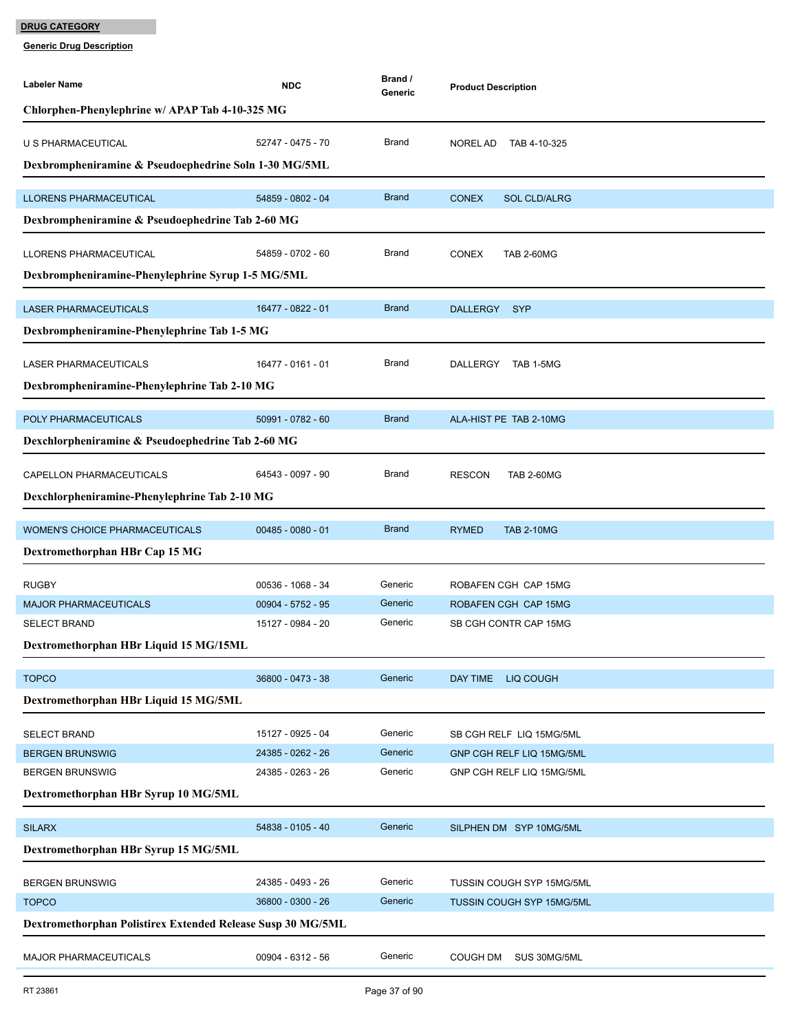| <b>Labeler Name</b>                                            | <b>NDC</b>                             | Brand /<br>Generic | <b>Product Description</b>          |
|----------------------------------------------------------------|----------------------------------------|--------------------|-------------------------------------|
| Chlorphen-Phenylephrine w/ APAP Tab 4-10-325 MG                |                                        |                    |                                     |
| U S PHARMACEUTICAL                                             | 52747 - 0475 - 70                      | <b>Brand</b>       | NOREL AD<br>TAB 4-10-325            |
| Dexbrompheniramine & Pseudoephedrine Soln 1-30 MG/5ML          |                                        |                    |                                     |
|                                                                |                                        |                    |                                     |
| <b>LLORENS PHARMACEUTICAL</b>                                  | 54859 - 0802 - 04                      | <b>Brand</b>       | <b>CONEX</b><br><b>SOL CLD/ALRG</b> |
| Dexbrompheniramine & Pseudoephedrine Tab 2-60 MG               |                                        |                    |                                     |
| LLORENS PHARMACEUTICAL                                         | 54859 - 0702 - 60                      | <b>Brand</b>       | <b>CONEX</b><br><b>TAB 2-60MG</b>   |
| Dexbrompheniramine-Phenylephrine Syrup 1-5 MG/5ML              |                                        |                    |                                     |
| <b>LASER PHARMACEUTICALS</b>                                   | 16477 - 0822 - 01                      | <b>Brand</b>       | DALLERGY SYP                        |
| Dexbrompheniramine-Phenylephrine Tab 1-5 MG                    |                                        |                    |                                     |
| LASER PHARMACEUTICALS                                          | 16477 - 0161 - 01                      | <b>Brand</b>       | DALLERGY TAB 1-5MG                  |
| Dexbrompheniramine-Phenylephrine Tab 2-10 MG                   |                                        |                    |                                     |
|                                                                |                                        |                    |                                     |
| POLY PHARMACEUTICALS                                           | 50991 - 0782 - 60                      | <b>Brand</b>       | ALA-HIST PE TAB 2-10MG              |
| Dexchlorpheniramine & Pseudoephedrine Tab 2-60 MG              |                                        |                    |                                     |
| CAPELLON PHARMACEUTICALS                                       | 64543 - 0097 - 90                      | <b>Brand</b>       | <b>RESCON</b><br><b>TAB 2-60MG</b>  |
| Dexchlorpheniramine-Phenylephrine Tab 2-10 MG                  |                                        |                    |                                     |
| WOMEN'S CHOICE PHARMACEUTICALS                                 | $00485 - 0080 - 01$                    | <b>Brand</b>       | <b>RYMED</b><br><b>TAB 2-10MG</b>   |
| Dextromethorphan HBr Cap 15 MG                                 |                                        |                    |                                     |
| <b>RUGBY</b>                                                   | 00536 - 1068 - 34                      | Generic            | ROBAFEN CGH CAP 15MG                |
| <b>MAJOR PHARMACEUTICALS</b>                                   | 00904 - 5752 - 95                      | Generic            | ROBAFEN CGH CAP 15MG                |
| <b>SELECT BRAND</b>                                            | 15127 - 0984 - 20                      | Generic            | SB CGH CONTR CAP 15MG               |
| Dextromethorphan HBr Liquid 15 MG/15ML                         |                                        |                    |                                     |
| <b>TOPCO</b>                                                   | 36800 - 0473 - 38                      | Generic            | <b>DAY TIME</b><br>LIQ COUGH        |
| Dextromethorphan HBr Liquid 15 MG/5ML                          |                                        |                    |                                     |
|                                                                |                                        |                    |                                     |
| <b>SELECT BRAND</b>                                            | 15127 - 0925 - 04                      | Generic            | SB CGH RELF LIQ 15MG/5ML            |
| <b>BERGEN BRUNSWIG</b>                                         | 24385 - 0262 - 26<br>24385 - 0263 - 26 | Generic<br>Generic | GNP CGH RELF LIQ 15MG/5ML           |
| <b>BERGEN BRUNSWIG</b><br>Dextromethorphan HBr Syrup 10 MG/5ML |                                        |                    | GNP CGH RELF LIQ 15MG/5ML           |
|                                                                |                                        |                    |                                     |
| <b>SILARX</b>                                                  | 54838 - 0105 - 40                      | Generic            | SILPHEN DM SYP 10MG/5ML             |
| Dextromethorphan HBr Syrup 15 MG/5ML                           |                                        |                    |                                     |
| <b>BERGEN BRUNSWIG</b>                                         | 24385 - 0493 - 26                      | Generic            | TUSSIN COUGH SYP 15MG/5ML           |
| <b>TOPCO</b>                                                   | 36800 - 0300 - 26                      | Generic            | <b>TUSSIN COUGH SYP 15MG/5ML</b>    |
| Dextromethorphan Polistirex Extended Release Susp 30 MG/5ML    |                                        |                    |                                     |
| <b>MAJOR PHARMACEUTICALS</b>                                   | 00904 - 6312 - 56                      | Generic            | SUS 30MG/5ML<br><b>COUGH DM</b>     |
|                                                                |                                        |                    |                                     |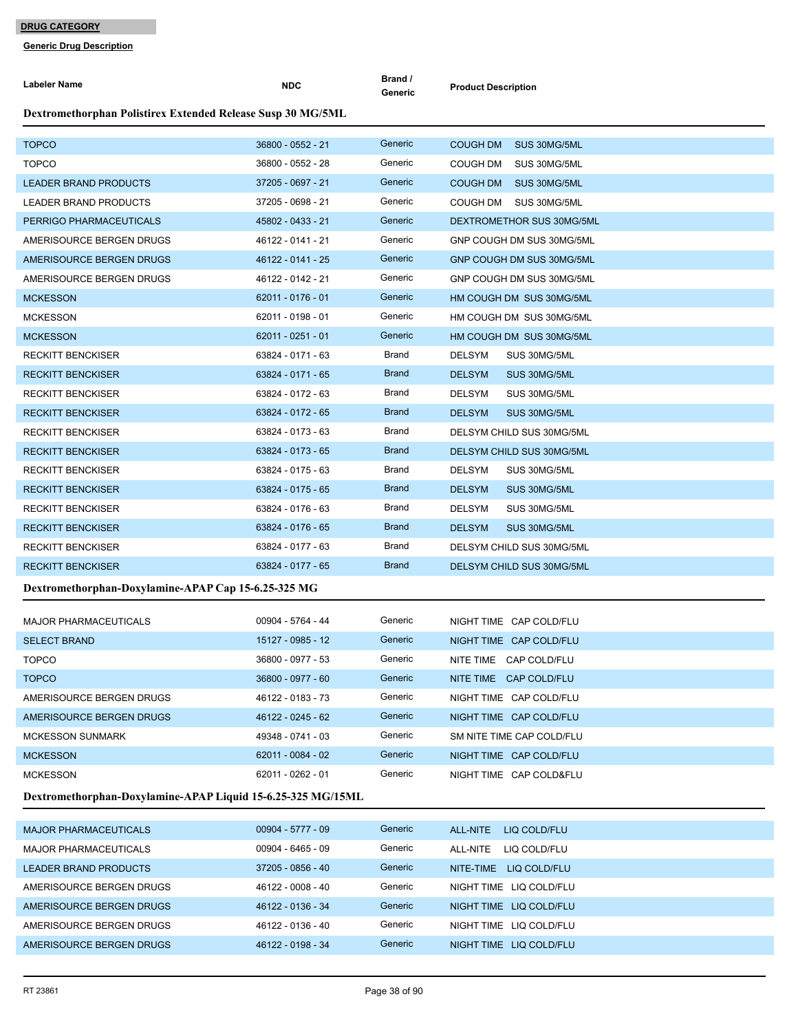**Generic Drug Description**

| Labeler Name                                                | <b>NDC</b>        | Brand /<br>Generic | <b>Product Description</b>      |
|-------------------------------------------------------------|-------------------|--------------------|---------------------------------|
| Dextromethorphan Polistirex Extended Release Susp 30 MG/5ML |                   |                    |                                 |
| <b>TOPCO</b>                                                | 36800 - 0552 - 21 | Generic            | <b>COUGH DM</b><br>SUS 30MG/5ML |
| <b>TOPCO</b>                                                | 36800 - 0552 - 28 | Generic            | COUGH DM<br>SUS 30MG/5ML        |
| <b>LEADER BRAND PRODUCTS</b>                                | 37205 - 0697 - 21 | Generic            | <b>COUGH DM</b><br>SUS 30MG/5ML |
| <b>LEADER BRAND PRODUCTS</b>                                | 37205 - 0698 - 21 | Generic            | COUGH DM<br>SUS 30MG/5ML        |
| PERRIGO PHARMACEUTICALS                                     | 45802 - 0433 - 21 | Generic            | DEXTROMETHOR SUS 30MG/5ML       |
| AMERISOURCE BERGEN DRUGS                                    | 46122 - 0141 - 21 | Generic            | GNP COUGH DM SUS 30MG/5ML       |
| AMERISOURCE BERGEN DRUGS                                    | 46122 - 0141 - 25 | Generic            | GNP COUGH DM SUS 30MG/5ML       |
| AMERISOURCE BERGEN DRUGS                                    | 46122 - 0142 - 21 | Generic            | GNP COUGH DM SUS 30MG/5ML       |
| <b>MCKESSON</b>                                             | 62011 - 0176 - 01 | Generic            | HM COUGH DM SUS 30MG/5ML        |
| <b>MCKESSON</b>                                             | 62011 - 0198 - 01 | Generic            | HM COUGH DM SUS 30MG/5ML        |
| <b>MCKESSON</b>                                             | 62011 - 0251 - 01 | Generic            | HM COUGH DM SUS 30MG/5ML        |
| <b>RECKITT BENCKISER</b>                                    | 63824 - 0171 - 63 | Brand              | <b>DELSYM</b><br>SUS 30MG/5ML   |
| <b>RECKITT BENCKISER</b>                                    | 63824 - 0171 - 65 | <b>Brand</b>       | <b>DELSYM</b><br>SUS 30MG/5ML   |
| <b>RECKITT BENCKISER</b>                                    | 63824 - 0172 - 63 | Brand              | <b>DELSYM</b><br>SUS 30MG/5ML   |
| <b>RECKITT BENCKISER</b>                                    | 63824 - 0172 - 65 | <b>Brand</b>       | <b>DELSYM</b><br>SUS 30MG/5ML   |
| <b>RECKITT BENCKISER</b>                                    | 63824 - 0173 - 63 | Brand              | DELSYM CHILD SUS 30MG/5ML       |
| <b>RECKITT BENCKISER</b>                                    | 63824 - 0173 - 65 | <b>Brand</b>       | DELSYM CHILD SUS 30MG/5ML       |
| <b>RECKITT BENCKISER</b>                                    | 63824 - 0175 - 63 | Brand              | <b>DELSYM</b><br>SUS 30MG/5ML   |
| <b>RECKITT BENCKISER</b>                                    | 63824 - 0175 - 65 | <b>Brand</b>       | <b>DELSYM</b><br>SUS 30MG/5ML   |
| <b>RECKITT BENCKISER</b>                                    | 63824 - 0176 - 63 | Brand              | <b>DELSYM</b><br>SUS 30MG/5ML   |
| <b>RECKITT BENCKISER</b>                                    | 63824 - 0176 - 65 | <b>Brand</b>       | <b>DELSYM</b><br>SUS 30MG/5ML   |
| <b>RECKITT BENCKISER</b>                                    | 63824 - 0177 - 63 | Brand              | DELSYM CHILD SUS 30MG/5ML       |
| <b>RECKITT BENCKISER</b>                                    | 63824 - 0177 - 65 | <b>Brand</b>       | DELSYM CHILD SUS 30MG/5ML       |
| Dextromethorphan-Doxylamine-APAP Cap 15-6.25-325 MG         |                   |                    |                                 |
| <b>MAJOR PHARMACEUTICALS</b>                                | 00904 - 5764 - 44 | Generic            | NIGHT TIME CAP COLD/FLU         |
| <b>SELECT BRAND</b>                                         | 15127 - 0985 - 12 | Generic            | NIGHT TIME CAP COLD/FLU         |
| <b>TOPCO</b>                                                | 36800 - 0977 - 53 | Generic            | NITE TIME CAP COLD/FLU          |
| <b>TOPCO</b>                                                | 36800 - 0977 - 60 | Generic            | NITE TIME CAP COLD/FLU          |
| AMERISOURCE BERGEN DRUGS                                    | 46122 - 0183 - 73 | Generic            | NIGHT TIME CAP COLD/FLU         |
| AMERISOURCE BERGEN DRUGS                                    | 46122 - 0245 - 62 | Generic            | NIGHT TIME CAP COLD/FLU         |
| <b>MCKESSON SUNMARK</b>                                     | 49348 - 0741 - 03 | Generic            | SM NITE TIME CAP COLD/FLU       |
| <b>MCKESSON</b>                                             | 62011 - 0084 - 02 | Generic            | NIGHT TIME CAP COLD/FLU         |
| <b>MCKESSON</b>                                             | 62011 - 0262 - 01 | Generic            | NIGHT TIME CAP COLD&FLU         |
| Dextromethorphan-Doxylamine-APAP Liquid 15-6.25-325 MG/15ML |                   |                    |                                 |
| <b>MAJOR PHARMACEUTICALS</b>                                | 00904 - 5777 - 09 | Generic            | LIQ COLD/FLU<br>ALL-NITE        |
| <b>MAJOR PHARMACEUTICALS</b>                                | 00904 - 6465 - 09 | Generic            | LIQ COLD/FLU<br>ALL-NITE        |
| LEADER BRAND PRODUCTS                                       | 37205 - 0856 - 40 | Generic            | NITE-TIME LIQ COLD/FLU          |
| AMERISOURCE BERGEN DRUGS                                    | 46122 - 0008 - 40 | Generic            | NIGHT TIME LIQ COLD/FLU         |
| AMERISOURCE BERGEN DRUGS                                    | 46122 - 0136 - 34 | Generic            | NIGHT TIME LIQ COLD/FLU         |
| AMERISOURCE BERGEN DRUGS                                    | 46122 - 0136 - 40 | Generic            | NIGHT TIME LIQ COLD/FLU         |

AMERISOURCE BERGEN DRUGS 46122 - 0198 - 34 Generic NIGHT TIME LIQ COLD/FLU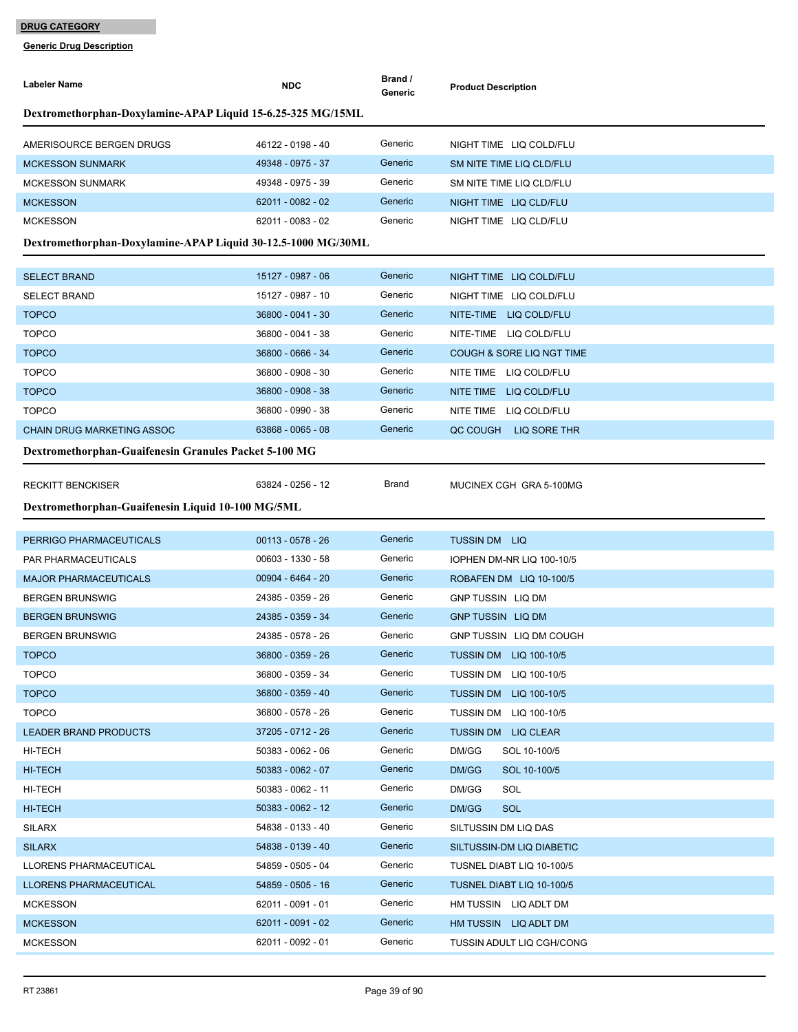| <b>Labeler Name</b>                                          | <b>NDC</b>          | Brand /<br>Generic | <b>Product Description</b>    |
|--------------------------------------------------------------|---------------------|--------------------|-------------------------------|
| Dextromethorphan-Doxylamine-APAP Liquid 15-6.25-325 MG/15ML  |                     |                    |                               |
| AMERISOURCE BERGEN DRUGS                                     | 46122 - 0198 - 40   | Generic            | NIGHT TIME LIQ COLD/FLU       |
| <b>MCKESSON SUNMARK</b>                                      | 49348 - 0975 - 37   | Generic            | SM NITE TIME LIQ CLD/FLU      |
| <b>MCKESSON SUNMARK</b>                                      | 49348 - 0975 - 39   | Generic            | SM NITE TIME LIQ CLD/FLU      |
| <b>MCKESSON</b>                                              | 62011 - 0082 - 02   | Generic            | NIGHT TIME LIQ CLD/FLU        |
| <b>MCKESSON</b>                                              | 62011 - 0083 - 02   | Generic            | NIGHT TIME LIQ CLD/FLU        |
| Dextromethorphan-Doxylamine-APAP Liquid 30-12.5-1000 MG/30ML |                     |                    |                               |
| <b>SELECT BRAND</b>                                          | 15127 - 0987 - 06   | Generic            | NIGHT TIME LIQ COLD/FLU       |
| <b>SELECT BRAND</b>                                          | 15127 - 0987 - 10   | Generic            | NIGHT TIME LIQ COLD/FLU       |
| <b>TOPCO</b>                                                 | 36800 - 0041 - 30   | Generic            | NITE-TIME LIQ COLD/FLU        |
| <b>TOPCO</b>                                                 | 36800 - 0041 - 38   | Generic            | NITE-TIME LIQ COLD/FLU        |
| <b>TOPCO</b>                                                 | 36800 - 0666 - 34   | Generic            | COUGH & SORE LIQ NGT TIME     |
| <b>TOPCO</b>                                                 | 36800 - 0908 - 30   | Generic            | NITE TIME LIQ COLD/FLU        |
| <b>TOPCO</b>                                                 | 36800 - 0908 - 38   | Generic            | NITE TIME LIQ COLD/FLU        |
| <b>TOPCO</b>                                                 | 36800 - 0990 - 38   | Generic            | NITE TIME LIQ COLD/FLU        |
| <b>CHAIN DRUG MARKETING ASSOC</b>                            | 63868 - 0065 - 08   | Generic            | QC COUGH LIQ SORE THR         |
| Dextromethorphan-Guaifenesin Granules Packet 5-100 MG        |                     |                    |                               |
| <b>RECKITT BENCKISER</b>                                     | 63824 - 0256 - 12   | Brand              | MUCINEX CGH GRA 5-100MG       |
| Dextromethorphan-Guaifenesin Liquid 10-100 MG/5ML            |                     |                    |                               |
| PERRIGO PHARMACEUTICALS                                      | $00113 - 0578 - 26$ | Generic            | <b>TUSSIN DM LIQ</b>          |
| PAR PHARMACEUTICALS                                          | 00603 - 1330 - 58   | Generic            | IOPHEN DM-NR LIQ 100-10/5     |
| <b>MAJOR PHARMACEUTICALS</b>                                 | 00904 - 6464 - 20   | Generic            | ROBAFEN DM LIQ 10-100/5       |
| <b>BERGEN BRUNSWIG</b>                                       | 24385 - 0359 - 26   | Generic            | <b>GNP TUSSIN LIQ DM</b>      |
| <b>BERGEN BRUNSWIG</b>                                       | 24385 - 0359 - 34   | Generic            | <b>GNP TUSSIN LIQ DM</b>      |
| <b>BERGEN BRUNSWIG</b>                                       | 24385 - 0578 - 26   | Generic            | GNP TUSSIN LIQ DM COUGH       |
| TOPCO                                                        | 36800 - 0359 - 26   | Generic            | TUSSIN DM LIQ 100-10/5        |
| <b>TOPCO</b>                                                 | 36800 - 0359 - 34   | Generic            | <b>TUSSIN DM LIQ 100-10/5</b> |
| <b>TOPCO</b>                                                 | 36800 - 0359 - 40   | Generic            | <b>TUSSIN DM LIQ 100-10/5</b> |
| <b>TOPCO</b>                                                 | 36800 - 0578 - 26   | Generic            | TUSSIN DM LIQ 100-10/5        |
| <b>LEADER BRAND PRODUCTS</b>                                 | 37205 - 0712 - 26   | Generic            | TUSSIN DM LIQ CLEAR           |
| HI-TECH                                                      | 50383 - 0062 - 06   | Generic            | DM/GG<br>SOL 10-100/5         |
| <b>HI-TECH</b>                                               | 50383 - 0062 - 07   | Generic            | DM/GG<br>SOL 10-100/5         |
| HI-TECH                                                      | 50383 - 0062 - 11   | Generic            | DM/GG<br>SOL                  |
| HI-TECH                                                      | 50383 - 0062 - 12   | Generic            | DM/GG<br>SOL                  |
| SILARX                                                       | 54838 - 0133 - 40   | Generic            | SILTUSSIN DM LIQ DAS          |
| <b>SILARX</b>                                                |                     |                    |                               |
| LLORENS PHARMACEUTICAL                                       | 54838 - 0139 - 40   | Generic            | SILTUSSIN-DM LIQ DIABETIC     |
|                                                              | 54859 - 0505 - 04   | Generic            | TUSNEL DIABT LIQ 10-100/5     |
| LLORENS PHARMACEUTICAL                                       | 54859 - 0505 - 16   | Generic            | TUSNEL DIABT LIQ 10-100/5     |
| <b>MCKESSON</b>                                              | 62011 - 0091 - 01   | Generic            | HM TUSSIN LIQ ADLT DM         |
| <b>MCKESSON</b>                                              | 62011 - 0091 - 02   | Generic            | HM TUSSIN LIQ ADLT DM         |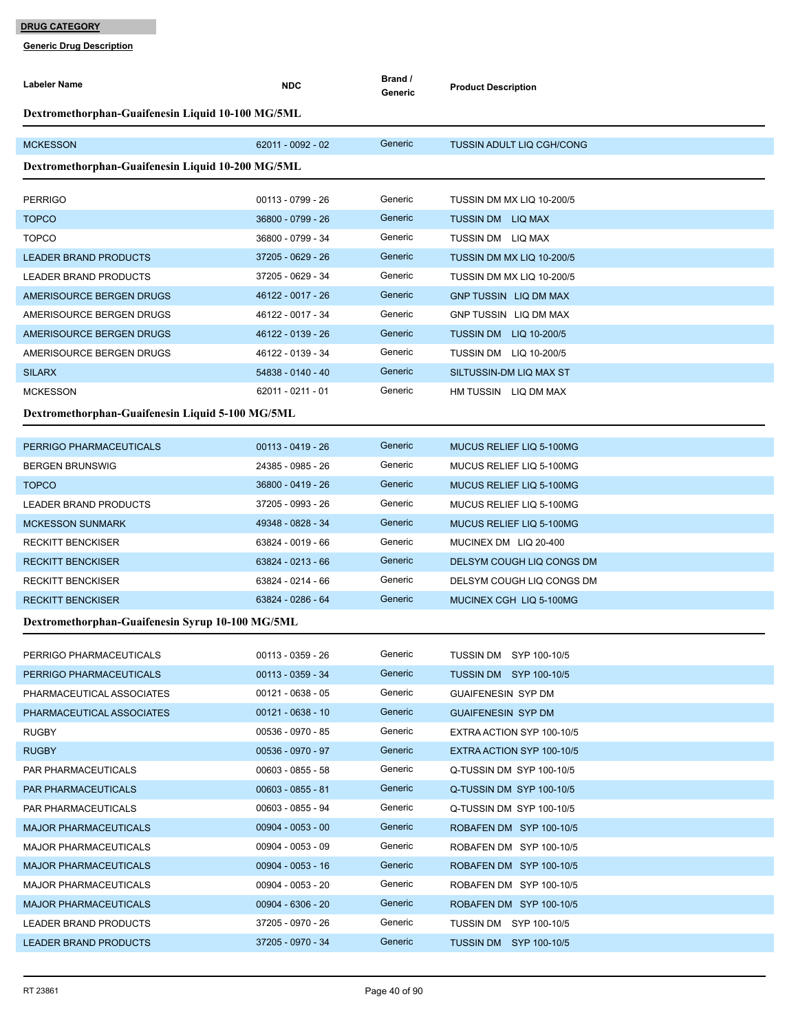| Dextromethorphan-Guaifenesin Liquid 10-100 MG/5ML<br>62011 - 0092 - 02<br>Generic<br><b>MCKESSON</b><br><b>TUSSIN ADULT LIQ CGH/CONG</b><br>Dextromethorphan-Guaifenesin Liquid 10-200 MG/5ML<br>00113 - 0799 - 26<br>Generic<br><b>PERRIGO</b><br>TUSSIN DM MX LIQ 10-200/5<br>Generic<br>36800 - 0799 - 26<br><b>TOPCO</b><br>TUSSIN DM LIQ MAX<br><b>TOPCO</b><br>36800 - 0799 - 34<br>Generic<br>TUSSIN DM LIQ MAX<br>37205 - 0629 - 26<br>Generic<br><b>LEADER BRAND PRODUCTS</b><br>TUSSIN DM MX LIQ 10-200/5<br>Generic<br>LEADER BRAND PRODUCTS<br>37205 - 0629 - 34<br>TUSSIN DM MX LIQ 10-200/5<br>Generic<br>46122 - 0017 - 26<br>AMERISOURCE BERGEN DRUGS<br>GNP TUSSIN LIQ DM MAX<br>Generic<br>46122 - 0017 - 34<br>AMERISOURCE BERGEN DRUGS<br>GNP TUSSIN LIQ DM MAX | <b>Labeler Name</b> | <b>NDC</b> | Brand /<br>Generic | <b>Product Description</b> |
|-------------------------------------------------------------------------------------------------------------------------------------------------------------------------------------------------------------------------------------------------------------------------------------------------------------------------------------------------------------------------------------------------------------------------------------------------------------------------------------------------------------------------------------------------------------------------------------------------------------------------------------------------------------------------------------------------------------------------------------------------------------------------------------|---------------------|------------|--------------------|----------------------------|
|                                                                                                                                                                                                                                                                                                                                                                                                                                                                                                                                                                                                                                                                                                                                                                                     |                     |            |                    |                            |
|                                                                                                                                                                                                                                                                                                                                                                                                                                                                                                                                                                                                                                                                                                                                                                                     |                     |            |                    |                            |
|                                                                                                                                                                                                                                                                                                                                                                                                                                                                                                                                                                                                                                                                                                                                                                                     |                     |            |                    |                            |
|                                                                                                                                                                                                                                                                                                                                                                                                                                                                                                                                                                                                                                                                                                                                                                                     |                     |            |                    |                            |
|                                                                                                                                                                                                                                                                                                                                                                                                                                                                                                                                                                                                                                                                                                                                                                                     |                     |            |                    |                            |
|                                                                                                                                                                                                                                                                                                                                                                                                                                                                                                                                                                                                                                                                                                                                                                                     |                     |            |                    |                            |
|                                                                                                                                                                                                                                                                                                                                                                                                                                                                                                                                                                                                                                                                                                                                                                                     |                     |            |                    |                            |
|                                                                                                                                                                                                                                                                                                                                                                                                                                                                                                                                                                                                                                                                                                                                                                                     |                     |            |                    |                            |
|                                                                                                                                                                                                                                                                                                                                                                                                                                                                                                                                                                                                                                                                                                                                                                                     |                     |            |                    |                            |
|                                                                                                                                                                                                                                                                                                                                                                                                                                                                                                                                                                                                                                                                                                                                                                                     |                     |            |                    |                            |
| 46122 - 0139 - 26<br>Generic<br><b>TUSSIN DM LIQ 10-200/5</b><br>AMERISOURCE BERGEN DRUGS                                                                                                                                                                                                                                                                                                                                                                                                                                                                                                                                                                                                                                                                                           |                     |            |                    |                            |
| Generic<br>AMERISOURCE BERGEN DRUGS<br>46122 - 0139 - 34<br><b>TUSSIN DM LIQ 10-200/5</b>                                                                                                                                                                                                                                                                                                                                                                                                                                                                                                                                                                                                                                                                                           |                     |            |                    |                            |
| Generic<br><b>SILARX</b><br>54838 - 0140 - 40<br>SILTUSSIN-DM LIQ MAX ST                                                                                                                                                                                                                                                                                                                                                                                                                                                                                                                                                                                                                                                                                                            |                     |            |                    |                            |
| Generic<br>62011 - 0211 - 01<br><b>MCKESSON</b><br>HM TUSSIN LIQ DM MAX                                                                                                                                                                                                                                                                                                                                                                                                                                                                                                                                                                                                                                                                                                             |                     |            |                    |                            |
| Dextromethorphan-Guaifenesin Liquid 5-100 MG/5ML                                                                                                                                                                                                                                                                                                                                                                                                                                                                                                                                                                                                                                                                                                                                    |                     |            |                    |                            |
| Generic<br>PERRIGO PHARMACEUTICALS<br>$00113 - 0419 - 26$<br>MUCUS RELIEF LIQ 5-100MG                                                                                                                                                                                                                                                                                                                                                                                                                                                                                                                                                                                                                                                                                               |                     |            |                    |                            |
| Generic<br>24385 - 0985 - 26                                                                                                                                                                                                                                                                                                                                                                                                                                                                                                                                                                                                                                                                                                                                                        |                     |            |                    |                            |
| <b>BERGEN BRUNSWIG</b><br>MUCUS RELIEF LIQ 5-100MG<br>36800 - 0419 - 26<br>Generic<br><b>TOPCO</b>                                                                                                                                                                                                                                                                                                                                                                                                                                                                                                                                                                                                                                                                                  |                     |            |                    |                            |
| MUCUS RELIEF LIQ 5-100MG<br><b>LEADER BRAND PRODUCTS</b><br>37205 - 0993 - 26<br>Generic<br>MUCUS RELIEF LIQ 5-100MG                                                                                                                                                                                                                                                                                                                                                                                                                                                                                                                                                                                                                                                                |                     |            |                    |                            |
| 49348 - 0828 - 34<br>Generic                                                                                                                                                                                                                                                                                                                                                                                                                                                                                                                                                                                                                                                                                                                                                        |                     |            |                    |                            |
| <b>MCKESSON SUNMARK</b><br>MUCUS RELIEF LIQ 5-100MG<br>Generic<br>63824 - 0019 - 66                                                                                                                                                                                                                                                                                                                                                                                                                                                                                                                                                                                                                                                                                                 |                     |            |                    |                            |
| <b>RECKITT BENCKISER</b><br>MUCINEX DM LIQ 20-400<br>Generic                                                                                                                                                                                                                                                                                                                                                                                                                                                                                                                                                                                                                                                                                                                        |                     |            |                    |                            |
| 63824 - 0213 - 66<br><b>RECKITT BENCKISER</b><br>DELSYM COUGH LIQ CONGS DM<br>63824 - 0214 - 66<br>Generic<br>DELSYM COUGH LIQ CONGS DM                                                                                                                                                                                                                                                                                                                                                                                                                                                                                                                                                                                                                                             |                     |            |                    |                            |
| <b>RECKITT BENCKISER</b><br>Generic                                                                                                                                                                                                                                                                                                                                                                                                                                                                                                                                                                                                                                                                                                                                                 |                     |            |                    |                            |
| 63824 - 0286 - 64<br><b>RECKITT BENCKISER</b><br>MUCINEX CGH LIQ 5-100MG                                                                                                                                                                                                                                                                                                                                                                                                                                                                                                                                                                                                                                                                                                            |                     |            |                    |                            |
| Dextromethorphan-Guaifenesin Syrup 10-100 MG/5ML                                                                                                                                                                                                                                                                                                                                                                                                                                                                                                                                                                                                                                                                                                                                    |                     |            |                    |                            |
| PERRIGO PHARMACEUTICALS<br>00113 - 0359 - 26<br>Generic<br>TUSSIN DM SYP 100-10/5                                                                                                                                                                                                                                                                                                                                                                                                                                                                                                                                                                                                                                                                                                   |                     |            |                    |                            |
| Generic<br>$00113 - 0359 - 34$<br><b>TUSSIN DM SYP 100-10/5</b><br>PERRIGO PHARMACEUTICALS                                                                                                                                                                                                                                                                                                                                                                                                                                                                                                                                                                                                                                                                                          |                     |            |                    |                            |
| Generic<br>$00121 - 0638 - 05$<br><b>GUAIFENESIN SYP DM</b><br>PHARMACEUTICAL ASSOCIATES                                                                                                                                                                                                                                                                                                                                                                                                                                                                                                                                                                                                                                                                                            |                     |            |                    |                            |
| Generic<br>$00121 - 0638 - 10$<br>PHARMACEUTICAL ASSOCIATES<br><b>GUAIFENESIN SYP DM</b>                                                                                                                                                                                                                                                                                                                                                                                                                                                                                                                                                                                                                                                                                            |                     |            |                    |                            |
| Generic<br><b>RUGBY</b><br>00536 - 0970 - 85<br>EXTRA ACTION SYP 100-10/5                                                                                                                                                                                                                                                                                                                                                                                                                                                                                                                                                                                                                                                                                                           |                     |            |                    |                            |
| 00536 - 0970 - 97<br>Generic<br><b>RUGBY</b><br>EXTRA ACTION SYP 100-10/5                                                                                                                                                                                                                                                                                                                                                                                                                                                                                                                                                                                                                                                                                                           |                     |            |                    |                            |
| Generic<br>00603 - 0855 - 58<br>PAR PHARMACEUTICALS<br>Q-TUSSIN DM SYP 100-10/5                                                                                                                                                                                                                                                                                                                                                                                                                                                                                                                                                                                                                                                                                                     |                     |            |                    |                            |
| Generic<br>$00603 - 0855 - 81$<br>Q-TUSSIN DM SYP 100-10/5<br>PAR PHARMACEUTICALS                                                                                                                                                                                                                                                                                                                                                                                                                                                                                                                                                                                                                                                                                                   |                     |            |                    |                            |
| Generic<br>00603 - 0855 - 94<br>PAR PHARMACEUTICALS<br>Q-TUSSIN DM SYP 100-10/5                                                                                                                                                                                                                                                                                                                                                                                                                                                                                                                                                                                                                                                                                                     |                     |            |                    |                            |
| Generic<br><b>MAJOR PHARMACEUTICALS</b><br>$00904 - 0053 - 00$<br>ROBAFEN DM SYP 100-10/5                                                                                                                                                                                                                                                                                                                                                                                                                                                                                                                                                                                                                                                                                           |                     |            |                    |                            |
| Generic<br><b>MAJOR PHARMACEUTICALS</b><br>$00904 - 0053 - 09$<br>ROBAFEN DM SYP 100-10/5                                                                                                                                                                                                                                                                                                                                                                                                                                                                                                                                                                                                                                                                                           |                     |            |                    |                            |
| Generic<br>$00904 - 0053 - 16$<br><b>MAJOR PHARMACEUTICALS</b><br>ROBAFEN DM SYP 100-10/5                                                                                                                                                                                                                                                                                                                                                                                                                                                                                                                                                                                                                                                                                           |                     |            |                    |                            |
| Generic<br>00904 - 0053 - 20<br><b>MAJOR PHARMACEUTICALS</b><br>ROBAFEN DM SYP 100-10/5                                                                                                                                                                                                                                                                                                                                                                                                                                                                                                                                                                                                                                                                                             |                     |            |                    |                            |
| Generic<br>00904 - 6306 - 20<br><b>MAJOR PHARMACEUTICALS</b><br>ROBAFEN DM SYP 100-10/5                                                                                                                                                                                                                                                                                                                                                                                                                                                                                                                                                                                                                                                                                             |                     |            |                    |                            |
| Generic<br>LEADER BRAND PRODUCTS<br>37205 - 0970 - 26<br>TUSSIN DM SYP 100-10/5                                                                                                                                                                                                                                                                                                                                                                                                                                                                                                                                                                                                                                                                                                     |                     |            |                    |                            |
| Generic<br>LEADER BRAND PRODUCTS<br>37205 - 0970 - 34<br><b>TUSSIN DM SYP 100-10/5</b>                                                                                                                                                                                                                                                                                                                                                                                                                                                                                                                                                                                                                                                                                              |                     |            |                    |                            |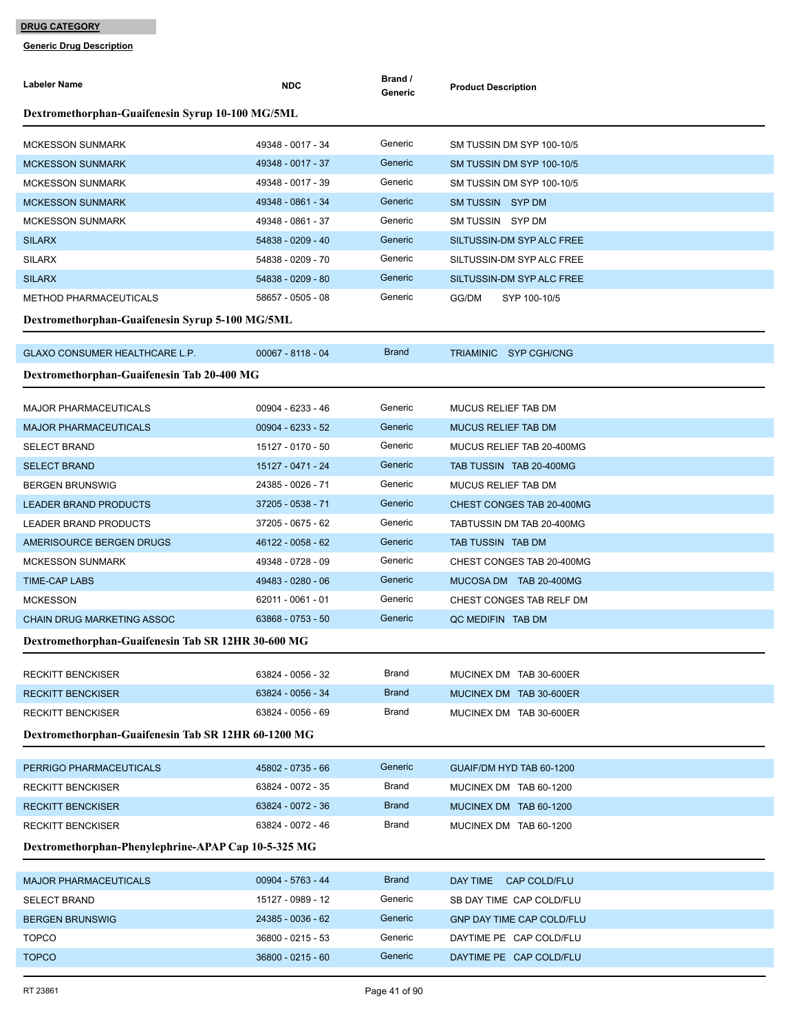| <b>Labeler Name</b>                                 | <b>NDC</b>                             | Brand /<br>Generic      | <b>Product Description</b>       |
|-----------------------------------------------------|----------------------------------------|-------------------------|----------------------------------|
| Dextromethorphan-Guaifenesin Syrup 10-100 MG/5ML    |                                        |                         |                                  |
| <b>MCKESSON SUNMARK</b>                             | 49348 - 0017 - 34                      | Generic                 | SM TUSSIN DM SYP 100-10/5        |
| <b>MCKESSON SUNMARK</b>                             | 49348 - 0017 - 37                      | Generic                 | SM TUSSIN DM SYP 100-10/5        |
| <b>MCKESSON SUNMARK</b>                             | 49348 - 0017 - 39                      | Generic                 | SM TUSSIN DM SYP 100-10/5        |
| <b>MCKESSON SUNMARK</b>                             | 49348 - 0861 - 34                      | Generic                 | SM TUSSIN SYP DM                 |
| <b>MCKESSON SUNMARK</b>                             | 49348 - 0861 - 37                      | Generic                 | SM TUSSIN SYP DM                 |
| <b>SILARX</b>                                       | 54838 - 0209 - 40                      | Generic                 | SILTUSSIN-DM SYP ALC FREE        |
| <b>SILARX</b>                                       | 54838 - 0209 - 70                      | Generic                 | SILTUSSIN-DM SYP ALC FREE        |
| <b>SILARX</b>                                       | 54838 - 0209 - 80                      | Generic                 | SILTUSSIN-DM SYP ALC FREE        |
| <b>METHOD PHARMACEUTICALS</b>                       | 58657 - 0505 - 08                      | Generic                 | GG/DM<br>SYP 100-10/5            |
| Dextromethorphan-Guaifenesin Syrup 5-100 MG/5ML     |                                        |                         |                                  |
| GLAXO CONSUMER HEALTHCARE L.P.                      | $00067 - 8118 - 04$                    | <b>Brand</b>            | TRIAMINIC SYP CGH/CNG            |
| Dextromethorphan-Guaifenesin Tab 20-400 MG          |                                        |                         |                                  |
|                                                     |                                        |                         |                                  |
| <b>MAJOR PHARMACEUTICALS</b>                        | 00904 - 6233 - 46                      | Generic                 | MUCUS RELIEF TAB DM              |
| <b>MAJOR PHARMACEUTICALS</b>                        | 00904 - 6233 - 52                      | Generic                 | <b>MUCUS RELIEF TAB DM</b>       |
| <b>SELECT BRAND</b>                                 | 15127 - 0170 - 50                      | Generic                 | MUCUS RELIEF TAB 20-400MG        |
| <b>SELECT BRAND</b>                                 | 15127 - 0471 - 24                      | Generic                 | TAB TUSSIN TAB 20-400MG          |
| <b>BERGEN BRUNSWIG</b>                              | 24385 - 0026 - 71                      | Generic                 | MUCUS RELIEF TAB DM              |
| <b>LEADER BRAND PRODUCTS</b>                        | 37205 - 0538 - 71                      | Generic                 | CHEST CONGES TAB 20-400MG        |
| LEADER BRAND PRODUCTS                               | 37205 - 0675 - 62                      | Generic                 | TABTUSSIN DM TAB 20-400MG        |
| AMERISOURCE BERGEN DRUGS                            | 46122 - 0058 - 62                      | Generic                 | TAB TUSSIN TAB DM                |
| <b>MCKESSON SUNMARK</b>                             | 49348 - 0728 - 09                      | Generic                 | CHEST CONGES TAB 20-400MG        |
| <b>TIME-CAP LABS</b>                                | 49483 - 0280 - 06                      | Generic                 | MUCOSA DM TAB 20-400MG           |
| <b>MCKESSON</b>                                     | 62011 - 0061 - 01                      | Generic                 | CHEST CONGES TAB RELF DM         |
| <b>CHAIN DRUG MARKETING ASSOC</b>                   | 63868 - 0753 - 50                      | Generic                 | QC MEDIFIN TAB DM                |
| Dextromethorphan-Guaifenesin Tab SR 12HR 30-600 MG  |                                        |                         |                                  |
| <b>RECKITT BENCKISER</b>                            | 63824 - 0056 - 32                      | Brand                   | MUCINEX DM TAB 30-600ER          |
| <b>RECKITT BENCKISER</b>                            | 63824 - 0056 - 34                      | <b>Brand</b>            | MUCINEX DM TAB 30-600ER          |
| <b>RECKITT BENCKISER</b>                            | 63824 - 0056 - 69                      | Brand                   | MUCINEX DM TAB 30-600ER          |
| Dextromethorphan-Guaifenesin Tab SR 12HR 60-1200 MG |                                        |                         |                                  |
| PERRIGO PHARMACEUTICALS                             | 45802 - 0735 - 66                      | Generic                 | GUAIF/DM HYD TAB 60-1200         |
| <b>RECKITT BENCKISER</b>                            | 63824 - 0072 - 35                      | Brand                   | MUCINEX DM TAB 60-1200           |
| <b>RECKITT BENCKISER</b>                            | 63824 - 0072 - 36                      | <b>Brand</b>            | MUCINEX DM TAB 60-1200           |
| <b>RECKITT BENCKISER</b>                            | 63824 - 0072 - 46                      | Brand                   | MUCINEX DM TAB 60-1200           |
| Dextromethorphan-Phenylephrine-APAP Cap 10-5-325 MG |                                        |                         |                                  |
|                                                     |                                        |                         |                                  |
| <b>MAJOR PHARMACEUTICALS</b>                        | 00904 - 5763 - 44<br>15127 - 0989 - 12 | <b>Brand</b><br>Generic | DAY TIME<br>CAP COLD/FLU         |
| <b>SELECT BRAND</b>                                 |                                        | Generic                 | SB DAY TIME CAP COLD/FLU         |
| <b>BERGEN BRUNSWIG</b>                              | 24385 - 0036 - 62                      | Generic                 | <b>GNP DAY TIME CAP COLD/FLU</b> |
| <b>TOPCO</b>                                        | 36800 - 0215 - 53                      | Generic                 | DAYTIME PE CAP COLD/FLU          |
| <b>TOPCO</b>                                        | 36800 - 0215 - 60                      |                         | DAYTIME PE CAP COLD/FLU          |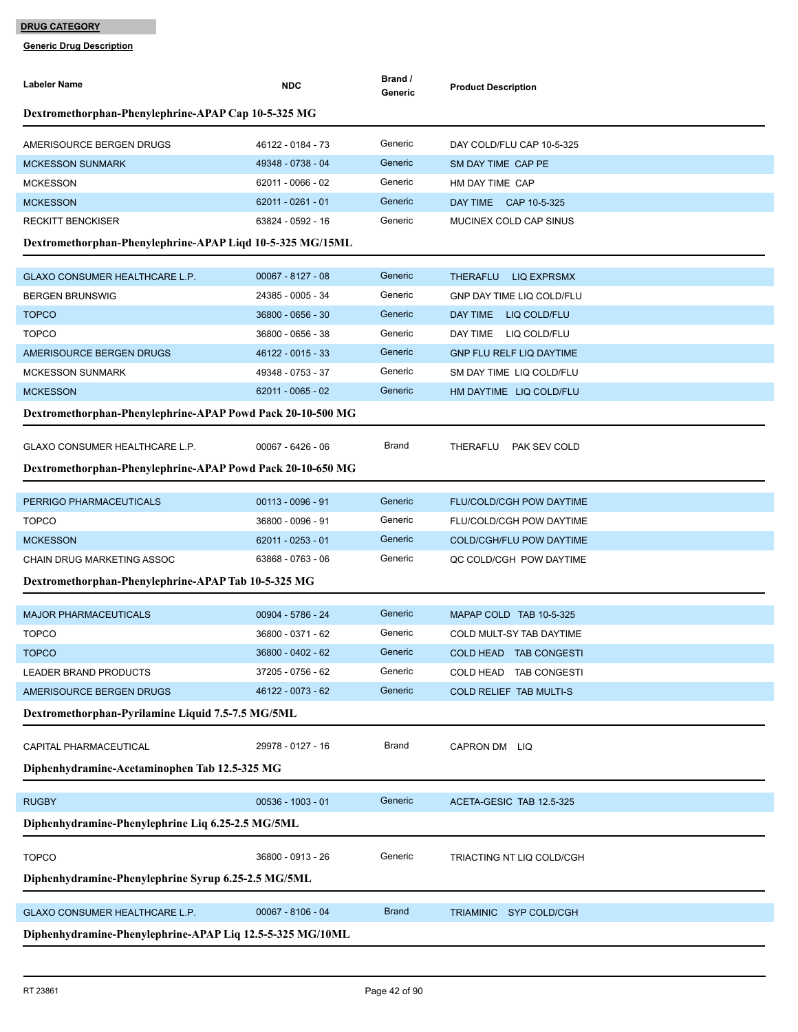| <b>Labeler Name</b>                                        | <b>NDC</b>          | Brand /<br>Generic | <b>Product Description</b>       |
|------------------------------------------------------------|---------------------|--------------------|----------------------------------|
| Dextromethorphan-Phenylephrine-APAP Cap 10-5-325 MG        |                     |                    |                                  |
| AMERISOURCE BERGEN DRUGS                                   | 46122 - 0184 - 73   | Generic            | DAY COLD/FLU CAP 10-5-325        |
| <b>MCKESSON SUNMARK</b>                                    | 49348 - 0738 - 04   | Generic            | SM DAY TIME CAP PE               |
| <b>MCKESSON</b>                                            | 62011 - 0066 - 02   | Generic            | HM DAY TIME CAP                  |
| <b>MCKESSON</b>                                            | 62011 - 0261 - 01   | Generic            | DAY TIME CAP 10-5-325            |
| <b>RECKITT BENCKISER</b>                                   | 63824 - 0592 - 16   | Generic            | MUCINEX COLD CAP SINUS           |
| Dextromethorphan-Phenylephrine-APAP Liqd 10-5-325 MG/15ML  |                     |                    |                                  |
| GLAXO CONSUMER HEALTHCARE L.P.                             | 00067 - 8127 - 08   | Generic            | <b>THERAFLU</b><br>LIQ EXPRSMX   |
| <b>BERGEN BRUNSWIG</b>                                     | 24385 - 0005 - 34   | Generic            | <b>GNP DAY TIME LIQ COLD/FLU</b> |
| <b>TOPCO</b>                                               | 36800 - 0656 - 30   | Generic            | DAY TIME<br>LIQ COLD/FLU         |
| <b>TOPCO</b>                                               | 36800 - 0656 - 38   | Generic            | DAY TIME LIQ COLD/FLU            |
| AMERISOURCE BERGEN DRUGS                                   | 46122 - 0015 - 33   | Generic            | <b>GNP FLU RELF LIQ DAYTIME</b>  |
| <b>MCKESSON SUNMARK</b>                                    | 49348 - 0753 - 37   | Generic            | SM DAY TIME LIQ COLD/FLU         |
| <b>MCKESSON</b>                                            | $62011 - 0065 - 02$ | Generic            | HM DAYTIME LIQ COLD/FLU          |
| Dextromethorphan-Phenylephrine-APAP Powd Pack 20-10-500 MG |                     |                    |                                  |
| GLAXO CONSUMER HEALTHCARE L.P.                             | $00067 - 6426 - 06$ | Brand              | PAK SEV COLD<br>THERAFLU         |
| Dextromethorphan-Phenylephrine-APAP Powd Pack 20-10-650 MG |                     |                    |                                  |
| PERRIGO PHARMACEUTICALS                                    | $00113 - 0096 - 91$ | Generic            | <b>FLU/COLD/CGH POW DAYTIME</b>  |
| <b>TOPCO</b>                                               | 36800 - 0096 - 91   | Generic            | FLU/COLD/CGH POW DAYTIME         |
| <b>MCKESSON</b>                                            | 62011 - 0253 - 01   | Generic            | COLD/CGH/FLU POW DAYTIME         |
| CHAIN DRUG MARKETING ASSOC                                 | 63868 - 0763 - 06   | Generic            | QC COLD/CGH POW DAYTIME          |
| Dextromethorphan-Phenylephrine-APAP Tab 10-5-325 MG        |                     |                    |                                  |
|                                                            |                     |                    |                                  |
| <b>MAJOR PHARMACEUTICALS</b>                               | 00904 - 5786 - 24   | Generic            | MAPAP COLD TAB 10-5-325          |
| <b>TOPCO</b>                                               | 36800 - 0371 - 62   | Generic            | COLD MULT-SY TAB DAYTIME         |
| <b>TOPCO</b>                                               | 36800 - 0402 - 62   | Generic            | COLD HEAD TAB CONGESTI           |
| LEADER BRAND PRODUCTS                                      | 37205 - 0756 - 62   | Generic            | COLD HEAD TAB CONGESTI           |
| AMERISOURCE BERGEN DRUGS                                   | 46122 - 0073 - 62   | Generic            | COLD RELIEF TAB MULTI-S          |
| Dextromethorphan-Pyrilamine Liquid 7.5-7.5 MG/5ML          |                     |                    |                                  |
| CAPITAL PHARMACEUTICAL                                     | 29978 - 0127 - 16   | <b>Brand</b>       | CAPRON DM LIQ                    |
| Diphenhydramine-Acetaminophen Tab 12.5-325 MG              |                     |                    |                                  |
| <b>RUGBY</b>                                               | $00536 - 1003 - 01$ | Generic            | ACETA-GESIC TAB 12.5-325         |
| Diphenhydramine-Phenylephrine Liq 6.25-2.5 MG/5ML          |                     |                    |                                  |
|                                                            |                     |                    |                                  |
| <b>TOPCO</b>                                               | 36800 - 0913 - 26   | Generic            | TRIACTING NT LIQ COLD/CGH        |
| Diphenhydramine-Phenylephrine Syrup 6.25-2.5 MG/5ML        |                     |                    |                                  |
| GLAXO CONSUMER HEALTHCARE L.P.                             | 00067 - 8106 - 04   | <b>Brand</b>       | TRIAMINIC SYP COLD/CGH           |
| Diphenhydramine-Phenylephrine-APAP Liq 12.5-5-325 MG/10ML  |                     |                    |                                  |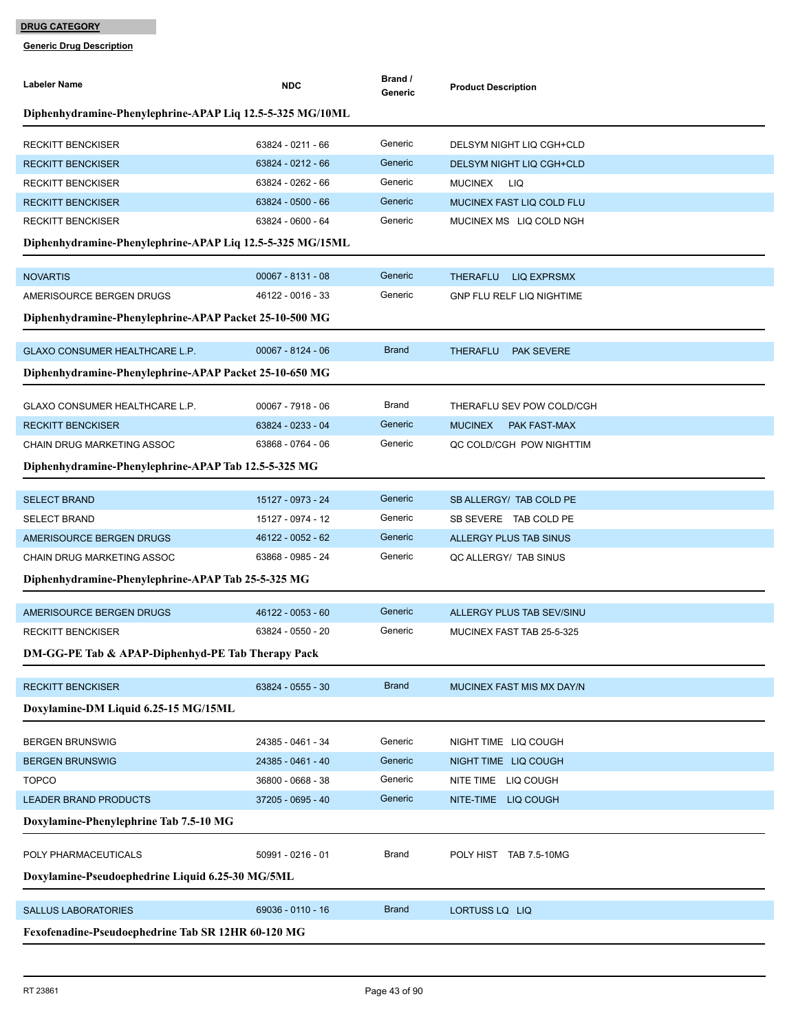| <b>Labeler Name</b>                                       | <b>NDC</b>          | Brand /<br>Generic | <b>Product Description</b>            |
|-----------------------------------------------------------|---------------------|--------------------|---------------------------------------|
| Diphenhydramine-Phenylephrine-APAP Liq 12.5-5-325 MG/10ML |                     |                    |                                       |
| <b>RECKITT BENCKISER</b>                                  | 63824 - 0211 - 66   | Generic            | DELSYM NIGHT LIQ CGH+CLD              |
| <b>RECKITT BENCKISER</b>                                  | 63824 - 0212 - 66   | Generic            | DELSYM NIGHT LIQ CGH+CLD              |
| <b>RECKITT BENCKISER</b>                                  | 63824 - 0262 - 66   | Generic            | <b>MUCINEX</b><br>LIQ                 |
| <b>RECKITT BENCKISER</b>                                  | 63824 - 0500 - 66   | Generic            | MUCINEX FAST LIQ COLD FLU             |
| <b>RECKITT BENCKISER</b>                                  | 63824 - 0600 - 64   | Generic            | MUCINEX MS LIQ COLD NGH               |
| Diphenhydramine-Phenylephrine-APAP Liq 12.5-5-325 MG/15ML |                     |                    |                                       |
| <b>NOVARTIS</b>                                           | $00067 - 8131 - 08$ | Generic            | <b>THERAFLU</b><br><b>LIQ EXPRSMX</b> |
| AMERISOURCE BERGEN DRUGS                                  | 46122 - 0016 - 33   | Generic            | <b>GNP FLU RELF LIQ NIGHTIME</b>      |
| Diphenhydramine-Phenylephrine-APAP Packet 25-10-500 MG    |                     |                    |                                       |
| GLAXO CONSUMER HEALTHCARE L.P.                            | $00067 - 8124 - 06$ | <b>Brand</b>       | <b>THERAFLU</b><br><b>PAK SEVERE</b>  |
| Diphenhydramine-Phenylephrine-APAP Packet 25-10-650 MG    |                     |                    |                                       |
| GLAXO CONSUMER HEALTHCARE L.P.                            | 00067 - 7918 - 06   | Brand              | THERAFLU SEV POW COLD/CGH             |
| <b>RECKITT BENCKISER</b>                                  | 63824 - 0233 - 04   | Generic            | <b>MUCINEX</b><br><b>PAK FAST-MAX</b> |
| CHAIN DRUG MARKETING ASSOC                                | 63868 - 0764 - 06   | Generic            | QC COLD/CGH POW NIGHTTIM              |
| Diphenhydramine-Phenylephrine-APAP Tab 12.5-5-325 MG      |                     |                    |                                       |
| <b>SELECT BRAND</b>                                       | 15127 - 0973 - 24   | Generic            | SB ALLERGY/ TAB COLD PE               |
| <b>SELECT BRAND</b>                                       | 15127 - 0974 - 12   | Generic            | SB SEVERE TAB COLD PE                 |
| AMERISOURCE BERGEN DRUGS                                  | 46122 - 0052 - 62   | Generic            | ALLERGY PLUS TAB SINUS                |
| CHAIN DRUG MARKETING ASSOC                                | 63868 - 0985 - 24   | Generic            | QC ALLERGY/ TAB SINUS                 |
| Diphenhydramine-Phenylephrine-APAP Tab 25-5-325 MG        |                     |                    |                                       |
| AMERISOURCE BERGEN DRUGS                                  | 46122 - 0053 - 60   | Generic            | ALLERGY PLUS TAB SEV/SINU             |
| <b>RECKITT BENCKISER</b>                                  | 63824 - 0550 - 20   | Generic            | MUCINEX FAST TAB 25-5-325             |
| DM-GG-PE Tab & APAP-Diphenhyd-PE Tab Therapy Pack         |                     |                    |                                       |
| <b>RECKITT BENCKISER</b>                                  | 63824 - 0555 - 30   | <b>Brand</b>       | MUCINEX FAST MIS MX DAY/N             |
| Doxylamine-DM Liquid 6.25-15 MG/15ML                      |                     |                    |                                       |
| <b>BERGEN BRUNSWIG</b>                                    | 24385 - 0461 - 34   | Generic            | NIGHT TIME LIQ COUGH                  |
| <b>BERGEN BRUNSWIG</b>                                    | 24385 - 0461 - 40   | Generic            | NIGHT TIME LIQ COUGH                  |
| <b>TOPCO</b>                                              | 36800 - 0668 - 38   | Generic            | NITE TIME LIQ COUGH                   |
| <b>LEADER BRAND PRODUCTS</b>                              | 37205 - 0695 - 40   | Generic            | NITE-TIME LIQ COUGH                   |
| Doxylamine-Phenylephrine Tab 7.5-10 MG                    |                     |                    |                                       |
| POLY PHARMACEUTICALS                                      | 50991 - 0216 - 01   | Brand              | POLY HIST TAB 7.5-10MG                |
| Doxylamine-Pseudoephedrine Liquid 6.25-30 MG/5ML          |                     |                    |                                       |
| <b>SALLUS LABORATORIES</b>                                | 69036 - 0110 - 16   | <b>Brand</b>       | LORTUSS LQ LIQ                        |
| Fexofenadine-Pseudoephedrine Tab SR 12HR 60-120 MG        |                     |                    |                                       |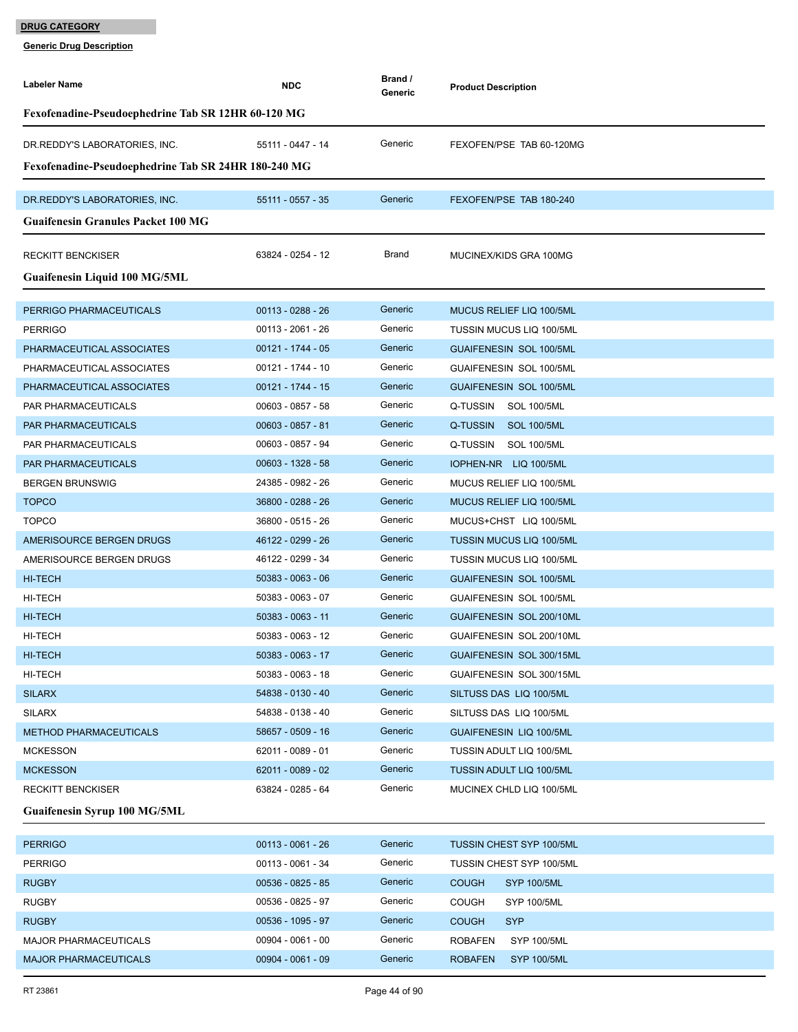| <b>Labeler Name</b>                                 | <b>NDC</b>          | Brand /<br>Generic | <b>Product Description</b>           |  |
|-----------------------------------------------------|---------------------|--------------------|--------------------------------------|--|
| Fexofenadine-Pseudoephedrine Tab SR 12HR 60-120 MG  |                     |                    |                                      |  |
| DR.REDDY'S LABORATORIES, INC.                       | 55111 - 0447 - 14   | Generic            | FEXOFEN/PSE TAB 60-120MG             |  |
| Fexofenadine-Pseudoephedrine Tab SR 24HR 180-240 MG |                     |                    |                                      |  |
| DR.REDDY'S LABORATORIES, INC.                       | 55111 - 0557 - 35   | Generic            | FEXOFEN/PSE TAB 180-240              |  |
| <b>Guaifenesin Granules Packet 100 MG</b>           |                     |                    |                                      |  |
|                                                     |                     |                    |                                      |  |
| <b>RECKITT BENCKISER</b>                            | 63824 - 0254 - 12   | Brand              | MUCINEX/KIDS GRA 100MG               |  |
| Guaifenesin Liquid 100 MG/5ML                       |                     |                    |                                      |  |
|                                                     |                     |                    |                                      |  |
| PERRIGO PHARMACEUTICALS                             | $00113 - 0288 - 26$ | Generic            | MUCUS RELIEF LIQ 100/5ML             |  |
| <b>PERRIGO</b>                                      | 00113 - 2061 - 26   | Generic            | <b>TUSSIN MUCUS LIQ 100/5ML</b>      |  |
| PHARMACEUTICAL ASSOCIATES                           | 00121 - 1744 - 05   | Generic            | <b>GUAIFENESIN SOL 100/5ML</b>       |  |
| PHARMACEUTICAL ASSOCIATES                           | 00121 - 1744 - 10   | Generic            | GUAIFENESIN SOL 100/5ML              |  |
| PHARMACEUTICAL ASSOCIATES                           | 00121 - 1744 - 15   | Generic            | <b>GUAIFENESIN SOL 100/5ML</b>       |  |
| PAR PHARMACEUTICALS                                 | 00603 - 0857 - 58   | Generic            | Q-TUSSIN SOL 100/5ML                 |  |
| PAR PHARMACEUTICALS                                 | 00603 - 0857 - 81   | Generic            | Q-TUSSIN<br><b>SOL 100/5ML</b>       |  |
| PAR PHARMACEUTICALS                                 | 00603 - 0857 - 94   | Generic            | Q-TUSSIN<br>SOL 100/5ML              |  |
| <b>PAR PHARMACEUTICALS</b>                          | 00603 - 1328 - 58   | Generic            | IOPHEN-NR LIQ 100/5ML                |  |
| <b>BERGEN BRUNSWIG</b>                              | 24385 - 0982 - 26   | Generic            | MUCUS RELIEF LIQ 100/5ML             |  |
| <b>TOPCO</b>                                        | 36800 - 0288 - 26   | Generic            | MUCUS RELIEF LIQ 100/5ML             |  |
| <b>TOPCO</b>                                        | 36800 - 0515 - 26   | Generic            | MUCUS+CHST LIQ 100/5ML               |  |
| AMERISOURCE BERGEN DRUGS                            | 46122 - 0299 - 26   | Generic            | <b>TUSSIN MUCUS LIQ 100/5ML</b>      |  |
| AMERISOURCE BERGEN DRUGS                            | 46122 - 0299 - 34   | Generic            | <b>TUSSIN MUCUS LIQ 100/5ML</b>      |  |
| HI-TECH                                             | 50383 - 0063 - 06   | Generic            | <b>GUAIFENESIN SOL 100/5ML</b>       |  |
| HI-TECH                                             | 50383 - 0063 - 07   | Generic            | <b>GUAIFENESIN SOL 100/5ML</b>       |  |
| HI-TECH                                             | $50383 - 0063 - 11$ | Generic            | GUAIFENESIN SOL 200/10ML             |  |
| HI-TECH                                             | 50383 - 0063 - 12   | Generic            | GUAIFENESIN SOL 200/10ML             |  |
| HI-TECH                                             | 50383 - 0063 - 17   | Generic            | GUAIFENESIN SOL 300/15ML             |  |
| HI-TECH                                             | 50383 - 0063 - 18   | Generic            | GUAIFENESIN SOL 300/15ML             |  |
| <b>SILARX</b>                                       | 54838 - 0130 - 40   | Generic            | SILTUSS DAS LIQ 100/5ML              |  |
| <b>SILARX</b>                                       | 54838 - 0138 - 40   | Generic            | SILTUSS DAS LIQ 100/5ML              |  |
| <b>METHOD PHARMACEUTICALS</b>                       | 58657 - 0509 - 16   | Generic            | <b>GUAIFENESIN LIQ 100/5ML</b>       |  |
| <b>MCKESSON</b>                                     | 62011 - 0089 - 01   | Generic            | <b>TUSSIN ADULT LIQ 100/5ML</b>      |  |
| <b>MCKESSON</b>                                     | 62011 - 0089 - 02   | Generic            | TUSSIN ADULT LIQ 100/5ML             |  |
| <b>RECKITT BENCKISER</b>                            | 63824 - 0285 - 64   | Generic            | MUCINEX CHLD LIQ 100/5ML             |  |
| <b>Guaifenesin Syrup 100 MG/5ML</b>                 |                     |                    |                                      |  |
| <b>PERRIGO</b>                                      | $00113 - 0061 - 26$ | Generic            | TUSSIN CHEST SYP 100/5ML             |  |
| <b>PERRIGO</b>                                      | 00113 - 0061 - 34   | Generic            | <b>TUSSIN CHEST SYP 100/5ML</b>      |  |
| <b>RUGBY</b>                                        | 00536 - 0825 - 85   | Generic            | <b>COUGH</b><br><b>SYP 100/5ML</b>   |  |
| <b>RUGBY</b>                                        | 00536 - 0825 - 97   | Generic            | <b>COUGH</b><br>SYP 100/5ML          |  |
| <b>RUGBY</b>                                        | 00536 - 1095 - 97   | Generic            | <b>COUGH</b><br><b>SYP</b>           |  |
| <b>MAJOR PHARMACEUTICALS</b>                        | 00904 - 0061 - 00   | Generic            | <b>ROBAFEN</b><br>SYP 100/5ML        |  |
| <b>MAJOR PHARMACEUTICALS</b>                        | $00904 - 0061 - 09$ | Generic            | <b>ROBAFEN</b><br><b>SYP 100/5ML</b> |  |
|                                                     |                     |                    |                                      |  |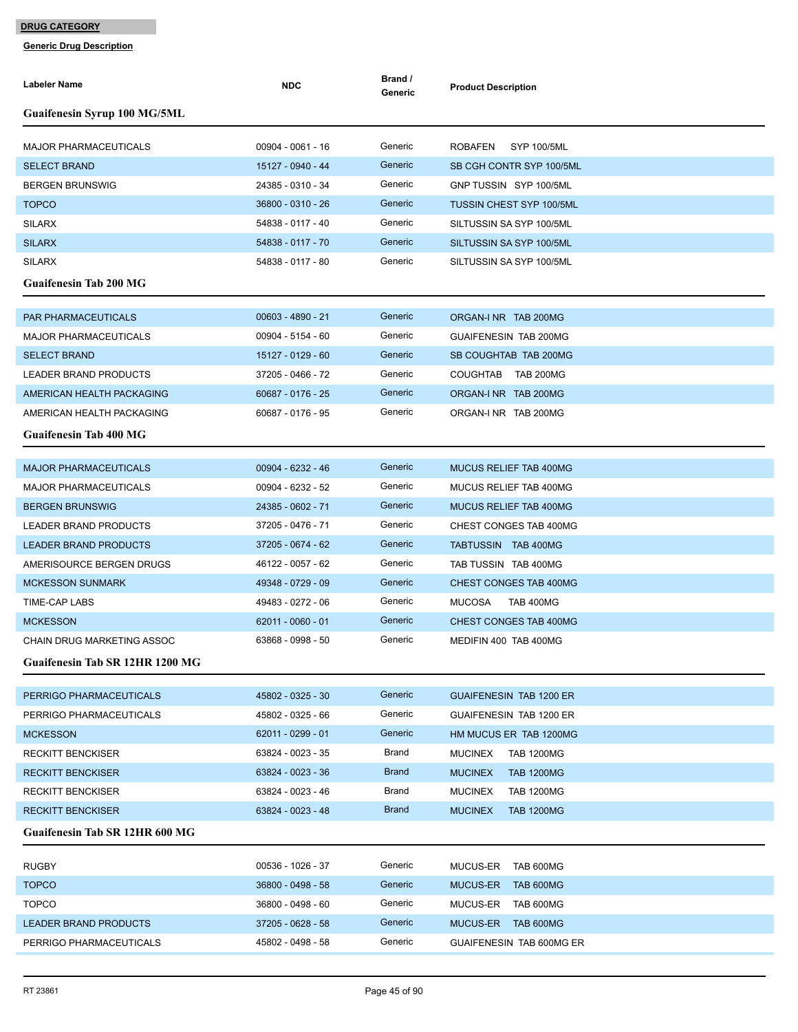| <b>Labeler Name</b>                                        | <b>NDC</b>          | Brand /<br>Generic | <b>Product Description</b>          |
|------------------------------------------------------------|---------------------|--------------------|-------------------------------------|
| <b>Guaifenesin Syrup 100 MG/5ML</b>                        |                     |                    |                                     |
| <b>MAJOR PHARMACEUTICALS</b>                               | 00904 - 0061 - 16   | Generic            | <b>ROBAFEN</b><br>SYP 100/5ML       |
| <b>SELECT BRAND</b>                                        | 15127 - 0940 - 44   | Generic            | SB CGH CONTR SYP 100/5ML            |
| <b>BERGEN BRUNSWIG</b>                                     | 24385 - 0310 - 34   | Generic            | GNP TUSSIN SYP 100/5ML              |
| <b>TOPCO</b>                                               | 36800 - 0310 - 26   | Generic            | <b>TUSSIN CHEST SYP 100/5ML</b>     |
| <b>SILARX</b>                                              | 54838 - 0117 - 40   | Generic            | SILTUSSIN SA SYP 100/5ML            |
| <b>SILARX</b>                                              | 54838 - 0117 - 70   | Generic            | SILTUSSIN SA SYP 100/5ML            |
| <b>SILARX</b>                                              | 54838 - 0117 - 80   | Generic            | SILTUSSIN SA SYP 100/5ML            |
| <b>Guaifenesin Tab 200 MG</b>                              |                     |                    |                                     |
| PAR PHARMACEUTICALS                                        | $00603 - 4890 - 21$ | Generic            | ORGAN-I NR TAB 200MG                |
| <b>MAJOR PHARMACEUTICALS</b>                               | 00904 - 5154 - 60   | Generic            | <b>GUAIFENESIN TAB 200MG</b>        |
| <b>SELECT BRAND</b>                                        | 15127 - 0129 - 60   | Generic            | SB COUGHTAB TAB 200MG               |
| <b>LEADER BRAND PRODUCTS</b>                               | 37205 - 0466 - 72   | Generic            | COUGHTAB TAB 200MG                  |
| AMERICAN HEALTH PACKAGING                                  | 60687 - 0176 - 25   | Generic            | ORGAN-I NR TAB 200MG                |
|                                                            | 60687 - 0176 - 95   | Generic            |                                     |
| AMERICAN HEALTH PACKAGING<br><b>Guaifenesin Tab 400 MG</b> |                     |                    | ORGAN-I NR TAB 200MG                |
|                                                            |                     |                    |                                     |
| <b>MAJOR PHARMACEUTICALS</b>                               | 00904 - 6232 - 46   | Generic            | <b>MUCUS RELIEF TAB 400MG</b>       |
| <b>MAJOR PHARMACEUTICALS</b>                               | 00904 - 6232 - 52   | Generic            | MUCUS RELIEF TAB 400MG              |
| <b>BERGEN BRUNSWIG</b>                                     | 24385 - 0602 - 71   | Generic            | MUCUS RELIEF TAB 400MG              |
| LEADER BRAND PRODUCTS                                      | 37205 - 0476 - 71   | Generic            | CHEST CONGES TAB 400MG              |
| <b>LEADER BRAND PRODUCTS</b>                               | 37205 - 0674 - 62   | Generic            | TABTUSSIN TAB 400MG                 |
| AMERISOURCE BERGEN DRUGS                                   | 46122 - 0057 - 62   | Generic            | TAB TUSSIN TAB 400MG                |
| <b>MCKESSON SUNMARK</b>                                    | 49348 - 0729 - 09   | Generic            | CHEST CONGES TAB 400MG              |
| TIME-CAP LABS                                              | 49483 - 0272 - 06   | Generic            | <b>TAB 400MG</b><br><b>MUCOSA</b>   |
| <b>MCKESSON</b>                                            | $62011 - 0060 - 01$ | Generic            | CHEST CONGES TAB 400MG              |
| <b>CHAIN DRUG MARKETING ASSOC</b>                          | 63868 - 0998 - 50   | Generic            | MEDIFIN 400 TAB 400MG               |
| Guaifenesin Tab SR 12HR 1200 MG                            |                     |                    |                                     |
| PERRIGO PHARMACEUTICALS                                    | 45802 - 0325 - 30   | Generic            | <b>GUAIFENESIN TAB 1200 ER</b>      |
| PERRIGO PHARMACEUTICALS                                    | 45802 - 0325 - 66   | Generic            | GUAIFENESIN TAB 1200 ER             |
| <b>MCKESSON</b>                                            | 62011 - 0299 - 01   | Generic            | HM MUCUS ER TAB 1200MG              |
| <b>RECKITT BENCKISER</b>                                   | 63824 - 0023 - 35   | Brand              | MUCINEX<br><b>TAB 1200MG</b>        |
| <b>RECKITT BENCKISER</b>                                   | 63824 - 0023 - 36   | <b>Brand</b>       | <b>MUCINEX</b><br><b>TAB 1200MG</b> |
| <b>RECKITT BENCKISER</b>                                   | 63824 - 0023 - 46   | Brand              | <b>MUCINEX</b><br><b>TAB 1200MG</b> |
| <b>RECKITT BENCKISER</b>                                   | 63824 - 0023 - 48   | <b>Brand</b>       | <b>MUCINEX</b><br><b>TAB 1200MG</b> |
| <b>Guaifenesin Tab SR 12HR 600 MG</b>                      |                     |                    |                                     |
|                                                            |                     |                    |                                     |
| <b>RUGBY</b>                                               | 00536 - 1026 - 37   | Generic            | MUCUS-ER<br>TAB 600MG               |
| <b>TOPCO</b>                                               | 36800 - 0498 - 58   | Generic            | MUCUS-ER<br>TAB 600MG               |
| <b>TOPCO</b>                                               | 36800 - 0498 - 60   | Generic            | MUCUS-ER TAB 600MG                  |
| <b>LEADER BRAND PRODUCTS</b>                               | 37205 - 0628 - 58   | Generic            | MUCUS-ER TAB 600MG                  |
| PERRIGO PHARMACEUTICALS                                    | 45802 - 0498 - 58   | Generic            | GUAIFENESIN TAB 600MG ER            |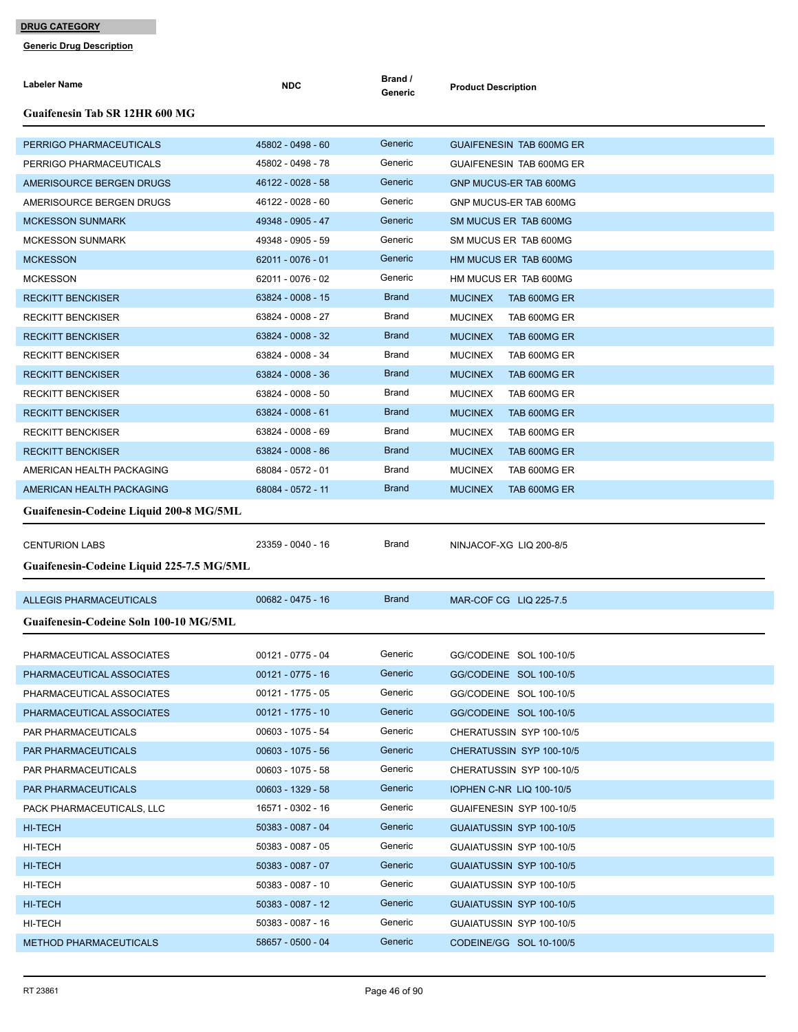| <b>Labeler Name</b>                       | <b>NDC</b>          | Brand /<br>Generic | <b>Product Description</b>      |
|-------------------------------------------|---------------------|--------------------|---------------------------------|
| <b>Guaifenesin Tab SR 12HR 600 MG</b>     |                     |                    |                                 |
| PERRIGO PHARMACEUTICALS                   | 45802 - 0498 - 60   | Generic            | <b>GUAIFENESIN TAB 600MG ER</b> |
| PERRIGO PHARMACEUTICALS                   | 45802 - 0498 - 78   | Generic            | GUAIFENESIN TAB 600MG ER        |
| AMERISOURCE BERGEN DRUGS                  | 46122 - 0028 - 58   | Generic            | GNP MUCUS-ER TAB 600MG          |
| AMERISOURCE BERGEN DRUGS                  | 46122 - 0028 - 60   | Generic            | GNP MUCUS-ER TAB 600MG          |
| <b>MCKESSON SUNMARK</b>                   | 49348 - 0905 - 47   | Generic            | SM MUCUS ER TAB 600MG           |
| <b>MCKESSON SUNMARK</b>                   | 49348 - 0905 - 59   | Generic            | SM MUCUS ER TAB 600MG           |
| <b>MCKESSON</b>                           | 62011 - 0076 - 01   | Generic            | HM MUCUS ER TAB 600MG           |
| <b>MCKESSON</b>                           | 62011 - 0076 - 02   | Generic            | HM MUCUS ER TAB 600MG           |
| <b>RECKITT BENCKISER</b>                  | 63824 - 0008 - 15   | <b>Brand</b>       | <b>MUCINEX</b><br>TAB 600MG ER  |
| <b>RECKITT BENCKISER</b>                  | 63824 - 0008 - 27   | Brand              | <b>MUCINEX</b><br>TAB 600MG ER  |
| <b>RECKITT BENCKISER</b>                  | 63824 - 0008 - 32   | <b>Brand</b>       | <b>MUCINEX</b><br>TAB 600MG ER  |
| <b>RECKITT BENCKISER</b>                  | 63824 - 0008 - 34   | Brand              | <b>MUCINEX</b><br>TAB 600MG ER  |
| <b>RECKITT BENCKISER</b>                  | 63824 - 0008 - 36   | <b>Brand</b>       | <b>MUCINEX</b><br>TAB 600MG ER  |
| <b>RECKITT BENCKISER</b>                  | 63824 - 0008 - 50   | Brand              | <b>MUCINEX</b><br>TAB 600MG ER  |
| <b>RECKITT BENCKISER</b>                  | $63824 - 0008 - 61$ | <b>Brand</b>       | <b>MUCINEX</b><br>TAB 600MG ER  |
| <b>RECKITT BENCKISER</b>                  | 63824 - 0008 - 69   | Brand              | <b>MUCINEX</b><br>TAB 600MG ER  |
| <b>RECKITT BENCKISER</b>                  | 63824 - 0008 - 86   | <b>Brand</b>       | <b>MUCINEX</b><br>TAB 600MG ER  |
| AMERICAN HEALTH PACKAGING                 | 68084 - 0572 - 01   | Brand              | <b>MUCINEX</b><br>TAB 600MG ER  |
| AMERICAN HEALTH PACKAGING                 | 68084 - 0572 - 11   | <b>Brand</b>       | <b>MUCINEX</b><br>TAB 600MG ER  |
| Guaifenesin-Codeine Liquid 200-8 MG/5ML   |                     |                    |                                 |
|                                           |                     |                    |                                 |
| <b>CENTURION LABS</b>                     | 23359 - 0040 - 16   | Brand              | NINJACOF-XG LIQ 200-8/5         |
| Guaifenesin-Codeine Liquid 225-7.5 MG/5ML |                     |                    |                                 |
| <b>ALLEGIS PHARMACEUTICALS</b>            | $00682 - 0475 - 16$ | <b>Brand</b>       | MAR-COF CG LIQ 225-7.5          |
|                                           |                     |                    |                                 |
| Guaifenesin-Codeine Soln 100-10 MG/5ML    |                     |                    |                                 |
| PHARMACEUTICAL ASSOCIATES                 | 00121 - 0775 - 04   | Generic            | GG/CODEINE SOL 100-10/5         |
| PHARMACEUTICAL ASSOCIATES                 | $00121 - 0775 - 16$ | Generic            | GG/CODEINE SOL 100-10/5         |
| PHARMACEUTICAL ASSOCIATES                 | 00121 - 1775 - 05   | Generic            | GG/CODEINE SOL 100-10/5         |
| PHARMACEUTICAL ASSOCIATES                 | $00121 - 1775 - 10$ | Generic            | GG/CODEINE SOL 100-10/5         |
| PAR PHARMACEUTICALS                       | 00603 - 1075 - 54   | Generic            | CHERATUSSIN SYP 100-10/5        |
| PAR PHARMACEUTICALS                       | $00603 - 1075 - 56$ | Generic            | CHERATUSSIN SYP 100-10/5        |
| PAR PHARMACEUTICALS                       | 00603 - 1075 - 58   | Generic            | CHERATUSSIN SYP 100-10/5        |
| PAR PHARMACEUTICALS                       | $00603 - 1329 - 58$ | Generic            | <b>IOPHEN C-NR LIQ 100-10/5</b> |
| PACK PHARMACEUTICALS, LLC                 | 16571 - 0302 - 16   | Generic            | GUAIFENESIN SYP 100-10/5        |
| <b>HI-TECH</b>                            | 50383 - 0087 - 04   | Generic            | GUAIATUSSIN SYP 100-10/5        |
| HI-TECH                                   | 50383 - 0087 - 05   | Generic            | GUAIATUSSIN SYP 100-10/5        |
| HI-TECH                                   | 50383 - 0087 - 07   | Generic            | GUAIATUSSIN SYP 100-10/5        |
| HI-TECH                                   | 50383 - 0087 - 10   | Generic            | GUAIATUSSIN SYP 100-10/5        |
| HI-TECH                                   | 50383 - 0087 - 12   | Generic            | GUAIATUSSIN SYP 100-10/5        |
| HI-TECH                                   | 50383 - 0087 - 16   | Generic            | GUAIATUSSIN SYP 100-10/5        |
| <b>METHOD PHARMACEUTICALS</b>             | 58657 - 0500 - 04   | Generic            | CODEINE/GG SOL 10-100/5         |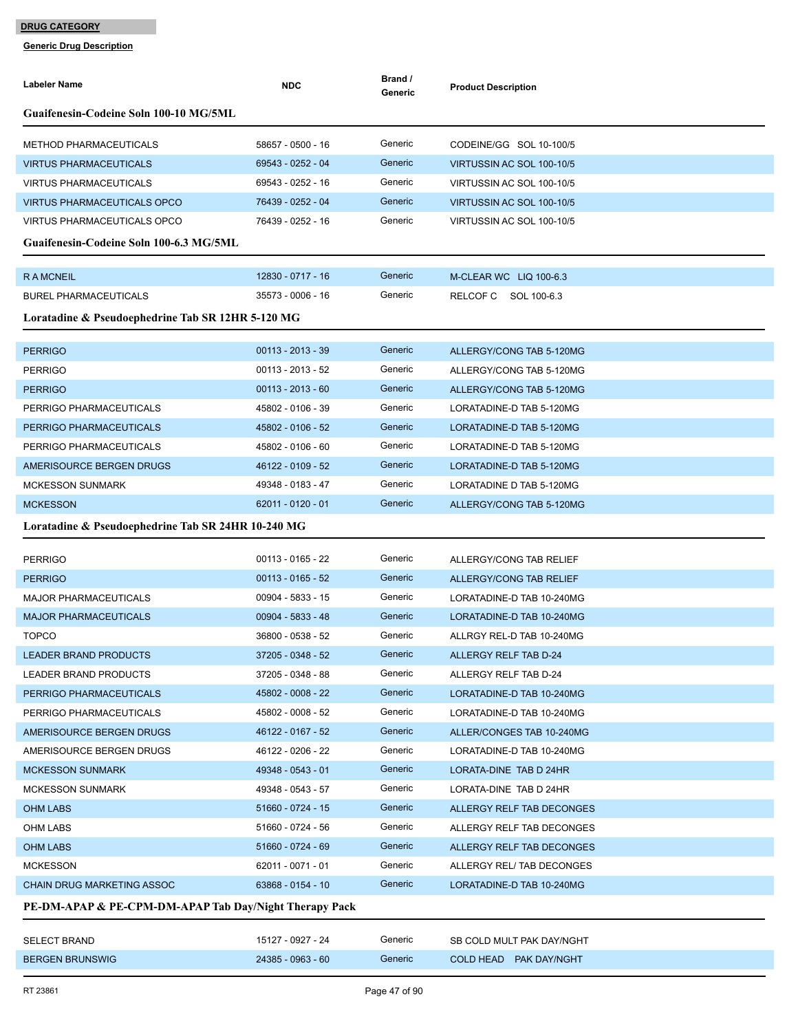| <b>Labeler Name</b>                                    | <b>NDC</b>          | Brand /<br>Generic | <b>Product Description</b> |
|--------------------------------------------------------|---------------------|--------------------|----------------------------|
| Guaifenesin-Codeine Soln 100-10 MG/5ML                 |                     |                    |                            |
| <b>METHOD PHARMACEUTICALS</b>                          | 58657 - 0500 - 16   | Generic            | CODEINE/GG SOL 10-100/5    |
| VIRTUS PHARMACEUTICALS                                 | 69543 - 0252 - 04   | Generic            | VIRTUSSIN AC SOL 100-10/5  |
| <b>VIRTUS PHARMACEUTICALS</b>                          | 69543 - 0252 - 16   | Generic            | VIRTUSSIN AC SOL 100-10/5  |
| <b>VIRTUS PHARMACEUTICALS OPCO</b>                     | 76439 - 0252 - 04   | Generic            | VIRTUSSIN AC SOL 100-10/5  |
| <b>VIRTUS PHARMACEUTICALS OPCO</b>                     | 76439 - 0252 - 16   | Generic            | VIRTUSSIN AC SOL 100-10/5  |
| Guaifenesin-Codeine Soln 100-6.3 MG/5ML                |                     |                    |                            |
| <b>RAMCNEIL</b>                                        | 12830 - 0717 - 16   | Generic            | M-CLEAR WC LIQ 100-6.3     |
| <b>BUREL PHARMACEUTICALS</b>                           | 35573 - 0006 - 16   | Generic            | RELCOF C<br>SOL 100-6.3    |
| Loratadine & Pseudoephedrine Tab SR 12HR 5-120 MG      |                     |                    |                            |
| <b>PERRIGO</b>                                         | $00113 - 2013 - 39$ | Generic            | ALLERGY/CONG TAB 5-120MG   |
| <b>PERRIGO</b>                                         | 00113 - 2013 - 52   | Generic            | ALLERGY/CONG TAB 5-120MG   |
| <b>PERRIGO</b>                                         | $00113 - 2013 - 60$ | Generic            | ALLERGY/CONG TAB 5-120MG   |
| PERRIGO PHARMACEUTICALS                                | 45802 - 0106 - 39   | Generic            | LORATADINE-D TAB 5-120MG   |
| PERRIGO PHARMACEUTICALS                                | 45802 - 0106 - 52   | Generic            | LORATADINE-D TAB 5-120MG   |
| PERRIGO PHARMACEUTICALS                                | 45802 - 0106 - 60   | Generic            | LORATADINE-D TAB 5-120MG   |
| AMERISOURCE BERGEN DRUGS                               | 46122 - 0109 - 52   | Generic            | LORATADINE-D TAB 5-120MG   |
| <b>MCKESSON SUNMARK</b>                                | 49348 - 0183 - 47   | Generic            | LORATADINE D TAB 5-120MG   |
| <b>MCKESSON</b>                                        | 62011 - 0120 - 01   | Generic            | ALLERGY/CONG TAB 5-120MG   |
| Loratadine & Pseudoephedrine Tab SR 24HR 10-240 MG     |                     |                    |                            |
| <b>PERRIGO</b>                                         | 00113 - 0165 - 22   | Generic            | ALLERGY/CONG TAB RELIEF    |
| <b>PERRIGO</b>                                         | $00113 - 0165 - 52$ | Generic            | ALLERGY/CONG TAB RELIEF    |
| <b>MAJOR PHARMACEUTICALS</b>                           | 00904 - 5833 - 15   | Generic            | LORATADINE-D TAB 10-240MG  |
| <b>MAJOR PHARMACEUTICALS</b>                           | 00904 - 5833 - 48   | Generic            | LORATADINE-D TAB 10-240MG  |
| <b>TOPCO</b>                                           | 36800 - 0538 - 52   | Generic            | ALLRGY REL-D TAB 10-240MG  |
| <b>LEADER BRAND PRODUCTS</b>                           | 37205 - 0348 - 52   | Generic            | ALLERGY RELF TAB D-24      |
| <b>LEADER BRAND PRODUCTS</b>                           | 37205 - 0348 - 88   | Generic            | ALLERGY RELF TAB D-24      |
| PERRIGO PHARMACEUTICALS                                | 45802 - 0008 - 22   | Generic            | LORATADINE-D TAB 10-240MG  |
| PERRIGO PHARMACEUTICALS                                | 45802 - 0008 - 52   | Generic            | LORATADINE-D TAB 10-240MG  |
| AMERISOURCE BERGEN DRUGS                               | 46122 - 0167 - 52   | Generic            | ALLER/CONGES TAB 10-240MG  |
| AMERISOURCE BERGEN DRUGS                               | 46122 - 0206 - 22   | Generic            | LORATADINE-D TAB 10-240MG  |
| <b>MCKESSON SUNMARK</b>                                | 49348 - 0543 - 01   | Generic            | LORATA-DINE TAB D 24HR     |
| MCKESSON SUNMARK                                       | 49348 - 0543 - 57   | Generic            | LORATA-DINE TAB D 24HR     |
| <b>OHM LABS</b>                                        | 51660 - 0724 - 15   | Generic            | ALLERGY RELF TAB DECONGES  |
| OHM LABS                                               | 51660 - 0724 - 56   | Generic            | ALLERGY RELF TAB DECONGES  |
| <b>OHM LABS</b>                                        | 51660 - 0724 - 69   | Generic            | ALLERGY RELF TAB DECONGES  |
| <b>MCKESSON</b>                                        | 62011 - 0071 - 01   | Generic            | ALLERGY REL/ TAB DECONGES  |
| CHAIN DRUG MARKETING ASSOC                             | 63868 - 0154 - 10   | Generic            | LORATADINE-D TAB 10-240MG  |
| PE-DM-APAP & PE-CPM-DM-APAP Tab Day/Night Therapy Pack |                     |                    |                            |
| <b>SELECT BRAND</b>                                    | 15127 - 0927 - 24   | Generic            | SB COLD MULT PAK DAY/NGHT  |
| <b>BERGEN BRUNSWIG</b>                                 | 24385 - 0963 - 60   | Generic            | COLD HEAD PAK DAY/NGHT     |
|                                                        |                     |                    |                            |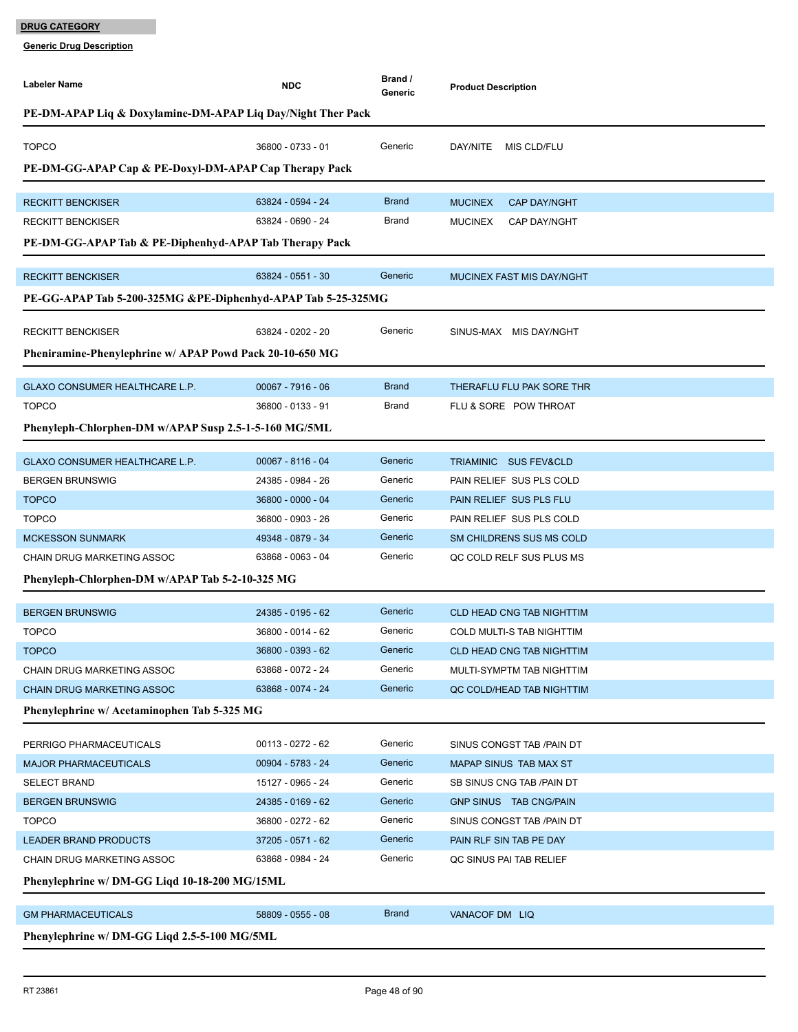| PE-DM-APAP Liq & Doxylamine-DM-APAP Liq Day/Night Ther Pack<br><b>TOPCO</b><br>Generic<br>36800 - 0733 - 01<br>DAY/NITE MIS CLD/FLU<br>PE-DM-GG-APAP Cap & PE-Doxyl-DM-APAP Cap Therapy Pack |  |
|----------------------------------------------------------------------------------------------------------------------------------------------------------------------------------------------|--|
|                                                                                                                                                                                              |  |
|                                                                                                                                                                                              |  |
|                                                                                                                                                                                              |  |
|                                                                                                                                                                                              |  |
| <b>Brand</b><br><b>RECKITT BENCKISER</b><br>63824 - 0594 - 24<br><b>MUCINEX</b><br><b>CAP DAY/NGHT</b>                                                                                       |  |
| <b>Brand</b><br>63824 - 0690 - 24<br><b>RECKITT BENCKISER</b><br><b>MUCINEX</b><br><b>CAP DAY/NGHT</b>                                                                                       |  |
| PE-DM-GG-APAP Tab & PE-Diphenhyd-APAP Tab Therapy Pack                                                                                                                                       |  |
| Generic<br><b>RECKITT BENCKISER</b><br>63824 - 0551 - 30<br>MUCINEX FAST MIS DAY/NGHT                                                                                                        |  |
| PE-GG-APAP Tab 5-200-325MG &PE-Diphenhyd-APAP Tab 5-25-325MG                                                                                                                                 |  |
|                                                                                                                                                                                              |  |
| 63824 - 0202 - 20<br>Generic<br><b>RECKITT BENCKISER</b><br>SINUS-MAX MIS DAY/NGHT                                                                                                           |  |
| Pheniramine-Phenylephrine w/ APAP Powd Pack 20-10-650 MG                                                                                                                                     |  |
| <b>Brand</b><br>00067 - 7916 - 06<br>GLAXO CONSUMER HEALTHCARE L.P.<br>THERAFLU FLU PAK SORE THR                                                                                             |  |
| <b>TOPCO</b><br>Brand<br>36800 - 0133 - 91<br>FLU & SORE POW THROAT                                                                                                                          |  |
| Phenyleph-Chlorphen-DM w/APAP Susp 2.5-1-5-160 MG/5ML                                                                                                                                        |  |
|                                                                                                                                                                                              |  |
| Generic<br>$00067 - 8116 - 04$<br>GLAXO CONSUMER HEALTHCARE L.P.<br>TRIAMINIC SUS FEV&CLD                                                                                                    |  |
| Generic<br>24385 - 0984 - 26<br><b>BERGEN BRUNSWIG</b><br>PAIN RELIEF SUS PLS COLD                                                                                                           |  |
| Generic<br><b>TOPCO</b><br>36800 - 0000 - 04<br>PAIN RELIEF SUS PLS FLU                                                                                                                      |  |
| Generic<br><b>TOPCO</b><br>36800 - 0903 - 26<br>PAIN RELIEF SUS PLS COLD                                                                                                                     |  |
| Generic<br>49348 - 0879 - 34<br><b>MCKESSON SUNMARK</b><br>SM CHILDRENS SUS MS COLD                                                                                                          |  |
| Generic<br>63868 - 0063 - 04<br>CHAIN DRUG MARKETING ASSOC<br>QC COLD RELF SUS PLUS MS                                                                                                       |  |
| Phenyleph-Chlorphen-DM w/APAP Tab 5-2-10-325 MG                                                                                                                                              |  |
| 24385 - 0195 - 62<br>Generic<br><b>BERGEN BRUNSWIG</b><br><b>CLD HEAD CNG TAB NIGHTTIM</b>                                                                                                   |  |
| <b>TOPCO</b><br>Generic<br>36800 - 0014 - 62<br>COLD MULTI-S TAB NIGHTTIM                                                                                                                    |  |
| <b>TOPCO</b><br>Generic<br>36800 - 0393 - 62<br><b>CLD HEAD CNG TAB NIGHTTIM</b>                                                                                                             |  |
| Generic<br>63868 - 0072 - 24<br><b>CHAIN DRUG MARKETING ASSOC</b><br>MULTI-SYMPTM TAB NIGHTTIM                                                                                               |  |
| Generic<br>CHAIN DRUG MARKETING ASSOC<br>63868 - 0074 - 24<br>QC COLD/HEAD TAB NIGHTTIM                                                                                                      |  |
| Phenylephrine w/ Acetaminophen Tab 5-325 MG                                                                                                                                                  |  |
|                                                                                                                                                                                              |  |
| Generic<br>00113 - 0272 - 62<br>PERRIGO PHARMACEUTICALS<br>SINUS CONGST TAB / PAIN DT                                                                                                        |  |
| 00904 - 5783 - 24<br>Generic<br><b>MAJOR PHARMACEUTICALS</b><br>MAPAP SINUS TAB MAX ST                                                                                                       |  |
| Generic<br>15127 - 0965 - 24<br><b>SELECT BRAND</b><br>SB SINUS CNG TAB / PAIN DT                                                                                                            |  |
| Generic<br>24385 - 0169 - 62<br>GNP SINUS TAB CNG/PAIN<br><b>BERGEN BRUNSWIG</b>                                                                                                             |  |
| Generic<br>36800 - 0272 - 62<br><b>TOPCO</b><br>SINUS CONGST TAB /PAIN DT                                                                                                                    |  |
| Generic<br>37205 - 0571 - 62<br><b>LEADER BRAND PRODUCTS</b><br>PAIN RLF SIN TAB PE DAY                                                                                                      |  |
| Generic<br>CHAIN DRUG MARKETING ASSOC<br>63868 - 0984 - 24<br>QC SINUS PAI TAB RELIEF                                                                                                        |  |
| Phenylephrine w/ DM-GG Liqd 10-18-200 MG/15ML                                                                                                                                                |  |
| <b>Brand</b><br><b>GM PHARMACEUTICALS</b><br>58809 - 0555 - 08<br>VANACOF DM LIQ                                                                                                             |  |
| Phenylephrine w/ DM-GG Liqd 2.5-5-100 MG/5ML                                                                                                                                                 |  |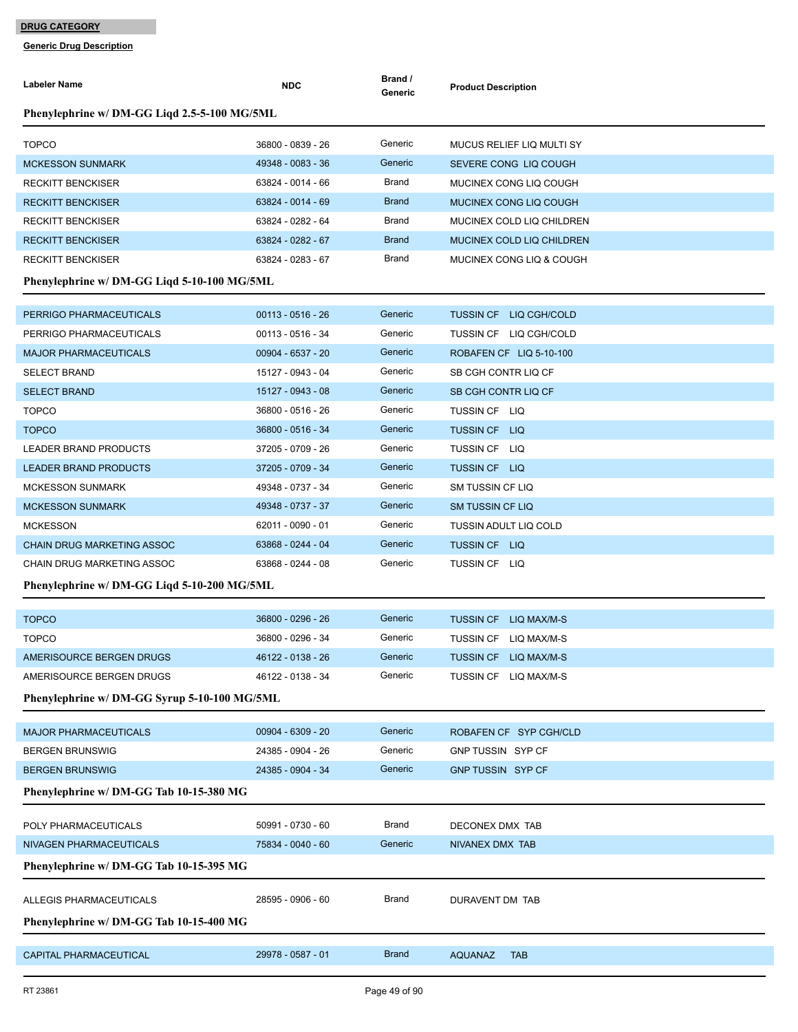| <b>Labeler Name</b>                          | <b>NDC</b>          | Brand /<br>Generic | <b>Product Description</b>      |  |  |  |
|----------------------------------------------|---------------------|--------------------|---------------------------------|--|--|--|
| Phenylephrine w/ DM-GG Liqd 2.5-5-100 MG/5ML |                     |                    |                                 |  |  |  |
| <b>TOPCO</b>                                 | 36800 - 0839 - 26   | Generic            | MUCUS RELIEF LIQ MULTI SY       |  |  |  |
| <b>MCKESSON SUNMARK</b>                      | 49348 - 0083 - 36   | Generic            | SEVERE CONG LIQ COUGH           |  |  |  |
| <b>RECKITT BENCKISER</b>                     | 63824 - 0014 - 66   | Brand              | MUCINEX CONG LIQ COUGH          |  |  |  |
| <b>RECKITT BENCKISER</b>                     | 63824 - 0014 - 69   | <b>Brand</b>       | MUCINEX CONG LIQ COUGH          |  |  |  |
| <b>RECKITT BENCKISER</b>                     | 63824 - 0282 - 64   | Brand              | MUCINEX COLD LIQ CHILDREN       |  |  |  |
| <b>RECKITT BENCKISER</b>                     | 63824 - 0282 - 67   | <b>Brand</b>       | MUCINEX COLD LIQ CHILDREN       |  |  |  |
| <b>RECKITT BENCKISER</b>                     | 63824 - 0283 - 67   | Brand              | MUCINEX CONG LIQ & COUGH        |  |  |  |
| Phenylephrine w/ DM-GG Liqd 5-10-100 MG/5ML  |                     |                    |                                 |  |  |  |
| PERRIGO PHARMACEUTICALS                      | $00113 - 0516 - 26$ | Generic            | <b>TUSSIN CF LIQ CGH/COLD</b>   |  |  |  |
| PERRIGO PHARMACEUTICALS                      | 00113 - 0516 - 34   | Generic            | TUSSIN CF LIQ CGH/COLD          |  |  |  |
| <b>MAJOR PHARMACEUTICALS</b>                 | 00904 - 6537 - 20   | Generic            | ROBAFEN CF LIQ 5-10-100         |  |  |  |
| <b>SELECT BRAND</b>                          | 15127 - 0943 - 04   | Generic            | SB CGH CONTR LIQ CF             |  |  |  |
| <b>SELECT BRAND</b>                          | 15127 - 0943 - 08   | Generic            | SB CGH CONTR LIQ CF             |  |  |  |
| <b>TOPCO</b>                                 | 36800 - 0516 - 26   | Generic            | TUSSIN CF LIQ                   |  |  |  |
| <b>TOPCO</b>                                 | 36800 - 0516 - 34   | Generic            | <b>TUSSIN CF LIQ</b>            |  |  |  |
| <b>LEADER BRAND PRODUCTS</b>                 | 37205 - 0709 - 26   | Generic            | TUSSIN CF LIQ                   |  |  |  |
| <b>LEADER BRAND PRODUCTS</b>                 | 37205 - 0709 - 34   | Generic            | <b>TUSSIN CF LIQ</b>            |  |  |  |
| <b>MCKESSON SUNMARK</b>                      | 49348 - 0737 - 34   | Generic            | SM TUSSIN CF LIQ                |  |  |  |
| <b>MCKESSON SUNMARK</b>                      | 49348 - 0737 - 37   | Generic            | <b>SM TUSSIN CF LIQ</b>         |  |  |  |
| <b>MCKESSON</b>                              | 62011 - 0090 - 01   | Generic            | <b>TUSSIN ADULT LIQ COLD</b>    |  |  |  |
| <b>CHAIN DRUG MARKETING ASSOC</b>            | 63868 - 0244 - 04   | Generic            | TUSSIN CF LIQ                   |  |  |  |
| CHAIN DRUG MARKETING ASSOC                   | 63868 - 0244 - 08   | Generic            | TUSSIN CF LIQ                   |  |  |  |
| Phenylephrine w/ DM-GG Liqd 5-10-200 MG/5ML  |                     |                    |                                 |  |  |  |
| <b>TOPCO</b>                                 | 36800 - 0296 - 26   | Generic            | <b>TUSSIN CF</b><br>LIQ MAX/M-S |  |  |  |
| <b>TOPCO</b>                                 | 36800 - 0296 - 34   | Generic            | TUSSIN CF LIQ MAX/M-S           |  |  |  |
| AMERISOURCE BERGEN DRUGS                     | 46122 - 0138 - 26   | Generic            | <b>TUSSIN CF</b><br>LIQ MAX/M-S |  |  |  |
| AMERISOURCE BERGEN DRUGS                     | 46122 - 0138 - 34   | Generic            | TUSSIN CF LIQ MAX/M-S           |  |  |  |
| Phenylephrine w/ DM-GG Syrup 5-10-100 MG/5ML |                     |                    |                                 |  |  |  |
|                                              |                     |                    |                                 |  |  |  |
| <b>MAJOR PHARMACEUTICALS</b>                 | 00904 - 6309 - 20   | Generic            | ROBAFEN CF SYP CGH/CLD          |  |  |  |
| <b>BERGEN BRUNSWIG</b>                       | 24385 - 0904 - 26   | Generic            | GNP TUSSIN SYP CF               |  |  |  |
| <b>BERGEN BRUNSWIG</b>                       | 24385 - 0904 - 34   | Generic            | GNP TUSSIN SYP CF               |  |  |  |
| Phenylephrine w/ DM-GG Tab 10-15-380 MG      |                     |                    |                                 |  |  |  |
| POLY PHARMACEUTICALS                         | 50991 - 0730 - 60   | Brand              | DECONEX DMX TAB                 |  |  |  |
| NIVAGEN PHARMACEUTICALS                      | 75834 - 0040 - 60   | Generic            | NIVANEX DMX TAB                 |  |  |  |
| Phenylephrine w/ DM-GG Tab 10-15-395 MG      |                     |                    |                                 |  |  |  |
| ALLEGIS PHARMACEUTICALS                      | 28595 - 0906 - 60   | Brand              | DURAVENT DM TAB                 |  |  |  |
| Phenylephrine w/ DM-GG Tab 10-15-400 MG      |                     |                    |                                 |  |  |  |
|                                              |                     |                    |                                 |  |  |  |
| CAPITAL PHARMACEUTICAL                       | 29978 - 0587 - 01   | <b>Brand</b>       | <b>AQUANAZ</b><br><b>TAB</b>    |  |  |  |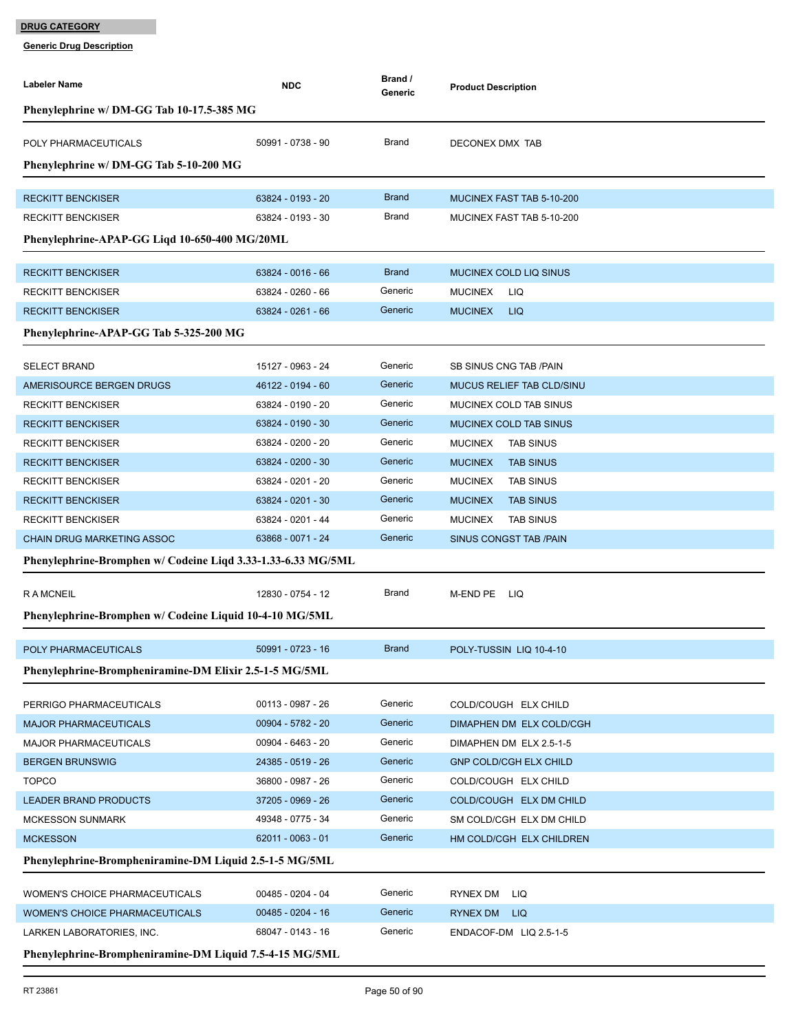| Labeler Name                                                 | <b>NDC</b>          | Brand /<br>Generic | <b>Product Description</b>         |
|--------------------------------------------------------------|---------------------|--------------------|------------------------------------|
| Phenylephrine w/ DM-GG Tab 10-17.5-385 MG                    |                     |                    |                                    |
|                                                              |                     |                    |                                    |
| POLY PHARMACEUTICALS                                         | 50991 - 0738 - 90   | Brand              | DECONEX DMX TAB                    |
| Phenylephrine w/ DM-GG Tab 5-10-200 MG                       |                     |                    |                                    |
| <b>RECKITT BENCKISER</b>                                     | 63824 - 0193 - 20   | <b>Brand</b>       | <b>MUCINEX FAST TAB 5-10-200</b>   |
| <b>RECKITT BENCKISER</b>                                     | 63824 - 0193 - 30   | Brand              | MUCINEX FAST TAB 5-10-200          |
|                                                              |                     |                    |                                    |
| Phenylephrine-APAP-GG Ligd 10-650-400 MG/20ML                |                     |                    |                                    |
| <b>RECKITT BENCKISER</b>                                     | 63824 - 0016 - 66   | <b>Brand</b>       | <b>MUCINEX COLD LIQ SINUS</b>      |
| <b>RECKITT BENCKISER</b>                                     | 63824 - 0260 - 66   | Generic            | <b>MUCINEX</b><br>LIQ              |
| <b>RECKITT BENCKISER</b>                                     | 63824 - 0261 - 66   | Generic            | <b>MUCINEX</b><br><b>LIQ</b>       |
| Phenylephrine-APAP-GG Tab 5-325-200 MG                       |                     |                    |                                    |
|                                                              |                     |                    |                                    |
| <b>SELECT BRAND</b>                                          | 15127 - 0963 - 24   | Generic            | SB SINUS CNG TAB / PAIN            |
| AMERISOURCE BERGEN DRUGS                                     | 46122 - 0194 - 60   | Generic            | <b>MUCUS RELIEF TAB CLD/SINU</b>   |
| <b>RECKITT BENCKISER</b>                                     | 63824 - 0190 - 20   | Generic            | MUCINEX COLD TAB SINUS             |
| <b>RECKITT BENCKISER</b>                                     | 63824 - 0190 - 30   | Generic            | <b>MUCINEX COLD TAB SINUS</b>      |
| <b>RECKITT BENCKISER</b>                                     | 63824 - 0200 - 20   | Generic            | <b>MUCINEX</b><br><b>TAB SINUS</b> |
| <b>RECKITT BENCKISER</b>                                     | 63824 - 0200 - 30   | Generic            | <b>MUCINEX</b><br><b>TAB SINUS</b> |
| <b>RECKITT BENCKISER</b>                                     | 63824 - 0201 - 20   | Generic            | <b>MUCINEX</b><br><b>TAB SINUS</b> |
| <b>RECKITT BENCKISER</b>                                     | 63824 - 0201 - 30   | Generic            | <b>MUCINEX</b><br><b>TAB SINUS</b> |
| <b>RECKITT BENCKISER</b>                                     | 63824 - 0201 - 44   | Generic            | <b>MUCINEX</b><br><b>TAB SINUS</b> |
| <b>CHAIN DRUG MARKETING ASSOC</b>                            | 63868 - 0071 - 24   | Generic            | SINUS CONGST TAB /PAIN             |
| Phenylephrine-Bromphen w/ Codeine Liqd 3.33-1.33-6.33 MG/5ML |                     |                    |                                    |
| <b>RAMCNEIL</b>                                              | 12830 - 0754 - 12   | Brand              | M-END PE<br>– LIQ                  |
| Phenylephrine-Bromphen w/ Codeine Liquid 10-4-10 MG/5ML      |                     |                    |                                    |
|                                                              |                     |                    |                                    |
| POLY PHARMACEUTICALS                                         | 50991 - 0723 - 16   | <b>Brand</b>       | POLY-TUSSIN LIQ 10-4-10            |
| Phenylephrine-Brompheniramine-DM Elixir 2.5-1-5 MG/5ML       |                     |                    |                                    |
|                                                              |                     |                    |                                    |
| PERRIGO PHARMACEUTICALS                                      | 00113 - 0987 - 26   | Generic            | COLD/COUGH ELX CHILD               |
| <b>MAJOR PHARMACEUTICALS</b>                                 | 00904 - 5782 - 20   | Generic            | DIMAPHEN DM ELX COLD/CGH           |
| <b>MAJOR PHARMACEUTICALS</b>                                 | 00904 - 6463 - 20   | Generic            | DIMAPHEN DM ELX 2.5-1-5            |
| <b>BERGEN BRUNSWIG</b>                                       | 24385 - 0519 - 26   | Generic            | <b>GNP COLD/CGH ELX CHILD</b>      |
| <b>TOPCO</b>                                                 | 36800 - 0987 - 26   | Generic            | COLD/COUGH ELX CHILD               |
| <b>LEADER BRAND PRODUCTS</b>                                 | 37205 - 0969 - 26   | Generic            | COLD/COUGH ELX DM CHILD            |
| <b>MCKESSON SUNMARK</b>                                      | 49348 - 0775 - 34   | Generic            | SM COLD/CGH ELX DM CHILD           |
| <b>MCKESSON</b>                                              | 62011 - 0063 - 01   | Generic            | HM COLD/CGH ELX CHILDREN           |
| Phenylephrine-Brompheniramine-DM Liquid 2.5-1-5 MG/5ML       |                     |                    |                                    |
| WOMEN'S CHOICE PHARMACEUTICALS                               | 00485 - 0204 - 04   | Generic            | RYNEX DM<br>LIQ                    |
| <b>WOMEN'S CHOICE PHARMACEUTICALS</b>                        | $00485 - 0204 - 16$ | Generic            | RYNEX DM<br><b>LIQ</b>             |
| LARKEN LABORATORIES, INC.                                    | 68047 - 0143 - 16   | Generic            | ENDACOF-DM LIQ 2.5-1-5             |
| Phenylephrine-Brompheniramine-DM Liquid 7.5-4-15 MG/5ML      |                     |                    |                                    |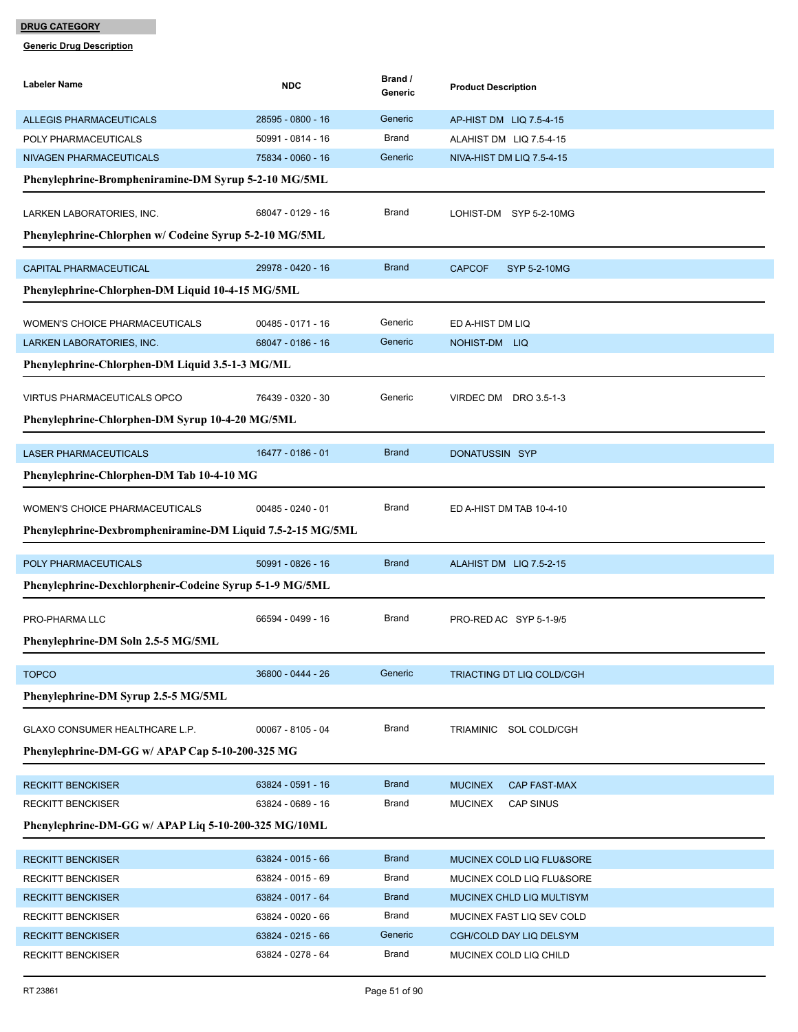| Labeler Name                                               | <b>NDC</b>          | Brand /<br>Generic | <b>Product Description</b>         |
|------------------------------------------------------------|---------------------|--------------------|------------------------------------|
| <b>ALLEGIS PHARMACEUTICALS</b>                             | 28595 - 0800 - 16   | Generic            | AP-HIST DM LIQ 7.5-4-15            |
| POLY PHARMACEUTICALS                                       | 50991 - 0814 - 16   | <b>Brand</b>       | ALAHIST DM LIQ 7.5-4-15            |
| NIVAGEN PHARMACEUTICALS                                    | 75834 - 0060 - 16   | Generic            | NIVA-HIST DM LIQ 7.5-4-15          |
| Phenylephrine-Brompheniramine-DM Syrup 5-2-10 MG/5ML       |                     |                    |                                    |
| LARKEN LABORATORIES, INC.                                  | 68047 - 0129 - 16   | <b>Brand</b>       | LOHIST-DM SYP 5-2-10MG             |
| Phenylephrine-Chlorphen w/ Codeine Syrup 5-2-10 MG/5ML     |                     |                    |                                    |
| <b>CAPITAL PHARMACEUTICAL</b>                              | 29978 - 0420 - 16   | <b>Brand</b>       | <b>CAPCOF</b><br>SYP 5-2-10MG      |
| Phenylephrine-Chlorphen-DM Liquid 10-4-15 MG/5ML           |                     |                    |                                    |
| <b>WOMEN'S CHOICE PHARMACEUTICALS</b>                      | 00485 - 0171 - 16   | Generic            | ED A-HIST DM LIQ                   |
| LARKEN LABORATORIES, INC.                                  | 68047 - 0186 - 16   | Generic            | NOHIST-DM LIQ                      |
| Phenylephrine-Chlorphen-DM Liquid 3.5-1-3 MG/ML            |                     |                    |                                    |
| VIRTUS PHARMACEUTICALS OPCO                                | 76439 - 0320 - 30   | Generic            | VIRDEC DM DRO 3.5-1-3              |
| Phenylephrine-Chlorphen-DM Syrup 10-4-20 MG/5ML            |                     |                    |                                    |
| <b>LASER PHARMACEUTICALS</b>                               | 16477 - 0186 - 01   | <b>Brand</b>       | DONATUSSIN SYP                     |
| Phenylephrine-Chlorphen-DM Tab 10-4-10 MG                  |                     |                    |                                    |
| WOMEN'S CHOICE PHARMACEUTICALS                             | $00485 - 0240 - 01$ | <b>Brand</b>       | ED A-HIST DM TAB 10-4-10           |
| Phenylephrine-Dexbrompheniramine-DM Liquid 7.5-2-15 MG/5ML |                     |                    |                                    |
| POLY PHARMACEUTICALS                                       | 50991 - 0826 - 16   | <b>Brand</b>       | ALAHIST DM LIQ 7.5-2-15            |
| Phenylephrine-Dexchlorphenir-Codeine Syrup 5-1-9 MG/5ML    |                     |                    |                                    |
| PRO-PHARMA LLC                                             | 66594 - 0499 - 16   | <b>Brand</b>       | PRO-RED AC SYP 5-1-9/5             |
| Phenylephrine-DM Soln 2.5-5 MG/5ML                         |                     |                    |                                    |
| <b>TOPCO</b>                                               | 36800 - 0444 - 26   | Generic            | TRIACTING DT LIQ COLD/CGH          |
| Phenylephrine-DM Syrup 2.5-5 MG/5ML                        |                     |                    |                                    |
| GLAXO CONSUMER HEALTHCARE L.P.                             | 00067 - 8105 - 04   | <b>Brand</b>       | TRIAMINIC SOL COLD/CGH             |
| Phenylephrine-DM-GG w/ APAP Cap 5-10-200-325 MG            |                     |                    |                                    |
| <b>RECKITT BENCKISER</b>                                   | 63824 - 0591 - 16   | <b>Brand</b>       | <b>MUCINEX</b><br>CAP FAST-MAX     |
| <b>RECKITT BENCKISER</b>                                   | 63824 - 0689 - 16   | <b>Brand</b>       | <b>CAP SINUS</b><br><b>MUCINEX</b> |
| Phenylephrine-DM-GG w/ APAP Liq 5-10-200-325 MG/10ML       |                     |                    |                                    |
| <b>RECKITT BENCKISER</b>                                   | 63824 - 0015 - 66   | <b>Brand</b>       | MUCINEX COLD LIQ FLU&SORE          |
| <b>RECKITT BENCKISER</b>                                   | 63824 - 0015 - 69   | <b>Brand</b>       | MUCINEX COLD LIQ FLU&SORE          |
| <b>RECKITT BENCKISER</b>                                   | 63824 - 0017 - 64   | <b>Brand</b>       | MUCINEX CHLD LIQ MULTISYM          |
| <b>RECKITT BENCKISER</b>                                   | 63824 - 0020 - 66   | <b>Brand</b>       | MUCINEX FAST LIQ SEV COLD          |
| <b>RECKITT BENCKISER</b>                                   | 63824 - 0215 - 66   | Generic            | CGH/COLD DAY LIQ DELSYM            |
| RECKITT BENCKISER                                          | 63824 - 0278 - 64   | Brand              | MUCINEX COLD LIQ CHILD             |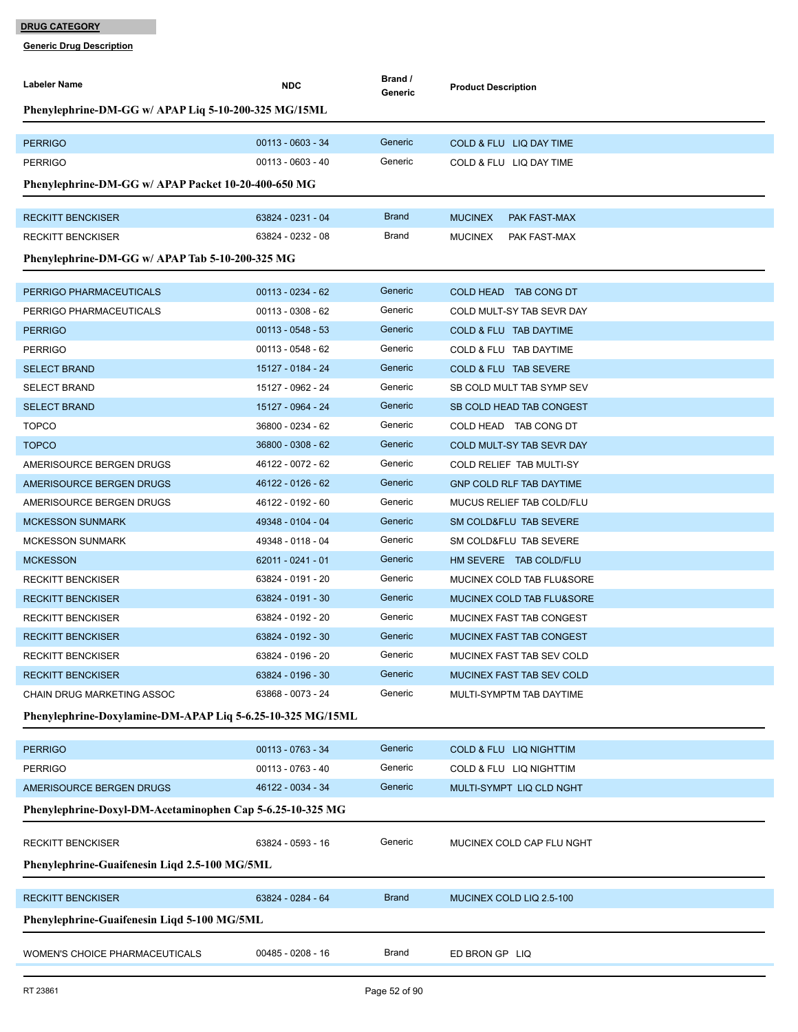| Labeler Name                                               | <b>NDC</b>          | Brand /<br>Generic | <b>Product Description</b>        |  |
|------------------------------------------------------------|---------------------|--------------------|-----------------------------------|--|
| Phenylephrine-DM-GG w/ APAP Liq 5-10-200-325 MG/15ML       |                     |                    |                                   |  |
|                                                            |                     |                    |                                   |  |
| <b>PERRIGO</b>                                             | $00113 - 0603 - 34$ | Generic            | COLD & FLU LIQ DAY TIME           |  |
| <b>PERRIGO</b>                                             | $00113 - 0603 - 40$ | Generic            | COLD & FLU LIQ DAY TIME           |  |
| Phenylephrine-DM-GG w/ APAP Packet 10-20-400-650 MG        |                     |                    |                                   |  |
| <b>RECKITT BENCKISER</b>                                   | 63824 - 0231 - 04   | <b>Brand</b>       | <b>MUCINEX</b><br>PAK FAST-MAX    |  |
| <b>RECKITT BENCKISER</b>                                   | 63824 - 0232 - 08   | Brand              | MUCINEX<br>PAK FAST-MAX           |  |
| Phenylephrine-DM-GG w/ APAP Tab 5-10-200-325 MG            |                     |                    |                                   |  |
| PERRIGO PHARMACEUTICALS                                    | $00113 - 0234 - 62$ | Generic            | COLD HEAD TAB CONG DT             |  |
| PERRIGO PHARMACEUTICALS                                    | $00113 - 0308 - 62$ | Generic            | COLD MULT-SY TAB SEVR DAY         |  |
| <b>PERRIGO</b>                                             | $00113 - 0548 - 53$ | Generic            | <b>COLD &amp; FLU TAB DAYTIME</b> |  |
| <b>PERRIGO</b>                                             | $00113 - 0548 - 62$ | Generic            | COLD & FLU TAB DAYTIME            |  |
| <b>SELECT BRAND</b>                                        | 15127 - 0184 - 24   | Generic            | COLD & FLU TAB SEVERE             |  |
| <b>SELECT BRAND</b>                                        | 15127 - 0962 - 24   | Generic            | SB COLD MULT TAB SYMP SEV         |  |
| <b>SELECT BRAND</b>                                        | 15127 - 0964 - 24   | Generic            | SB COLD HEAD TAB CONGEST          |  |
| <b>TOPCO</b>                                               | 36800 - 0234 - 62   | Generic            | COLD HEAD TAB CONG DT             |  |
| <b>TOPCO</b>                                               | 36800 - 0308 - 62   | Generic            | COLD MULT-SY TAB SEVR DAY         |  |
| AMERISOURCE BERGEN DRUGS                                   | 46122 - 0072 - 62   | Generic            | COLD RELIEF TAB MULTI-SY          |  |
| AMERISOURCE BERGEN DRUGS                                   | 46122 - 0126 - 62   | Generic            | <b>GNP COLD RLF TAB DAYTIME</b>   |  |
| AMERISOURCE BERGEN DRUGS                                   | 46122 - 0192 - 60   | Generic            | MUCUS RELIEF TAB COLD/FLU         |  |
| <b>MCKESSON SUNMARK</b>                                    | 49348 - 0104 - 04   | Generic            | SM COLD&FLU TAB SEVERE            |  |
| <b>MCKESSON SUNMARK</b>                                    | 49348 - 0118 - 04   | Generic            | SM COLD&FLU TAB SEVERE            |  |
| <b>MCKESSON</b>                                            | $62011 - 0241 - 01$ | Generic            | HM SEVERE TAB COLD/FLU            |  |
| <b>RECKITT BENCKISER</b>                                   | 63824 - 0191 - 20   | Generic            | MUCINEX COLD TAB FLU&SORE         |  |
| <b>RECKITT BENCKISER</b>                                   | 63824 - 0191 - 30   | Generic            | MUCINEX COLD TAB FLU&SORE         |  |
| <b>RECKITT BENCKISER</b>                                   | 63824 - 0192 - 20   | Generic            | MUCINEX FAST TAB CONGEST          |  |
| <b>RECKITT BENCKISER</b>                                   | 63824 - 0192 - 30   | Generic            | MUCINEX FAST TAB CONGEST          |  |
| <b>RECKITT BENCKISER</b>                                   | 63824 - 0196 - 20   | Generic            | MUCINEX FAST TAB SEV COLD         |  |
| <b>RECKITT BENCKISER</b>                                   | 63824 - 0196 - 30   | Generic            | MUCINEX FAST TAB SEV COLD         |  |
| CHAIN DRUG MARKETING ASSOC                                 | 63868 - 0073 - 24   | Generic            | MULTI-SYMPTM TAB DAYTIME          |  |
| Phenylephrine-Doxylamine-DM-APAP Liq 5-6.25-10-325 MG/15ML |                     |                    |                                   |  |
| <b>PERRIGO</b>                                             | $00113 - 0763 - 34$ | Generic            | COLD & FLU LIQ NIGHTTIM           |  |
| <b>PERRIGO</b>                                             | $00113 - 0763 - 40$ | Generic            | COLD & FLU LIQ NIGHTTIM           |  |
| AMERISOURCE BERGEN DRUGS                                   | 46122 - 0034 - 34   | Generic            | MULTI-SYMPT LIQ CLD NGHT          |  |
| Phenylephrine-Doxyl-DM-Acetaminophen Cap 5-6.25-10-325 MG  |                     |                    |                                   |  |
| <b>RECKITT BENCKISER</b>                                   | 63824 - 0593 - 16   | Generic            | MUCINEX COLD CAP FLU NGHT         |  |
| Phenylephrine-Guaifenesin Liqd 2.5-100 MG/5ML              |                     |                    |                                   |  |
|                                                            |                     |                    |                                   |  |
| <b>RECKITT BENCKISER</b>                                   | 63824 - 0284 - 64   | <b>Brand</b>       | MUCINEX COLD LIQ 2.5-100          |  |
| Phenylephrine-Guaifenesin Liqd 5-100 MG/5ML                |                     |                    |                                   |  |
| WOMEN'S CHOICE PHARMACEUTICALS                             | $00485 - 0208 - 16$ | Brand              | ED BRON GP LIQ                    |  |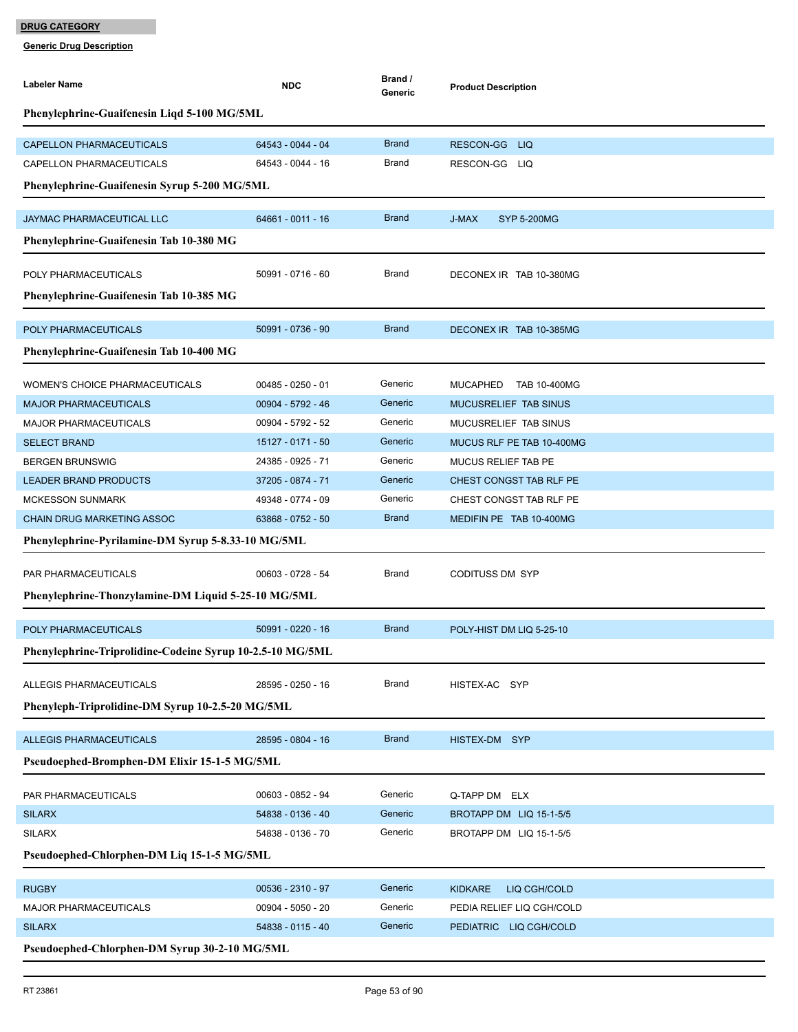| <b>Labeler Name</b>                                       | <b>NDC</b>          | Brand /<br>Generic | <b>Product Description</b>     |
|-----------------------------------------------------------|---------------------|--------------------|--------------------------------|
| Phenylephrine-Guaifenesin Liqd 5-100 MG/5ML               |                     |                    |                                |
| <b>CAPELLON PHARMACEUTICALS</b>                           | 64543 - 0044 - 04   | <b>Brand</b>       | RESCON-GG LIQ                  |
| <b>CAPELLON PHARMACEUTICALS</b>                           | 64543 - 0044 - 16   | Brand              | RESCON-GG LIQ                  |
| Phenylephrine-Guaifenesin Syrup 5-200 MG/5ML              |                     |                    |                                |
|                                                           |                     | <b>Brand</b>       |                                |
| JAYMAC PHARMACEUTICAL LLC                                 | 64661 - 0011 - 16   |                    | J-MAX<br><b>SYP 5-200MG</b>    |
| Phenylephrine-Guaifenesin Tab 10-380 MG                   |                     |                    |                                |
| POLY PHARMACEUTICALS                                      | 50991 - 0716 - 60   | Brand              | DECONEX IR TAB 10-380MG        |
| Phenylephrine-Guaifenesin Tab 10-385 MG                   |                     |                    |                                |
|                                                           |                     |                    |                                |
| POLY PHARMACEUTICALS                                      | 50991 - 0736 - 90   | <b>Brand</b>       | DECONEX IR TAB 10-385MG        |
| Phenylephrine-Guaifenesin Tab 10-400 MG                   |                     |                    |                                |
| <b>WOMEN'S CHOICE PHARMACEUTICALS</b>                     | $00485 - 0250 - 01$ | Generic            | MUCAPHED TAB 10-400MG          |
| <b>MAJOR PHARMACEUTICALS</b>                              | 00904 - 5792 - 46   | Generic            | MUCUSRELIEF TAB SINUS          |
| <b>MAJOR PHARMACEUTICALS</b>                              | 00904 - 5792 - 52   | Generic            | MUCUSRELIEF TAB SINUS          |
| <b>SELECT BRAND</b>                                       | 15127 - 0171 - 50   | Generic            | MUCUS RLF PE TAB 10-400MG      |
| <b>BERGEN BRUNSWIG</b>                                    | 24385 - 0925 - 71   | Generic            | MUCUS RELIEF TAB PE            |
| <b>LEADER BRAND PRODUCTS</b>                              | 37205 - 0874 - 71   | Generic            | CHEST CONGST TAB RLF PE        |
| <b>MCKESSON SUNMARK</b>                                   | 49348 - 0774 - 09   | Generic            | CHEST CONGST TAB RLF PE        |
| <b>CHAIN DRUG MARKETING ASSOC</b>                         | 63868 - 0752 - 50   | <b>Brand</b>       | MEDIFIN PE TAB 10-400MG        |
| Phenylephrine-Pyrilamine-DM Syrup 5-8.33-10 MG/5ML        |                     |                    |                                |
| PAR PHARMACEUTICALS                                       | 00603 - 0728 - 54   | Brand              | <b>CODITUSS DM SYP</b>         |
| Phenylephrine-Thonzylamine-DM Liquid 5-25-10 MG/5ML       |                     |                    |                                |
|                                                           |                     |                    |                                |
| POLY PHARMACEUTICALS                                      | 50991 - 0220 - 16   | <b>Brand</b>       | POLY-HIST DM LIQ 5-25-10       |
| Phenylephrine-Triprolidine-Codeine Syrup 10-2.5-10 MG/5ML |                     |                    |                                |
| ALLEGIS PHARMACEUTICALS                                   | 28595 - 0250 - 16   | Brand              | HISTEX-AC SYP                  |
| Phenyleph-Triprolidine-DM Syrup 10-2.5-20 MG/5ML          |                     |                    |                                |
|                                                           |                     |                    |                                |
| <b>ALLEGIS PHARMACEUTICALS</b>                            | 28595 - 0804 - 16   | <b>Brand</b>       | HISTEX-DM SYP                  |
| Pseudoephed-Bromphen-DM Elixir 15-1-5 MG/5ML              |                     |                    |                                |
| PAR PHARMACEUTICALS                                       | 00603 - 0852 - 94   | Generic            | Q-TAPP DM ELX                  |
| <b>SILARX</b>                                             | 54838 - 0136 - 40   | Generic            | BROTAPP DM LIQ 15-1-5/5        |
| <b>SILARX</b>                                             | 54838 - 0136 - 70   | Generic            | BROTAPP DM LIQ 15-1-5/5        |
| Pseudoephed-Chlorphen-DM Liq 15-1-5 MG/5ML                |                     |                    |                                |
|                                                           |                     |                    |                                |
| <b>RUGBY</b>                                              | 00536 - 2310 - 97   | Generic            | <b>KIDKARE</b><br>LIQ CGH/COLD |
| MAJOR PHARMACEUTICALS                                     | 00904 - 5050 - 20   | Generic            | PEDIA RELIEF LIQ CGH/COLD      |
| <b>SILARX</b>                                             | 54838 - 0115 - 40   | Generic            | PEDIATRIC LIQ CGH/COLD         |
| Pseudoephed-Chlorphen-DM Syrup 30-2-10 MG/5ML             |                     |                    |                                |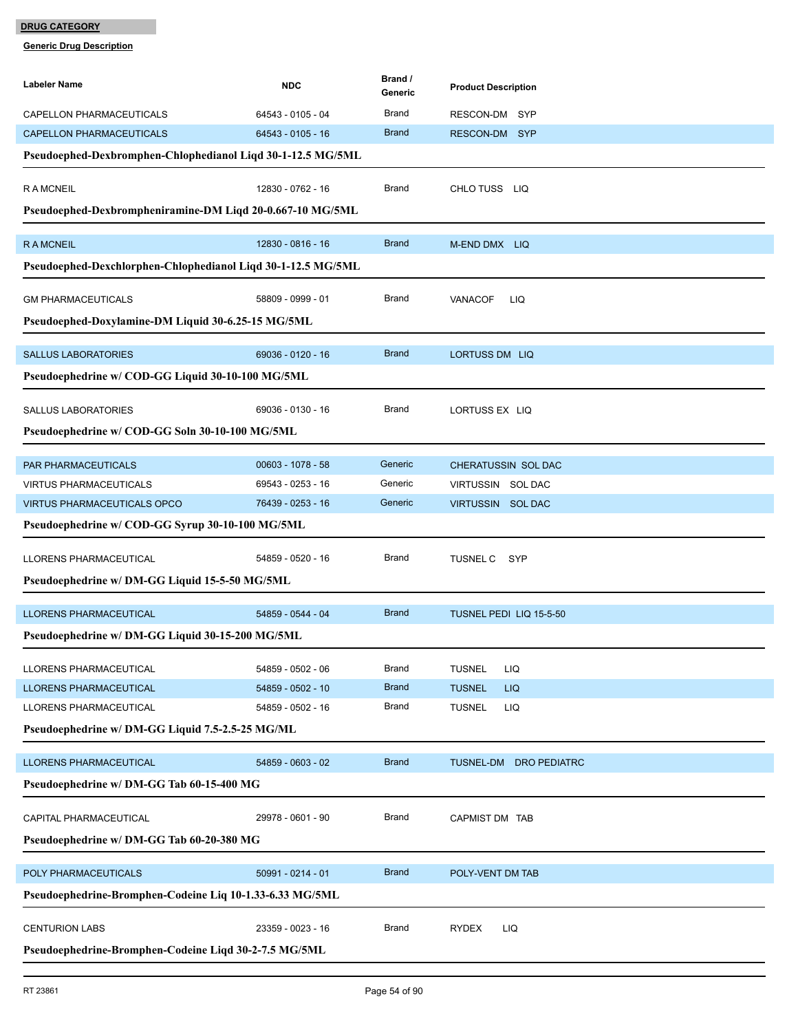| Labeler Name                                                 | <b>NDC</b>          | Brand /<br>Generic | <b>Product Description</b>    |  |  |
|--------------------------------------------------------------|---------------------|--------------------|-------------------------------|--|--|
| CAPELLON PHARMACEUTICALS                                     | 64543 - 0105 - 04   | Brand              | RESCON-DM SYP                 |  |  |
| <b>CAPELLON PHARMACEUTICALS</b>                              | 64543 - 0105 - 16   | <b>Brand</b>       | RESCON-DM SYP                 |  |  |
| Pseudoephed-Dexbromphen-Chlophedianol Liqd 30-1-12.5 MG/5ML  |                     |                    |                               |  |  |
| <b>RAMCNEIL</b>                                              | 12830 - 0762 - 16   | Brand              | CHLO TUSS LIQ                 |  |  |
| Pseudoephed-Dexbrompheniramine-DM Liqd 20-0.667-10 MG/5ML    |                     |                    |                               |  |  |
| <b>RAMCNEIL</b>                                              | 12830 - 0816 - 16   | <b>Brand</b>       | M-END DMX LIQ                 |  |  |
| Pseudoephed-Dexchlorphen-Chlophedianol Liqd 30-1-12.5 MG/5ML |                     |                    |                               |  |  |
| <b>GM PHARMACEUTICALS</b>                                    | 58809 - 0999 - 01   | Brand              | <b>VANACOF</b><br>LIQ         |  |  |
| Pseudoephed-Doxylamine-DM Liquid 30-6.25-15 MG/5ML           |                     |                    |                               |  |  |
| <b>SALLUS LABORATORIES</b>                                   | 69036 - 0120 - 16   | <b>Brand</b>       | <b>LORTUSS DM LIQ</b>         |  |  |
| Pseudoephedrine w/ COD-GG Liquid 30-10-100 MG/5ML            |                     |                    |                               |  |  |
| <b>SALLUS LABORATORIES</b>                                   | 69036 - 0130 - 16   | Brand              | LORTUSS EX LIQ                |  |  |
| Pseudoephedrine w/ COD-GG Soln 30-10-100 MG/5ML              |                     |                    |                               |  |  |
| PAR PHARMACEUTICALS                                          | $00603 - 1078 - 58$ | Generic            | CHERATUSSIN SOL DAC           |  |  |
| <b>VIRTUS PHARMACEUTICALS</b>                                | 69543 - 0253 - 16   | Generic            | VIRTUSSIN SOL DAC             |  |  |
| <b>VIRTUS PHARMACEUTICALS OPCO</b>                           | 76439 - 0253 - 16   | Generic            | VIRTUSSIN SOL DAC             |  |  |
| Pseudoephedrine w/ COD-GG Syrup 30-10-100 MG/5ML             |                     |                    |                               |  |  |
| LLORENS PHARMACEUTICAL                                       | 54859 - 0520 - 16   | Brand              | <b>TUSNEL C</b><br><b>SYP</b> |  |  |
| Pseudoephedrine w/ DM-GG Liquid 15-5-50 MG/5ML               |                     |                    |                               |  |  |
| LLORENS PHARMACEUTICAL                                       | 54859 - 0544 - 04   | <b>Brand</b>       | TUSNEL PEDI LIQ 15-5-50       |  |  |
| Pseudoephedrine w/ DM-GG Liquid 30-15-200 MG/5ML             |                     |                    |                               |  |  |
| LLORENS PHARMACEUTICAL                                       | 54859 - 0502 - 06   | <b>Brand</b>       | <b>TUSNEL</b><br>LIQ          |  |  |
| LLORENS PHARMACEUTICAL                                       | 54859 - 0502 - 10   | <b>Brand</b>       | <b>TUSNEL</b><br><b>LIQ</b>   |  |  |
| LLORENS PHARMACEUTICAL                                       | 54859 - 0502 - 16   | <b>Brand</b>       | <b>TUSNEL</b><br>LIQ          |  |  |
| Pseudoephedrine w/ DM-GG Liquid 7.5-2.5-25 MG/ML             |                     |                    |                               |  |  |
| <b>LLORENS PHARMACEUTICAL</b>                                | 54859 - 0603 - 02   | <b>Brand</b>       | TUSNEL-DM DRO PEDIATRC        |  |  |
| Pseudoephedrine w/ DM-GG Tab 60-15-400 MG                    |                     |                    |                               |  |  |
| CAPITAL PHARMACEUTICAL                                       | 29978 - 0601 - 90   | Brand              | CAPMIST DM TAB                |  |  |
| Pseudoephedrine w/ DM-GG Tab 60-20-380 MG                    |                     |                    |                               |  |  |
| POLY PHARMACEUTICALS                                         | 50991 - 0214 - 01   | <b>Brand</b>       | POLY-VENT DM TAB              |  |  |
| Pseudoephedrine-Bromphen-Codeine Liq 10-1.33-6.33 MG/5ML     |                     |                    |                               |  |  |
| <b>CENTURION LABS</b>                                        | 23359 - 0023 - 16   | Brand              | <b>RYDEX</b><br>LIQ           |  |  |
| Pseudoephedrine-Bromphen-Codeine Liqd 30-2-7.5 MG/5ML        |                     |                    |                               |  |  |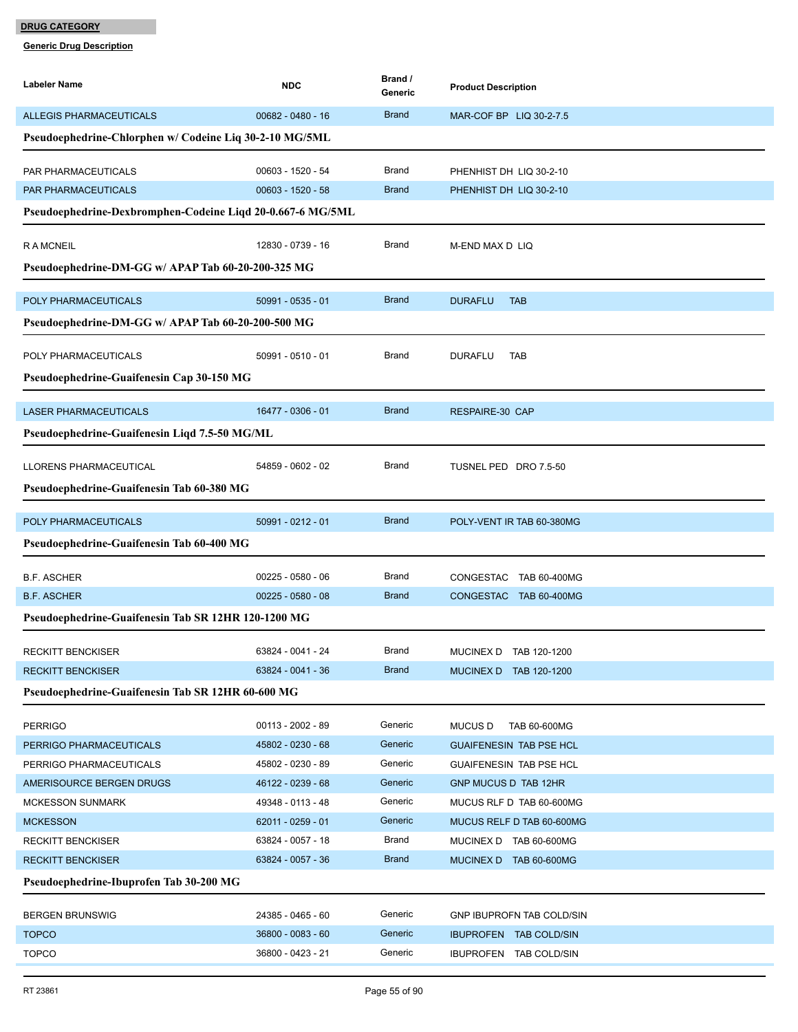| Labeler Name                                               | <b>NDC</b>          | Brand /<br>Generic | <b>Product Description</b>     |
|------------------------------------------------------------|---------------------|--------------------|--------------------------------|
| <b>ALLEGIS PHARMACEUTICALS</b>                             | $00682 - 0480 - 16$ | <b>Brand</b>       | MAR-COF BP LIQ 30-2-7.5        |
| Pseudoephedrine-Chlorphen w/ Codeine Liq 30-2-10 MG/5ML    |                     |                    |                                |
| PAR PHARMACEUTICALS                                        | 00603 - 1520 - 54   | Brand              | PHENHIST DH LIQ 30-2-10        |
| PAR PHARMACEUTICALS                                        | 00603 - 1520 - 58   | <b>Brand</b>       | PHENHIST DH LIQ 30-2-10        |
| Pseudoephedrine-Dexbromphen-Codeine Liqd 20-0.667-6 MG/5ML |                     |                    |                                |
| <b>RAMCNEIL</b>                                            | 12830 - 0739 - 16   | Brand              | M-END MAX D LIQ                |
| Pseudoephedrine-DM-GG w/ APAP Tab 60-20-200-325 MG         |                     |                    |                                |
| POLY PHARMACEUTICALS                                       | 50991 - 0535 - 01   | <b>Brand</b>       | <b>DURAFLU</b><br><b>TAB</b>   |
| Pseudoephedrine-DM-GG w/ APAP Tab 60-20-200-500 MG         |                     |                    |                                |
| POLY PHARMACEUTICALS                                       | 50991 - 0510 - 01   | Brand              | <b>DURAFLU</b><br>TAB          |
| Pseudoephedrine-Guaifenesin Cap 30-150 MG                  |                     |                    |                                |
| <b>LASER PHARMACEUTICALS</b>                               | 16477 - 0306 - 01   | <b>Brand</b>       | <b>RESPAIRE-30 CAP</b>         |
| Pseudoephedrine-Guaifenesin Liqd 7.5-50 MG/ML              |                     |                    |                                |
| LLORENS PHARMACEUTICAL                                     | 54859 - 0602 - 02   | <b>Brand</b>       | TUSNEL PED DRO 7.5-50          |
| Pseudoephedrine-Guaifenesin Tab 60-380 MG                  |                     |                    |                                |
| POLY PHARMACEUTICALS                                       | 50991 - 0212 - 01   | <b>Brand</b>       | POLY-VENT IR TAB 60-380MG      |
| Pseudoephedrine-Guaifenesin Tab 60-400 MG                  |                     |                    |                                |
| <b>B.F. ASCHER</b>                                         | $00225 - 0580 - 06$ | Brand              | CONGESTAC TAB 60-400MG         |
| <b>B.F. ASCHER</b>                                         | $00225 - 0580 - 08$ | <b>Brand</b>       | CONGESTAC TAB 60-400MG         |
| Pseudoephedrine-Guaifenesin Tab SR 12HR 120-1200 MG        |                     |                    |                                |
| <b>RECKITT BENCKISER</b>                                   | 63824 - 0041 - 24   | Brand              | MUCINEX D TAB 120-1200         |
| <b>RECKITT BENCKISER</b>                                   | 63824 - 0041 - 36   | <b>Brand</b>       | MUCINEX D TAB 120-1200         |
| Pseudoephedrine-Guaifenesin Tab SR 12HR 60-600 MG          |                     |                    |                                |
| <b>PERRIGO</b>                                             | 00113 - 2002 - 89   | Generic            | <b>MUCUS D</b><br>TAB 60-600MG |
| PERRIGO PHARMACEUTICALS                                    | 45802 - 0230 - 68   | Generic            | <b>GUAIFENESIN TAB PSE HCL</b> |
| PERRIGO PHARMACEUTICALS                                    | 45802 - 0230 - 89   | Generic            | <b>GUAIFENESIN TAB PSE HCL</b> |
| AMERISOURCE BERGEN DRUGS                                   | 46122 - 0239 - 68   | Generic            | <b>GNP MUCUS D TAB 12HR</b>    |
| <b>MCKESSON SUNMARK</b>                                    | 49348 - 0113 - 48   | Generic            | MUCUS RLF D TAB 60-600MG       |
| <b>MCKESSON</b>                                            | 62011 - 0259 - 01   | Generic            | MUCUS RELF D TAB 60-600MG      |
| <b>RECKITT BENCKISER</b>                                   | 63824 - 0057 - 18   | <b>Brand</b>       | MUCINEX D TAB 60-600MG         |
| <b>RECKITT BENCKISER</b>                                   | 63824 - 0057 - 36   | <b>Brand</b>       | MUCINEX D TAB 60-600MG         |
| Pseudoephedrine-Ibuprofen Tab 30-200 MG                    |                     |                    |                                |
| <b>BERGEN BRUNSWIG</b>                                     | 24385 - 0465 - 60   | Generic            | GNP IBUPROFN TAB COLD/SIN      |
| <b>TOPCO</b>                                               | 36800 - 0083 - 60   | Generic            | <b>IBUPROFEN TAB COLD/SIN</b>  |
| <b>TOPCO</b>                                               | 36800 - 0423 - 21   | Generic            | <b>IBUPROFEN TAB COLD/SIN</b>  |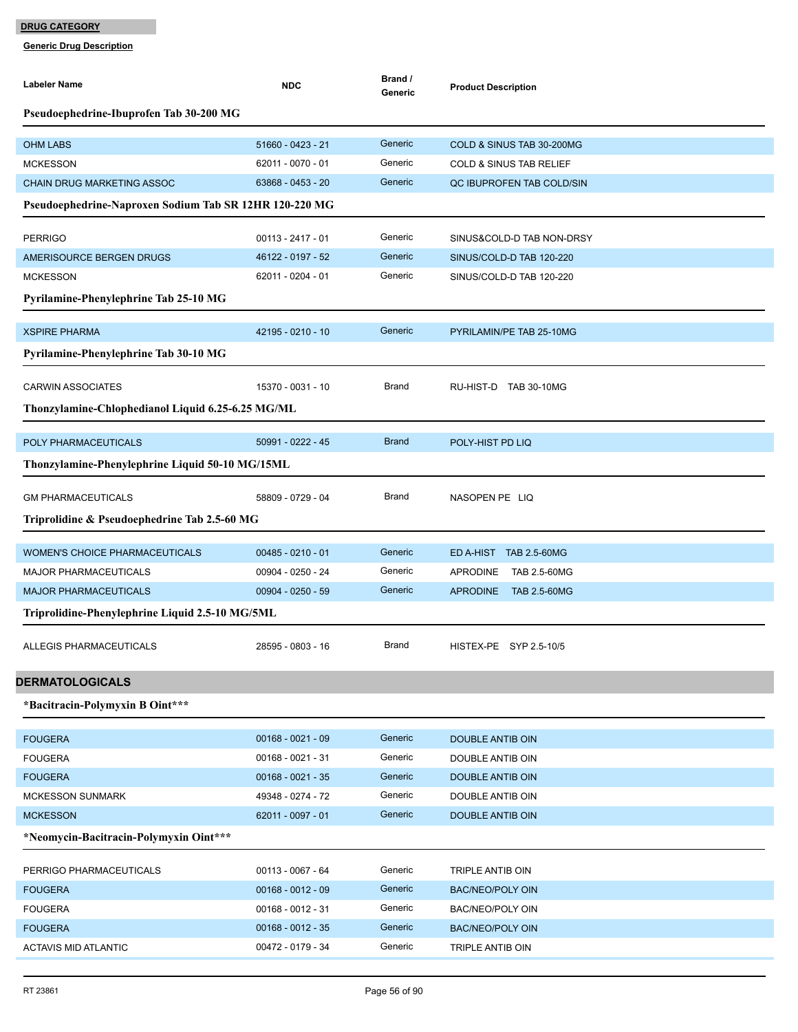| Labeler Name                                                          | <b>NDC</b>                               | Brand /<br>Generic | <b>Product Description</b>                                |
|-----------------------------------------------------------------------|------------------------------------------|--------------------|-----------------------------------------------------------|
| Pseudoephedrine-Ibuprofen Tab 30-200 MG                               |                                          |                    |                                                           |
| <b>OHM LABS</b>                                                       | 51660 - 0423 - 21                        | Generic            | COLD & SINUS TAB 30-200MG                                 |
| <b>MCKESSON</b>                                                       | 62011 - 0070 - 01                        | Generic            | <b>COLD &amp; SINUS TAB RELIEF</b>                        |
| <b>CHAIN DRUG MARKETING ASSOC</b>                                     | 63868 - 0453 - 20                        | Generic            | QC IBUPROFEN TAB COLD/SIN                                 |
| Pseudoephedrine-Naproxen Sodium Tab SR 12HR 120-220 MG                |                                          |                    |                                                           |
| <b>PERRIGO</b>                                                        | $00113 - 2417 - 01$                      | Generic            | SINUS&COLD-D TAB NON-DRSY                                 |
| AMERISOURCE BERGEN DRUGS                                              | 46122 - 0197 - 52                        | Generic            | SINUS/COLD-D TAB 120-220                                  |
| <b>MCKESSON</b>                                                       | 62011 - 0204 - 01                        | Generic            | SINUS/COLD-D TAB 120-220                                  |
| Pyrilamine-Phenylephrine Tab 25-10 MG                                 |                                          |                    |                                                           |
| <b>XSPIRE PHARMA</b>                                                  | 42195 - 0210 - 10                        | Generic            | PYRILAMIN/PE TAB 25-10MG                                  |
| Pyrilamine-Phenylephrine Tab 30-10 MG                                 |                                          |                    |                                                           |
| <b>CARWIN ASSOCIATES</b>                                              | 15370 - 0031 - 10                        | Brand              | RU-HIST-D TAB 30-10MG                                     |
| Thonzylamine-Chlophedianol Liquid 6.25-6.25 MG/ML                     |                                          |                    |                                                           |
|                                                                       |                                          |                    |                                                           |
| POLY PHARMACEUTICALS                                                  | 50991 - 0222 - 45                        | <b>Brand</b>       | POLY-HIST PD LIQ                                          |
| Thonzylamine-Phenylephrine Liquid 50-10 MG/15ML                       |                                          |                    |                                                           |
| <b>GM PHARMACEUTICALS</b>                                             | 58809 - 0729 - 04                        | <b>Brand</b>       | NASOPEN PE LIQ                                            |
| Triprolidine & Pseudoephedrine Tab 2.5-60 MG                          |                                          |                    |                                                           |
|                                                                       |                                          | Generic            |                                                           |
| <b>WOMEN'S CHOICE PHARMACEUTICALS</b><br><b>MAJOR PHARMACEUTICALS</b> | $00485 - 0210 - 01$<br>00904 - 0250 - 24 | Generic            | ED A-HIST TAB 2.5-60MG<br><b>APRODINE</b><br>TAB 2.5-60MG |
| <b>MAJOR PHARMACEUTICALS</b>                                          | 00904 - 0250 - 59                        | Generic            | <b>APRODINE</b><br>TAB 2.5-60MG                           |
| Triprolidine-Phenylephrine Liquid 2.5-10 MG/5ML                       |                                          |                    |                                                           |
|                                                                       |                                          |                    |                                                           |
| <b>ALLEGIS PHARMACEUTICALS</b>                                        | 28595 - 0803 - 16                        | Brand              | HISTEX-PE SYP 2.5-10/5                                    |
| <b>DERMATOLOGICALS</b>                                                |                                          |                    |                                                           |
| *Bacitracin-Polymyxin B Oint***                                       |                                          |                    |                                                           |
| <b>FOUGERA</b>                                                        | $00168 - 0021 - 09$                      | Generic            | DOUBLE ANTIB OIN                                          |
| <b>FOUGERA</b>                                                        | 00168 - 0021 - 31                        | Generic            | DOUBLE ANTIB OIN                                          |
| <b>FOUGERA</b>                                                        | $00168 - 0021 - 35$                      | Generic            | DOUBLE ANTIB OIN                                          |
| <b>MCKESSON SUNMARK</b>                                               | 49348 - 0274 - 72                        | Generic            | DOUBLE ANTIB OIN                                          |
| <b>MCKESSON</b>                                                       | 62011 - 0097 - 01                        | Generic            | DOUBLE ANTIB OIN                                          |
| *Neomycin-Bacitracin-Polymyxin Oint***                                |                                          |                    |                                                           |
| PERRIGO PHARMACEUTICALS                                               | 00113 - 0067 - 64                        | Generic            | TRIPLE ANTIB OIN                                          |
| <b>FOUGERA</b>                                                        | $00168 - 0012 - 09$                      | Generic            | <b>BAC/NEO/POLY OIN</b>                                   |
| <b>FOUGERA</b>                                                        | $00168 - 0012 - 31$                      | Generic            | BAC/NEO/POLY OIN                                          |
| <b>FOUGERA</b>                                                        | $00168 - 0012 - 35$                      | Generic            | BAC/NEO/POLY OIN                                          |
| <b>ACTAVIS MID ATLANTIC</b>                                           | 00472 - 0179 - 34                        | Generic            | TRIPLE ANTIB OIN                                          |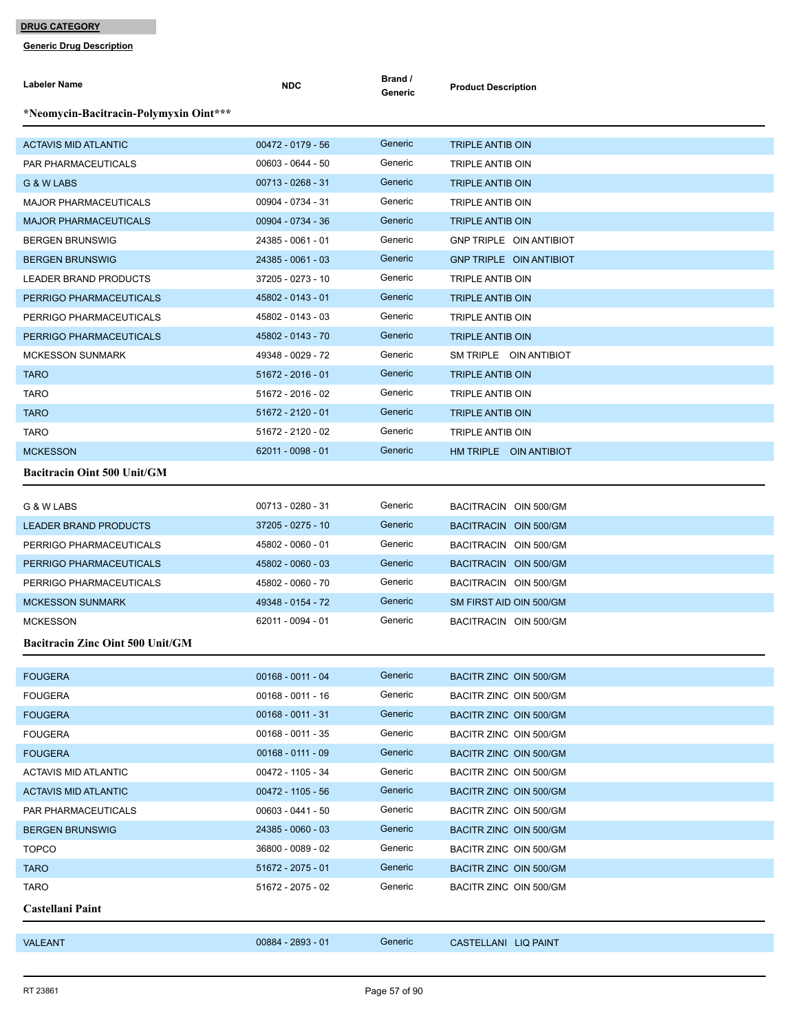| Labeler Name                            | <b>NDC</b>          | Brand /<br>Generic | <b>Product Description</b>     |
|-----------------------------------------|---------------------|--------------------|--------------------------------|
| *Neomycin-Bacitracin-Polymyxin Oint***  |                     |                    |                                |
| <b>ACTAVIS MID ATLANTIC</b>             | 00472 - 0179 - 56   | Generic            | TRIPLE ANTIB OIN               |
| PAR PHARMACEUTICALS                     | 00603 - 0644 - 50   | Generic            | TRIPLE ANTIB OIN               |
| G & W LABS                              | $00713 - 0268 - 31$ | Generic            | <b>TRIPLE ANTIB OIN</b>        |
| <b>MAJOR PHARMACEUTICALS</b>            | 00904 - 0734 - 31   | Generic            | <b>TRIPLE ANTIB OIN</b>        |
| <b>MAJOR PHARMACEUTICALS</b>            | 00904 - 0734 - 36   | Generic            | TRIPLE ANTIB OIN               |
| <b>BERGEN BRUNSWIG</b>                  | 24385 - 0061 - 01   | Generic            | GNP TRIPLE OIN ANTIBIOT        |
| <b>BERGEN BRUNSWIG</b>                  | 24385 - 0061 - 03   | Generic            | <b>GNP TRIPLE OIN ANTIBIOT</b> |
| LEADER BRAND PRODUCTS                   | 37205 - 0273 - 10   | Generic            | TRIPLE ANTIB OIN               |
| PERRIGO PHARMACEUTICALS                 | 45802 - 0143 - 01   | Generic            | <b>TRIPLE ANTIB OIN</b>        |
| PERRIGO PHARMACEUTICALS                 | 45802 - 0143 - 03   | Generic            | TRIPLE ANTIB OIN               |
| PERRIGO PHARMACEUTICALS                 | 45802 - 0143 - 70   | Generic            | <b>TRIPLE ANTIB OIN</b>        |
| <b>MCKESSON SUNMARK</b>                 | 49348 - 0029 - 72   | Generic            | SM TRIPLE OIN ANTIBIOT         |
| <b>TARO</b>                             | 51672 - 2016 - 01   | Generic            | <b>TRIPLE ANTIB OIN</b>        |
| <b>TARO</b>                             | 51672 - 2016 - 02   | Generic            | TRIPLE ANTIB OIN               |
| <b>TARO</b>                             | 51672 - 2120 - 01   | Generic            | TRIPLE ANTIB OIN               |
| <b>TARO</b>                             | 51672 - 2120 - 02   | Generic            | <b>TRIPLE ANTIB OIN</b>        |
| <b>MCKESSON</b>                         | 62011 - 0098 - 01   | Generic            | HM TRIPLE OIN ANTIBIOT         |
| <b>Bacitracin Oint 500 Unit/GM</b>      |                     |                    |                                |
| G & W LABS                              | 00713 - 0280 - 31   | Generic            | BACITRACIN OIN 500/GM          |
| <b>LEADER BRAND PRODUCTS</b>            | 37205 - 0275 - 10   | Generic            | BACITRACIN OIN 500/GM          |
| PERRIGO PHARMACEUTICALS                 | 45802 - 0060 - 01   | Generic            | BACITRACIN OIN 500/GM          |
| PERRIGO PHARMACEUTICALS                 | 45802 - 0060 - 03   | Generic            | BACITRACIN OIN 500/GM          |
| PERRIGO PHARMACEUTICALS                 | 45802 - 0060 - 70   | Generic            | BACITRACIN OIN 500/GM          |
| <b>MCKESSON SUNMARK</b>                 | 49348 - 0154 - 72   | Generic            | SM FIRST AID OIN 500/GM        |
| <b>MCKESSON</b>                         | 62011 - 0094 - 01   | Generic            | BACITRACIN OIN 500/GM          |
| <b>Bacitracin Zinc Oint 500 Unit/GM</b> |                     |                    |                                |
|                                         |                     |                    |                                |
| <b>FOUGERA</b>                          | $00168 - 0011 - 04$ | Generic            | BACITR ZINC OIN 500/GM         |
| <b>FOUGERA</b>                          | $00168 - 0011 - 16$ | Generic            | BACITR ZINC OIN 500/GM         |
| <b>FOUGERA</b>                          | $00168 - 0011 - 31$ | Generic            | BACITR ZINC OIN 500/GM         |
| <b>FOUGERA</b>                          | $00168 - 0011 - 35$ | Generic            | BACITR ZINC OIN 500/GM         |
| <b>FOUGERA</b>                          | $00168 - 0111 - 09$ | Generic            | BACITR ZINC OIN 500/GM         |
| <b>ACTAVIS MID ATLANTIC</b>             | 00472 - 1105 - 34   | Generic            | BACITR ZINC OIN 500/GM         |
| <b>ACTAVIS MID ATLANTIC</b>             | 00472 - 1105 - 56   | Generic            | BACITR ZINC OIN 500/GM         |
| PAR PHARMACEUTICALS                     | 00603 - 0441 - 50   | Generic            | BACITR ZINC OIN 500/GM         |
| <b>BERGEN BRUNSWIG</b>                  | 24385 - 0060 - 03   | Generic            | BACITR ZINC OIN 500/GM         |
| <b>TOPCO</b>                            | 36800 - 0089 - 02   | Generic            | BACITR ZINC OIN 500/GM         |
| <b>TARO</b>                             | 51672 - 2075 - 01   | Generic            | BACITR ZINC OIN 500/GM         |
| <b>TARO</b>                             | 51672 - 2075 - 02   | Generic            | BACITR ZINC OIN 500/GM         |
| Castellani Paint                        |                     |                    |                                |
|                                         |                     |                    |                                |
| <b>VALEANT</b>                          | 00884 - 2893 - 01   | Generic            | CASTELLANI LIQ PAINT           |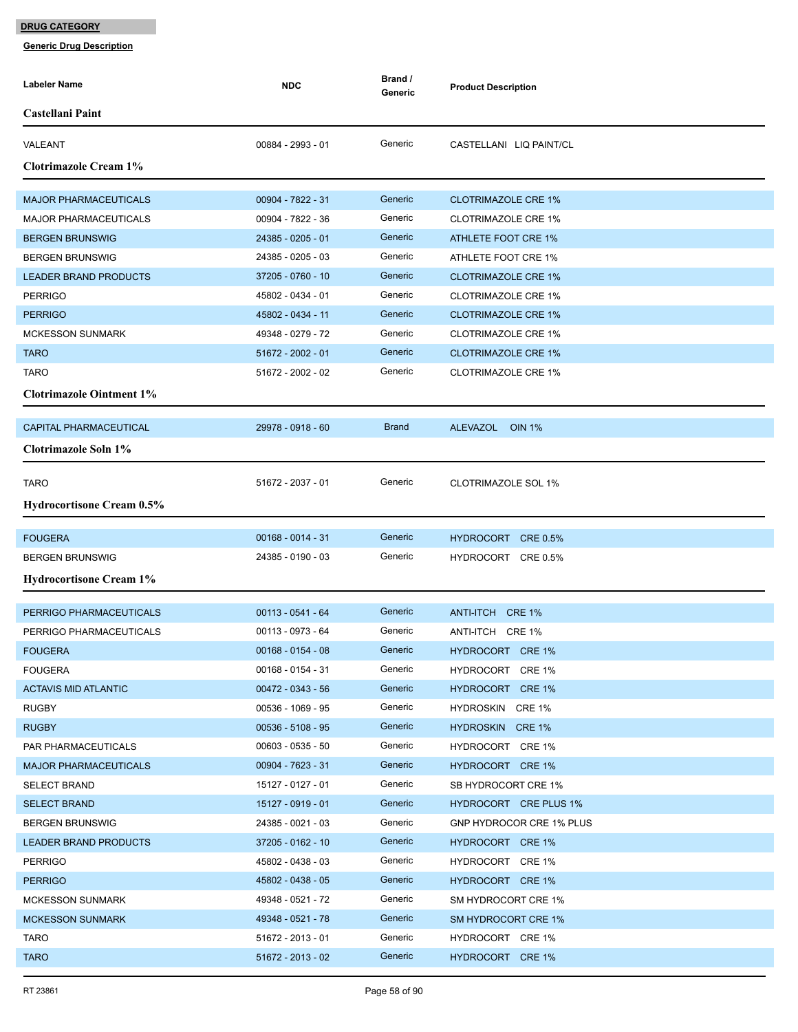| Labeler Name                     | <b>NDC</b>          | Brand /<br>Generic | <b>Product Description</b> |
|----------------------------------|---------------------|--------------------|----------------------------|
| Castellani Paint                 |                     |                    |                            |
| VALEANT                          | 00884 - 2993 - 01   | Generic            | CASTELLANI LIQ PAINT/CL    |
| <b>Clotrimazole Cream 1%</b>     |                     |                    |                            |
| <b>MAJOR PHARMACEUTICALS</b>     | 00904 - 7822 - 31   | Generic            | <b>CLOTRIMAZOLE CRE 1%</b> |
| <b>MAJOR PHARMACEUTICALS</b>     | 00904 - 7822 - 36   | Generic            | <b>CLOTRIMAZOLE CRE 1%</b> |
| <b>BERGEN BRUNSWIG</b>           | 24385 - 0205 - 01   | Generic            | ATHLETE FOOT CRE 1%        |
| <b>BERGEN BRUNSWIG</b>           | 24385 - 0205 - 03   | Generic            | ATHLETE FOOT CRE 1%        |
| LEADER BRAND PRODUCTS            | 37205 - 0760 - 10   | Generic            | <b>CLOTRIMAZOLE CRE 1%</b> |
| <b>PERRIGO</b>                   | 45802 - 0434 - 01   | Generic            | <b>CLOTRIMAZOLE CRE 1%</b> |
| <b>PERRIGO</b>                   | 45802 - 0434 - 11   | Generic            | <b>CLOTRIMAZOLE CRE 1%</b> |
| <b>MCKESSON SUNMARK</b>          | 49348 - 0279 - 72   | Generic            | <b>CLOTRIMAZOLE CRE 1%</b> |
| <b>TARO</b>                      | 51672 - 2002 - 01   | Generic            | <b>CLOTRIMAZOLE CRE 1%</b> |
| <b>TARO</b>                      | 51672 - 2002 - 02   | Generic            | <b>CLOTRIMAZOLE CRE 1%</b> |
| <b>Clotrimazole Ointment 1%</b>  |                     |                    |                            |
|                                  |                     |                    |                            |
| <b>CAPITAL PHARMACEUTICAL</b>    | 29978 - 0918 - 60   | <b>Brand</b>       | ALEVAZOL OIN 1%            |
| <b>Clotrimazole Soln 1%</b>      |                     |                    |                            |
|                                  |                     |                    |                            |
| <b>TARO</b>                      | 51672 - 2037 - 01   | Generic            | <b>CLOTRIMAZOLE SOL 1%</b> |
| <b>Hydrocortisone Cream 0.5%</b> |                     |                    |                            |
| <b>FOUGERA</b>                   | $00168 - 0014 - 31$ | Generic            | HYDROCORT CRE 0.5%         |
| <b>BERGEN BRUNSWIG</b>           | 24385 - 0190 - 03   | Generic            | HYDROCORT CRE 0.5%         |
| <b>Hydrocortisone Cream 1%</b>   |                     |                    |                            |
|                                  |                     |                    |                            |
| PERRIGO PHARMACEUTICALS          | $00113 - 0541 - 64$ | Generic            | ANTI-ITCH CRE 1%           |
| PERRIGO PHARMACEUTICALS          | 00113 - 0973 - 64   | Generic            | ANTI-ITCH CRE 1%           |
| <b>FOUGERA</b>                   | 00168 - 0154 - 08   | Generic            | HYDROCORT CRE 1%           |
| <b>FOUGERA</b>                   | 00168 - 0154 - 31   | Generic            | HYDROCORT CRE 1%           |
| <b>ACTAVIS MID ATLANTIC</b>      | $00472 - 0343 - 56$ | Generic            | HYDROCORT CRE 1%           |
| <b>RUGBY</b>                     | 00536 - 1069 - 95   | Generic            | HYDROSKIN CRE 1%           |
| <b>RUGBY</b>                     | $00536 - 5108 - 95$ | Generic            | HYDROSKIN CRE 1%           |
| PAR PHARMACEUTICALS              | $00603 - 0535 - 50$ | Generic            | HYDROCORT CRE 1%           |
| <b>MAJOR PHARMACEUTICALS</b>     | 00904 - 7623 - 31   | Generic            | HYDROCORT CRE 1%           |
| <b>SELECT BRAND</b>              | 15127 - 0127 - 01   | Generic            | SB HYDROCORT CRE 1%        |
| <b>SELECT BRAND</b>              | 15127 - 0919 - 01   | Generic            | HYDROCORT CRE PLUS 1%      |
| <b>BERGEN BRUNSWIG</b>           | 24385 - 0021 - 03   | Generic            | GNP HYDROCOR CRE 1% PLUS   |
| <b>LEADER BRAND PRODUCTS</b>     | 37205 - 0162 - 10   | Generic            | HYDROCORT CRE 1%           |
| <b>PERRIGO</b>                   | 45802 - 0438 - 03   | Generic            | HYDROCORT CRE 1%           |
| <b>PERRIGO</b>                   | 45802 - 0438 - 05   | Generic            | HYDROCORT CRE 1%           |
| <b>MCKESSON SUNMARK</b>          | 49348 - 0521 - 72   | Generic            | SM HYDROCORT CRE 1%        |
| <b>MCKESSON SUNMARK</b>          | 49348 - 0521 - 78   | Generic            | SM HYDROCORT CRE 1%        |
| <b>TARO</b>                      | 51672 - 2013 - 01   | Generic            | HYDROCORT CRE 1%           |
| <b>TARO</b>                      | 51672 - 2013 - 02   | Generic            | HYDROCORT CRE 1%           |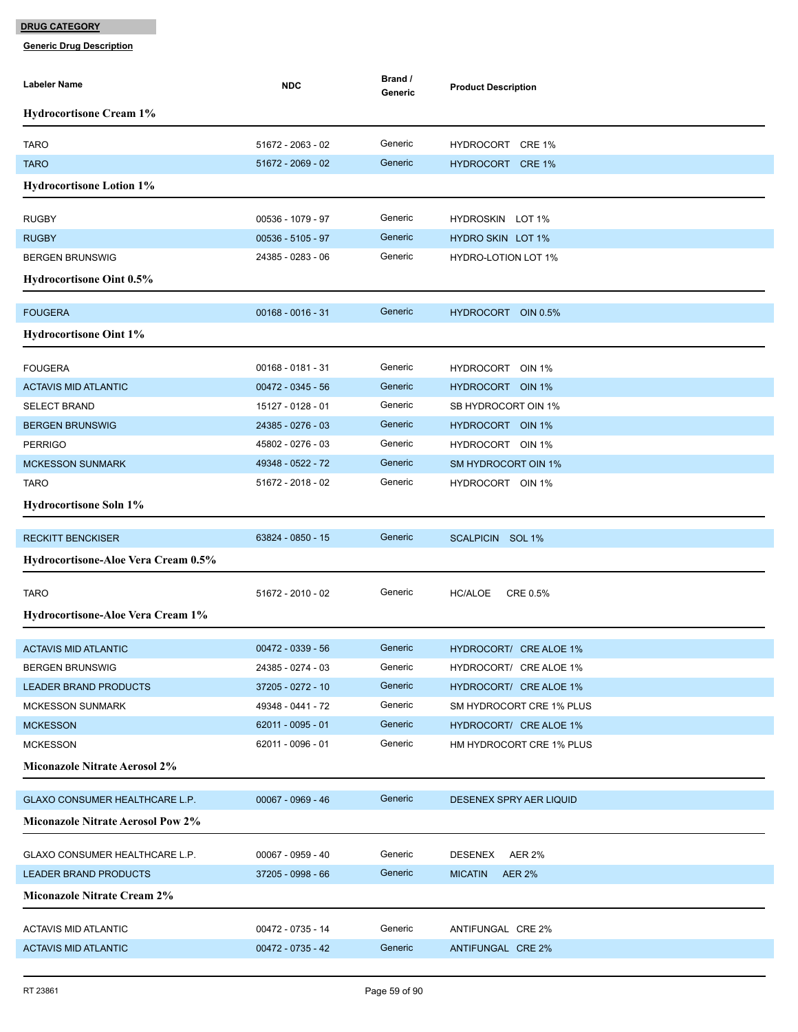| <b>Labeler Name</b>                      | <b>NDC</b>          | Brand /<br>Generic | <b>Product Description</b>      |
|------------------------------------------|---------------------|--------------------|---------------------------------|
| <b>Hydrocortisone Cream 1%</b>           |                     |                    |                                 |
| <b>TARO</b>                              | 51672 - 2063 - 02   | Generic            | HYDROCORT CRE 1%                |
| <b>TARO</b>                              | 51672 - 2069 - 02   | Generic            | HYDROCORT CRE 1%                |
| <b>Hydrocortisone Lotion 1%</b>          |                     |                    |                                 |
| <b>RUGBY</b>                             | 00536 - 1079 - 97   | Generic            | HYDROSKIN LOT 1%                |
| <b>RUGBY</b>                             | $00536 - 5105 - 97$ | Generic            | <b>HYDRO SKIN LOT 1%</b>        |
| <b>BERGEN BRUNSWIG</b>                   | 24385 - 0283 - 06   | Generic            | <b>HYDRO-LOTION LOT 1%</b>      |
| <b>Hydrocortisone Oint 0.5%</b>          |                     |                    |                                 |
|                                          |                     |                    |                                 |
| <b>FOUGERA</b>                           | $00168 - 0016 - 31$ | Generic            | HYDROCORT OIN 0.5%              |
| <b>Hydrocortisone Oint 1%</b>            |                     |                    |                                 |
| <b>FOUGERA</b>                           | 00168 - 0181 - 31   | Generic            | HYDROCORT OIN 1%                |
| <b>ACTAVIS MID ATLANTIC</b>              | 00472 - 0345 - 56   | Generic            | HYDROCORT OIN 1%                |
| <b>SELECT BRAND</b>                      | 15127 - 0128 - 01   | Generic            | SB HYDROCORT OIN 1%             |
| <b>BERGEN BRUNSWIG</b>                   | 24385 - 0276 - 03   | Generic            | HYDROCORT OIN 1%                |
| <b>PERRIGO</b>                           | 45802 - 0276 - 03   | Generic            | HYDROCORT OIN 1%                |
| <b>MCKESSON SUNMARK</b>                  | 49348 - 0522 - 72   | Generic            | SM HYDROCORT OIN 1%             |
| <b>TARO</b>                              | 51672 - 2018 - 02   | Generic            | HYDROCORT OIN 1%                |
| <b>Hydrocortisone Soln 1%</b>            |                     |                    |                                 |
| <b>RECKITT BENCKISER</b>                 | 63824 - 0850 - 15   | Generic            | SCALPICIN SOL 1%                |
| Hydrocortisone-Aloe Vera Cream 0.5%      |                     |                    |                                 |
|                                          |                     |                    |                                 |
| <b>TARO</b>                              | 51672 - 2010 - 02   | Generic            | <b>HC/ALOE</b><br>CRE 0.5%      |
| Hydrocortisone-Aloe Vera Cream 1%        |                     |                    |                                 |
| <b>ACTAVIS MID ATLANTIC</b>              | 00472 - 0339 - 56   | Generic            | HYDROCORT/ CREALOE 1%           |
| <b>BERGEN BRUNSWIG</b>                   | 24385 - 0274 - 03   | Generic            | HYDROCORT/ CRE ALOE 1%          |
| LEADER BRAND PRODUCTS                    | 37205 - 0272 - 10   | Generic            | HYDROCORT/ CRE ALOE 1%          |
| <b>MCKESSON SUNMARK</b>                  | 49348 - 0441 - 72   | Generic            | SM HYDROCORT CRE 1% PLUS        |
| <b>MCKESSON</b>                          | 62011 - 0095 - 01   | Generic            | HYDROCORT/ CRE ALOE 1%          |
| <b>MCKESSON</b>                          | 62011 - 0096 - 01   | Generic            | HM HYDROCORT CRE 1% PLUS        |
| Miconazole Nitrate Aerosol 2%            |                     |                    |                                 |
| <b>GLAXO CONSUMER HEALTHCARE L.P.</b>    | 00067 - 0969 - 46   | Generic            | DESENEX SPRY AER LIQUID         |
| <b>Miconazole Nitrate Aerosol Pow 2%</b> |                     |                    |                                 |
| GLAXO CONSUMER HEALTHCARE L.P.           | 00067 - 0959 - 40   | Generic            | DESENEX<br><b>AER 2%</b>        |
| LEADER BRAND PRODUCTS                    | 37205 - 0998 - 66   | Generic            | <b>MICATIN</b><br><b>AER 2%</b> |
| Miconazole Nitrate Cream 2%              |                     |                    |                                 |
|                                          |                     |                    |                                 |
| <b>ACTAVIS MID ATLANTIC</b>              | 00472 - 0735 - 14   | Generic            | ANTIFUNGAL CRE 2%               |
| <b>ACTAVIS MID ATLANTIC</b>              | 00472 - 0735 - 42   | Generic            | ANTIFUNGAL CRE 2%               |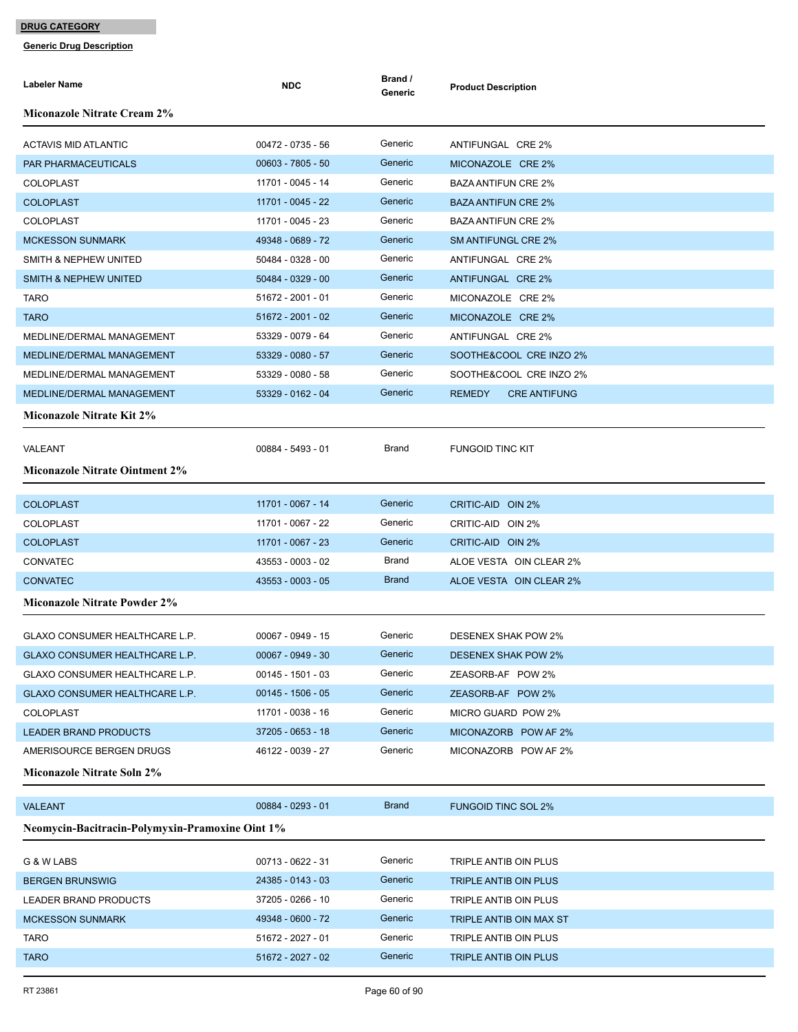| <b>Labeler Name</b>                                    | <b>NDC</b>          | Brand /<br>Generic | <b>Product Description</b>           |
|--------------------------------------------------------|---------------------|--------------------|--------------------------------------|
| <b>Miconazole Nitrate Cream 2%</b>                     |                     |                    |                                      |
| <b>ACTAVIS MID ATLANTIC</b>                            | $00472 - 0735 - 56$ | Generic            | ANTIFUNGAL CRE 2%                    |
| PAR PHARMACEUTICALS                                    | 00603 - 7805 - 50   | Generic            | MICONAZOLE CRE 2%                    |
| <b>COLOPLAST</b>                                       | 11701 - 0045 - 14   | Generic            | <b>BAZA ANTIFUN CRE 2%</b>           |
| <b>COLOPLAST</b>                                       | 11701 - 0045 - 22   | Generic            | <b>BAZA ANTIFUN CRE 2%</b>           |
| <b>COLOPLAST</b>                                       | 11701 - 0045 - 23   | Generic            | <b>BAZA ANTIFUN CRE 2%</b>           |
| <b>MCKESSON SUNMARK</b>                                | 49348 - 0689 - 72   | Generic            | <b>SM ANTIFUNGL CRE 2%</b>           |
| SMITH & NEPHEW UNITED                                  | 50484 - 0328 - 00   | Generic            | ANTIFUNGAL CRE 2%                    |
| <b>SMITH &amp; NEPHEW UNITED</b>                       | 50484 - 0329 - 00   | Generic            | ANTIFUNGAL CRE 2%                    |
| <b>TARO</b>                                            | 51672 - 2001 - 01   | Generic            | MICONAZOLE CRE 2%                    |
| <b>TARO</b>                                            | 51672 - 2001 - 02   | Generic            | MICONAZOLE CRE 2%                    |
| MEDLINE/DERMAL MANAGEMENT                              | 53329 - 0079 - 64   | Generic            | ANTIFUNGAL CRE 2%                    |
| MEDLINE/DERMAL MANAGEMENT                              | 53329 - 0080 - 57   | Generic            | SOOTHE&COOL CRE INZO 2%              |
| MEDLINE/DERMAL MANAGEMENT                              | 53329 - 0080 - 58   | Generic            | SOOTHE&COOL CRE INZO 2%              |
| MEDLINE/DERMAL MANAGEMENT                              | 53329 - 0162 - 04   | Generic            | <b>REMEDY</b><br><b>CRE ANTIFUNG</b> |
| <b>Miconazole Nitrate Kit 2%</b>                       |                     |                    |                                      |
| VALEANT                                                | 00884 - 5493 - 01   | Brand              | <b>FUNGOID TINC KIT</b>              |
| <b>Miconazole Nitrate Ointment 2%</b>                  |                     |                    |                                      |
| <b>COLOPLAST</b>                                       | 11701 - 0067 - 14   | Generic            | CRITIC-AID OIN 2%                    |
| <b>COLOPLAST</b>                                       | 11701 - 0067 - 22   | Generic            | CRITIC-AID OIN 2%                    |
| <b>COLOPLAST</b>                                       | 11701 - 0067 - 23   | Generic            | CRITIC-AID OIN 2%                    |
| <b>CONVATEC</b>                                        | 43553 - 0003 - 02   | Brand              | ALOE VESTA OIN CLEAR 2%              |
| <b>CONVATEC</b>                                        | 43553 - 0003 - 05   | <b>Brand</b>       | ALOE VESTA OIN CLEAR 2%              |
| <b>Miconazole Nitrate Powder 2%</b>                    |                     |                    |                                      |
| GLAXO CONSUMER HEALTHCARE L.P.                         | 00067 - 0949 - 15   | Generic            | <b>DESENEX SHAK POW 2%</b>           |
| GLAXO CONSUMER HEALTHCARE L.P.                         | $00067 - 0949 - 30$ | Generic            | <b>DESENEX SHAK POW 2%</b>           |
| GLAXO CONSUMER HEALTHCARE L.P.                         | 00145 - 1501 - 03   | Generic            | ZEASORB-AF POW 2%                    |
| GLAXO CONSUMER HEALTHCARE L.P.                         | $00145 - 1506 - 05$ | Generic            | ZEASORB-AF POW 2%                    |
| <b>COLOPLAST</b>                                       | 11701 - 0038 - 16   | Generic            | MICRO GUARD POW 2%                   |
| <b>LEADER BRAND PRODUCTS</b>                           | 37205 - 0653 - 18   | Generic            | MICONAZORB POW AF 2%                 |
| AMERISOURCE BERGEN DRUGS                               | 46122 - 0039 - 27   | Generic            | MICONAZORB POW AF 2%                 |
| <b>Miconazole Nitrate Soln 2%</b>                      |                     |                    |                                      |
| <b>VALEANT</b>                                         | 00884 - 0293 - 01   | <b>Brand</b>       | <b>FUNGOID TINC SOL 2%</b>           |
| <b>Neomycin-Bacitracin-Polymyxin-Pramoxine Oint 1%</b> |                     |                    |                                      |
| G & W LABS                                             | 00713 - 0622 - 31   | Generic            | TRIPLE ANTIB OIN PLUS                |
| <b>BERGEN BRUNSWIG</b>                                 | 24385 - 0143 - 03   | Generic            | TRIPLE ANTIB OIN PLUS                |
| LEADER BRAND PRODUCTS                                  | 37205 - 0266 - 10   | Generic            | TRIPLE ANTIB OIN PLUS                |
| <b>MCKESSON SUNMARK</b>                                | 49348 - 0600 - 72   | Generic            | TRIPLE ANTIB OIN MAX ST              |
| <b>TARO</b>                                            | 51672 - 2027 - 01   | Generic            | TRIPLE ANTIB OIN PLUS                |
| <b>TARO</b>                                            | 51672 - 2027 - 02   | Generic            | TRIPLE ANTIB OIN PLUS                |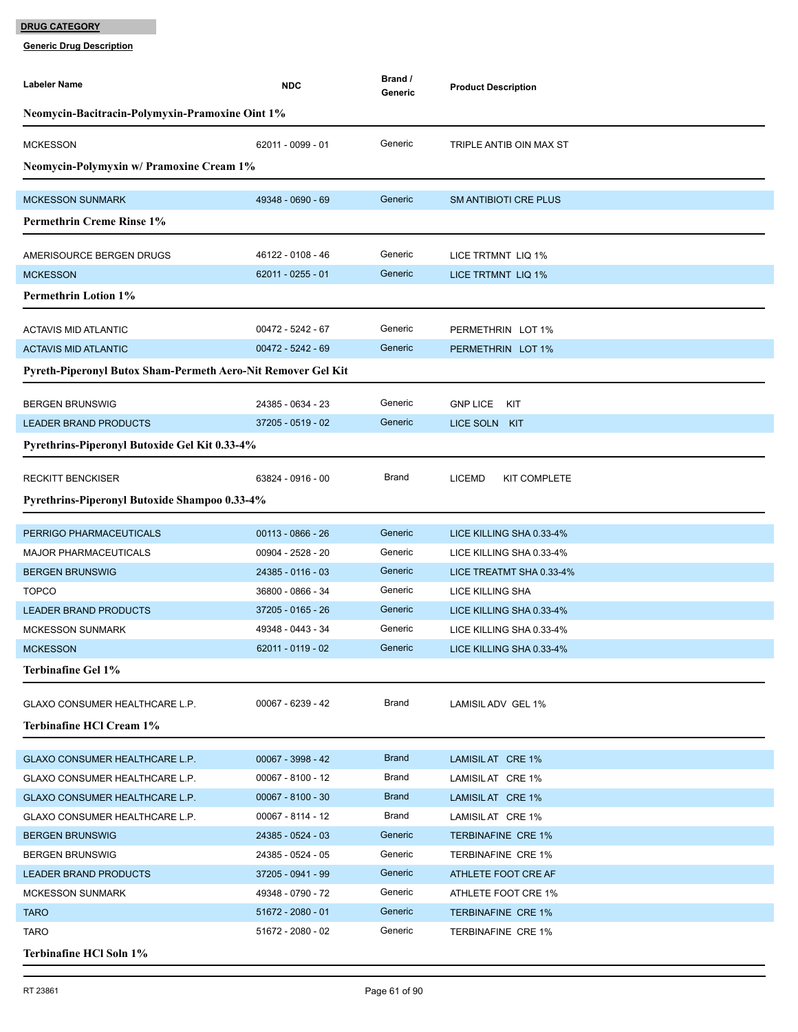| <b>Labeler Name</b>                                          | <b>NDC</b>          | Brand /<br>Generic | <b>Product Description</b>    |  |  |
|--------------------------------------------------------------|---------------------|--------------------|-------------------------------|--|--|
| <b>Neomycin-Bacitracin-Polymyxin-Pramoxine Oint 1%</b>       |                     |                    |                               |  |  |
| <b>MCKESSON</b>                                              | 62011 - 0099 - 01   | Generic            | TRIPLE ANTIB OIN MAX ST       |  |  |
| Neomycin-Polymyxin w/ Pramoxine Cream 1%                     |                     |                    |                               |  |  |
| <b>MCKESSON SUNMARK</b>                                      | 49348 - 0690 - 69   | Generic            | <b>SM ANTIBIOTI CRE PLUS</b>  |  |  |
| <b>Permethrin Creme Rinse 1%</b>                             |                     |                    |                               |  |  |
| AMERISOURCE BERGEN DRUGS                                     | 46122 - 0108 - 46   | Generic            | LICE TRTMNT LIQ 1%            |  |  |
| <b>MCKESSON</b>                                              | 62011 - 0255 - 01   | Generic            | LICE TRTMNT LIQ 1%            |  |  |
| <b>Permethrin Lotion 1%</b>                                  |                     |                    |                               |  |  |
| <b>ACTAVIS MID ATLANTIC</b>                                  | 00472 - 5242 - 67   | Generic            | PERMETHRIN LOT 1%             |  |  |
| <b>ACTAVIS MID ATLANTIC</b>                                  | 00472 - 5242 - 69   | Generic            | PERMETHRIN LOT 1%             |  |  |
| Pyreth-Piperonyl Butox Sham-Permeth Aero-Nit Remover Gel Kit |                     |                    |                               |  |  |
| <b>BERGEN BRUNSWIG</b>                                       | 24385 - 0634 - 23   | Generic            | <b>GNP LICE</b><br>KIT        |  |  |
| <b>LEADER BRAND PRODUCTS</b>                                 | 37205 - 0519 - 02   | Generic            | LICE SOLN KIT                 |  |  |
| Pyrethrins-Piperonyl Butoxide Gel Kit 0.33-4%                |                     |                    |                               |  |  |
|                                                              |                     | Brand              |                               |  |  |
| <b>RECKITT BENCKISER</b>                                     | 63824 - 0916 - 00   |                    | <b>LICEMD</b><br>KIT COMPLETE |  |  |
| Pyrethrins-Piperonyl Butoxide Shampoo 0.33-4%                |                     |                    |                               |  |  |
| PERRIGO PHARMACEUTICALS                                      | $00113 - 0866 - 26$ | Generic            | LICE KILLING SHA 0.33-4%      |  |  |
| <b>MAJOR PHARMACEUTICALS</b>                                 | 00904 - 2528 - 20   | Generic            | LICE KILLING SHA 0.33-4%      |  |  |
| <b>BERGEN BRUNSWIG</b>                                       | 24385 - 0116 - 03   | Generic            | LICE TREATMT SHA 0.33-4%      |  |  |
| <b>TOPCO</b>                                                 | 36800 - 0866 - 34   | Generic            | <b>LICE KILLING SHA</b>       |  |  |
| <b>LEADER BRAND PRODUCTS</b>                                 | 37205 - 0165 - 26   | Generic            | LICE KILLING SHA 0.33-4%      |  |  |
| <b>MCKESSON SUNMARK</b>                                      | 49348 - 0443 - 34   | Generic            | LICE KILLING SHA 0.33-4%      |  |  |
| <b>MCKESSON</b>                                              | 62011 - 0119 - 02   | Generic            | LICE KILLING SHA 0.33-4%      |  |  |
| <b>Terbinafine Gel 1%</b>                                    |                     |                    |                               |  |  |
| GLAXO CONSUMER HEALTHCARE L.P.                               | 00067 - 6239 - 42   | Brand              | LAMISIL ADV GEL 1%            |  |  |
| Terbinafine HCl Cream 1%                                     |                     |                    |                               |  |  |
| GLAXO CONSUMER HEALTHCARE L.P.                               | 00067 - 3998 - 42   | <b>Brand</b>       | LAMISIL AT CRE 1%             |  |  |
| GLAXO CONSUMER HEALTHCARE L.P.                               | 00067 - 8100 - 12   | Brand              | LAMISIL AT CRE 1%             |  |  |
| GLAXO CONSUMER HEALTHCARE L.P.                               | $00067 - 8100 - 30$ | <b>Brand</b>       | LAMISIL AT CRE 1%             |  |  |
| GLAXO CONSUMER HEALTHCARE L.P.                               | 00067 - 8114 - 12   | Brand              | LAMISIL AT CRE 1%             |  |  |
| <b>BERGEN BRUNSWIG</b>                                       | 24385 - 0524 - 03   | Generic            | <b>TERBINAFINE CRE 1%</b>     |  |  |
| <b>BERGEN BRUNSWIG</b>                                       | 24385 - 0524 - 05   | Generic            | <b>TERBINAFINE CRE 1%</b>     |  |  |
| LEADER BRAND PRODUCTS                                        | 37205 - 0941 - 99   | Generic            | ATHLETE FOOT CRE AF           |  |  |
| <b>MCKESSON SUNMARK</b>                                      | 49348 - 0790 - 72   | Generic            | ATHLETE FOOT CRE 1%           |  |  |
| <b>TARO</b>                                                  | 51672 - 2080 - 01   | Generic            | <b>TERBINAFINE CRE 1%</b>     |  |  |
| <b>TARO</b>                                                  | 51672 - 2080 - 02   | Generic            | TERBINAFINE CRE 1%            |  |  |
| Terbinafine HCl Soln 1%                                      |                     |                    |                               |  |  |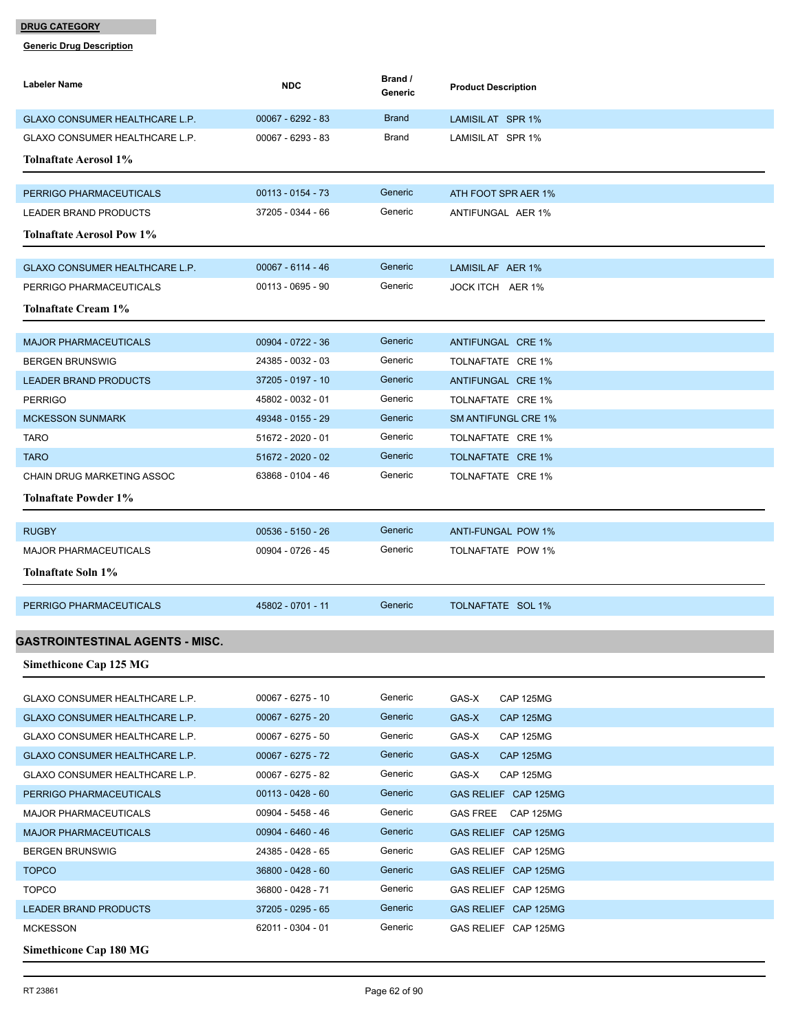| Labeler Name                          | <b>NDC</b>          | Brand /<br>Generic | <b>Product Description</b> |
|---------------------------------------|---------------------|--------------------|----------------------------|
| GLAXO CONSUMER HEALTHCARE L.P.        | 00067 - 6292 - 83   | <b>Brand</b>       | LAMISIL AT SPR 1%          |
| GLAXO CONSUMER HEALTHCARE L.P.        | 00067 - 6293 - 83   | Brand              | LAMISIL AT SPR 1%          |
| <b>Tolnaftate Aerosol 1%</b>          |                     |                    |                            |
|                                       |                     |                    |                            |
| PERRIGO PHARMACEUTICALS               | $00113 - 0154 - 73$ | Generic            | ATH FOOT SPR AER 1%        |
| <b>LEADER BRAND PRODUCTS</b>          | 37205 - 0344 - 66   | Generic            | ANTIFUNGAL AER 1%          |
| <b>Tolnaftate Aerosol Pow 1%</b>      |                     |                    |                            |
| GLAXO CONSUMER HEALTHCARE L.P.        | 00067 - 6114 - 46   | Generic            | LAMISIL AF AER 1%          |
| PERRIGO PHARMACEUTICALS               | 00113 - 0695 - 90   | Generic            | JOCK ITCH AER 1%           |
| Tolnaftate Cream 1%                   |                     |                    |                            |
|                                       |                     |                    |                            |
| <b>MAJOR PHARMACEUTICALS</b>          | 00904 - 0722 - 36   | Generic            | ANTIFUNGAL CRE 1%          |
| <b>BERGEN BRUNSWIG</b>                | 24385 - 0032 - 03   | Generic            | TOLNAFTATE CRE 1%          |
| <b>LEADER BRAND PRODUCTS</b>          | 37205 - 0197 - 10   | Generic            | ANTIFUNGAL CRE 1%          |
| <b>PERRIGO</b>                        | 45802 - 0032 - 01   | Generic            | TOLNAFTATE CRE 1%          |
| <b>MCKESSON SUNMARK</b>               | 49348 - 0155 - 29   | Generic            | <b>SM ANTIFUNGL CRE 1%</b> |
| TARO                                  | 51672 - 2020 - 01   | Generic            | TOLNAFTATE CRE 1%          |
| <b>TARO</b>                           | 51672 - 2020 - 02   | Generic            | TOLNAFTATE CRE 1%          |
| <b>CHAIN DRUG MARKETING ASSOC</b>     | 63868 - 0104 - 46   | Generic            | TOLNAFTATE CRE 1%          |
| <b>Tolnaftate Powder 1%</b>           |                     |                    |                            |
| <b>RUGBY</b>                          | $00536 - 5150 - 26$ | Generic            | ANTI-FUNGAL POW 1%         |
| <b>MAJOR PHARMACEUTICALS</b>          | 00904 - 0726 - 45   | Generic            | TOLNAFTATE POW 1%          |
| Tolnaftate Soln 1%                    |                     |                    |                            |
|                                       |                     |                    |                            |
| PERRIGO PHARMACEUTICALS               | 45802 - 0701 - 11   | Generic            | TOLNAFTATE SOL 1%          |
|                                       |                     |                    |                            |
| GASTROINTESTINAL AGENTS - MISC.       |                     |                    |                            |
| <b>Simethicone Cap 125 MG</b>         |                     |                    |                            |
| <b>GLAXO CONSUMER HEALTHCARE L.P.</b> | 00067 - 6275 - 10   | Generic            | GAS-X<br>CAP 125MG         |
| GLAXO CONSUMER HEALTHCARE L.P.        | 00067 - 6275 - 20   | Generic            | GAS-X<br>CAP 125MG         |
| GLAXO CONSUMER HEALTHCARE L.P.        | 00067 - 6275 - 50   | Generic            | GAS-X<br>CAP 125MG         |
| <b>GLAXO CONSUMER HEALTHCARE L.P.</b> | 00067 - 6275 - 72   | Generic            | GAS-X<br><b>CAP 125MG</b>  |
| GLAXO CONSUMER HEALTHCARE L.P.        | 00067 - 6275 - 82   | Generic            | GAS-X<br>CAP 125MG         |
| PERRIGO PHARMACEUTICALS               | $00113 - 0428 - 60$ | Generic            | GAS RELIEF CAP 125MG       |
| <b>MAJOR PHARMACEUTICALS</b>          | 00904 - 5458 - 46   | Generic            | GAS FREE CAP 125MG         |
| <b>MAJOR PHARMACEUTICALS</b>          | 00904 - 6460 - 46   | Generic            | GAS RELIEF CAP 125MG       |
| <b>BERGEN BRUNSWIG</b>                | 24385 - 0428 - 65   | Generic            | GAS RELIEF CAP 125MG       |
| <b>TOPCO</b>                          | 36800 - 0428 - 60   | Generic            | GAS RELIEF CAP 125MG       |
| <b>TOPCO</b>                          | 36800 - 0428 - 71   | Generic            | GAS RELIEF CAP 125MG       |
| <b>LEADER BRAND PRODUCTS</b>          | 37205 - 0295 - 65   | Generic            | GAS RELIEF CAP 125MG       |
| <b>MCKESSON</b>                       | 62011 - 0304 - 01   | Generic            | GAS RELIEF CAP 125MG       |
| <b>Simethicone Cap 180 MG</b>         |                     |                    |                            |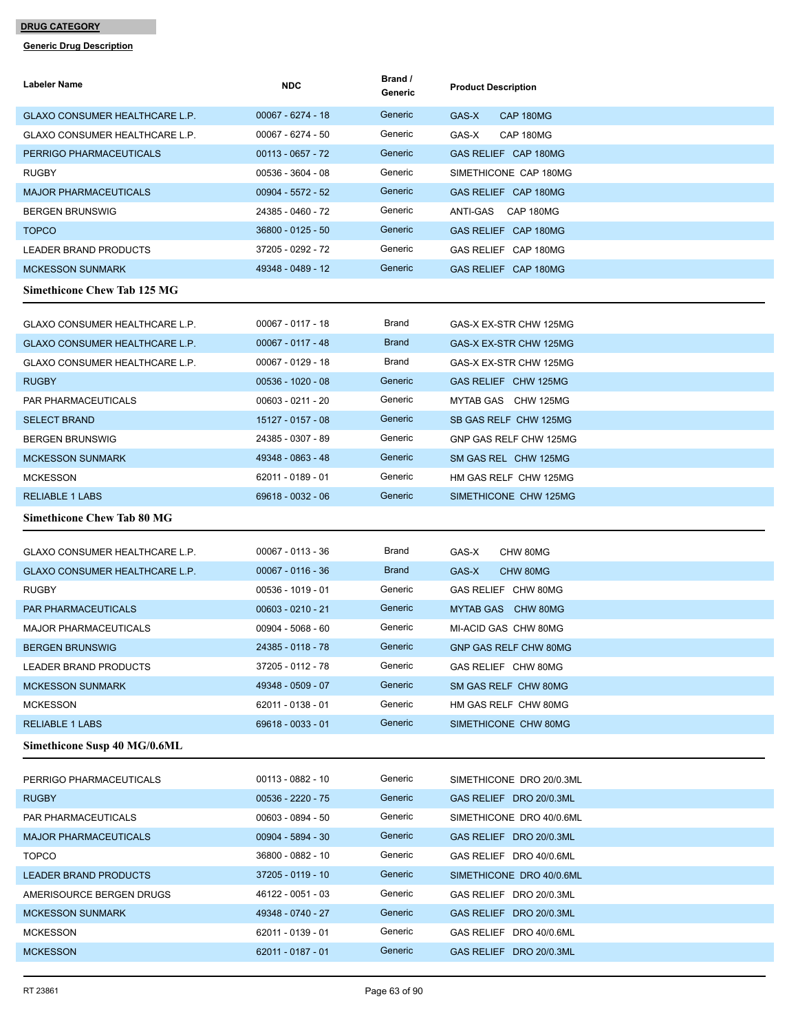| Labeler Name                          | <b>NDC</b>          | Brand /<br>Generic | <b>Product Description</b> |
|---------------------------------------|---------------------|--------------------|----------------------------|
| GLAXO CONSUMER HEALTHCARE L.P.        | 00067 - 6274 - 18   | Generic            | GAS-X<br>CAP 180MG         |
| <b>GLAXO CONSUMER HEALTHCARE L.P.</b> | 00067 - 6274 - 50   | Generic            | GAS-X<br>CAP 180MG         |
| PERRIGO PHARMACEUTICALS               | $00113 - 0657 - 72$ | Generic            | GAS RELIEF CAP 180MG       |
| <b>RUGBY</b>                          | 00536 - 3604 - 08   | Generic            | SIMETHICONE CAP 180MG      |
| <b>MAJOR PHARMACEUTICALS</b>          | 00904 - 5572 - 52   | Generic            | GAS RELIEF CAP 180MG       |
| <b>BERGEN BRUNSWIG</b>                | 24385 - 0460 - 72   | Generic            | ANTI-GAS CAP 180MG         |
| <b>TOPCO</b>                          | 36800 - 0125 - 50   | Generic            | GAS RELIEF CAP 180MG       |
| <b>LEADER BRAND PRODUCTS</b>          | 37205 - 0292 - 72   | Generic            | GAS RELIEF CAP 180MG       |
| <b>MCKESSON SUNMARK</b>               | 49348 - 0489 - 12   | Generic            | GAS RELIEF CAP 180MG       |
| <b>Simethicone Chew Tab 125 MG</b>    |                     |                    |                            |
| <b>GLAXO CONSUMER HEALTHCARE L.P.</b> | $00067 - 0117 - 18$ | Brand              | GAS-X EX-STR CHW 125MG     |
| GLAXO CONSUMER HEALTHCARE L.P.        | $00067 - 0117 - 48$ | <b>Brand</b>       | GAS-X EX-STR CHW 125MG     |
| GLAXO CONSUMER HEALTHCARE L.P.        | 00067 - 0129 - 18   | Brand              | GAS-X EX-STR CHW 125MG     |
| <b>RUGBY</b>                          | $00536 - 1020 - 08$ | Generic            | GAS RELIEF CHW 125MG       |
| <b>PAR PHARMACEUTICALS</b>            | 00603 - 0211 - 20   | Generic            | MYTAB GAS CHW 125MG        |
| <b>SELECT BRAND</b>                   | 15127 - 0157 - 08   | Generic            | SB GAS RELF CHW 125MG      |
| <b>BERGEN BRUNSWIG</b>                | 24385 - 0307 - 89   | Generic            | GNP GAS RELF CHW 125MG     |
| <b>MCKESSON SUNMARK</b>               | 49348 - 0863 - 48   | Generic            | SM GAS REL CHW 125MG       |
| <b>MCKESSON</b>                       | 62011 - 0189 - 01   | Generic            | HM GAS RELF CHW 125MG      |
| <b>RELIABLE 1 LABS</b>                | 69618 - 0032 - 06   | Generic            | SIMETHICONE CHW 125MG      |
| <b>Simethicone Chew Tab 80 MG</b>     |                     |                    |                            |
| GLAXO CONSUMER HEALTHCARE L.P.        | 00067 - 0113 - 36   | Brand              | GAS-X<br>CHW 80MG          |
| GLAXO CONSUMER HEALTHCARE L.P.        | $00067 - 0116 - 36$ | <b>Brand</b>       | GAS-X<br>CHW 80MG          |
| <b>RUGBY</b>                          | 00536 - 1019 - 01   | Generic            | GAS RELIEF CHW 80MG        |
| <b>PAR PHARMACEUTICALS</b>            | $00603 - 0210 - 21$ | Generic            | MYTAB GAS CHW 80MG         |
| <b>MAJOR PHARMACEUTICALS</b>          | 00904 - 5068 - 60   | Generic            | MI-ACID GAS CHW 80MG       |
| <b>BERGEN BRUNSWIG</b>                | 24385 - 0118 - 78   | Generic            | GNP GAS RELF CHW 80MG      |
| <b>LEADER BRAND PRODUCTS</b>          | 37205 - 0112 - 78   | Generic            | GAS RELIEF CHW 80MG        |
| <b>MCKESSON SUNMARK</b>               | 49348 - 0509 - 07   | Generic            | SM GAS RELF CHW 80MG       |
| <b>MCKESSON</b>                       | 62011 - 0138 - 01   | Generic            | HM GAS RELF CHW 80MG       |
| <b>RELIABLE 1 LABS</b>                | 69618 - 0033 - 01   | Generic            | SIMETHICONE CHW 80MG       |
| Simethicone Susp 40 MG/0.6ML          |                     |                    |                            |
| PERRIGO PHARMACEUTICALS               | 00113 - 0882 - 10   | Generic            | SIMETHICONE DRO 20/0.3ML   |
| <b>RUGBY</b>                          | 00536 - 2220 - 75   | Generic            | GAS RELIEF DRO 20/0.3ML    |
| PAR PHARMACEUTICALS                   | 00603 - 0894 - 50   | Generic            | SIMETHICONE DRO 40/0.6ML   |
| <b>MAJOR PHARMACEUTICALS</b>          | 00904 - 5894 - 30   | Generic            | GAS RELIEF DRO 20/0.3ML    |
| <b>TOPCO</b>                          | 36800 - 0882 - 10   | Generic            | GAS RELIEF DRO 40/0.6ML    |
| <b>LEADER BRAND PRODUCTS</b>          | 37205 - 0119 - 10   | Generic            | SIMETHICONE DRO 40/0.6ML   |
| AMERISOURCE BERGEN DRUGS              | 46122 - 0051 - 03   | Generic            | GAS RELIEF DRO 20/0.3ML    |
| <b>MCKESSON SUNMARK</b>               | 49348 - 0740 - 27   | Generic            | GAS RELIEF DRO 20/0.3ML    |
| <b>MCKESSON</b>                       | 62011 - 0139 - 01   | Generic            | GAS RELIEF DRO 40/0.6ML    |
| <b>MCKESSON</b>                       | 62011 - 0187 - 01   | Generic            | GAS RELIEF DRO 20/0.3ML    |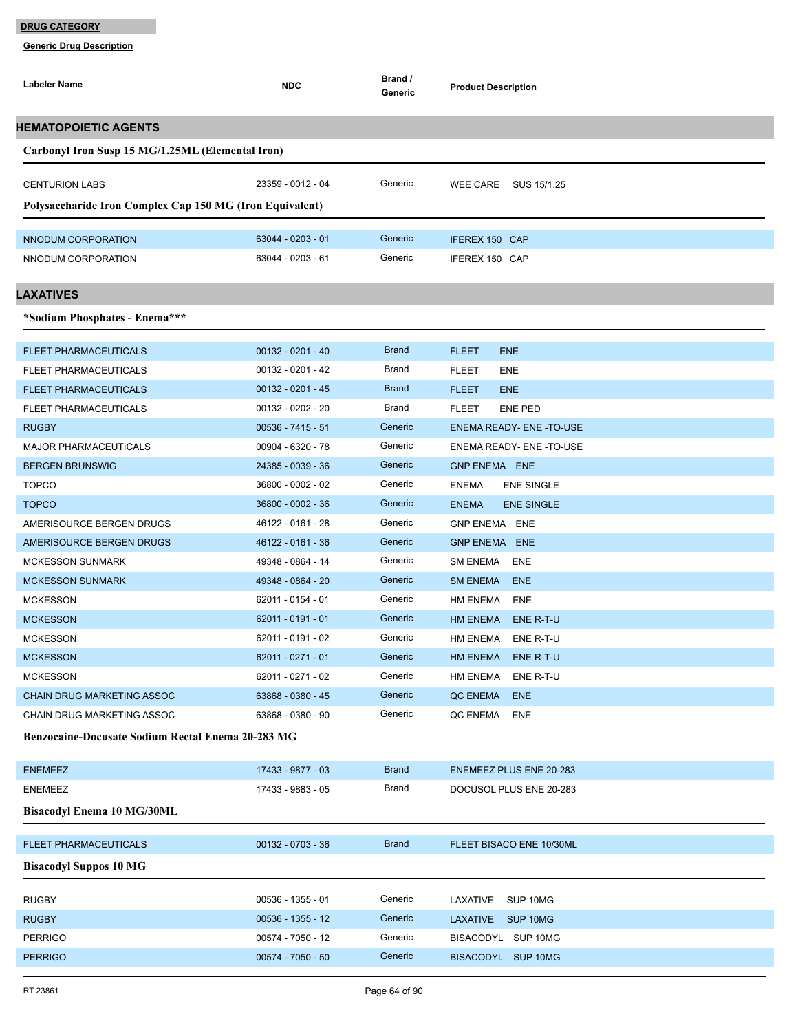| Labeler Name                                             | <b>NDC</b>          | Brand /<br>Generic | <b>Product Description</b>        |
|----------------------------------------------------------|---------------------|--------------------|-----------------------------------|
| <b>HEMATOPOIETIC AGENTS</b>                              |                     |                    |                                   |
| Carbonyl Iron Susp 15 MG/1.25ML (Elemental Iron)         |                     |                    |                                   |
|                                                          |                     |                    |                                   |
| <b>CENTURION LABS</b>                                    | 23359 - 0012 - 04   | Generic            | WEE CARE SUS 15/1.25              |
| Polysaccharide Iron Complex Cap 150 MG (Iron Equivalent) |                     |                    |                                   |
| NNODUM CORPORATION                                       | 63044 - 0203 - 01   | Generic            | IFEREX 150 CAP                    |
| NNODUM CORPORATION                                       | 63044 - 0203 - 61   | Generic            | IFEREX 150 CAP                    |
| <b>LAXATIVES</b>                                         |                     |                    |                                   |
|                                                          |                     |                    |                                   |
| *Sodium Phosphates - Enema***                            |                     |                    |                                   |
| <b>FLEET PHARMACEUTICALS</b>                             | $00132 - 0201 - 40$ | <b>Brand</b>       | <b>FLEET</b><br><b>ENE</b>        |
| <b>FLEET PHARMACEUTICALS</b>                             | 00132 - 0201 - 42   | <b>Brand</b>       | <b>FLEET</b><br>ENE               |
| <b>FLEET PHARMACEUTICALS</b>                             | $00132 - 0201 - 45$ | <b>Brand</b>       | <b>FLEET</b><br><b>ENE</b>        |
| FLEET PHARMACEUTICALS                                    | 00132 - 0202 - 20   | Brand              | <b>FLEET</b><br><b>ENE PED</b>    |
| <b>RUGBY</b>                                             | $00536 - 7415 - 51$ | Generic            | ENEMA READY- ENE-TO-USE           |
| <b>MAJOR PHARMACEUTICALS</b>                             | 00904 - 6320 - 78   | Generic            | ENEMA READY- ENE -TO-USE          |
| <b>BERGEN BRUNSWIG</b>                                   | 24385 - 0039 - 36   | Generic            | <b>GNP ENEMA ENE</b>              |
| <b>TOPCO</b>                                             | 36800 - 0002 - 02   | Generic            | <b>ENEMA</b><br><b>ENE SINGLE</b> |
| <b>TOPCO</b>                                             | 36800 - 0002 - 36   | Generic            | <b>ENEMA</b><br><b>ENE SINGLE</b> |
| AMERISOURCE BERGEN DRUGS                                 | 46122 - 0161 - 28   | Generic            | GNP ENEMA ENE                     |
| AMERISOURCE BERGEN DRUGS                                 | 46122 - 0161 - 36   | Generic            | <b>GNP ENEMA ENE</b>              |
| <b>MCKESSON SUNMARK</b>                                  | 49348 - 0864 - 14   | Generic            | SM ENEMA ENE                      |
| <b>MCKESSON SUNMARK</b>                                  | 49348 - 0864 - 20   | Generic            | SM ENEMA ENE                      |
| <b>MCKESSON</b>                                          | 62011 - 0154 - 01   | Generic            | HM ENEMA<br>ENE                   |
| <b>MCKESSON</b>                                          | 62011 - 0191 - 01   | Generic            | <b>HM ENEMA</b><br>ENE R-T-U      |
| <b>MCKESSON</b>                                          | 62011 - 0191 - 02   | Generic            | HM ENEMA ENE R-T-U                |
| <b>MCKESSON</b>                                          | 62011 - 0271 - 01   | Generic            | HM ENEMA ENE R-T-U                |
| <b>MCKESSON</b>                                          | 62011 - 0271 - 02   | Generic            | <b>HM ENEMA</b><br>ENE R-T-U      |
| CHAIN DRUG MARKETING ASSOC                               | 63868 - 0380 - 45   | Generic            | <b>ENE</b><br>QC ENEMA            |
| CHAIN DRUG MARKETING ASSOC                               | 63868 - 0380 - 90   | Generic            | QC ENEMA ENE                      |
| <b>Benzocaine-Docusate Sodium Rectal Enema 20-283 MG</b> |                     |                    |                                   |
| <b>ENEMEEZ</b>                                           | 17433 - 9877 - 03   | <b>Brand</b>       | <b>ENEMEEZ PLUS ENE 20-283</b>    |
| <b>ENEMEEZ</b>                                           | 17433 - 9883 - 05   | <b>Brand</b>       | DOCUSOL PLUS ENE 20-283           |
| <b>Bisacodyl Enema 10 MG/30ML</b>                        |                     |                    |                                   |
| <b>FLEET PHARMACEUTICALS</b>                             | 00132 - 0703 - 36   | <b>Brand</b>       | FLEET BISACO ENE 10/30ML          |
| <b>Bisacodyl Suppos 10 MG</b>                            |                     |                    |                                   |
|                                                          |                     |                    |                                   |
| <b>RUGBY</b>                                             | 00536 - 1355 - 01   | Generic            | LAXATIVE<br>SUP 10MG              |
| <b>RUGBY</b>                                             | 00536 - 1355 - 12   | Generic            | LAXATIVE SUP 10MG                 |
| <b>PERRIGO</b>                                           | 00574 - 7050 - 12   | Generic            | BISACODYL SUP 10MG                |
| <b>PERRIGO</b>                                           | $00574 - 7050 - 50$ | Generic            | BISACODYL SUP 10MG                |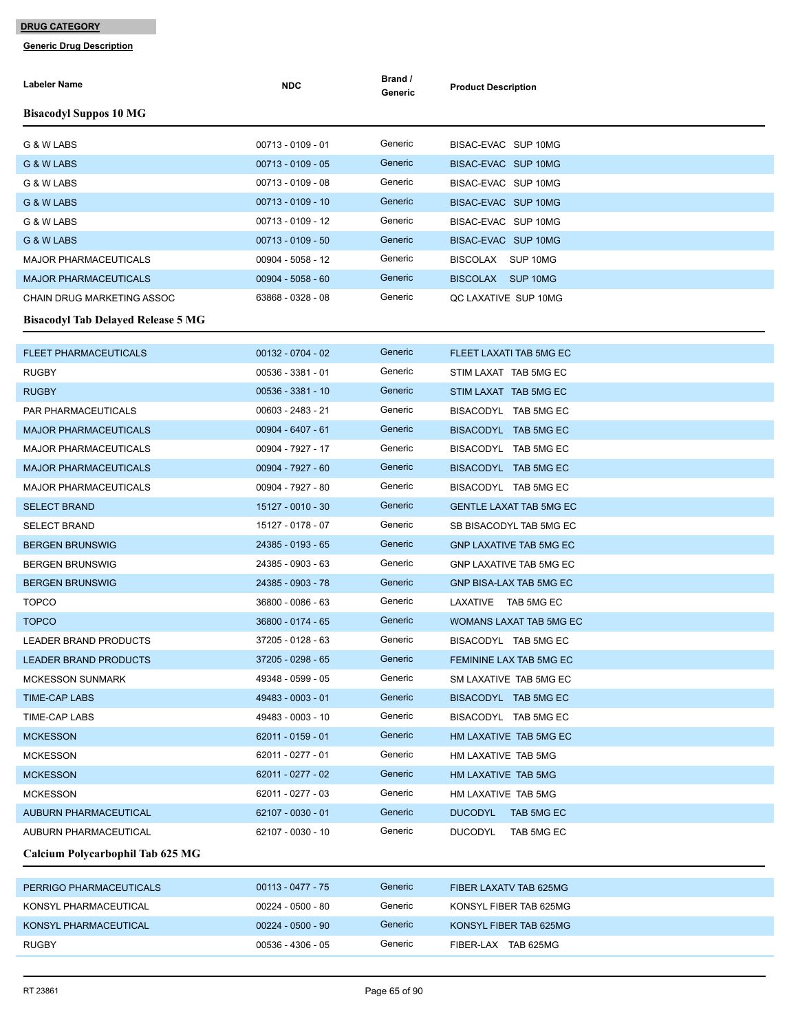| Labeler Name                              | <b>NDC</b>          | Brand /<br>Generic | <b>Product Description</b>     |
|-------------------------------------------|---------------------|--------------------|--------------------------------|
| <b>Bisacodyl Suppos 10 MG</b>             |                     |                    |                                |
| G & W LABS                                | 00713 - 0109 - 01   | Generic            | BISAC-EVAC SUP 10MG            |
| G & W LABS                                | $00713 - 0109 - 05$ | Generic            | BISAC-EVAC SUP 10MG            |
| G & W LABS                                | 00713 - 0109 - 08   | Generic            | BISAC-EVAC SUP 10MG            |
| G & W LABS                                | 00713 - 0109 - 10   | Generic            | BISAC-EVAC SUP 10MG            |
| G & W LABS                                | 00713 - 0109 - 12   | Generic            | BISAC-EVAC SUP 10MG            |
| G & W LABS                                | 00713 - 0109 - 50   | Generic            | BISAC-EVAC SUP 10MG            |
| <b>MAJOR PHARMACEUTICALS</b>              | 00904 - 5058 - 12   | Generic            | BISCOLAX SUP 10MG              |
| <b>MAJOR PHARMACEUTICALS</b>              | $00904 - 5058 - 60$ | Generic            | BISCOLAX SUP 10MG              |
| CHAIN DRUG MARKETING ASSOC                | 63868 - 0328 - 08   | Generic            | QC LAXATIVE SUP 10MG           |
| <b>Bisacodyl Tab Delayed Release 5 MG</b> |                     |                    |                                |
|                                           |                     |                    |                                |
| <b>FLEET PHARMACEUTICALS</b>              | 00132 - 0704 - 02   | Generic            | FLEET LAXATI TAB 5MG EC        |
| <b>RUGBY</b>                              | 00536 - 3381 - 01   | Generic            | STIM LAXAT TAB 5MG EC          |
| <b>RUGBY</b>                              | 00536 - 3381 - 10   | Generic            | STIM LAXAT TAB 5MG EC          |
| PAR PHARMACEUTICALS                       | 00603 - 2483 - 21   | Generic            | BISACODYL TAB 5MG EC           |
| <b>MAJOR PHARMACEUTICALS</b>              | $00904 - 6407 - 61$ | Generic            | BISACODYL TAB 5MG EC           |
| <b>MAJOR PHARMACEUTICALS</b>              | 00904 - 7927 - 17   | Generic            | BISACODYL TAB 5MG EC           |
| <b>MAJOR PHARMACEUTICALS</b>              | 00904 - 7927 - 60   | Generic            | BISACODYL TAB 5MG EC           |
| <b>MAJOR PHARMACEUTICALS</b>              | 00904 - 7927 - 80   | Generic            | BISACODYL TAB 5MG EC           |
| <b>SELECT BRAND</b>                       | 15127 - 0010 - 30   | Generic            | <b>GENTLE LAXAT TAB 5MG EC</b> |
| <b>SELECT BRAND</b>                       | 15127 - 0178 - 07   | Generic            | SB BISACODYL TAB 5MG EC        |
| <b>BERGEN BRUNSWIG</b>                    | 24385 - 0193 - 65   | Generic            | <b>GNP LAXATIVE TAB 5MG EC</b> |
| <b>BERGEN BRUNSWIG</b>                    | 24385 - 0903 - 63   | Generic            | <b>GNP LAXATIVE TAB 5MG EC</b> |
| <b>BERGEN BRUNSWIG</b>                    | 24385 - 0903 - 78   | Generic            | GNP BISA-LAX TAB 5MG EC        |
| <b>TOPCO</b>                              | 36800 - 0086 - 63   | Generic            | LAXATIVE TAB 5MG EC            |
| <b>TOPCO</b>                              | 36800 - 0174 - 65   | Generic            | WOMANS LAXAT TAB 5MG EC        |
| <b>LEADER BRAND PRODUCTS</b>              | 37205 - 0128 - 63   | Generic            | BISACODYL TAB 5MG EC           |
| LEADER BRAND PRODUCTS                     | 37205 - 0298 - 65   | Generic            | FEMININE LAX TAB 5MG EC        |
| <b>MCKESSON SUNMARK</b>                   | 49348 - 0599 - 05   | Generic            | SM LAXATIVE TAB 5MG EC         |
| <b>TIME-CAP LABS</b>                      | 49483 - 0003 - 01   | Generic            | BISACODYL TAB 5MG EC           |
| TIME-CAP LABS                             | 49483 - 0003 - 10   | Generic            | BISACODYL TAB 5MG EC           |
| <b>MCKESSON</b>                           | 62011 - 0159 - 01   | Generic            | HM LAXATIVE TAB 5MG EC         |
| <b>MCKESSON</b>                           | 62011 - 0277 - 01   | Generic            | HM LAXATIVE TAB 5MG            |
| <b>MCKESSON</b>                           | 62011 - 0277 - 02   | Generic            | HM LAXATIVE TAB 5MG            |
| <b>MCKESSON</b>                           | 62011 - 0277 - 03   | Generic            | HM LAXATIVE TAB 5MG            |
| <b>AUBURN PHARMACEUTICAL</b>              | 62107 - 0030 - 01   | Generic            | <b>DUCODYL</b><br>TAB 5MG EC   |
| AUBURN PHARMACEUTICAL                     | 62107 - 0030 - 10   | Generic            | <b>DUCODYL</b><br>TAB 5MG EC   |
| Calcium Polycarbophil Tab 625 MG          |                     |                    |                                |
| PERRIGO PHARMACEUTICALS                   | $00113 - 0477 - 75$ | Generic            | FIBER LAXATV TAB 625MG         |
| KONSYL PHARMACEUTICAL                     | 00224 - 0500 - 80   | Generic            | KONSYL FIBER TAB 625MG         |
| KONSYL PHARMACEUTICAL                     | $00224 - 0500 - 90$ | Generic            | KONSYL FIBER TAB 625MG         |
| <b>RUGBY</b>                              | 00536 - 4306 - 05   | Generic            | FIBER-LAX TAB 625MG            |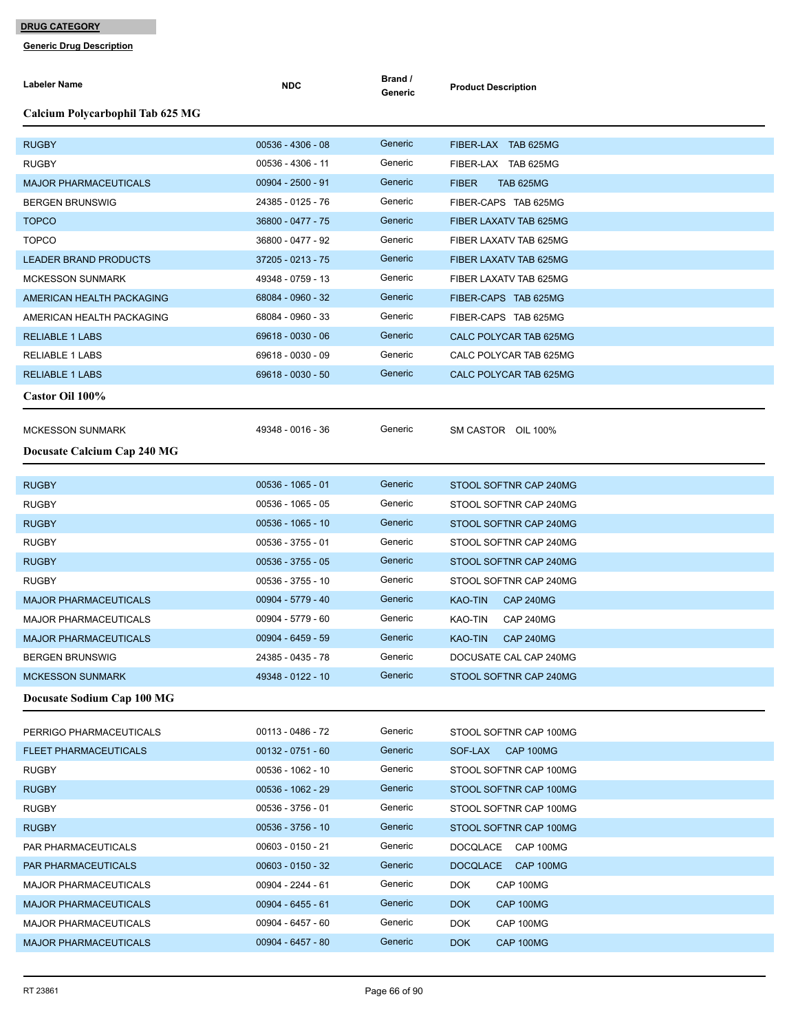| <b>Labeler Name</b>              | <b>NDC</b>          | Brand /<br>Generic | <b>Product Description</b>       |
|----------------------------------|---------------------|--------------------|----------------------------------|
| Calcium Polycarbophil Tab 625 MG |                     |                    |                                  |
| <b>RUGBY</b>                     | $00536 - 4306 - 08$ | Generic            | FIBER-LAX TAB 625MG              |
| <b>RUGBY</b>                     | 00536 - 4306 - 11   | Generic            | FIBER-LAX TAB 625MG              |
| <b>MAJOR PHARMACEUTICALS</b>     | $00904 - 2500 - 91$ | Generic            | <b>FIBER</b><br><b>TAB 625MG</b> |
| <b>BERGEN BRUNSWIG</b>           | 24385 - 0125 - 76   | Generic            | FIBER-CAPS TAB 625MG             |
| <b>TOPCO</b>                     | 36800 - 0477 - 75   | Generic            | FIBER LAXATV TAB 625MG           |
| <b>TOPCO</b>                     | 36800 - 0477 - 92   | Generic            | FIBER LAXATV TAB 625MG           |
| <b>LEADER BRAND PRODUCTS</b>     | 37205 - 0213 - 75   | Generic            | FIBER LAXATV TAB 625MG           |
| <b>MCKESSON SUNMARK</b>          | 49348 - 0759 - 13   | Generic            | FIBER LAXATV TAB 625MG           |
| AMERICAN HEALTH PACKAGING        | 68084 - 0960 - 32   | Generic            | FIBER-CAPS TAB 625MG             |
| AMERICAN HEALTH PACKAGING        | 68084 - 0960 - 33   | Generic            | FIBER-CAPS TAB 625MG             |
| <b>RELIABLE 1 LABS</b>           | 69618 - 0030 - 06   | Generic            | CALC POLYCAR TAB 625MG           |
| <b>RELIABLE 1 LABS</b>           | 69618 - 0030 - 09   | Generic            | CALC POLYCAR TAB 625MG           |
| <b>RELIABLE 1 LABS</b>           | 69618 - 0030 - 50   | Generic            | CALC POLYCAR TAB 625MG           |
| Castor Oil 100%                  |                     |                    |                                  |
| <b>MCKESSON SUNMARK</b>          | 49348 - 0016 - 36   | Generic            | SM CASTOR OIL 100%               |
| Docusate Calcium Cap 240 MG      |                     |                    |                                  |
|                                  |                     |                    |                                  |
| <b>RUGBY</b>                     | 00536 - 1065 - 01   | Generic            | STOOL SOFTNR CAP 240MG           |
| <b>RUGBY</b>                     | 00536 - 1065 - 05   | Generic            | STOOL SOFTNR CAP 240MG           |
| <b>RUGBY</b>                     | 00536 - 1065 - 10   | Generic            | STOOL SOFTNR CAP 240MG           |
| <b>RUGBY</b>                     | 00536 - 3755 - 01   | Generic            | STOOL SOFTNR CAP 240MG           |
| <b>RUGBY</b>                     | $00536 - 3755 - 05$ | Generic            | STOOL SOFTNR CAP 240MG           |
| <b>RUGBY</b>                     | 00536 - 3755 - 10   | Generic            | STOOL SOFTNR CAP 240MG           |
| <b>MAJOR PHARMACEUTICALS</b>     | 00904 - 5779 - 40   | Generic            | KAO-TIN<br>CAP 240MG             |
| <b>MAJOR PHARMACEUTICALS</b>     | 00904 - 5779 - 60   | Generic            | KAO-TIN<br>CAP 240MG             |
| <b>MAJOR PHARMACEUTICALS</b>     | $00904 - 6459 - 59$ | Generic            | <b>KAO-TIN</b><br>CAP 240MG      |
| <b>BERGEN BRUNSWIG</b>           | 24385 - 0435 - 78   | Generic            | DOCUSATE CAL CAP 240MG           |
| <b>MCKESSON SUNMARK</b>          | 49348 - 0122 - 10   | Generic            | STOOL SOFTNR CAP 240MG           |
| Docusate Sodium Cap 100 MG       |                     |                    |                                  |
| PERRIGO PHARMACEUTICALS          | 00113 - 0486 - 72   | Generic            | STOOL SOFTNR CAP 100MG           |
| <b>FLEET PHARMACEUTICALS</b>     | $00132 - 0751 - 60$ | Generic            | SOF-LAX CAP 100MG                |
| <b>RUGBY</b>                     | 00536 - 1062 - 10   | Generic            | STOOL SOFTNR CAP 100MG           |
| <b>RUGBY</b>                     | 00536 - 1062 - 29   | Generic            | STOOL SOFTNR CAP 100MG           |
| <b>RUGBY</b>                     | 00536 - 3756 - 01   | Generic            | STOOL SOFTNR CAP 100MG           |
| <b>RUGBY</b>                     | 00536 - 3756 - 10   | Generic            | STOOL SOFTNR CAP 100MG           |
| PAR PHARMACEUTICALS              | 00603 - 0150 - 21   | Generic            | DOCQLACE CAP 100MG               |
| PAR PHARMACEUTICALS              | $00603 - 0150 - 32$ | Generic            | DOCQLACE CAP 100MG               |
| MAJOR PHARMACEUTICALS            | 00904 - 2244 - 61   | Generic            | <b>DOK</b><br>CAP 100MG          |
| <b>MAJOR PHARMACEUTICALS</b>     | $00904 - 6455 - 61$ | Generic            | <b>DOK</b><br>CAP 100MG          |
| <b>MAJOR PHARMACEUTICALS</b>     | 00904 - 6457 - 60   | Generic            | <b>DOK</b><br>CAP 100MG          |
| <b>MAJOR PHARMACEUTICALS</b>     | $00904 - 6457 - 80$ | Generic            | <b>DOK</b><br>CAP 100MG          |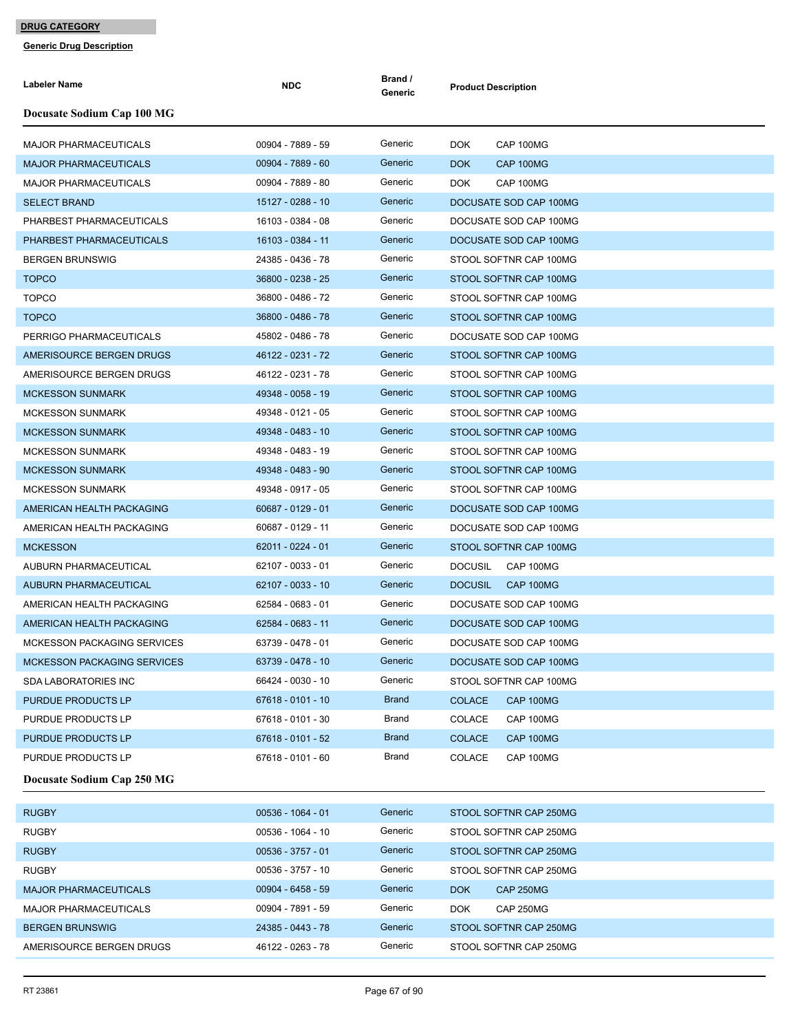| Labeler Name                       | <b>NDC</b>          | Brand /<br>Generic | <b>Product Description</b>  |
|------------------------------------|---------------------|--------------------|-----------------------------|
| Docusate Sodium Cap 100 MG         |                     |                    |                             |
| MAJOR PHARMACEUTICALS              | 00904 - 7889 - 59   | Generic            | <b>DOK</b><br>CAP 100MG     |
| <b>MAJOR PHARMACEUTICALS</b>       | 00904 - 7889 - 60   | Generic            | <b>DOK</b><br>CAP 100MG     |
| <b>MAJOR PHARMACEUTICALS</b>       | 00904 - 7889 - 80   | Generic            | <b>DOK</b><br>CAP 100MG     |
| <b>SELECT BRAND</b>                | 15127 - 0288 - 10   | Generic            | DOCUSATE SOD CAP 100MG      |
| PHARBEST PHARMACEUTICALS           | 16103 - 0384 - 08   | Generic            | DOCUSATE SOD CAP 100MG      |
| PHARBEST PHARMACEUTICALS           | 16103 - 0384 - 11   | Generic            | DOCUSATE SOD CAP 100MG      |
| <b>BERGEN BRUNSWIG</b>             | 24385 - 0436 - 78   | Generic            | STOOL SOFTNR CAP 100MG      |
| <b>TOPCO</b>                       | 36800 - 0238 - 25   | Generic            | STOOL SOFTNR CAP 100MG      |
| <b>TOPCO</b>                       | 36800 - 0486 - 72   | Generic            | STOOL SOFTNR CAP 100MG      |
| <b>TOPCO</b>                       | 36800 - 0486 - 78   | Generic            | STOOL SOFTNR CAP 100MG      |
| PERRIGO PHARMACEUTICALS            | 45802 - 0486 - 78   | Generic            | DOCUSATE SOD CAP 100MG      |
| AMERISOURCE BERGEN DRUGS           | 46122 - 0231 - 72   | Generic            | STOOL SOFTNR CAP 100MG      |
| AMERISOURCE BERGEN DRUGS           | 46122 - 0231 - 78   | Generic            | STOOL SOFTNR CAP 100MG      |
| MCKESSON SUNMARK                   | 49348 - 0058 - 19   | Generic            | STOOL SOFTNR CAP 100MG      |
| <b>MCKESSON SUNMARK</b>            | 49348 - 0121 - 05   | Generic            | STOOL SOFTNR CAP 100MG      |
| MCKESSON SUNMARK                   | 49348 - 0483 - 10   | Generic            | STOOL SOFTNR CAP 100MG      |
| <b>MCKESSON SUNMARK</b>            | 49348 - 0483 - 19   | Generic            | STOOL SOFTNR CAP 100MG      |
| <b>MCKESSON SUNMARK</b>            | 49348 - 0483 - 90   | Generic            | STOOL SOFTNR CAP 100MG      |
| <b>MCKESSON SUNMARK</b>            | 49348 - 0917 - 05   | Generic            | STOOL SOFTNR CAP 100MG      |
| AMERICAN HEALTH PACKAGING          | 60687 - 0129 - 01   | Generic            | DOCUSATE SOD CAP 100MG      |
| AMERICAN HEALTH PACKAGING          | 60687 - 0129 - 11   | Generic            | DOCUSATE SOD CAP 100MG      |
| <b>MCKESSON</b>                    | 62011 - 0224 - 01   | Generic            | STOOL SOFTNR CAP 100MG      |
| AUBURN PHARMACEUTICAL              | 62107 - 0033 - 01   | Generic            | <b>DOCUSIL</b><br>CAP 100MG |
| <b>AUBURN PHARMACEUTICAL</b>       | 62107 - 0033 - 10   | Generic            | <b>DOCUSIL</b><br>CAP 100MG |
| AMERICAN HEALTH PACKAGING          | 62584 - 0683 - 01   | Generic            | DOCUSATE SOD CAP 100MG      |
| AMERICAN HEALTH PACKAGING          | 62584 - 0683 - 11   | Generic            | DOCUSATE SOD CAP 100MG      |
| <b>MCKESSON PACKAGING SERVICES</b> | 63739 - 0478 - 01   | Generic            | DOCUSATE SOD CAP 100MG      |
| <b>MCKESSON PACKAGING SERVICES</b> | 63739 - 0478 - 10   | Generic            | DOCUSATE SOD CAP 100MG      |
| SDA LABORATORIES INC               | 66424 - 0030 - 10   | Generic            | STOOL SOFTNR CAP 100MG      |
| PURDUE PRODUCTS LP                 | 67618 - 0101 - 10   | <b>Brand</b>       | CAP 100MG<br><b>COLACE</b>  |
| PURDUE PRODUCTS LP                 | 67618 - 0101 - 30   | Brand              | <b>COLACE</b><br>CAP 100MG  |
| PURDUE PRODUCTS LP                 | 67618 - 0101 - 52   | <b>Brand</b>       | <b>COLACE</b><br>CAP 100MG  |
| PURDUE PRODUCTS LP                 | 67618 - 0101 - 60   | Brand              | COLACE<br>CAP 100MG         |
| Docusate Sodium Cap 250 MG         |                     |                    |                             |
| <b>RUGBY</b>                       | 00536 - 1064 - 01   | Generic            | STOOL SOFTNR CAP 250MG      |
| <b>RUGBY</b>                       | 00536 - 1064 - 10   | Generic            | STOOL SOFTNR CAP 250MG      |
| <b>RUGBY</b>                       | $00536 - 3757 - 01$ | Generic            | STOOL SOFTNR CAP 250MG      |
| <b>RUGBY</b>                       | 00536 - 3757 - 10   | Generic            | STOOL SOFTNR CAP 250MG      |
| <b>MAJOR PHARMACEUTICALS</b>       | $00904 - 6458 - 59$ | Generic            | CAP 250MG<br><b>DOK</b>     |
| MAJOR PHARMACEUTICALS              | 00904 - 7891 - 59   | Generic            | CAP 250MG<br>DOK.           |
| <b>BERGEN BRUNSWIG</b>             | 24385 - 0443 - 78   | Generic            | STOOL SOFTNR CAP 250MG      |
| AMERISOURCE BERGEN DRUGS           | 46122 - 0263 - 78   | Generic            | STOOL SOFTNR CAP 250MG      |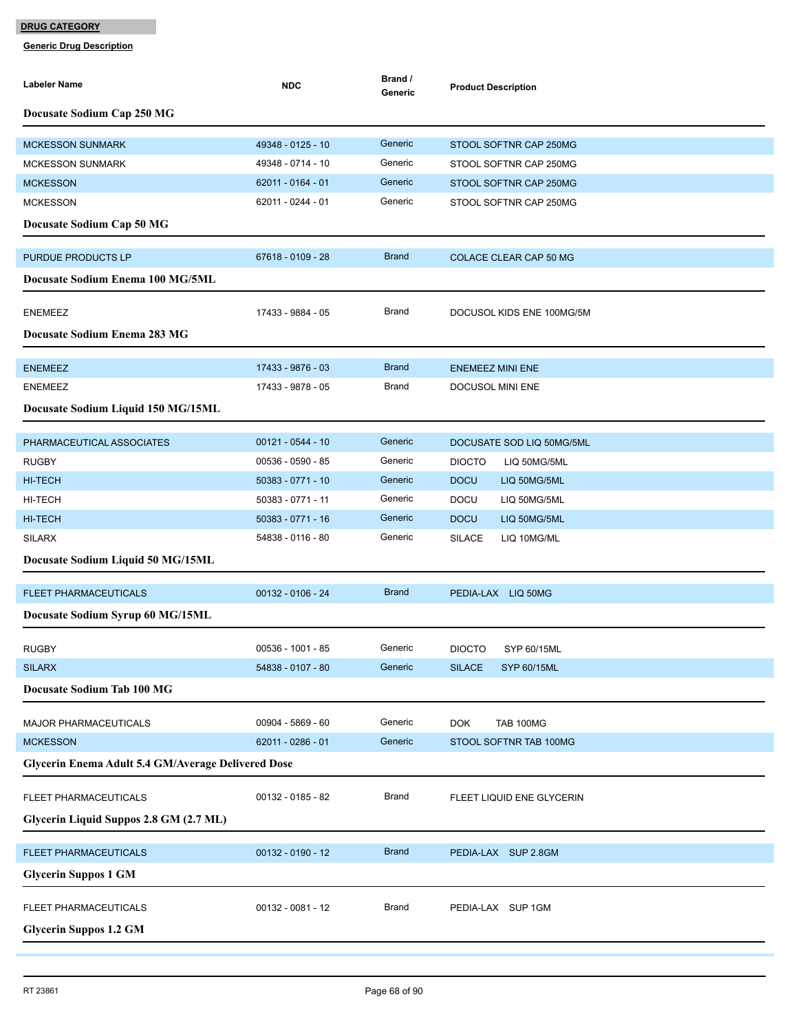| Labeler Name                                       | <b>NDC</b>          | Brand /<br>Generic | <b>Product Description</b>          |
|----------------------------------------------------|---------------------|--------------------|-------------------------------------|
| Docusate Sodium Cap 250 MG                         |                     |                    |                                     |
| <b>MCKESSON SUNMARK</b>                            | 49348 - 0125 - 10   | Generic            | STOOL SOFTNR CAP 250MG              |
| <b>MCKESSON SUNMARK</b>                            | 49348 - 0714 - 10   | Generic            | STOOL SOFTNR CAP 250MG              |
| <b>MCKESSON</b>                                    | 62011 - 0164 - 01   | Generic            | STOOL SOFTNR CAP 250MG              |
| <b>MCKESSON</b>                                    | 62011 - 0244 - 01   | Generic            | STOOL SOFTNR CAP 250MG              |
| Docusate Sodium Cap 50 MG                          |                     |                    |                                     |
| PURDUE PRODUCTS LP                                 | 67618 - 0109 - 28   | <b>Brand</b>       | COLACE CLEAR CAP 50 MG              |
| Docusate Sodium Enema 100 MG/5ML                   |                     |                    |                                     |
| <b>ENEMEEZ</b>                                     | 17433 - 9884 - 05   | Brand              | DOCUSOL KIDS ENE 100MG/5M           |
| Docusate Sodium Enema 283 MG                       |                     |                    |                                     |
| <b>ENEMEEZ</b>                                     | 17433 - 9876 - 03   | <b>Brand</b>       | <b>ENEMEEZ MINI ENE</b>             |
| <b>ENEMEEZ</b>                                     | 17433 - 9878 - 05   | Brand              | DOCUSOL MINI ENE                    |
| Docusate Sodium Liquid 150 MG/15ML                 |                     |                    |                                     |
| PHARMACEUTICAL ASSOCIATES                          | $00121 - 0544 - 10$ | Generic            | DOCUSATE SOD LIQ 50MG/5ML           |
| <b>RUGBY</b>                                       | 00536 - 0590 - 85   | Generic            | <b>DIOCTO</b><br>LIQ 50MG/5ML       |
| <b>HI-TECH</b>                                     | 50383 - 0771 - 10   | Generic            | <b>DOCU</b><br>LIQ 50MG/5ML         |
| HI-TECH                                            | 50383 - 0771 - 11   | Generic            | <b>DOCU</b><br>LIQ 50MG/5ML         |
| <b>HI-TECH</b>                                     | 50383 - 0771 - 16   | Generic            | <b>DOCU</b><br>LIQ 50MG/5ML         |
| <b>SILARX</b>                                      | 54838 - 0116 - 80   | Generic            | <b>SILACE</b><br>LIQ 10MG/ML        |
| Docusate Sodium Liquid 50 MG/15ML                  |                     |                    |                                     |
| <b>FLEET PHARMACEUTICALS</b>                       | 00132 - 0106 - 24   | <b>Brand</b>       | PEDIA-LAX LIQ 50MG                  |
| Docusate Sodium Syrup 60 MG/15ML                   |                     |                    |                                     |
| <b>RUGBY</b>                                       | 00536 - 1001 - 85   | Generic            | <b>DIOCTO</b><br>SYP 60/15ML        |
| <b>SILARX</b>                                      | 54838 - 0107 - 80   | Generic            | <b>SILACE</b><br><b>SYP 60/15ML</b> |
| Docusate Sodium Tab 100 MG                         |                     |                    |                                     |
| MAJOR PHARMACEUTICALS                              | 00904 - 5869 - 60   | Generic            | <b>DOK</b><br><b>TAB 100MG</b>      |
| <b>MCKESSON</b>                                    | 62011 - 0286 - 01   | Generic            | STOOL SOFTNR TAB 100MG              |
| Glycerin Enema Adult 5.4 GM/Average Delivered Dose |                     |                    |                                     |
| FLEET PHARMACEUTICALS                              | 00132 - 0185 - 82   | Brand              | FLEET LIQUID ENE GLYCERIN           |
| Glycerin Liquid Suppos 2.8 GM (2.7 ML)             |                     |                    |                                     |
| FLEET PHARMACEUTICALS                              | $00132 - 0190 - 12$ | <b>Brand</b>       | PEDIA-LAX SUP 2.8GM                 |
| <b>Glycerin Suppos 1 GM</b>                        |                     |                    |                                     |
| FLEET PHARMACEUTICALS                              | 00132 - 0081 - 12   | <b>Brand</b>       | PEDIA-LAX SUP 1GM                   |
| <b>Glycerin Suppos 1.2 GM</b>                      |                     |                    |                                     |
|                                                    |                     |                    |                                     |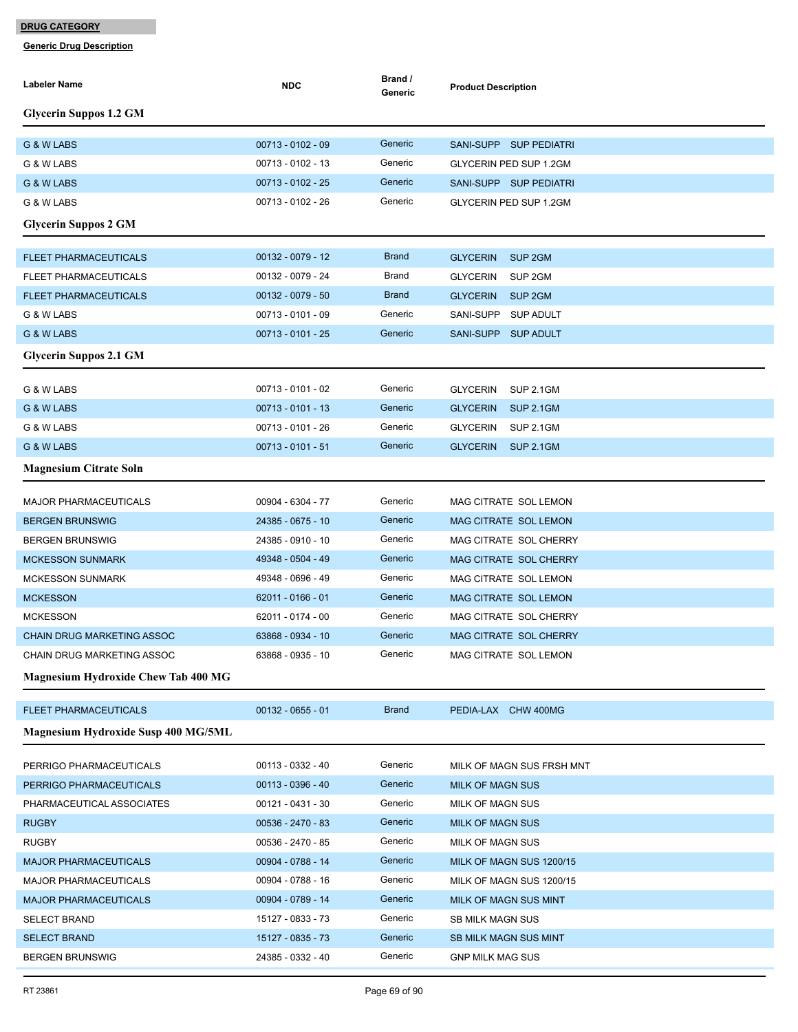| Labeler Name                               | <b>NDC</b>          | Brand /<br>Generic | <b>Product Description</b>            |
|--------------------------------------------|---------------------|--------------------|---------------------------------------|
| <b>Glycerin Suppos 1.2 GM</b>              |                     |                    |                                       |
| G & W LABS                                 | 00713 - 0102 - 09   | Generic            | SANI-SUPP SUP PEDIATRI                |
| G & W LABS                                 | 00713 - 0102 - 13   | Generic            | GLYCERIN PED SUP 1.2GM                |
| G & W LABS                                 | 00713 - 0102 - 25   | Generic            | SANI-SUPP SUP PEDIATRI                |
| G & W LABS                                 | 00713 - 0102 - 26   | Generic            | <b>GLYCERIN PED SUP 1.2GM</b>         |
| <b>Glycerin Suppos 2 GM</b>                |                     |                    |                                       |
| <b>FLEET PHARMACEUTICALS</b>               | $00132 - 0079 - 12$ | <b>Brand</b>       | SUP <sub>2GM</sub><br><b>GLYCERIN</b> |
| <b>FLEET PHARMACEUTICALS</b>               | 00132 - 0079 - 24   | Brand              | <b>GLYCERIN</b><br>SUP 2GM            |
| <b>FLEET PHARMACEUTICALS</b>               | $00132 - 0079 - 50$ | <b>Brand</b>       | <b>GLYCERIN</b><br>SUP <sub>2GM</sub> |
| G & W LABS                                 | 00713 - 0101 - 09   | Generic            | SANI-SUPP<br><b>SUP ADULT</b>         |
| G & W LABS                                 | $00713 - 0101 - 25$ | Generic            | SANI-SUPP SUP ADULT                   |
| <b>Glycerin Suppos 2.1 GM</b>              |                     |                    |                                       |
| G & W LABS                                 | 00713 - 0101 - 02   | Generic            | <b>GLYCERIN</b><br><b>SUP 2.1GM</b>   |
| G & W LABS                                 | $00713 - 0101 - 13$ | Generic            | <b>GLYCERIN</b><br><b>SUP 2.1GM</b>   |
| G & W LABS                                 | 00713 - 0101 - 26   | Generic            | <b>GLYCERIN</b><br><b>SUP 2.1GM</b>   |
| G & W LABS                                 | $00713 - 0101 - 51$ | Generic            | <b>GLYCERIN</b><br><b>SUP 2.1GM</b>   |
| <b>Magnesium Citrate Soln</b>              |                     |                    |                                       |
| <b>MAJOR PHARMACEUTICALS</b>               | 00904 - 6304 - 77   | Generic            | MAG CITRATE SOL LEMON                 |
| <b>BERGEN BRUNSWIG</b>                     | 24385 - 0675 - 10   | Generic            | MAG CITRATE SOL LEMON                 |
| <b>BERGEN BRUNSWIG</b>                     | 24385 - 0910 - 10   | Generic            | MAG CITRATE SOL CHERRY                |
| <b>MCKESSON SUNMARK</b>                    | 49348 - 0504 - 49   | Generic            | MAG CITRATE SOL CHERRY                |
| <b>MCKESSON SUNMARK</b>                    | 49348 - 0696 - 49   | Generic            | MAG CITRATE SOL LEMON                 |
| <b>MCKESSON</b>                            | 62011 - 0166 - 01   | Generic            | <b>MAG CITRATE SOL LEMON</b>          |
| <b>MCKESSON</b>                            | 62011 - 0174 - 00   | Generic            | MAG CITRATE SOL CHERRY                |
| <b>CHAIN DRUG MARKETING ASSOC</b>          | 63868 - 0934 - 10   | Generic            | <b>MAG CITRATE SOL CHERRY</b>         |
| CHAIN DRUG MARKETING ASSOC                 | 63868 - 0935 - 10   | Generic            | MAG CITRATE SOL LEMON                 |
| <b>Magnesium Hydroxide Chew Tab 400 MG</b> |                     |                    |                                       |
| <b>FLEET PHARMACEUTICALS</b>               | $00132 - 0655 - 01$ | <b>Brand</b>       | PEDIA-LAX CHW 400MG                   |
| <b>Magnesium Hydroxide Susp 400 MG/5ML</b> |                     |                    |                                       |
| PERRIGO PHARMACEUTICALS                    | 00113 - 0332 - 40   | Generic            | MILK OF MAGN SUS FRSH MNT             |
| PERRIGO PHARMACEUTICALS                    | $00113 - 0396 - 40$ | Generic            | <b>MILK OF MAGN SUS</b>               |
| PHARMACEUTICAL ASSOCIATES                  | 00121 - 0431 - 30   | Generic            | MILK OF MAGN SUS                      |
| <b>RUGBY</b>                               | 00536 - 2470 - 83   | Generic            | <b>MILK OF MAGN SUS</b>               |
| <b>RUGBY</b>                               | 00536 - 2470 - 85   | Generic            | MILK OF MAGN SUS                      |
| <b>MAJOR PHARMACEUTICALS</b>               | 00904 - 0788 - 14   | Generic            | MILK OF MAGN SUS 1200/15              |
| <b>MAJOR PHARMACEUTICALS</b>               | 00904 - 0788 - 16   | Generic            | MILK OF MAGN SUS 1200/15              |
| <b>MAJOR PHARMACEUTICALS</b>               | 00904 - 0789 - 14   | Generic            | MILK OF MAGN SUS MINT                 |
| <b>SELECT BRAND</b>                        | 15127 - 0833 - 73   | Generic            | <b>SB MILK MAGN SUS</b>               |
| <b>SELECT BRAND</b>                        | 15127 - 0835 - 73   | Generic            | <b>SB MILK MAGN SUS MINT</b>          |
| <b>BERGEN BRUNSWIG</b>                     | 24385 - 0332 - 40   | Generic            | <b>GNP MILK MAG SUS</b>               |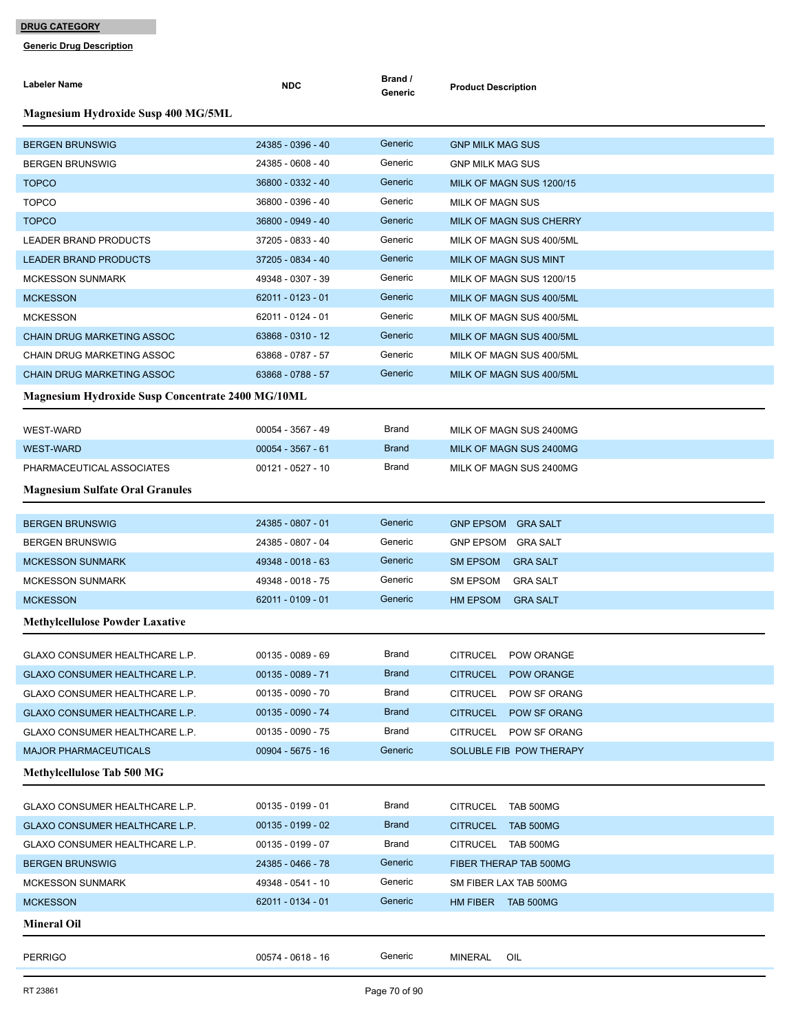| <b>Labeler Name</b>                                      | <b>NDC</b>          | Brand /<br>Generic | <b>Product Description</b>          |
|----------------------------------------------------------|---------------------|--------------------|-------------------------------------|
| <b>Magnesium Hydroxide Susp 400 MG/5ML</b>               |                     |                    |                                     |
| <b>BERGEN BRUNSWIG</b>                                   | 24385 - 0396 - 40   | Generic            | <b>GNP MILK MAG SUS</b>             |
| <b>BERGEN BRUNSWIG</b>                                   | 24385 - 0608 - 40   | Generic            | <b>GNP MILK MAG SUS</b>             |
| <b>TOPCO</b>                                             | 36800 - 0332 - 40   | Generic            | MILK OF MAGN SUS 1200/15            |
| <b>TOPCO</b>                                             | 36800 - 0396 - 40   | Generic            | <b>MILK OF MAGN SUS</b>             |
| <b>TOPCO</b>                                             | 36800 - 0949 - 40   | Generic            | MILK OF MAGN SUS CHERRY             |
| <b>LEADER BRAND PRODUCTS</b>                             | 37205 - 0833 - 40   | Generic            | MILK OF MAGN SUS 400/5ML            |
| <b>LEADER BRAND PRODUCTS</b>                             | 37205 - 0834 - 40   | Generic            | <b>MILK OF MAGN SUS MINT</b>        |
| <b>MCKESSON SUNMARK</b>                                  | 49348 - 0307 - 39   | Generic            | MILK OF MAGN SUS 1200/15            |
| <b>MCKESSON</b>                                          | 62011 - 0123 - 01   | Generic            | MILK OF MAGN SUS 400/5ML            |
| <b>MCKESSON</b>                                          | 62011 - 0124 - 01   | Generic            | MILK OF MAGN SUS 400/5ML            |
| <b>CHAIN DRUG MARKETING ASSOC</b>                        | 63868 - 0310 - 12   | Generic            | MILK OF MAGN SUS 400/5ML            |
| CHAIN DRUG MARKETING ASSOC                               | 63868 - 0787 - 57   | Generic            | MILK OF MAGN SUS 400/5ML            |
| <b>CHAIN DRUG MARKETING ASSOC</b>                        | 63868 - 0788 - 57   | Generic            | MILK OF MAGN SUS 400/5ML            |
| <b>Magnesium Hydroxide Susp Concentrate 2400 MG/10ML</b> |                     |                    |                                     |
| <b>WEST-WARD</b>                                         | 00054 - 3567 - 49   | Brand              | MILK OF MAGN SUS 2400MG             |
| <b>WEST-WARD</b>                                         | $00054 - 3567 - 61$ | <b>Brand</b>       | MILK OF MAGN SUS 2400MG             |
| PHARMACEUTICAL ASSOCIATES                                | 00121 - 0527 - 10   | Brand              | MILK OF MAGN SUS 2400MG             |
| <b>Magnesium Sulfate Oral Granules</b>                   |                     |                    |                                     |
|                                                          |                     |                    |                                     |
| <b>BERGEN BRUNSWIG</b>                                   | 24385 - 0807 - 01   | Generic            | <b>GNP EPSOM</b><br><b>GRA SALT</b> |
| <b>BERGEN BRUNSWIG</b>                                   | 24385 - 0807 - 04   | Generic            | <b>GNP EPSOM</b><br><b>GRA SALT</b> |
| <b>MCKESSON SUNMARK</b>                                  | 49348 - 0018 - 63   | Generic            | SM EPSOM<br><b>GRA SALT</b>         |
| <b>MCKESSON SUNMARK</b>                                  | 49348 - 0018 - 75   | Generic            | SM EPSOM<br><b>GRA SALT</b>         |
| <b>MCKESSON</b>                                          | 62011 - 0109 - 01   | Generic            | HM EPSOM<br><b>GRA SALT</b>         |
| <b>Methylcellulose Powder Laxative</b>                   |                     |                    |                                     |
| GLAXO CONSUMER HEALTHCARE L.P.                           | $00135 - 0089 - 69$ | Brand              | <b>CITRUCEL</b><br>POW ORANGE       |
| GLAXO CONSUMER HEALTHCARE L.P.                           | $00135 - 0089 - 71$ | <b>Brand</b>       | <b>CITRUCEL</b><br>POW ORANGE       |
| <b>GLAXO CONSUMER HEALTHCARE L.P.</b>                    | 00135 - 0090 - 70   | Brand              | POW SF ORANG<br>CITRUCEL            |
| GLAXO CONSUMER HEALTHCARE L.P.                           | 00135 - 0090 - 74   | <b>Brand</b>       | <b>CITRUCEL</b><br>POW SF ORANG     |
| GLAXO CONSUMER HEALTHCARE L.P.                           | 00135 - 0090 - 75   | <b>Brand</b>       | <b>CITRUCEL</b><br>POW SF ORANG     |
| <b>MAJOR PHARMACEUTICALS</b>                             | 00904 - 5675 - 16   | Generic            | SOLUBLE FIB POW THERAPY             |
| <b>Methylcellulose Tab 500 MG</b>                        |                     |                    |                                     |
| GLAXO CONSUMER HEALTHCARE L.P.                           | $00135 - 0199 - 01$ | Brand              | <b>CITRUCEL</b><br>TAB 500MG        |
| GLAXO CONSUMER HEALTHCARE L.P.                           | $00135 - 0199 - 02$ | <b>Brand</b>       | <b>CITRUCEL</b><br>TAB 500MG        |
| GLAXO CONSUMER HEALTHCARE L.P.                           | $00135 - 0199 - 07$ | Brand              | CITRUCEL TAB 500MG                  |
| <b>BERGEN BRUNSWIG</b>                                   | 24385 - 0466 - 78   | Generic            | FIBER THERAP TAB 500MG              |
| <b>MCKESSON SUNMARK</b>                                  | 49348 - 0541 - 10   | Generic            | SM FIBER LAX TAB 500MG              |
| <b>MCKESSON</b>                                          | 62011 - 0134 - 01   | Generic            | HM FIBER TAB 500MG                  |
| <b>Mineral Oil</b>                                       |                     |                    |                                     |
|                                                          |                     |                    |                                     |
| <b>PERRIGO</b>                                           | 00574 - 0618 - 16   | Generic            | MINERAL<br>OIL                      |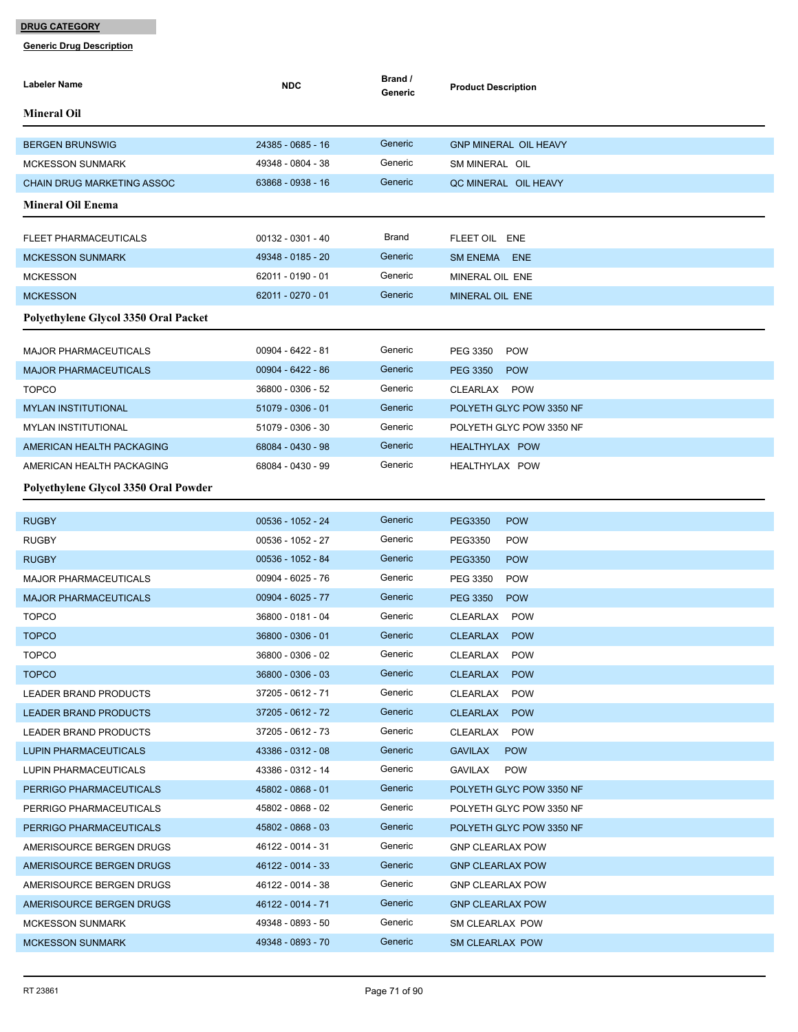| Labeler Name                         | <b>NDC</b>          | Brand /<br>Generic | <b>Product Description</b>    |
|--------------------------------------|---------------------|--------------------|-------------------------------|
| <b>Mineral Oil</b>                   |                     |                    |                               |
| <b>BERGEN BRUNSWIG</b>               | 24385 - 0685 - 16   | Generic            | <b>GNP MINERAL OIL HEAVY</b>  |
| <b>MCKESSON SUNMARK</b>              | 49348 - 0804 - 38   | Generic            | SM MINERAL OIL                |
| <b>CHAIN DRUG MARKETING ASSOC</b>    | 63868 - 0938 - 16   | Generic            | QC MINERAL OIL HEAVY          |
| <b>Mineral Oil Enema</b>             |                     |                    |                               |
| FLEET PHARMACEUTICALS                | $00132 - 0301 - 40$ | Brand              | FLEET OIL ENE                 |
| <b>MCKESSON SUNMARK</b>              | 49348 - 0185 - 20   | Generic            | SM ENEMA ENE                  |
| <b>MCKESSON</b>                      | 62011 - 0190 - 01   | Generic            | MINERAL OIL ENE               |
| <b>MCKESSON</b>                      | 62011 - 0270 - 01   | Generic            | MINERAL OIL ENE               |
|                                      |                     |                    |                               |
| Polyethylene Glycol 3350 Oral Packet |                     |                    |                               |
| <b>MAJOR PHARMACEUTICALS</b>         | 00904 - 6422 - 81   | Generic            | PEG 3350<br><b>POW</b>        |
| <b>MAJOR PHARMACEUTICALS</b>         | 00904 - 6422 - 86   | Generic            | <b>PEG 3350</b><br><b>POW</b> |
| <b>TOPCO</b>                         | 36800 - 0306 - 52   | Generic            | CLEARLAX POW                  |
| <b>MYLAN INSTITUTIONAL</b>           | 51079 - 0306 - 01   | Generic            | POLYETH GLYC POW 3350 NF      |
| <b>MYLAN INSTITUTIONAL</b>           | 51079 - 0306 - 30   | Generic            | POLYETH GLYC POW 3350 NF      |
| AMERICAN HEALTH PACKAGING            | 68084 - 0430 - 98   | Generic            | <b>HEALTHYLAX POW</b>         |
| AMERICAN HEALTH PACKAGING            | 68084 - 0430 - 99   | Generic            | HEALTHYLAX POW                |
| Polyethylene Glycol 3350 Oral Powder |                     |                    |                               |
| <b>RUGBY</b>                         | 00536 - 1052 - 24   | Generic            | <b>POW</b><br><b>PEG3350</b>  |
| <b>RUGBY</b>                         | 00536 - 1052 - 27   | Generic            | PEG3350<br><b>POW</b>         |
| <b>RUGBY</b>                         | 00536 - 1052 - 84   | Generic            | <b>PEG3350</b><br><b>POW</b>  |
| <b>MAJOR PHARMACEUTICALS</b>         | 00904 - 6025 - 76   | Generic            | PEG 3350<br><b>POW</b>        |
| <b>MAJOR PHARMACEUTICALS</b>         | 00904 - 6025 - 77   | Generic            | <b>PEG 3350</b><br><b>POW</b> |
| <b>TOPCO</b>                         | 36800 - 0181 - 04   | Generic            | CLEARLAX<br><b>POW</b>        |
| <b>TOPCO</b>                         | 36800 - 0306 - 01   | Generic            | CLEARLAX POW                  |
| <b>TOPCO</b>                         | 36800 - 0306 - 02   | Generic            | CLEARLAX<br><b>POW</b>        |
| <b>TOPCO</b>                         | 36800 - 0306 - 03   | Generic            | CLEARLAX<br><b>POW</b>        |
| LEADER BRAND PRODUCTS                | 37205 - 0612 - 71   | Generic            | <b>CLEARLAX</b><br><b>POW</b> |
| LEADER BRAND PRODUCTS                | 37205 - 0612 - 72   | Generic            | <b>CLEARLAX</b><br><b>POW</b> |
| LEADER BRAND PRODUCTS                | 37205 - 0612 - 73   | Generic            | <b>POW</b><br>CLEARLAX        |
| LUPIN PHARMACEUTICALS                | 43386 - 0312 - 08   | Generic            | <b>GAVILAX</b><br><b>POW</b>  |
| LUPIN PHARMACEUTICALS                | 43386 - 0312 - 14   | Generic            | GAVILAX<br><b>POW</b>         |
| PERRIGO PHARMACEUTICALS              | 45802 - 0868 - 01   | Generic            | POLYETH GLYC POW 3350 NF      |
| PERRIGO PHARMACEUTICALS              | 45802 - 0868 - 02   | Generic            | POLYETH GLYC POW 3350 NF      |
| PERRIGO PHARMACEUTICALS              | 45802 - 0868 - 03   | Generic            | POLYETH GLYC POW 3350 NF      |
| AMERISOURCE BERGEN DRUGS             | 46122 - 0014 - 31   | Generic            | <b>GNP CLEARLAX POW</b>       |
| AMERISOURCE BERGEN DRUGS             | 46122 - 0014 - 33   | Generic            | <b>GNP CLEARLAX POW</b>       |
| AMERISOURCE BERGEN DRUGS             | 46122 - 0014 - 38   | Generic            | <b>GNP CLEARLAX POW</b>       |
| AMERISOURCE BERGEN DRUGS             | 46122 - 0014 - 71   | Generic            | <b>GNP CLEARLAX POW</b>       |
| <b>MCKESSON SUNMARK</b>              | 49348 - 0893 - 50   | Generic            | SM CLEARLAX POW               |
| <b>MCKESSON SUNMARK</b>              | 49348 - 0893 - 70   | Generic            | SM CLEARLAX POW               |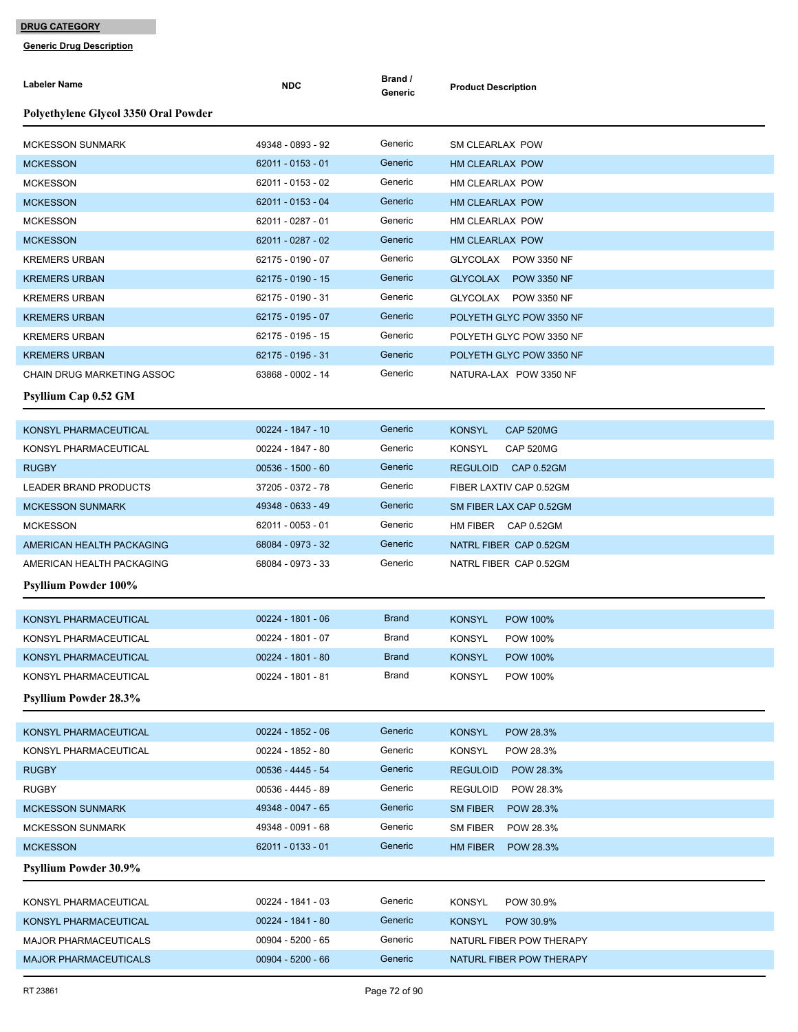| Polyethylene Glycol 3350 Oral Powder<br>Generic<br>49348 - 0893 - 92<br><b>MCKESSON SUNMARK</b><br>SM CLEARLAX POW<br>Generic<br>62011 - 0153 - 01<br><b>MCKESSON</b><br>HM CLEARLAX POW<br>Generic<br><b>MCKESSON</b><br>62011 - 0153 - 02<br>HM CLEARLAX POW<br>Generic<br><b>MCKESSON</b><br>62011 - 0153 - 04<br>HM CLEARLAX POW<br>Generic<br><b>MCKESSON</b><br>62011 - 0287 - 01<br>HM CLEARLAX POW<br>62011 - 0287 - 02<br>Generic<br><b>MCKESSON</b><br>HM CLEARLAX POW<br>Generic<br>62175 - 0190 - 07<br><b>KREMERS URBAN</b><br>GLYCOLAX POW 3350 NF<br>Generic<br>62175 - 0190 - 15<br><b>KREMERS URBAN</b><br>GLYCOLAX POW 3350 NF<br>Generic<br><b>KREMERS URBAN</b><br>62175 - 0190 - 31<br>GLYCOLAX POW 3350 NF<br>Generic<br><b>KREMERS URBAN</b><br>62175 - 0195 - 07<br>POLYETH GLYC POW 3350 NF<br>Generic<br>62175 - 0195 - 15<br><b>KREMERS URBAN</b><br>POLYETH GLYC POW 3350 NF<br>Generic<br>62175 - 0195 - 31<br><b>KREMERS URBAN</b><br>POLYETH GLYC POW 3350 NF<br>Generic<br>63868 - 0002 - 14<br>CHAIN DRUG MARKETING ASSOC<br>NATURA-LAX POW 3350 NF<br><b>Psyllium Cap 0.52 GM</b><br>00224 - 1847 - 10<br>Generic<br>KONSYL PHARMACEUTICAL<br><b>KONSYL</b><br>CAP 520MG<br>KONSYL PHARMACEUTICAL<br>Generic<br><b>KONSYL</b><br>CAP 520MG<br>00224 - 1847 - 80<br>Generic<br><b>RUGBY</b><br>$00536 - 1500 - 60$<br><b>REGULOID</b><br><b>CAP 0.52GM</b><br>Generic<br>37205 - 0372 - 78<br>LEADER BRAND PRODUCTS<br>FIBER LAXTIV CAP 0.52GM<br>Generic<br>49348 - 0633 - 49<br><b>MCKESSON SUNMARK</b><br>SM FIBER LAX CAP 0.52GM<br>62011 - 0053 - 01<br>Generic<br><b>MCKESSON</b><br>HM FIBER CAP 0.52GM<br>Generic<br>AMERICAN HEALTH PACKAGING<br>68084 - 0973 - 32<br>NATRL FIBER CAP 0.52GM<br>Generic<br>AMERICAN HEALTH PACKAGING<br>68084 - 0973 - 33<br>NATRL FIBER CAP 0.52GM<br><b>Psyllium Powder 100%</b><br><b>Brand</b><br>00224 - 1801 - 06<br>KONSYL PHARMACEUTICAL<br><b>KONSYL</b><br><b>POW 100%</b><br>00224 - 1801 - 07<br>Brand<br><b>KONSYL</b><br><b>POW 100%</b><br>KONSYL PHARMACEUTICAL<br>KONSYL PHARMACEUTICAL<br>00224 - 1801 - 80<br><b>Brand</b><br>KONSYL<br><b>POW 100%</b><br>KONSYL PHARMACEUTICAL<br>00224 - 1801 - 81<br>Brand<br><b>KONSYL</b><br>POW 100%<br><b>Psyllium Powder 28.3%</b><br>KONSYL PHARMACEUTICAL<br>00224 - 1852 - 06<br>Generic<br><b>KONSYL</b><br>POW 28.3%<br>Generic<br>KONSYL PHARMACEUTICAL<br><b>KONSYL</b><br>00224 - 1852 - 80<br>POW 28.3%<br>Generic<br>00536 - 4445 - 54<br><b>RUGBY</b><br><b>REGULOID</b><br>POW 28.3%<br>Generic<br>00536 - 4445 - 89<br><b>RUGBY</b><br>POW 28.3%<br><b>REGULOID</b><br>49348 - 0047 - 65<br>Generic<br>SM FIBER<br><b>MCKESSON SUNMARK</b><br>POW 28.3%<br>Generic<br>49348 - 0091 - 68<br><b>MCKESSON SUNMARK</b><br>SM FIBER<br>POW 28.3%<br>Generic<br><b>MCKESSON</b><br>62011 - 0133 - 01<br>HM FIBER<br>POW 28.3%<br><b>Psyllium Powder 30.9%</b><br>Generic<br>00224 - 1841 - 03<br><b>KONSYL</b><br>KONSYL PHARMACEUTICAL<br>POW 30.9%<br>Generic<br>00224 - 1841 - 80<br><b>KONSYL</b><br>KONSYL PHARMACEUTICAL<br>POW 30.9%<br>Generic<br>00904 - 5200 - 65<br>MAJOR PHARMACEUTICALS<br>NATURL FIBER POW THERAPY | <b>Labeler Name</b>          | <b>NDC</b>          | Brand /<br>Generic | <b>Product Description</b> |
|-------------------------------------------------------------------------------------------------------------------------------------------------------------------------------------------------------------------------------------------------------------------------------------------------------------------------------------------------------------------------------------------------------------------------------------------------------------------------------------------------------------------------------------------------------------------------------------------------------------------------------------------------------------------------------------------------------------------------------------------------------------------------------------------------------------------------------------------------------------------------------------------------------------------------------------------------------------------------------------------------------------------------------------------------------------------------------------------------------------------------------------------------------------------------------------------------------------------------------------------------------------------------------------------------------------------------------------------------------------------------------------------------------------------------------------------------------------------------------------------------------------------------------------------------------------------------------------------------------------------------------------------------------------------------------------------------------------------------------------------------------------------------------------------------------------------------------------------------------------------------------------------------------------------------------------------------------------------------------------------------------------------------------------------------------------------------------------------------------------------------------------------------------------------------------------------------------------------------------------------------------------------------------------------------------------------------------------------------------------------------------------------------------------------------------------------------------------------------------------------------------------------------------------------------------------------------------------------------------------------------------------------------------------------------------------------------------------------------------------------------------------------------------------------------------------------------------------------------------------------------------------------------------------------------------------------------------------------------------------------------------------------------------------------------------------------------------------------------------------------------------------------------------------------------------|------------------------------|---------------------|--------------------|----------------------------|
|                                                                                                                                                                                                                                                                                                                                                                                                                                                                                                                                                                                                                                                                                                                                                                                                                                                                                                                                                                                                                                                                                                                                                                                                                                                                                                                                                                                                                                                                                                                                                                                                                                                                                                                                                                                                                                                                                                                                                                                                                                                                                                                                                                                                                                                                                                                                                                                                                                                                                                                                                                                                                                                                                                                                                                                                                                                                                                                                                                                                                                                                                                                                                                               |                              |                     |                    |                            |
|                                                                                                                                                                                                                                                                                                                                                                                                                                                                                                                                                                                                                                                                                                                                                                                                                                                                                                                                                                                                                                                                                                                                                                                                                                                                                                                                                                                                                                                                                                                                                                                                                                                                                                                                                                                                                                                                                                                                                                                                                                                                                                                                                                                                                                                                                                                                                                                                                                                                                                                                                                                                                                                                                                                                                                                                                                                                                                                                                                                                                                                                                                                                                                               |                              |                     |                    |                            |
|                                                                                                                                                                                                                                                                                                                                                                                                                                                                                                                                                                                                                                                                                                                                                                                                                                                                                                                                                                                                                                                                                                                                                                                                                                                                                                                                                                                                                                                                                                                                                                                                                                                                                                                                                                                                                                                                                                                                                                                                                                                                                                                                                                                                                                                                                                                                                                                                                                                                                                                                                                                                                                                                                                                                                                                                                                                                                                                                                                                                                                                                                                                                                                               |                              |                     |                    |                            |
|                                                                                                                                                                                                                                                                                                                                                                                                                                                                                                                                                                                                                                                                                                                                                                                                                                                                                                                                                                                                                                                                                                                                                                                                                                                                                                                                                                                                                                                                                                                                                                                                                                                                                                                                                                                                                                                                                                                                                                                                                                                                                                                                                                                                                                                                                                                                                                                                                                                                                                                                                                                                                                                                                                                                                                                                                                                                                                                                                                                                                                                                                                                                                                               |                              |                     |                    |                            |
|                                                                                                                                                                                                                                                                                                                                                                                                                                                                                                                                                                                                                                                                                                                                                                                                                                                                                                                                                                                                                                                                                                                                                                                                                                                                                                                                                                                                                                                                                                                                                                                                                                                                                                                                                                                                                                                                                                                                                                                                                                                                                                                                                                                                                                                                                                                                                                                                                                                                                                                                                                                                                                                                                                                                                                                                                                                                                                                                                                                                                                                                                                                                                                               |                              |                     |                    |                            |
|                                                                                                                                                                                                                                                                                                                                                                                                                                                                                                                                                                                                                                                                                                                                                                                                                                                                                                                                                                                                                                                                                                                                                                                                                                                                                                                                                                                                                                                                                                                                                                                                                                                                                                                                                                                                                                                                                                                                                                                                                                                                                                                                                                                                                                                                                                                                                                                                                                                                                                                                                                                                                                                                                                                                                                                                                                                                                                                                                                                                                                                                                                                                                                               |                              |                     |                    |                            |
|                                                                                                                                                                                                                                                                                                                                                                                                                                                                                                                                                                                                                                                                                                                                                                                                                                                                                                                                                                                                                                                                                                                                                                                                                                                                                                                                                                                                                                                                                                                                                                                                                                                                                                                                                                                                                                                                                                                                                                                                                                                                                                                                                                                                                                                                                                                                                                                                                                                                                                                                                                                                                                                                                                                                                                                                                                                                                                                                                                                                                                                                                                                                                                               |                              |                     |                    |                            |
|                                                                                                                                                                                                                                                                                                                                                                                                                                                                                                                                                                                                                                                                                                                                                                                                                                                                                                                                                                                                                                                                                                                                                                                                                                                                                                                                                                                                                                                                                                                                                                                                                                                                                                                                                                                                                                                                                                                                                                                                                                                                                                                                                                                                                                                                                                                                                                                                                                                                                                                                                                                                                                                                                                                                                                                                                                                                                                                                                                                                                                                                                                                                                                               |                              |                     |                    |                            |
|                                                                                                                                                                                                                                                                                                                                                                                                                                                                                                                                                                                                                                                                                                                                                                                                                                                                                                                                                                                                                                                                                                                                                                                                                                                                                                                                                                                                                                                                                                                                                                                                                                                                                                                                                                                                                                                                                                                                                                                                                                                                                                                                                                                                                                                                                                                                                                                                                                                                                                                                                                                                                                                                                                                                                                                                                                                                                                                                                                                                                                                                                                                                                                               |                              |                     |                    |                            |
|                                                                                                                                                                                                                                                                                                                                                                                                                                                                                                                                                                                                                                                                                                                                                                                                                                                                                                                                                                                                                                                                                                                                                                                                                                                                                                                                                                                                                                                                                                                                                                                                                                                                                                                                                                                                                                                                                                                                                                                                                                                                                                                                                                                                                                                                                                                                                                                                                                                                                                                                                                                                                                                                                                                                                                                                                                                                                                                                                                                                                                                                                                                                                                               |                              |                     |                    |                            |
|                                                                                                                                                                                                                                                                                                                                                                                                                                                                                                                                                                                                                                                                                                                                                                                                                                                                                                                                                                                                                                                                                                                                                                                                                                                                                                                                                                                                                                                                                                                                                                                                                                                                                                                                                                                                                                                                                                                                                                                                                                                                                                                                                                                                                                                                                                                                                                                                                                                                                                                                                                                                                                                                                                                                                                                                                                                                                                                                                                                                                                                                                                                                                                               |                              |                     |                    |                            |
|                                                                                                                                                                                                                                                                                                                                                                                                                                                                                                                                                                                                                                                                                                                                                                                                                                                                                                                                                                                                                                                                                                                                                                                                                                                                                                                                                                                                                                                                                                                                                                                                                                                                                                                                                                                                                                                                                                                                                                                                                                                                                                                                                                                                                                                                                                                                                                                                                                                                                                                                                                                                                                                                                                                                                                                                                                                                                                                                                                                                                                                                                                                                                                               |                              |                     |                    |                            |
|                                                                                                                                                                                                                                                                                                                                                                                                                                                                                                                                                                                                                                                                                                                                                                                                                                                                                                                                                                                                                                                                                                                                                                                                                                                                                                                                                                                                                                                                                                                                                                                                                                                                                                                                                                                                                                                                                                                                                                                                                                                                                                                                                                                                                                                                                                                                                                                                                                                                                                                                                                                                                                                                                                                                                                                                                                                                                                                                                                                                                                                                                                                                                                               |                              |                     |                    |                            |
|                                                                                                                                                                                                                                                                                                                                                                                                                                                                                                                                                                                                                                                                                                                                                                                                                                                                                                                                                                                                                                                                                                                                                                                                                                                                                                                                                                                                                                                                                                                                                                                                                                                                                                                                                                                                                                                                                                                                                                                                                                                                                                                                                                                                                                                                                                                                                                                                                                                                                                                                                                                                                                                                                                                                                                                                                                                                                                                                                                                                                                                                                                                                                                               |                              |                     |                    |                            |
|                                                                                                                                                                                                                                                                                                                                                                                                                                                                                                                                                                                                                                                                                                                                                                                                                                                                                                                                                                                                                                                                                                                                                                                                                                                                                                                                                                                                                                                                                                                                                                                                                                                                                                                                                                                                                                                                                                                                                                                                                                                                                                                                                                                                                                                                                                                                                                                                                                                                                                                                                                                                                                                                                                                                                                                                                                                                                                                                                                                                                                                                                                                                                                               |                              |                     |                    |                            |
|                                                                                                                                                                                                                                                                                                                                                                                                                                                                                                                                                                                                                                                                                                                                                                                                                                                                                                                                                                                                                                                                                                                                                                                                                                                                                                                                                                                                                                                                                                                                                                                                                                                                                                                                                                                                                                                                                                                                                                                                                                                                                                                                                                                                                                                                                                                                                                                                                                                                                                                                                                                                                                                                                                                                                                                                                                                                                                                                                                                                                                                                                                                                                                               |                              |                     |                    |                            |
|                                                                                                                                                                                                                                                                                                                                                                                                                                                                                                                                                                                                                                                                                                                                                                                                                                                                                                                                                                                                                                                                                                                                                                                                                                                                                                                                                                                                                                                                                                                                                                                                                                                                                                                                                                                                                                                                                                                                                                                                                                                                                                                                                                                                                                                                                                                                                                                                                                                                                                                                                                                                                                                                                                                                                                                                                                                                                                                                                                                                                                                                                                                                                                               |                              |                     |                    |                            |
|                                                                                                                                                                                                                                                                                                                                                                                                                                                                                                                                                                                                                                                                                                                                                                                                                                                                                                                                                                                                                                                                                                                                                                                                                                                                                                                                                                                                                                                                                                                                                                                                                                                                                                                                                                                                                                                                                                                                                                                                                                                                                                                                                                                                                                                                                                                                                                                                                                                                                                                                                                                                                                                                                                                                                                                                                                                                                                                                                                                                                                                                                                                                                                               |                              |                     |                    |                            |
|                                                                                                                                                                                                                                                                                                                                                                                                                                                                                                                                                                                                                                                                                                                                                                                                                                                                                                                                                                                                                                                                                                                                                                                                                                                                                                                                                                                                                                                                                                                                                                                                                                                                                                                                                                                                                                                                                                                                                                                                                                                                                                                                                                                                                                                                                                                                                                                                                                                                                                                                                                                                                                                                                                                                                                                                                                                                                                                                                                                                                                                                                                                                                                               |                              |                     |                    |                            |
|                                                                                                                                                                                                                                                                                                                                                                                                                                                                                                                                                                                                                                                                                                                                                                                                                                                                                                                                                                                                                                                                                                                                                                                                                                                                                                                                                                                                                                                                                                                                                                                                                                                                                                                                                                                                                                                                                                                                                                                                                                                                                                                                                                                                                                                                                                                                                                                                                                                                                                                                                                                                                                                                                                                                                                                                                                                                                                                                                                                                                                                                                                                                                                               |                              |                     |                    |                            |
|                                                                                                                                                                                                                                                                                                                                                                                                                                                                                                                                                                                                                                                                                                                                                                                                                                                                                                                                                                                                                                                                                                                                                                                                                                                                                                                                                                                                                                                                                                                                                                                                                                                                                                                                                                                                                                                                                                                                                                                                                                                                                                                                                                                                                                                                                                                                                                                                                                                                                                                                                                                                                                                                                                                                                                                                                                                                                                                                                                                                                                                                                                                                                                               |                              |                     |                    |                            |
|                                                                                                                                                                                                                                                                                                                                                                                                                                                                                                                                                                                                                                                                                                                                                                                                                                                                                                                                                                                                                                                                                                                                                                                                                                                                                                                                                                                                                                                                                                                                                                                                                                                                                                                                                                                                                                                                                                                                                                                                                                                                                                                                                                                                                                                                                                                                                                                                                                                                                                                                                                                                                                                                                                                                                                                                                                                                                                                                                                                                                                                                                                                                                                               |                              |                     |                    |                            |
|                                                                                                                                                                                                                                                                                                                                                                                                                                                                                                                                                                                                                                                                                                                                                                                                                                                                                                                                                                                                                                                                                                                                                                                                                                                                                                                                                                                                                                                                                                                                                                                                                                                                                                                                                                                                                                                                                                                                                                                                                                                                                                                                                                                                                                                                                                                                                                                                                                                                                                                                                                                                                                                                                                                                                                                                                                                                                                                                                                                                                                                                                                                                                                               |                              |                     |                    |                            |
|                                                                                                                                                                                                                                                                                                                                                                                                                                                                                                                                                                                                                                                                                                                                                                                                                                                                                                                                                                                                                                                                                                                                                                                                                                                                                                                                                                                                                                                                                                                                                                                                                                                                                                                                                                                                                                                                                                                                                                                                                                                                                                                                                                                                                                                                                                                                                                                                                                                                                                                                                                                                                                                                                                                                                                                                                                                                                                                                                                                                                                                                                                                                                                               |                              |                     |                    |                            |
|                                                                                                                                                                                                                                                                                                                                                                                                                                                                                                                                                                                                                                                                                                                                                                                                                                                                                                                                                                                                                                                                                                                                                                                                                                                                                                                                                                                                                                                                                                                                                                                                                                                                                                                                                                                                                                                                                                                                                                                                                                                                                                                                                                                                                                                                                                                                                                                                                                                                                                                                                                                                                                                                                                                                                                                                                                                                                                                                                                                                                                                                                                                                                                               |                              |                     |                    |                            |
|                                                                                                                                                                                                                                                                                                                                                                                                                                                                                                                                                                                                                                                                                                                                                                                                                                                                                                                                                                                                                                                                                                                                                                                                                                                                                                                                                                                                                                                                                                                                                                                                                                                                                                                                                                                                                                                                                                                                                                                                                                                                                                                                                                                                                                                                                                                                                                                                                                                                                                                                                                                                                                                                                                                                                                                                                                                                                                                                                                                                                                                                                                                                                                               |                              |                     |                    |                            |
|                                                                                                                                                                                                                                                                                                                                                                                                                                                                                                                                                                                                                                                                                                                                                                                                                                                                                                                                                                                                                                                                                                                                                                                                                                                                                                                                                                                                                                                                                                                                                                                                                                                                                                                                                                                                                                                                                                                                                                                                                                                                                                                                                                                                                                                                                                                                                                                                                                                                                                                                                                                                                                                                                                                                                                                                                                                                                                                                                                                                                                                                                                                                                                               |                              |                     |                    |                            |
|                                                                                                                                                                                                                                                                                                                                                                                                                                                                                                                                                                                                                                                                                                                                                                                                                                                                                                                                                                                                                                                                                                                                                                                                                                                                                                                                                                                                                                                                                                                                                                                                                                                                                                                                                                                                                                                                                                                                                                                                                                                                                                                                                                                                                                                                                                                                                                                                                                                                                                                                                                                                                                                                                                                                                                                                                                                                                                                                                                                                                                                                                                                                                                               |                              |                     |                    |                            |
|                                                                                                                                                                                                                                                                                                                                                                                                                                                                                                                                                                                                                                                                                                                                                                                                                                                                                                                                                                                                                                                                                                                                                                                                                                                                                                                                                                                                                                                                                                                                                                                                                                                                                                                                                                                                                                                                                                                                                                                                                                                                                                                                                                                                                                                                                                                                                                                                                                                                                                                                                                                                                                                                                                                                                                                                                                                                                                                                                                                                                                                                                                                                                                               |                              |                     |                    |                            |
|                                                                                                                                                                                                                                                                                                                                                                                                                                                                                                                                                                                                                                                                                                                                                                                                                                                                                                                                                                                                                                                                                                                                                                                                                                                                                                                                                                                                                                                                                                                                                                                                                                                                                                                                                                                                                                                                                                                                                                                                                                                                                                                                                                                                                                                                                                                                                                                                                                                                                                                                                                                                                                                                                                                                                                                                                                                                                                                                                                                                                                                                                                                                                                               |                              |                     |                    |                            |
|                                                                                                                                                                                                                                                                                                                                                                                                                                                                                                                                                                                                                                                                                                                                                                                                                                                                                                                                                                                                                                                                                                                                                                                                                                                                                                                                                                                                                                                                                                                                                                                                                                                                                                                                                                                                                                                                                                                                                                                                                                                                                                                                                                                                                                                                                                                                                                                                                                                                                                                                                                                                                                                                                                                                                                                                                                                                                                                                                                                                                                                                                                                                                                               |                              |                     |                    |                            |
|                                                                                                                                                                                                                                                                                                                                                                                                                                                                                                                                                                                                                                                                                                                                                                                                                                                                                                                                                                                                                                                                                                                                                                                                                                                                                                                                                                                                                                                                                                                                                                                                                                                                                                                                                                                                                                                                                                                                                                                                                                                                                                                                                                                                                                                                                                                                                                                                                                                                                                                                                                                                                                                                                                                                                                                                                                                                                                                                                                                                                                                                                                                                                                               |                              |                     |                    |                            |
|                                                                                                                                                                                                                                                                                                                                                                                                                                                                                                                                                                                                                                                                                                                                                                                                                                                                                                                                                                                                                                                                                                                                                                                                                                                                                                                                                                                                                                                                                                                                                                                                                                                                                                                                                                                                                                                                                                                                                                                                                                                                                                                                                                                                                                                                                                                                                                                                                                                                                                                                                                                                                                                                                                                                                                                                                                                                                                                                                                                                                                                                                                                                                                               |                              |                     |                    |                            |
|                                                                                                                                                                                                                                                                                                                                                                                                                                                                                                                                                                                                                                                                                                                                                                                                                                                                                                                                                                                                                                                                                                                                                                                                                                                                                                                                                                                                                                                                                                                                                                                                                                                                                                                                                                                                                                                                                                                                                                                                                                                                                                                                                                                                                                                                                                                                                                                                                                                                                                                                                                                                                                                                                                                                                                                                                                                                                                                                                                                                                                                                                                                                                                               |                              |                     |                    |                            |
|                                                                                                                                                                                                                                                                                                                                                                                                                                                                                                                                                                                                                                                                                                                                                                                                                                                                                                                                                                                                                                                                                                                                                                                                                                                                                                                                                                                                                                                                                                                                                                                                                                                                                                                                                                                                                                                                                                                                                                                                                                                                                                                                                                                                                                                                                                                                                                                                                                                                                                                                                                                                                                                                                                                                                                                                                                                                                                                                                                                                                                                                                                                                                                               |                              |                     |                    |                            |
|                                                                                                                                                                                                                                                                                                                                                                                                                                                                                                                                                                                                                                                                                                                                                                                                                                                                                                                                                                                                                                                                                                                                                                                                                                                                                                                                                                                                                                                                                                                                                                                                                                                                                                                                                                                                                                                                                                                                                                                                                                                                                                                                                                                                                                                                                                                                                                                                                                                                                                                                                                                                                                                                                                                                                                                                                                                                                                                                                                                                                                                                                                                                                                               |                              |                     |                    |                            |
|                                                                                                                                                                                                                                                                                                                                                                                                                                                                                                                                                                                                                                                                                                                                                                                                                                                                                                                                                                                                                                                                                                                                                                                                                                                                                                                                                                                                                                                                                                                                                                                                                                                                                                                                                                                                                                                                                                                                                                                                                                                                                                                                                                                                                                                                                                                                                                                                                                                                                                                                                                                                                                                                                                                                                                                                                                                                                                                                                                                                                                                                                                                                                                               |                              |                     |                    |                            |
|                                                                                                                                                                                                                                                                                                                                                                                                                                                                                                                                                                                                                                                                                                                                                                                                                                                                                                                                                                                                                                                                                                                                                                                                                                                                                                                                                                                                                                                                                                                                                                                                                                                                                                                                                                                                                                                                                                                                                                                                                                                                                                                                                                                                                                                                                                                                                                                                                                                                                                                                                                                                                                                                                                                                                                                                                                                                                                                                                                                                                                                                                                                                                                               |                              |                     |                    |                            |
|                                                                                                                                                                                                                                                                                                                                                                                                                                                                                                                                                                                                                                                                                                                                                                                                                                                                                                                                                                                                                                                                                                                                                                                                                                                                                                                                                                                                                                                                                                                                                                                                                                                                                                                                                                                                                                                                                                                                                                                                                                                                                                                                                                                                                                                                                                                                                                                                                                                                                                                                                                                                                                                                                                                                                                                                                                                                                                                                                                                                                                                                                                                                                                               |                              |                     |                    |                            |
|                                                                                                                                                                                                                                                                                                                                                                                                                                                                                                                                                                                                                                                                                                                                                                                                                                                                                                                                                                                                                                                                                                                                                                                                                                                                                                                                                                                                                                                                                                                                                                                                                                                                                                                                                                                                                                                                                                                                                                                                                                                                                                                                                                                                                                                                                                                                                                                                                                                                                                                                                                                                                                                                                                                                                                                                                                                                                                                                                                                                                                                                                                                                                                               |                              |                     |                    |                            |
|                                                                                                                                                                                                                                                                                                                                                                                                                                                                                                                                                                                                                                                                                                                                                                                                                                                                                                                                                                                                                                                                                                                                                                                                                                                                                                                                                                                                                                                                                                                                                                                                                                                                                                                                                                                                                                                                                                                                                                                                                                                                                                                                                                                                                                                                                                                                                                                                                                                                                                                                                                                                                                                                                                                                                                                                                                                                                                                                                                                                                                                                                                                                                                               | <b>MAJOR PHARMACEUTICALS</b> | $00904 - 5200 - 66$ | Generic            | NATURL FIBER POW THERAPY   |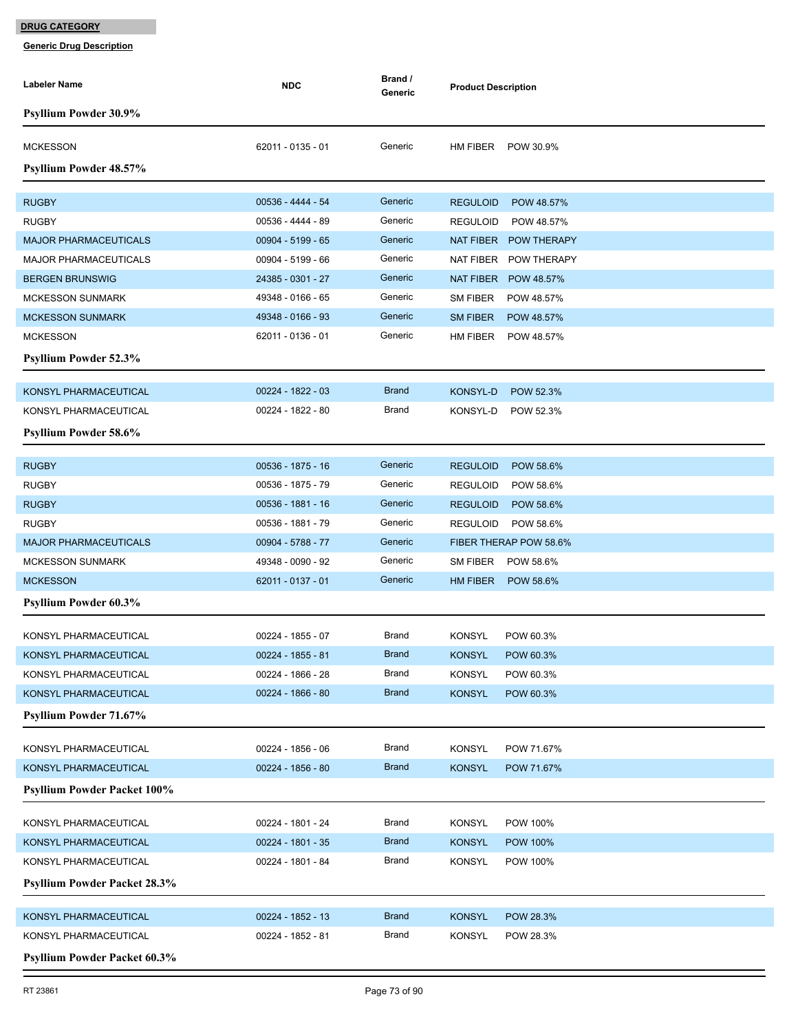| Labeler Name                                                | <b>NDC</b>          | Brand /<br>Generic | <b>Product Description</b>       |
|-------------------------------------------------------------|---------------------|--------------------|----------------------------------|
| <b>Psyllium Powder 30.9%</b>                                |                     |                    |                                  |
| <b>MCKESSON</b>                                             | 62011 - 0135 - 01   | Generic            | HM FIBER<br>POW 30.9%            |
| Psyllium Powder 48.57%                                      |                     |                    |                                  |
| <b>RUGBY</b>                                                | 00536 - 4444 - 54   | Generic            | <b>REGULOID</b><br>POW 48.57%    |
| <b>RUGBY</b>                                                | 00536 - 4444 - 89   | Generic            | <b>REGULOID</b><br>POW 48.57%    |
| <b>MAJOR PHARMACEUTICALS</b>                                | 00904 - 5199 - 65   | Generic            | NAT FIBER<br><b>POW THERAPY</b>  |
| <b>MAJOR PHARMACEUTICALS</b>                                | 00904 - 5199 - 66   | Generic            | NAT FIBER<br><b>POW THERAPY</b>  |
| <b>BERGEN BRUNSWIG</b>                                      | 24385 - 0301 - 27   | Generic            | NAT FIBER<br>POW 48.57%          |
| <b>MCKESSON SUNMARK</b>                                     | 49348 - 0166 - 65   | Generic            | SM FIBER<br>POW 48.57%           |
| <b>MCKESSON SUNMARK</b>                                     | 49348 - 0166 - 93   | Generic            | <b>SM FIBER</b><br>POW 48.57%    |
| <b>MCKESSON</b>                                             | 62011 - 0136 - 01   | Generic            | HM FIBER<br>POW 48.57%           |
| <b>Psyllium Powder 52.3%</b>                                |                     |                    |                                  |
|                                                             |                     |                    |                                  |
| KONSYL PHARMACEUTICAL                                       | 00224 - 1822 - 03   | <b>Brand</b>       | KONSYL-D<br>POW 52.3%            |
| KONSYL PHARMACEUTICAL                                       | 00224 - 1822 - 80   | Brand              | KONSYL-D<br>POW 52.3%            |
| Psyllium Powder 58.6%                                       |                     |                    |                                  |
| <b>RUGBY</b>                                                | 00536 - 1875 - 16   | Generic            | <b>REGULOID</b><br>POW 58.6%     |
| <b>RUGBY</b>                                                | 00536 - 1875 - 79   | Generic            | <b>REGULOID</b><br>POW 58.6%     |
| <b>RUGBY</b>                                                | 00536 - 1881 - 16   | Generic            | <b>REGULOID</b><br>POW 58.6%     |
| <b>RUGBY</b>                                                | 00536 - 1881 - 79   | Generic            | <b>REGULOID</b><br>POW 58.6%     |
| <b>MAJOR PHARMACEUTICALS</b>                                | 00904 - 5788 - 77   | Generic            | FIBER THERAP POW 58.6%           |
| <b>MCKESSON SUNMARK</b>                                     | 49348 - 0090 - 92   | Generic            | SM FIBER<br>POW 58.6%            |
| <b>MCKESSON</b>                                             | 62011 - 0137 - 01   | Generic            | HM FIBER<br>POW 58.6%            |
| <b>Psyllium Powder 60.3%</b>                                |                     |                    |                                  |
| KONSYL PHARMACEUTICAL                                       | 00224 - 1855 - 07   | Brand              | <b>KONSYL</b><br>POW 60.3%       |
| KONSYL PHARMACEUTICAL                                       | 00224 - 1855 - 81   | <b>Brand</b>       | <b>KONSYL</b><br>POW 60.3%       |
| KONSYL PHARMACEUTICAL                                       | 00224 - 1866 - 28   | Brand              | <b>KONSYL</b><br>POW 60.3%       |
| KONSYL PHARMACEUTICAL                                       | $00224 - 1866 - 80$ | <b>Brand</b>       | <b>KONSYL</b><br>POW 60.3%       |
| Psyllium Powder 71.67%                                      |                     |                    |                                  |
|                                                             |                     |                    |                                  |
| KONSYL PHARMACEUTICAL                                       | 00224 - 1856 - 06   | Brand              | <b>KONSYL</b><br>POW 71.67%      |
| KONSYL PHARMACEUTICAL<br><b>Psyllium Powder Packet 100%</b> | 00224 - 1856 - 80   | <b>Brand</b>       | <b>KONSYL</b><br>POW 71.67%      |
|                                                             |                     |                    |                                  |
| KONSYL PHARMACEUTICAL                                       | 00224 - 1801 - 24   | Brand              | <b>KONSYL</b><br>POW 100%        |
| KONSYL PHARMACEUTICAL                                       | 00224 - 1801 - 35   | <b>Brand</b>       | <b>KONSYL</b><br><b>POW 100%</b> |
| KONSYL PHARMACEUTICAL                                       | 00224 - 1801 - 84   | Brand              | <b>KONSYL</b><br><b>POW 100%</b> |
| <b>Psyllium Powder Packet 28.3%</b>                         |                     |                    |                                  |
| KONSYL PHARMACEUTICAL                                       | 00224 - 1852 - 13   | <b>Brand</b>       | <b>KONSYL</b><br>POW 28.3%       |
| KONSYL PHARMACEUTICAL                                       | 00224 - 1852 - 81   | Brand              | <b>KONSYL</b><br>POW 28.3%       |
| <b>Psyllium Powder Packet 60.3%</b>                         |                     |                    |                                  |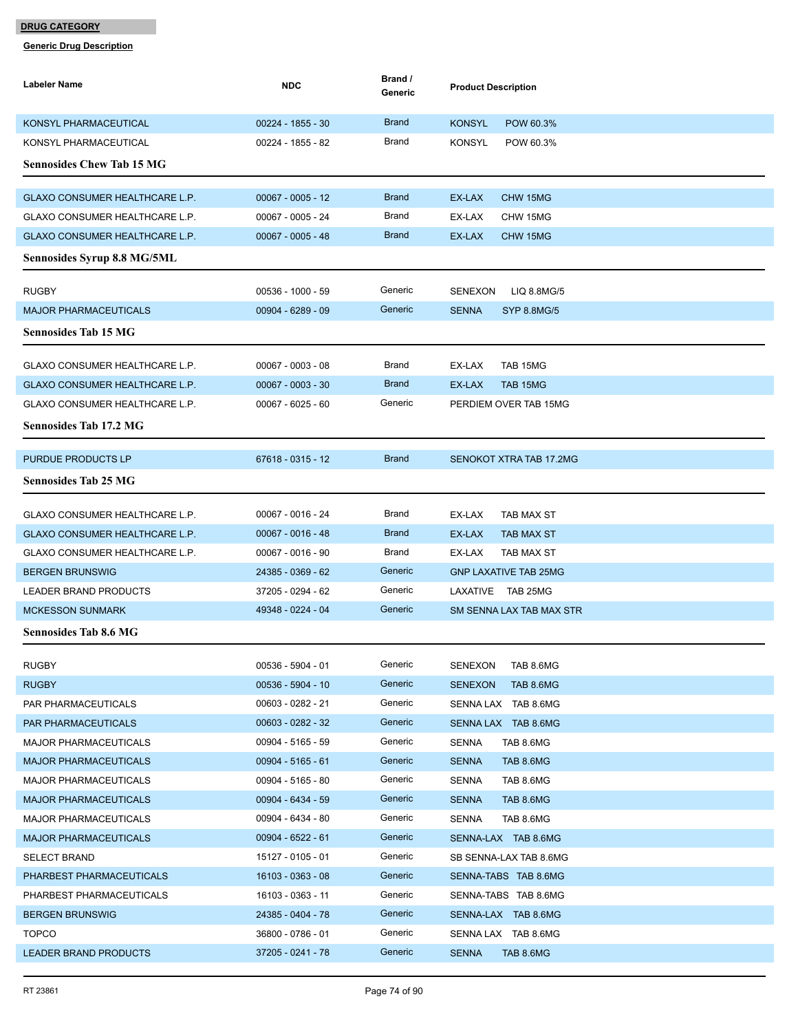| Labeler Name                                             | <b>NDC</b>                             | Brand /<br>Generic    | <b>Product Description</b>                           |
|----------------------------------------------------------|----------------------------------------|-----------------------|------------------------------------------------------|
| KONSYL PHARMACEUTICAL                                    | 00224 - 1855 - 30                      | <b>Brand</b>          | <b>KONSYL</b><br>POW 60.3%                           |
| KONSYL PHARMACEUTICAL                                    | 00224 - 1855 - 82                      | Brand                 | <b>KONSYL</b><br>POW 60.3%                           |
| <b>Sennosides Chew Tab 15 MG</b>                         |                                        |                       |                                                      |
|                                                          |                                        |                       |                                                      |
| GLAXO CONSUMER HEALTHCARE L.P.                           | $00067 - 0005 - 12$                    | <b>Brand</b>          | EX-LAX<br>CHW 15MG                                   |
| GLAXO CONSUMER HEALTHCARE L.P.                           | 00067 - 0005 - 24                      | Brand                 | EX-LAX<br>CHW 15MG                                   |
| GLAXO CONSUMER HEALTHCARE L.P.                           | $00067 - 0005 - 48$                    | <b>Brand</b>          | EX-LAX<br>CHW 15MG                                   |
| <b>Sennosides Syrup 8.8 MG/5ML</b>                       |                                        |                       |                                                      |
| <b>RUGBY</b>                                             | 00536 - 1000 - 59                      | Generic               | <b>SENEXON</b><br>LIQ 8.8MG/5                        |
| <b>MAJOR PHARMACEUTICALS</b>                             | 00904 - 6289 - 09                      | Generic               | <b>SENNA</b><br><b>SYP 8.8MG/5</b>                   |
| <b>Sennosides Tab 15 MG</b>                              |                                        |                       |                                                      |
| <b>GLAXO CONSUMER HEALTHCARE L.P.</b>                    | $00067 - 0003 - 08$                    | Brand                 | EX-LAX<br>TAB 15MG                                   |
| GLAXO CONSUMER HEALTHCARE L.P.                           | $00067 - 0003 - 30$                    | <b>Brand</b>          | EX-LAX<br>TAB 15MG                                   |
| GLAXO CONSUMER HEALTHCARE L.P.                           | $00067 - 6025 - 60$                    | Generic               | PERDIEM OVER TAB 15MG                                |
| <b>Sennosides Tab 17.2 MG</b>                            |                                        |                       |                                                      |
|                                                          |                                        |                       |                                                      |
| PURDUE PRODUCTS LP                                       | 67618 - 0315 - 12                      | <b>Brand</b>          | SENOKOT XTRA TAB 17.2MG                              |
| <b>Sennosides Tab 25 MG</b>                              |                                        |                       |                                                      |
|                                                          |                                        |                       |                                                      |
| GLAXO CONSUMER HEALTHCARE L.P.                           | 00067 - 0016 - 24                      | Brand<br><b>Brand</b> | EX-LAX<br>TAB MAX ST                                 |
| GLAXO CONSUMER HEALTHCARE L.P.                           | $00067 - 0016 - 48$                    | Brand                 | EX-LAX<br><b>TAB MAX ST</b>                          |
| GLAXO CONSUMER HEALTHCARE L.P.<br><b>BERGEN BRUNSWIG</b> | 00067 - 0016 - 90<br>24385 - 0369 - 62 | Generic               | EX-LAX<br>TAB MAX ST<br><b>GNP LAXATIVE TAB 25MG</b> |
| LEADER BRAND PRODUCTS                                    | 37205 - 0294 - 62                      | Generic               | LAXATIVE TAB 25MG                                    |
| <b>MCKESSON SUNMARK</b>                                  | 49348 - 0224 - 04                      | Generic               | SM SENNA LAX TAB MAX STR                             |
|                                                          |                                        |                       |                                                      |
| <b>Sennosides Tab 8.6 MG</b>                             |                                        |                       |                                                      |
| <b>RUGBY</b>                                             | $00536 - 5904 - 01$                    | Generic               | SENEXON<br>TAB 8.6MG                                 |
| <b>RUGBY</b>                                             | $00536 - 5904 - 10$                    | Generic               | <b>SENEXON</b><br>TAB 8.6MG                          |
| PAR PHARMACEUTICALS                                      | 00603 - 0282 - 21                      | Generic               | SENNA LAX TAB 8.6MG                                  |
| PAR PHARMACEUTICALS                                      | 00603 - 0282 - 32                      | Generic               | SENNA LAX TAB 8.6MG                                  |
| <b>MAJOR PHARMACEUTICALS</b>                             | 00904 - 5165 - 59                      | Generic               | SENNA<br>TAB 8.6MG                                   |
| <b>MAJOR PHARMACEUTICALS</b>                             | $00904 - 5165 - 61$                    | Generic               | <b>SENNA</b><br>TAB 8.6MG                            |
| <b>MAJOR PHARMACEUTICALS</b>                             | 00904 - 5165 - 80                      | Generic               | <b>SENNA</b><br>TAB 8.6MG                            |
| <b>MAJOR PHARMACEUTICALS</b>                             | 00904 - 6434 - 59                      | Generic               | <b>SENNA</b><br>TAB 8.6MG                            |
| <b>MAJOR PHARMACEUTICALS</b>                             | 00904 - 6434 - 80                      | Generic               | <b>SENNA</b><br>TAB 8.6MG                            |
| <b>MAJOR PHARMACEUTICALS</b>                             | $00904 - 6522 - 61$                    | Generic               | SENNA-LAX TAB 8.6MG                                  |
| <b>SELECT BRAND</b>                                      | 15127 - 0105 - 01                      | Generic               | SB SENNA-LAX TAB 8.6MG                               |
| PHARBEST PHARMACEUTICALS                                 | 16103 - 0363 - 08                      | Generic               | SENNA-TABS TAB 8.6MG                                 |
| PHARBEST PHARMACEUTICALS                                 | 16103 - 0363 - 11                      | Generic               | SENNA-TABS TAB 8.6MG                                 |
| <b>BERGEN BRUNSWIG</b>                                   | 24385 - 0404 - 78                      | Generic               | SENNA-LAX TAB 8.6MG                                  |
| <b>TOPCO</b>                                             | 36800 - 0786 - 01                      | Generic               | SENNA LAX TAB 8.6MG                                  |
| <b>LEADER BRAND PRODUCTS</b>                             | 37205 - 0241 - 78                      | Generic               | <b>SENNA</b><br>TAB 8.6MG                            |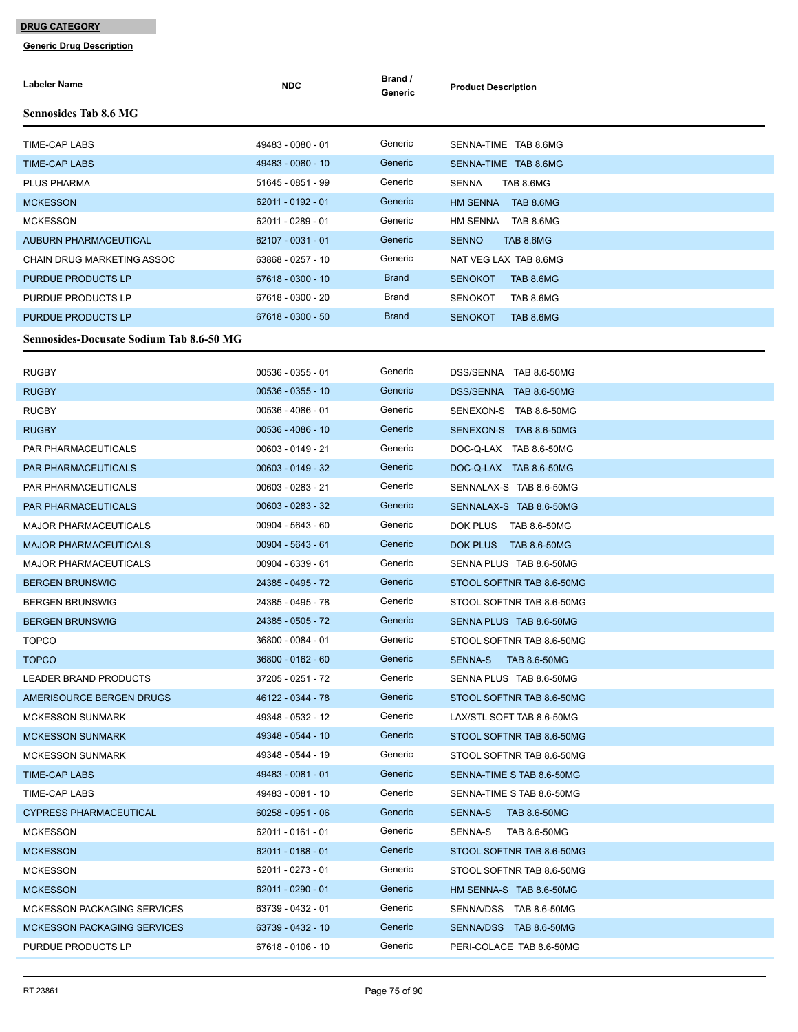| Labeler Name                                    | <b>NDC</b>          | Brand /<br>Generic | <b>Product Description</b>      |
|-------------------------------------------------|---------------------|--------------------|---------------------------------|
| <b>Sennosides Tab 8.6 MG</b>                    |                     |                    |                                 |
| TIME-CAP LABS                                   | 49483 - 0080 - 01   | Generic            | SENNA-TIME TAB 8.6MG            |
| <b>TIME-CAP LABS</b>                            | 49483 - 0080 - 10   | Generic            | SENNA-TIME TAB 8.6MG            |
| <b>PLUS PHARMA</b>                              | 51645 - 0851 - 99   | Generic            | <b>SENNA</b><br>TAB 8.6MG       |
| <b>MCKESSON</b>                                 | 62011 - 0192 - 01   | Generic            | HM SENNA TAB 8.6MG              |
| <b>MCKESSON</b>                                 | 62011 - 0289 - 01   | Generic            | HM SENNA TAB 8.6MG              |
| <b>AUBURN PHARMACEUTICAL</b>                    | 62107 - 0031 - 01   | Generic            | <b>SENNO</b><br>TAB 8.6MG       |
| CHAIN DRUG MARKETING ASSOC                      | 63868 - 0257 - 10   | Generic            | NAT VEG LAX TAB 8.6MG           |
| PURDUE PRODUCTS LP                              | 67618 - 0300 - 10   | <b>Brand</b>       | <b>SENOKOT</b><br>TAB 8.6MG     |
| PURDUE PRODUCTS LP                              | 67618 - 0300 - 20   | Brand              | <b>SENOKOT</b><br>TAB 8.6MG     |
| PURDUE PRODUCTS LP                              | 67618 - 0300 - 50   | <b>Brand</b>       | <b>SENOKOT</b><br>TAB 8.6MG     |
| <b>Sennosides-Docusate Sodium Tab 8.6-50 MG</b> |                     |                    |                                 |
| <b>RUGBY</b>                                    | $00536 - 0355 - 01$ | Generic            | DSS/SENNA TAB 8.6-50MG          |
| <b>RUGBY</b>                                    | $00536 - 0355 - 10$ | Generic            | DSS/SENNA TAB 8.6-50MG          |
| <b>RUGBY</b>                                    | 00536 - 4086 - 01   | Generic            | SENEXON-S TAB 8.6-50MG          |
| <b>RUGBY</b>                                    | 00536 - 4086 - 10   | Generic            | SENEXON-S TAB 8.6-50MG          |
| <b>PAR PHARMACEUTICALS</b>                      | 00603 - 0149 - 21   | Generic            | DOC-Q-LAX TAB 8.6-50MG          |
| <b>PAR PHARMACEUTICALS</b>                      | $00603 - 0149 - 32$ | Generic            | DOC-Q-LAX TAB 8.6-50MG          |
| <b>PAR PHARMACEUTICALS</b>                      | 00603 - 0283 - 21   | Generic            | SENNALAX-S TAB 8.6-50MG         |
| PAR PHARMACEUTICALS                             | 00603 - 0283 - 32   | Generic            | SENNALAX-S TAB 8.6-50MG         |
| <b>MAJOR PHARMACEUTICALS</b>                    | 00904 - 5643 - 60   | Generic            | DOK PLUS<br><b>TAB 8.6-50MG</b> |
| <b>MAJOR PHARMACEUTICALS</b>                    | $00904 - 5643 - 61$ | Generic            | DOK PLUS<br>TAB 8.6-50MG        |
| <b>MAJOR PHARMACEUTICALS</b>                    | 00904 - 6339 - 61   | Generic            | SENNA PLUS TAB 8.6-50MG         |
| <b>BERGEN BRUNSWIG</b>                          | 24385 - 0495 - 72   | Generic            | STOOL SOFTNR TAB 8.6-50MG       |
| <b>BERGEN BRUNSWIG</b>                          | 24385 - 0495 - 78   | Generic            | STOOL SOFTNR TAB 8.6-50MG       |
| <b>BERGEN BRUNSWIG</b>                          | 24385 - 0505 - 72   | Generic            | SENNA PLUS TAB 8.6-50MG         |
| <b>TOPCO</b>                                    | 36800 - 0084 - 01   | Generic            | STOOL SOFTNR TAB 8.6-50MG       |
| <b>TOPCO</b>                                    | 36800 - 0162 - 60   | Generic            | SENNA-S<br><b>TAB 8.6-50MG</b>  |
| LEADER BRAND PRODUCTS                           | 37205 - 0251 - 72   | Generic            | SENNA PLUS TAB 8.6-50MG         |
| AMERISOURCE BERGEN DRUGS                        | 46122 - 0344 - 78   | Generic            | STOOL SOFTNR TAB 8.6-50MG       |
| <b>MCKESSON SUNMARK</b>                         | 49348 - 0532 - 12   | Generic            | LAX/STL SOFT TAB 8.6-50MG       |
| <b>MCKESSON SUNMARK</b>                         | 49348 - 0544 - 10   | Generic            | STOOL SOFTNR TAB 8.6-50MG       |
| <b>MCKESSON SUNMARK</b>                         | 49348 - 0544 - 19   | Generic            | STOOL SOFTNR TAB 8.6-50MG       |
| <b>TIME-CAP LABS</b>                            | 49483 - 0081 - 01   | Generic            | SENNA-TIME S TAB 8.6-50MG       |
| TIME-CAP LABS                                   | 49483 - 0081 - 10   | Generic            | SENNA-TIME S TAB 8.6-50MG       |
| <b>CYPRESS PHARMACEUTICAL</b>                   | $60258 - 0951 - 06$ | Generic            | SENNA-S<br><b>TAB 8.6-50MG</b>  |
| <b>MCKESSON</b>                                 | 62011 - 0161 - 01   | Generic            | SENNA-S<br>TAB 8.6-50MG         |
| <b>MCKESSON</b>                                 | 62011 - 0188 - 01   | Generic            | STOOL SOFTNR TAB 8.6-50MG       |
| <b>MCKESSON</b>                                 | 62011 - 0273 - 01   | Generic            | STOOL SOFTNR TAB 8.6-50MG       |
| <b>MCKESSON</b>                                 | 62011 - 0290 - 01   | Generic            | HM SENNA-S TAB 8.6-50MG         |
| MCKESSON PACKAGING SERVICES                     | 63739 - 0432 - 01   | Generic            | SENNA/DSS TAB 8.6-50MG          |
| <b>MCKESSON PACKAGING SERVICES</b>              | 63739 - 0432 - 10   | Generic            | SENNA/DSS TAB 8.6-50MG          |
| PURDUE PRODUCTS LP                              | 67618 - 0106 - 10   | Generic            | PERI-COLACE TAB 8.6-50MG        |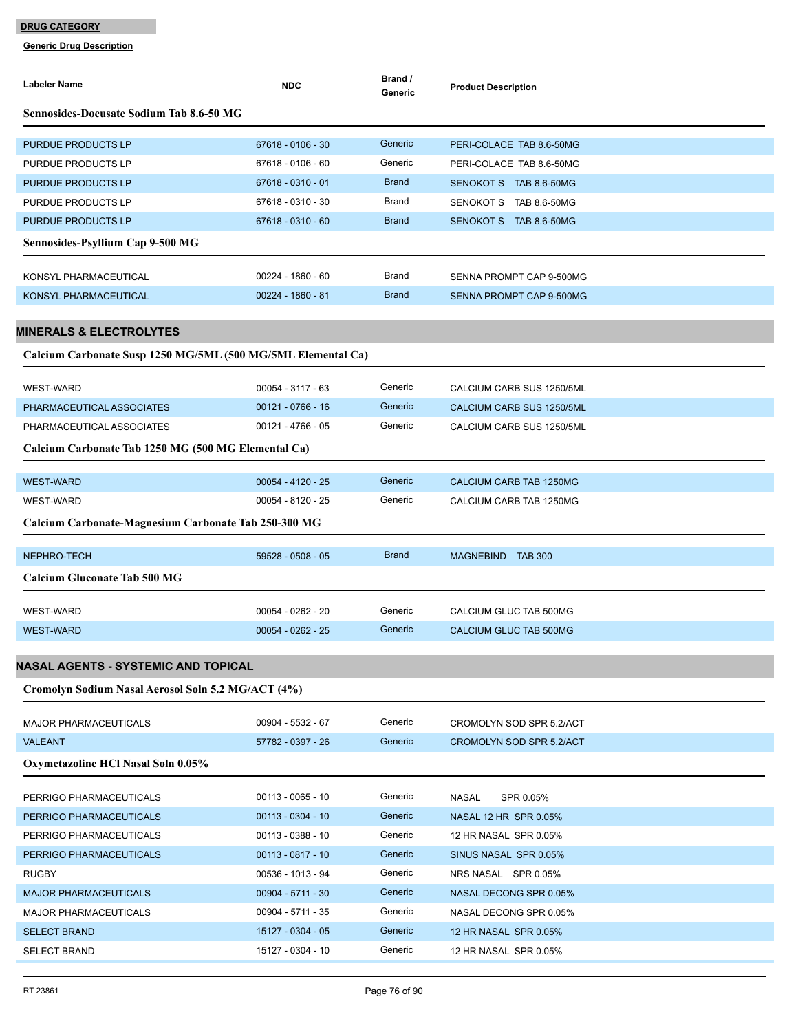| Labeler Name                                                 | <b>NDC</b>          | Brand /<br>Generic | <b>Product Description</b> |
|--------------------------------------------------------------|---------------------|--------------------|----------------------------|
| <b>Sennosides-Docusate Sodium Tab 8.6-50 MG</b>              |                     |                    |                            |
| PURDUE PRODUCTS LP                                           | 67618 - 0106 - 30   | Generic            | PERI-COLACE TAB 8.6-50MG   |
| PURDUE PRODUCTS LP                                           | 67618 - 0106 - 60   | Generic            | PERI-COLACE TAB 8.6-50MG   |
| PURDUE PRODUCTS LP                                           | 67618 - 0310 - 01   | <b>Brand</b>       | SENOKOT S TAB 8.6-50MG     |
| PURDUE PRODUCTS LP                                           | 67618 - 0310 - 30   | <b>Brand</b>       | SENOKOT S TAB 8.6-50MG     |
| PURDUE PRODUCTS LP                                           | 67618 - 0310 - 60   | <b>Brand</b>       | SENOKOT S TAB 8.6-50MG     |
| Sennosides-Psyllium Cap 9-500 MG                             |                     |                    |                            |
| KONSYL PHARMACEUTICAL                                        | 00224 - 1860 - 60   | Brand              | SENNA PROMPT CAP 9-500MG   |
| KONSYL PHARMACEUTICAL                                        | 00224 - 1860 - 81   | <b>Brand</b>       | SENNA PROMPT CAP 9-500MG   |
|                                                              |                     |                    |                            |
| <b>MINERALS &amp; ELECTROLYTES</b>                           |                     |                    |                            |
| Calcium Carbonate Susp 1250 MG/5ML (500 MG/5ML Elemental Ca) |                     |                    |                            |
| <b>WEST-WARD</b>                                             | $00054 - 3117 - 63$ | Generic            | CALCIUM CARB SUS 1250/5ML  |
| PHARMACEUTICAL ASSOCIATES                                    | $00121 - 0766 - 16$ | Generic            | CALCIUM CARB SUS 1250/5ML  |
| PHARMACEUTICAL ASSOCIATES                                    | $00121 - 4766 - 05$ | Generic            | CALCIUM CARB SUS 1250/5ML  |
| Calcium Carbonate Tab 1250 MG (500 MG Elemental Ca)          |                     |                    |                            |
| <b>WEST-WARD</b>                                             | $00054 - 4120 - 25$ | Generic            | CALCIUM CARB TAB 1250MG    |
| <b>WEST-WARD</b>                                             | 00054 - 8120 - 25   | Generic            | CALCIUM CARB TAB 1250MG    |
| Calcium Carbonate-Magnesium Carbonate Tab 250-300 MG         |                     |                    |                            |
| NEPHRO-TECH                                                  | 59528 - 0508 - 05   | <b>Brand</b>       | MAGNEBIND TAB 300          |
| <b>Calcium Gluconate Tab 500 MG</b>                          |                     |                    |                            |
| <b>WEST-WARD</b>                                             | 00054 - 0262 - 20   | Generic            | CALCIUM GLUC TAB 500MG     |
| <b>WEST-WARD</b>                                             | $00054 - 0262 - 25$ | Generic            | CALCIUM GLUC TAB 500MG     |
|                                                              |                     |                    |                            |
| NASAL AGENTS - SYSTEMIC AND TOPICAL                          |                     |                    |                            |
| Cromolyn Sodium Nasal Aerosol Soln 5.2 MG/ACT (4%)           |                     |                    |                            |
| <b>MAJOR PHARMACEUTICALS</b>                                 | 00904 - 5532 - 67   | Generic            | CROMOLYN SOD SPR 5.2/ACT   |
| <b>VALEANT</b>                                               | 57782 - 0397 - 26   | Generic            | CROMOLYN SOD SPR 5.2/ACT   |
| Oxymetazoline HCl Nasal Soln 0.05%                           |                     |                    |                            |
| PERRIGO PHARMACEUTICALS                                      | $00113 - 0065 - 10$ | Generic            | NASAL<br>SPR 0.05%         |
| PERRIGO PHARMACEUTICALS                                      | $00113 - 0304 - 10$ | Generic            | NASAL 12 HR SPR 0.05%      |
| PERRIGO PHARMACEUTICALS                                      | $00113 - 0388 - 10$ | Generic            | 12 HR NASAL SPR 0.05%      |
| PERRIGO PHARMACEUTICALS                                      | $00113 - 0817 - 10$ | Generic            | SINUS NASAL SPR 0.05%      |
| <b>RUGBY</b>                                                 | 00536 - 1013 - 94   | Generic            | NRS NASAL SPR 0.05%        |
| <b>MAJOR PHARMACEUTICALS</b>                                 | $00904 - 5711 - 30$ | Generic            | NASAL DECONG SPR 0.05%     |
| <b>MAJOR PHARMACEUTICALS</b>                                 | 00904 - 5711 - 35   | Generic            | NASAL DECONG SPR 0.05%     |
| <b>SELECT BRAND</b>                                          | 15127 - 0304 - 05   | Generic            | 12 HR NASAL SPR 0.05%      |
| SELECT BRAND                                                 | 15127 - 0304 - 10   | Generic            | 12 HR NASAL SPR 0.05%      |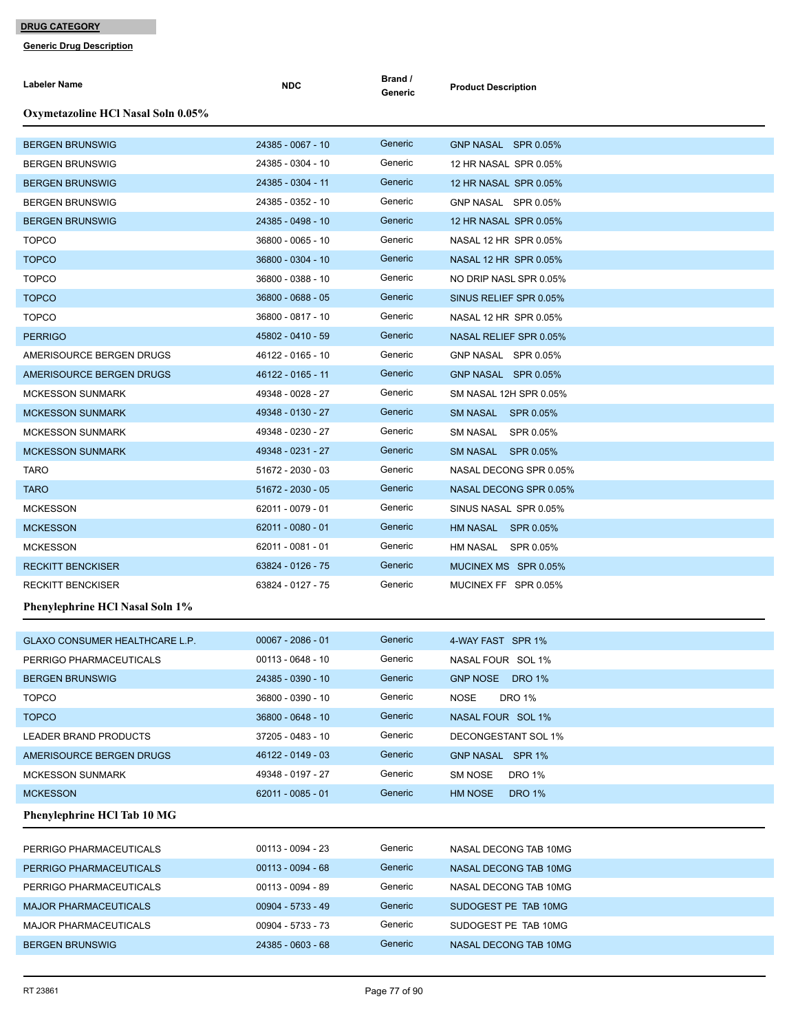| Labeler Name                                      | <b>NDC</b>                               | Brand /<br>Generic | <b>Product Description</b>                      |
|---------------------------------------------------|------------------------------------------|--------------------|-------------------------------------------------|
| Oxymetazoline HCl Nasal Soln 0.05%                |                                          |                    |                                                 |
| <b>BERGEN BRUNSWIG</b>                            | 24385 - 0067 - 10                        | Generic            | GNP NASAL SPR 0.05%                             |
| <b>BERGEN BRUNSWIG</b>                            | 24385 - 0304 - 10                        | Generic            | 12 HR NASAL SPR 0.05%                           |
| <b>BERGEN BRUNSWIG</b>                            | 24385 - 0304 - 11                        | Generic            | 12 HR NASAL SPR 0.05%                           |
| <b>BERGEN BRUNSWIG</b>                            | 24385 - 0352 - 10                        | Generic            | GNP NASAL SPR 0.05%                             |
| <b>BERGEN BRUNSWIG</b>                            | 24385 - 0498 - 10                        | Generic            | 12 HR NASAL SPR 0.05%                           |
| <b>TOPCO</b>                                      | 36800 - 0065 - 10                        | Generic            | NASAL 12 HR SPR 0.05%                           |
| <b>TOPCO</b>                                      | 36800 - 0304 - 10                        | Generic            | NASAL 12 HR SPR 0.05%                           |
| <b>TOPCO</b>                                      | 36800 - 0388 - 10                        | Generic            | NO DRIP NASL SPR 0.05%                          |
| <b>TOPCO</b>                                      | 36800 - 0688 - 05                        | Generic            | SINUS RELIEF SPR 0.05%                          |
| <b>TOPCO</b>                                      | 36800 - 0817 - 10                        | Generic            | NASAL 12 HR SPR 0.05%                           |
| <b>PERRIGO</b>                                    | 45802 - 0410 - 59                        | Generic            | NASAL RELIEF SPR 0.05%                          |
| AMERISOURCE BERGEN DRUGS                          | 46122 - 0165 - 10                        | Generic            | GNP NASAL SPR 0.05%                             |
| AMERISOURCE BERGEN DRUGS                          | 46122 - 0165 - 11                        | Generic            | GNP NASAL SPR 0.05%                             |
| <b>MCKESSON SUNMARK</b>                           | 49348 - 0028 - 27                        | Generic            | SM NASAL 12H SPR 0.05%                          |
| <b>MCKESSON SUNMARK</b>                           | 49348 - 0130 - 27                        | Generic            | SM NASAL SPR 0.05%                              |
| <b>MCKESSON SUNMARK</b>                           | 49348 - 0230 - 27                        | Generic            | SM NASAL SPR 0.05%                              |
| <b>MCKESSON SUNMARK</b>                           | 49348 - 0231 - 27                        | Generic            | SM NASAL SPR 0.05%                              |
| <b>TARO</b>                                       | 51672 - 2030 - 03                        | Generic            | NASAL DECONG SPR 0.05%                          |
| <b>TARO</b>                                       | 51672 - 2030 - 05                        | Generic            | NASAL DECONG SPR 0.05%                          |
| <b>MCKESSON</b>                                   | 62011 - 0079 - 01                        | Generic            | SINUS NASAL SPR 0.05%                           |
| <b>MCKESSON</b>                                   | 62011 - 0080 - 01                        | Generic            | HM NASAL SPR 0.05%                              |
| <b>MCKESSON</b>                                   | 62011 - 0081 - 01                        | Generic            | HM NASAL SPR 0.05%                              |
| <b>RECKITT BENCKISER</b>                          | 63824 - 0126 - 75                        | Generic            | MUCINEX MS SPR 0.05%                            |
| <b>RECKITT BENCKISER</b>                          | 63824 - 0127 - 75                        | Generic            | MUCINEX FF SPR 0.05%                            |
| <b>Phenylephrine HCl Nasal Soln 1%</b>            |                                          |                    |                                                 |
|                                                   |                                          | Generic            |                                                 |
| GLAXO CONSUMER HEALTHCARE L.P.                    | $00067 - 2086 - 01$                      | Generic            | 4-WAY FAST SPR 1%<br>NASAL FOUR SOL 1%          |
| PERRIGO PHARMACEUTICALS<br><b>BERGEN BRUNSWIG</b> | $00113 - 0648 - 10$<br>24385 - 0390 - 10 | Generic            |                                                 |
| <b>TOPCO</b>                                      | 36800 - 0390 - 10                        | Generic            | GNP NOSE DRO 1%<br><b>NOSE</b><br><b>DRO 1%</b> |
| <b>TOPCO</b>                                      | 36800 - 0648 - 10                        | Generic            | NASAL FOUR SOL 1%                               |
| LEADER BRAND PRODUCTS                             | 37205 - 0483 - 10                        | Generic            | DECONGESTANT SOL 1%                             |
| AMERISOURCE BERGEN DRUGS                          | 46122 - 0149 - 03                        | Generic            | GNP NASAL SPR 1%                                |
| <b>MCKESSON SUNMARK</b>                           | 49348 - 0197 - 27                        | Generic            | SM NOSE<br><b>DRO 1%</b>                        |
| <b>MCKESSON</b>                                   | 62011 - 0085 - 01                        | Generic            | HM NOSE<br><b>DRO 1%</b>                        |
| Phenylephrine HCl Tab 10 MG                       |                                          |                    |                                                 |
|                                                   |                                          |                    |                                                 |
| PERRIGO PHARMACEUTICALS                           | 00113 - 0094 - 23                        | Generic            | NASAL DECONG TAB 10MG                           |
| PERRIGO PHARMACEUTICALS                           | $00113 - 0094 - 68$                      | Generic            | NASAL DECONG TAB 10MG                           |
| PERRIGO PHARMACEUTICALS                           | 00113 - 0094 - 89                        | Generic            | NASAL DECONG TAB 10MG                           |
| <b>MAJOR PHARMACEUTICALS</b>                      | 00904 - 5733 - 49                        | Generic            | SUDOGEST PE TAB 10MG                            |
| <b>MAJOR PHARMACEUTICALS</b>                      | 00904 - 5733 - 73                        | Generic            | SUDOGEST PE TAB 10MG                            |
| <b>BERGEN BRUNSWIG</b>                            | 24385 - 0603 - 68                        | Generic            | NASAL DECONG TAB 10MG                           |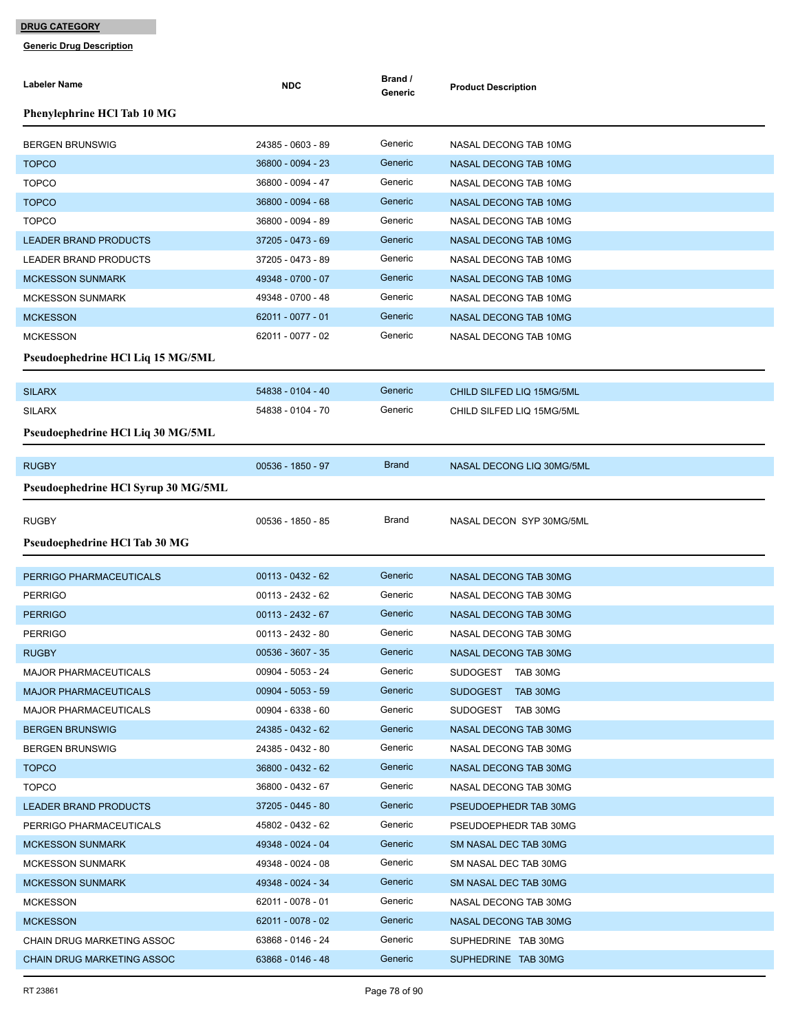| Labeler Name                        | <b>NDC</b>          | Brand /<br>Generic | <b>Product Description</b>   |
|-------------------------------------|---------------------|--------------------|------------------------------|
| Phenylephrine HCl Tab 10 MG         |                     |                    |                              |
| <b>BERGEN BRUNSWIG</b>              | 24385 - 0603 - 89   | Generic            | NASAL DECONG TAB 10MG        |
| <b>TOPCO</b>                        | 36800 - 0094 - 23   | Generic            | NASAL DECONG TAB 10MG        |
| <b>TOPCO</b>                        | 36800 - 0094 - 47   | Generic            | NASAL DECONG TAB 10MG        |
| <b>TOPCO</b>                        | 36800 - 0094 - 68   | Generic            | <b>NASAL DECONG TAB 10MG</b> |
| <b>TOPCO</b>                        | 36800 - 0094 - 89   | Generic            | NASAL DECONG TAB 10MG        |
| <b>LEADER BRAND PRODUCTS</b>        | 37205 - 0473 - 69   | Generic            | NASAL DECONG TAB 10MG        |
| LEADER BRAND PRODUCTS               | 37205 - 0473 - 89   | Generic            | NASAL DECONG TAB 10MG        |
| <b>MCKESSON SUNMARK</b>             | 49348 - 0700 - 07   | Generic            | NASAL DECONG TAB 10MG        |
| <b>MCKESSON SUNMARK</b>             | 49348 - 0700 - 48   | Generic            | NASAL DECONG TAB 10MG        |
| <b>MCKESSON</b>                     | 62011 - 0077 - 01   | Generic            | NASAL DECONG TAB 10MG        |
| <b>MCKESSON</b>                     | 62011 - 0077 - 02   | Generic            | NASAL DECONG TAB 10MG        |
| Pseudoephedrine HCl Liq 15 MG/5ML   |                     |                    |                              |
|                                     |                     |                    |                              |
| <b>SILARX</b>                       | 54838 - 0104 - 40   | Generic            | CHILD SILFED LIQ 15MG/5ML    |
| <b>SILARX</b>                       | 54838 - 0104 - 70   | Generic            | CHILD SILFED LIQ 15MG/5ML    |
| Pseudoephedrine HCl Liq 30 MG/5ML   |                     |                    |                              |
| <b>RUGBY</b>                        | 00536 - 1850 - 97   | <b>Brand</b>       | NASAL DECONG LIQ 30MG/5ML    |
| Pseudoephedrine HCl Syrup 30 MG/5ML |                     |                    |                              |
|                                     |                     | Brand              |                              |
| <b>RUGBY</b>                        | 00536 - 1850 - 85   |                    | NASAL DECON SYP 30MG/5ML     |
| Pseudoephedrine HCl Tab 30 MG       |                     |                    |                              |
| PERRIGO PHARMACEUTICALS             | 00113 - 0432 - 62   | Generic            | NASAL DECONG TAB 30MG        |
| <b>PERRIGO</b>                      | 00113 - 2432 - 62   | Generic            | NASAL DECONG TAB 30MG        |
| <b>PERRIGO</b>                      | $00113 - 2432 - 67$ | Generic            | NASAL DECONG TAB 30MG        |
| <b>PERRIGO</b>                      | 00113 - 2432 - 80   | Generic            | NASAL DECONG TAB 30MG        |
| <b>RUGBY</b>                        | 00536 - 3607 - 35   | Generic            | NASAL DECONG TAB 30MG        |
| MAJOR PHARMACEUTICALS               | 00904 - 5053 - 24   | Generic            | SUDOGEST TAB 30MG            |
| <b>MAJOR PHARMACEUTICALS</b>        | $00904 - 5053 - 59$ | Generic            | SUDOGEST TAB 30MG            |
| <b>MAJOR PHARMACEUTICALS</b>        | $00904 - 6338 - 60$ | Generic            | SUDOGEST TAB 30MG            |
| <b>BERGEN BRUNSWIG</b>              | 24385 - 0432 - 62   | Generic            | NASAL DECONG TAB 30MG        |
| <b>BERGEN BRUNSWIG</b>              | 24385 - 0432 - 80   | Generic            | NASAL DECONG TAB 30MG        |
| <b>TOPCO</b>                        | 36800 - 0432 - 62   | Generic            | NASAL DECONG TAB 30MG        |
| <b>TOPCO</b>                        | 36800 - 0432 - 67   | Generic            | NASAL DECONG TAB 30MG        |
| <b>LEADER BRAND PRODUCTS</b>        | 37205 - 0445 - 80   | Generic            | PSEUDOEPHEDR TAB 30MG        |
| PERRIGO PHARMACEUTICALS             | 45802 - 0432 - 62   | Generic            | PSEUDOEPHEDR TAB 30MG        |
| <b>MCKESSON SUNMARK</b>             | 49348 - 0024 - 04   | Generic            | SM NASAL DEC TAB 30MG        |
| <b>MCKESSON SUNMARK</b>             | 49348 - 0024 - 08   | Generic            | SM NASAL DEC TAB 30MG        |
| <b>MCKESSON SUNMARK</b>             | 49348 - 0024 - 34   | Generic            | SM NASAL DEC TAB 30MG        |
| <b>MCKESSON</b>                     | 62011 - 0078 - 01   | Generic            | NASAL DECONG TAB 30MG        |
| <b>MCKESSON</b>                     | 62011 - 0078 - 02   | Generic            | NASAL DECONG TAB 30MG        |
| CHAIN DRUG MARKETING ASSOC          | 63868 - 0146 - 24   | Generic            | SUPHEDRINE TAB 30MG          |
| <b>CHAIN DRUG MARKETING ASSOC</b>   | 63868 - 0146 - 48   | Generic            | SUPHEDRINE TAB 30MG          |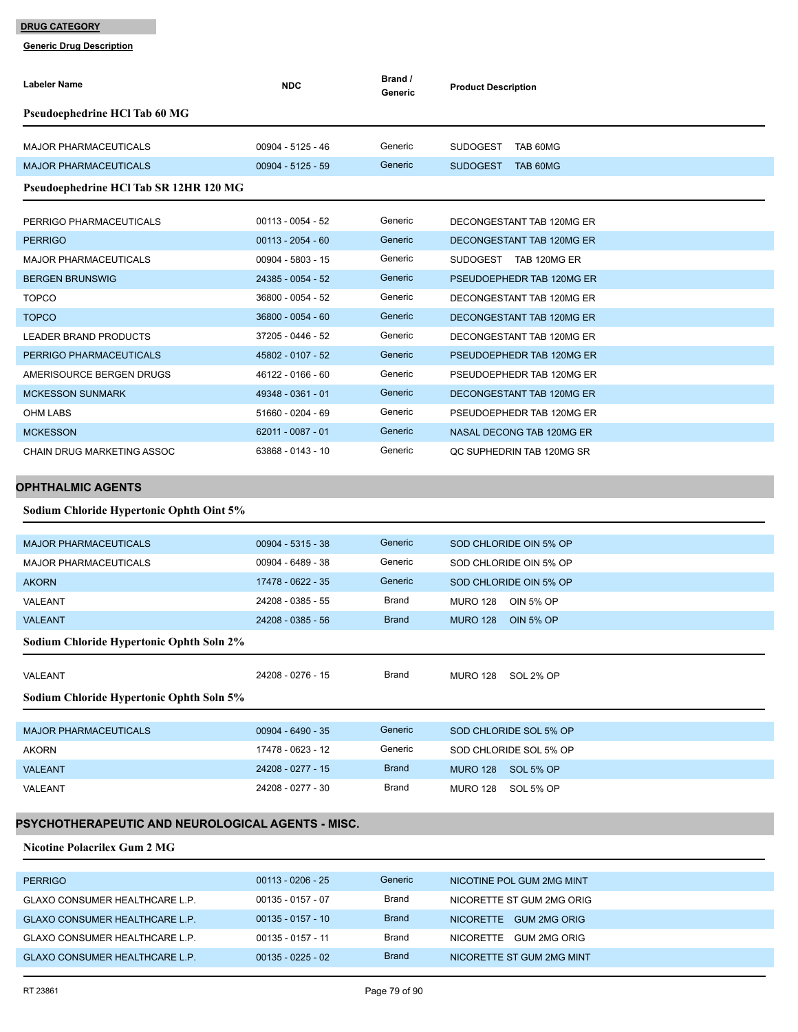**Generic Drug Description**

| Labeler Name                                      | <b>NDC</b>          | Brand /<br>Generic | <b>Product Description</b>          |
|---------------------------------------------------|---------------------|--------------------|-------------------------------------|
| Pseudoephedrine HCl Tab 60 MG                     |                     |                    |                                     |
| <b>MAJOR PHARMACEUTICALS</b>                      | 00904 - 5125 - 46   | Generic            | SUDOGEST TAB 60MG                   |
| <b>MAJOR PHARMACEUTICALS</b>                      | $00904 - 5125 - 59$ | Generic            | SUDOGEST TAB 60MG                   |
| Pseudoephedrine HCl Tab SR 12HR 120 MG            |                     |                    |                                     |
| PERRIGO PHARMACEUTICALS                           | $00113 - 0054 - 52$ | Generic            | DECONGESTANT TAB 120MG ER           |
| <b>PERRIGO</b>                                    | $00113 - 2054 - 60$ | Generic            | DECONGESTANT TAB 120MG ER           |
| <b>MAJOR PHARMACEUTICALS</b>                      | 00904 - 5803 - 15   | Generic            | SUDOGEST TAB 120MG ER               |
| <b>BERGEN BRUNSWIG</b>                            | 24385 - 0054 - 52   | Generic            | PSEUDOEPHEDR TAB 120MG ER           |
| <b>TOPCO</b>                                      | 36800 - 0054 - 52   | Generic            | DECONGESTANT TAB 120MG ER           |
| <b>TOPCO</b>                                      | 36800 - 0054 - 60   | Generic            | DECONGESTANT TAB 120MG ER           |
| <b>LEADER BRAND PRODUCTS</b>                      | 37205 - 0446 - 52   | Generic            | DECONGESTANT TAB 120MG ER           |
| PERRIGO PHARMACEUTICALS                           | 45802 - 0107 - 52   | Generic            | PSEUDOEPHEDR TAB 120MG ER           |
| AMERISOURCE BERGEN DRUGS                          | 46122 - 0166 - 60   | Generic            | PSEUDOEPHEDR TAB 120MG ER           |
| <b>MCKESSON SUNMARK</b>                           | 49348 - 0361 - 01   | Generic            | DECONGESTANT TAB 120MG ER           |
| OHM LABS                                          | 51660 - 0204 - 69   | Generic            | PSEUDOEPHEDR TAB 120MG ER           |
| <b>MCKESSON</b>                                   | 62011 - 0087 - 01   | Generic            | NASAL DECONG TAB 120MG ER           |
| CHAIN DRUG MARKETING ASSOC                        | 63868 - 0143 - 10   | Generic            | QC SUPHEDRIN TAB 120MG SR           |
| <b>OPHTHALMIC AGENTS</b>                          |                     |                    |                                     |
| Sodium Chloride Hypertonic Ophth Oint 5%          |                     |                    |                                     |
| <b>MAJOR PHARMACEUTICALS</b>                      | $00904 - 5315 - 38$ | Generic            | SOD CHLORIDE OIN 5% OP              |
| <b>MAJOR PHARMACEUTICALS</b>                      | 00904 - 6489 - 38   | Generic            | SOD CHLORIDE OIN 5% OP              |
| <b>AKORN</b>                                      | 17478 - 0622 - 35   | Generic            | SOD CHLORIDE OIN 5% OP              |
| <b>VALEANT</b>                                    | 24208 - 0385 - 55   | <b>Brand</b>       | <b>MURO 128</b><br><b>OIN 5% OP</b> |
| <b>VALEANT</b>                                    | 24208 - 0385 - 56   | <b>Brand</b>       | <b>MURO 128</b><br><b>OIN 5% OP</b> |
| Sodium Chloride Hypertonic Ophth Soln 2%          |                     |                    |                                     |
| VALEANT                                           | 24208 - 0276 - 15   | Brand              | <b>MURO 128</b><br>SOL 2% OP        |
| Sodium Chloride Hypertonic Ophth Soln 5%          |                     |                    |                                     |
| <b>MAJOR PHARMACEUTICALS</b>                      | 00904 - 6490 - 35   | Generic            | SOD CHLORIDE SOL 5% OP              |
| <b>AKORN</b>                                      | 17478 - 0623 - 12   | Generic            | SOD CHLORIDE SOL 5% OP              |
| <b>VALEANT</b>                                    | 24208 - 0277 - 15   | <b>Brand</b>       | <b>MURO 128</b><br>SOL 5% OP        |
| VALEANT                                           | 24208 - 0277 - 30   | <b>Brand</b>       | <b>MURO 128</b><br>SOL 5% OP        |
| PSYCHOTHERAPEUTIC AND NEUROLOGICAL AGENTS - MISC. |                     |                    |                                     |

**Nicotine Polacrilex Gum 2 MG**

| <b>PERRIGO</b>                        | $00113 - 0206 - 25$ | Generic      | NICOTINE POL GUM 2MG MINT |
|---------------------------------------|---------------------|--------------|---------------------------|
| <b>GLAXO CONSUMER HEALTHCARE L.P.</b> | 00135 - 0157 - 07   | Brand        | NICORETTE ST GUM 2MG ORIG |
| <b>GLAXO CONSUMER HEALTHCARE L.P.</b> | $00135 - 0157 - 10$ | <b>Brand</b> | NICORETTE GUM 2MG ORIG    |
| <b>GLAXO CONSUMER HEALTHCARE L.P.</b> | 00135 - 0157 - 11   | Brand        | NICORETTE GUM 2MG ORIG    |
| <b>GLAXO CONSUMER HEALTHCARE L.P.</b> | $00135 - 0225 - 02$ | <b>Brand</b> | NICORETTE ST GUM 2MG MINT |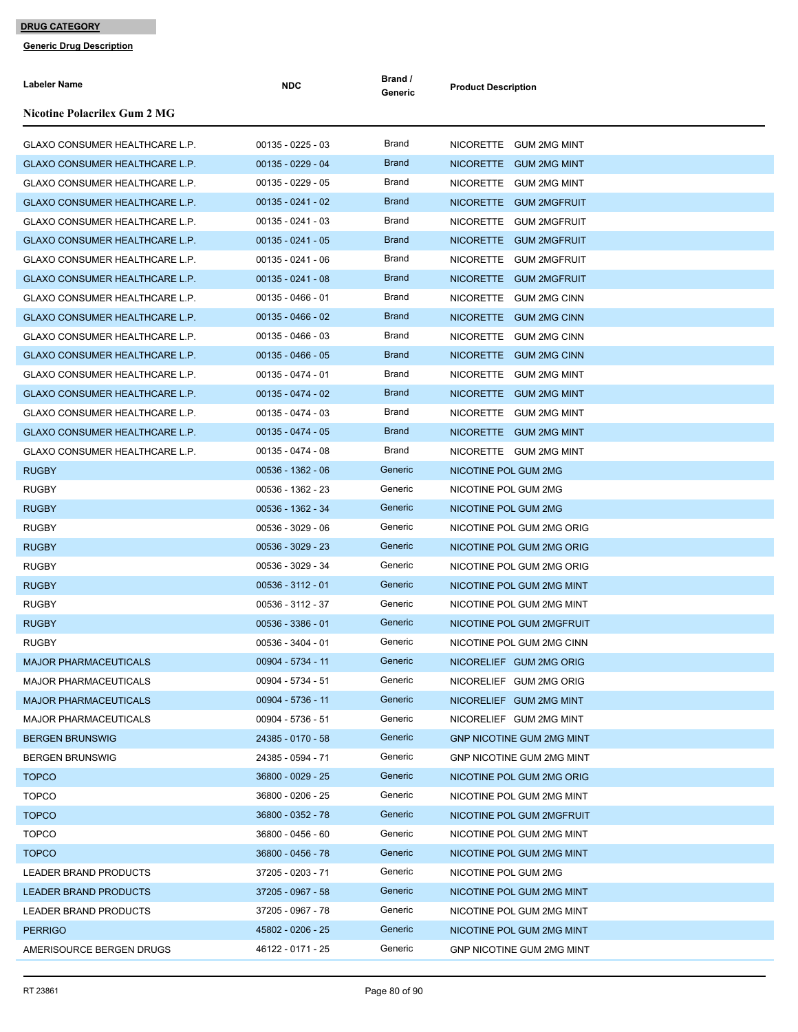| <b>Labeler Name</b>                   | <b>NDC</b>          | Brand /<br>Generic | <b>Product Description</b>       |
|---------------------------------------|---------------------|--------------------|----------------------------------|
| <b>Nicotine Polacrilex Gum 2 MG</b>   |                     |                    |                                  |
| <b>GLAXO CONSUMER HEALTHCARE L.P.</b> | $00135 - 0225 - 03$ | Brand              | NICORETTE GUM 2MG MINT           |
| GLAXO CONSUMER HEALTHCARE L.P.        | $00135 - 0229 - 04$ | <b>Brand</b>       | NICORETTE GUM 2MG MINT           |
| GLAXO CONSUMER HEALTHCARE L.P.        | $00135 - 0229 - 05$ | Brand              | NICORETTE GUM 2MG MINT           |
| GLAXO CONSUMER HEALTHCARE L.P.        | $00135 - 0241 - 02$ | <b>Brand</b>       | NICORETTE GUM 2MGFRUIT           |
| GLAXO CONSUMER HEALTHCARE L.P.        | $00135 - 0241 - 03$ | Brand              | NICORETTE GUM 2MGFRUIT           |
| <b>GLAXO CONSUMER HEALTHCARE L.P.</b> | $00135 - 0241 - 05$ | <b>Brand</b>       | NICORETTE GUM 2MGFRUIT           |
| <b>GLAXO CONSUMER HEALTHCARE L.P.</b> | $00135 - 0241 - 06$ | Brand              | NICORETTE GUM 2MGFRUIT           |
| GLAXO CONSUMER HEALTHCARE L.P.        | $00135 - 0241 - 08$ | <b>Brand</b>       | NICORETTE GUM 2MGFRUIT           |
| GLAXO CONSUMER HEALTHCARE L.P.        | $00135 - 0466 - 01$ | Brand              | NICORETTE GUM 2MG CINN           |
| GLAXO CONSUMER HEALTHCARE L.P.        | $00135 - 0466 - 02$ | <b>Brand</b>       | NICORETTE GUM 2MG CINN           |
| GLAXO CONSUMER HEALTHCARE L.P.        | 00135 - 0466 - 03   | Brand              | NICORETTE GUM 2MG CINN           |
| GLAXO CONSUMER HEALTHCARE L.P.        | $00135 - 0466 - 05$ | <b>Brand</b>       | NICORETTE GUM 2MG CINN           |
| GLAXO CONSUMER HEALTHCARE L.P.        | 00135 - 0474 - 01   | Brand              | NICORETTE GUM 2MG MINT           |
| <b>GLAXO CONSUMER HEALTHCARE L.P.</b> | $00135 - 0474 - 02$ | <b>Brand</b>       | NICORETTE GUM 2MG MINT           |
| GLAXO CONSUMER HEALTHCARE L.P.        | $00135 - 0474 - 03$ | Brand              | NICORETTE GUM 2MG MINT           |
| GLAXO CONSUMER HEALTHCARE L.P.        | $00135 - 0474 - 05$ | <b>Brand</b>       | NICORETTE GUM 2MG MINT           |
| <b>GLAXO CONSUMER HEALTHCARE L.P.</b> | 00135 - 0474 - 08   | Brand              | NICORETTE GUM 2MG MINT           |
| <b>RUGBY</b>                          | $00536 - 1362 - 06$ | Generic            | NICOTINE POL GUM 2MG             |
| <b>RUGBY</b>                          | 00536 - 1362 - 23   | Generic            | NICOTINE POL GUM 2MG             |
| <b>RUGBY</b>                          | 00536 - 1362 - 34   | Generic            | NICOTINE POL GUM 2MG             |
| <b>RUGBY</b>                          | 00536 - 3029 - 06   | Generic            | NICOTINE POL GUM 2MG ORIG        |
| <b>RUGBY</b>                          | 00536 - 3029 - 23   | Generic            | NICOTINE POL GUM 2MG ORIG        |
| <b>RUGBY</b>                          | 00536 - 3029 - 34   | Generic            | NICOTINE POL GUM 2MG ORIG        |
| <b>RUGBY</b>                          | $00536 - 3112 - 01$ | Generic            | NICOTINE POL GUM 2MG MINT        |
| <b>RUGBY</b>                          | 00536 - 3112 - 37   | Generic            | NICOTINE POL GUM 2MG MINT        |
| <b>RUGBY</b>                          | 00536 - 3386 - 01   | Generic            | NICOTINE POL GUM 2MGFRUIT        |
| <b>RUGBY</b>                          | 00536 - 3404 - 01   | Generic            | NICOTINE POL GUM 2MG CINN        |
| <b>MAJOR PHARMACEUTICALS</b>          | 00904 - 5734 - 11   | Generic            | NICORELIEF GUM 2MG ORIG          |
| <b>MAJOR PHARMACEUTICALS</b>          | 00904 - 5734 - 51   | Generic            | NICORELIEF GUM 2MG ORIG          |
| <b>MAJOR PHARMACEUTICALS</b>          | 00904 - 5736 - 11   | Generic            | NICORELIEF GUM 2MG MINT          |
| <b>MAJOR PHARMACEUTICALS</b>          | 00904 - 5736 - 51   | Generic            | NICORELIEF GUM 2MG MINT          |
| <b>BERGEN BRUNSWIG</b>                | 24385 - 0170 - 58   | Generic            | <b>GNP NICOTINE GUM 2MG MINT</b> |
| <b>BERGEN BRUNSWIG</b>                | 24385 - 0594 - 71   | Generic            | <b>GNP NICOTINE GUM 2MG MINT</b> |
| <b>TOPCO</b>                          | 36800 - 0029 - 25   | Generic            | NICOTINE POL GUM 2MG ORIG        |
| <b>TOPCO</b>                          | 36800 - 0206 - 25   | Generic            | NICOTINE POL GUM 2MG MINT        |
| <b>TOPCO</b>                          | 36800 - 0352 - 78   | Generic            | NICOTINE POL GUM 2MGFRUIT        |
| <b>TOPCO</b>                          | 36800 - 0456 - 60   | Generic            | NICOTINE POL GUM 2MG MINT        |
| <b>TOPCO</b>                          | 36800 - 0456 - 78   | Generic            | NICOTINE POL GUM 2MG MINT        |
| LEADER BRAND PRODUCTS                 | 37205 - 0203 - 71   | Generic            | NICOTINE POL GUM 2MG             |
| <b>LEADER BRAND PRODUCTS</b>          | 37205 - 0967 - 58   | Generic            | NICOTINE POL GUM 2MG MINT        |
| LEADER BRAND PRODUCTS                 | 37205 - 0967 - 78   | Generic            | NICOTINE POL GUM 2MG MINT        |
| <b>PERRIGO</b>                        | 45802 - 0206 - 25   | Generic            | NICOTINE POL GUM 2MG MINT        |
| AMERISOURCE BERGEN DRUGS              | 46122 - 0171 - 25   | Generic            | GNP NICOTINE GUM 2MG MINT        |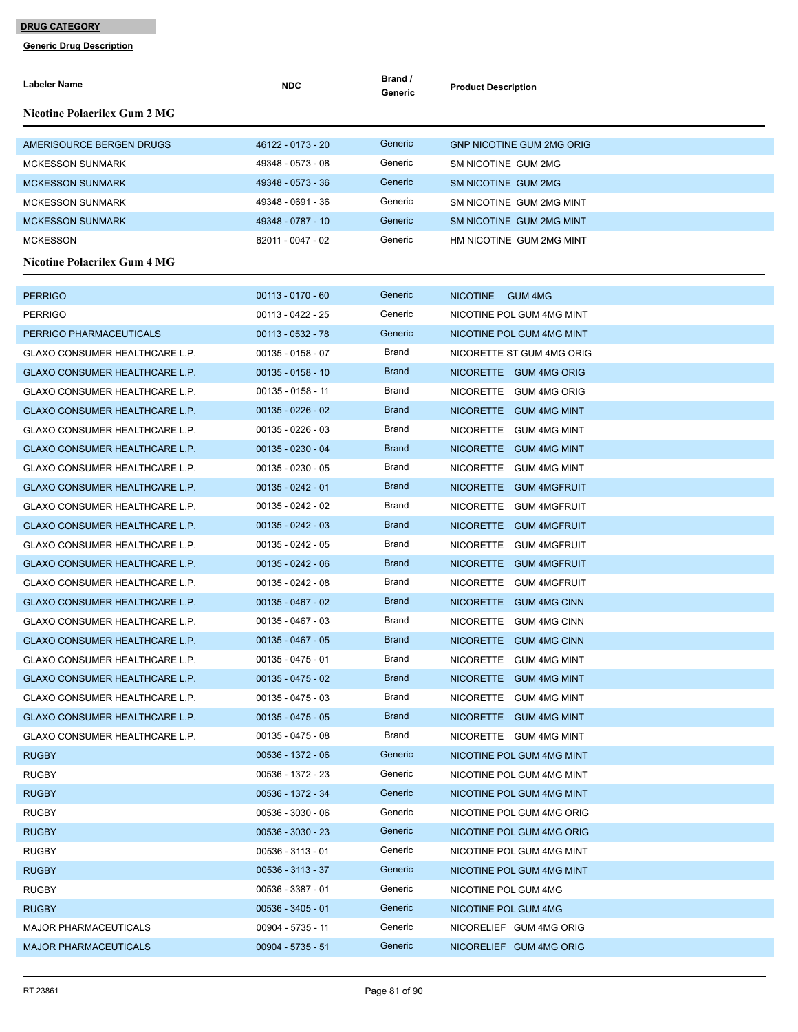| Labeler Name                          | <b>NDC</b>          | Brand /<br>Generic | <b>Product Description</b>       |
|---------------------------------------|---------------------|--------------------|----------------------------------|
| Nicotine Polacrilex Gum 2 MG          |                     |                    |                                  |
| AMERISOURCE BERGEN DRUGS              | 46122 - 0173 - 20   | Generic            | <b>GNP NICOTINE GUM 2MG ORIG</b> |
| <b>MCKESSON SUNMARK</b>               | 49348 - 0573 - 08   | Generic            | SM NICOTINE GUM 2MG              |
| <b>MCKESSON SUNMARK</b>               | 49348 - 0573 - 36   | Generic            | SM NICOTINE GUM 2MG              |
| <b>MCKESSON SUNMARK</b>               | 49348 - 0691 - 36   | Generic            | SM NICOTINE GUM 2MG MINT         |
| MCKESSON SUNMARK                      | 49348 - 0787 - 10   | Generic            | SM NICOTINE GUM 2MG MINT         |
| <b>MCKESSON</b>                       | 62011 - 0047 - 02   | Generic            | HM NICOTINE GUM 2MG MINT         |
| Nicotine Polacrilex Gum 4 MG          |                     |                    |                                  |
| <b>PERRIGO</b>                        | $00113 - 0170 - 60$ | Generic            | NICOTINE GUM 4MG                 |
| <b>PERRIGO</b>                        | 00113 - 0422 - 25   | Generic            | NICOTINE POL GUM 4MG MINT        |
| PERRIGO PHARMACEUTICALS               | 00113 - 0532 - 78   | Generic            | NICOTINE POL GUM 4MG MINT        |
| GLAXO CONSUMER HEALTHCARE L.P.        | 00135 - 0158 - 07   | Brand              | NICORETTE ST GUM 4MG ORIG        |
| <b>GLAXO CONSUMER HEALTHCARE L.P.</b> | $00135 - 0158 - 10$ | <b>Brand</b>       | NICORETTE GUM 4MG ORIG           |
| GLAXO CONSUMER HEALTHCARE L.P.        | $00135 - 0158 - 11$ | Brand              | NICORETTE GUM 4MG ORIG           |
| GLAXO CONSUMER HEALTHCARE L.P.        | $00135 - 0226 - 02$ | <b>Brand</b>       | NICORETTE GUM 4MG MINT           |
| <b>GLAXO CONSUMER HEALTHCARE L.P.</b> | $00135 - 0226 - 03$ | Brand              | NICORETTE GUM 4MG MINT           |
| GLAXO CONSUMER HEALTHCARE L.P.        | $00135 - 0230 - 04$ | <b>Brand</b>       | NICORETTE GUM 4MG MINT           |
| <b>GLAXO CONSUMER HEALTHCARE L.P.</b> | $00135 - 0230 - 05$ | Brand              | NICORETTE GUM 4MG MINT           |
| <b>GLAXO CONSUMER HEALTHCARE L.P.</b> | $00135 - 0242 - 01$ | <b>Brand</b>       | NICORETTE GUM 4MGFRUIT           |
| <b>GLAXO CONSUMER HEALTHCARE L.P.</b> | 00135 - 0242 - 02   | Brand              | NICORETTE GUM 4MGFRUIT           |
| GLAXO CONSUMER HEALTHCARE L.P.        | $00135 - 0242 - 03$ | <b>Brand</b>       | NICORETTE GUM 4MGFRUIT           |
| GLAXO CONSUMER HEALTHCARE L.P.        | $00135 - 0242 - 05$ | Brand              | NICORETTE GUM 4MGFRUIT           |
| GLAXO CONSUMER HEALTHCARE L.P.        | $00135 - 0242 - 06$ | <b>Brand</b>       | NICORETTE GUM 4MGFRUIT           |
| GLAXO CONSUMER HEALTHCARE L.P.        | 00135 - 0242 - 08   | Brand              | NICORETTE GUM 4MGFRUIT           |
| GLAXO CONSUMER HEALTHCARE L.P.        | $00135 - 0467 - 02$ | <b>Brand</b>       | NICORETTE GUM 4MG CINN           |
| GLAXO CONSUMER HEALTHCARE L.P.        | 00135 - 0467 - 03   | Brand              | NICORETTE GUM 4MG CINN           |
| GLAXO CONSUMER HEALTHCARE L.P.        | $00135 - 0467 - 05$ | <b>Brand</b>       | NICORETTE GUM 4MG CINN           |
| GLAXO CONSUMER HEALTHCARE L.P.        | 00135 - 0475 - 01   | Brand              | NICORETTE GUM 4MG MINT           |
| GLAXO CONSUMER HEALTHCARE L.P.        | $00135 - 0475 - 02$ | <b>Brand</b>       | NICORETTE GUM 4MG MINT           |
| GLAXO CONSUMER HEALTHCARE L.P.        | 00135 - 0475 - 03   | Brand              | NICORETTE GUM 4MG MINT           |
| GLAXO CONSUMER HEALTHCARE L.P.        | $00135 - 0475 - 05$ | <b>Brand</b>       | NICORETTE GUM 4MG MINT           |
| <b>GLAXO CONSUMER HEALTHCARE L.P.</b> | $00135 - 0475 - 08$ | Brand              | NICORETTE GUM 4MG MINT           |
| <b>RUGBY</b>                          | 00536 - 1372 - 06   | Generic            | NICOTINE POL GUM 4MG MINT        |
| <b>RUGBY</b>                          | 00536 - 1372 - 23   | Generic            | NICOTINE POL GUM 4MG MINT        |
| <b>RUGBY</b>                          | 00536 - 1372 - 34   | Generic            | NICOTINE POL GUM 4MG MINT        |
| <b>RUGBY</b>                          | 00536 - 3030 - 06   | Generic            | NICOTINE POL GUM 4MG ORIG        |
| <b>RUGBY</b>                          | 00536 - 3030 - 23   | Generic            | NICOTINE POL GUM 4MG ORIG        |
| <b>RUGBY</b>                          | $00536 - 3113 - 01$ | Generic            | NICOTINE POL GUM 4MG MINT        |
| <b>RUGBY</b>                          | 00536 - 3113 - 37   | Generic            | NICOTINE POL GUM 4MG MINT        |
| <b>RUGBY</b>                          | 00536 - 3387 - 01   | Generic            | NICOTINE POL GUM 4MG             |
| <b>RUGBY</b>                          | $00536 - 3405 - 01$ | Generic            | NICOTINE POL GUM 4MG             |
| <b>MAJOR PHARMACEUTICALS</b>          | 00904 - 5735 - 11   | Generic            | NICORELIEF GUM 4MG ORIG          |
| <b>MAJOR PHARMACEUTICALS</b>          | $00904 - 5735 - 51$ | Generic            | NICORELIEF GUM 4MG ORIG          |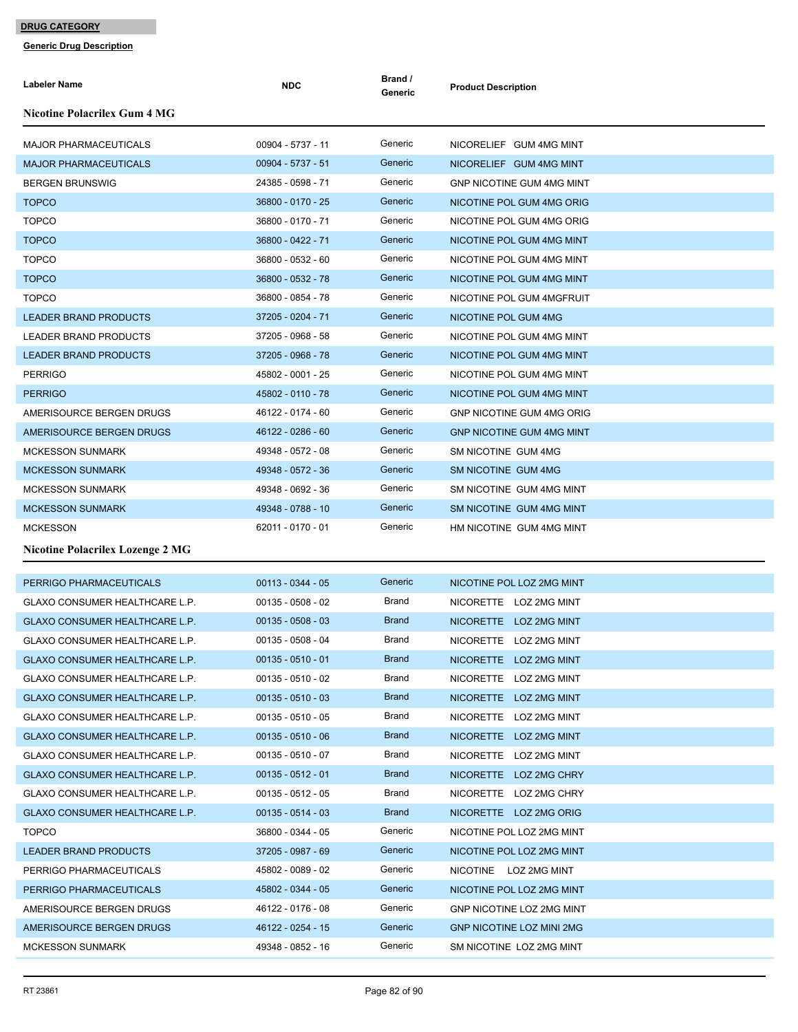| <b>Labeler Name</b>                     | <b>NDC</b>          | Brand /<br>Generic | <b>Product Description</b>       |
|-----------------------------------------|---------------------|--------------------|----------------------------------|
| Nicotine Polacrilex Gum 4 MG            |                     |                    |                                  |
| <b>MAJOR PHARMACEUTICALS</b>            | 00904 - 5737 - 11   | Generic            | NICORELIEF GUM 4MG MINT          |
| <b>MAJOR PHARMACEUTICALS</b>            | 00904 - 5737 - 51   | Generic            | NICORELIEF GUM 4MG MINT          |
| <b>BERGEN BRUNSWIG</b>                  | 24385 - 0598 - 71   | Generic            | <b>GNP NICOTINE GUM 4MG MINT</b> |
| <b>TOPCO</b>                            | 36800 - 0170 - 25   | Generic            | NICOTINE POL GUM 4MG ORIG        |
| <b>TOPCO</b>                            | 36800 - 0170 - 71   | Generic            | NICOTINE POL GUM 4MG ORIG        |
| <b>TOPCO</b>                            | 36800 - 0422 - 71   | Generic            | NICOTINE POL GUM 4MG MINT        |
| <b>TOPCO</b>                            | 36800 - 0532 - 60   | Generic            | NICOTINE POL GUM 4MG MINT        |
| <b>TOPCO</b>                            | 36800 - 0532 - 78   | Generic            | NICOTINE POL GUM 4MG MINT        |
| <b>TOPCO</b>                            | 36800 - 0854 - 78   | Generic            | NICOTINE POL GUM 4MGFRUIT        |
| <b>LEADER BRAND PRODUCTS</b>            | 37205 - 0204 - 71   | Generic            | NICOTINE POL GUM 4MG             |
| <b>LEADER BRAND PRODUCTS</b>            | 37205 - 0968 - 58   | Generic            | NICOTINE POL GUM 4MG MINT        |
| <b>LEADER BRAND PRODUCTS</b>            | 37205 - 0968 - 78   | Generic            | NICOTINE POL GUM 4MG MINT        |
| <b>PERRIGO</b>                          | 45802 - 0001 - 25   | Generic            | NICOTINE POL GUM 4MG MINT        |
| <b>PERRIGO</b>                          | 45802 - 0110 - 78   | Generic            | NICOTINE POL GUM 4MG MINT        |
| AMERISOURCE BERGEN DRUGS                | 46122 - 0174 - 60   | Generic            | <b>GNP NICOTINE GUM 4MG ORIG</b> |
| AMERISOURCE BERGEN DRUGS                | 46122 - 0286 - 60   | Generic            | <b>GNP NICOTINE GUM 4MG MINT</b> |
| <b>MCKESSON SUNMARK</b>                 | 49348 - 0572 - 08   | Generic            | SM NICOTINE GUM 4MG              |
| MCKESSON SUNMARK                        | 49348 - 0572 - 36   | Generic            | SM NICOTINE GUM 4MG              |
| <b>MCKESSON SUNMARK</b>                 | 49348 - 0692 - 36   | Generic            | SM NICOTINE GUM 4MG MINT         |
| <b>MCKESSON SUNMARK</b>                 | 49348 - 0788 - 10   | Generic            | SM NICOTINE GUM 4MG MINT         |
| <b>MCKESSON</b>                         | 62011 - 0170 - 01   | Generic            | HM NICOTINE GUM 4MG MINT         |
| <b>Nicotine Polacrilex Lozenge 2 MG</b> |                     |                    |                                  |
| PERRIGO PHARMACEUTICALS                 | $00113 - 0344 - 05$ | Generic            | NICOTINE POL LOZ 2MG MINT        |
| GLAXO CONSUMER HEALTHCARE L.P.          | $00135 - 0508 - 02$ | Brand              | NICORETTE LOZ 2MG MINT           |
| <b>GLAXO CONSUMER HEALTHCARE L.P.</b>   | $00135 - 0508 - 03$ | <b>Brand</b>       | NICORETTE LOZ 2MG MINT           |
| GLAXO CONSUMER HEALTHCARE L.P.          | $00135 - 0508 - 04$ | Brand              | NICORETTE LOZ 2MG MINT           |
| GLAXO CONSUMER HEALTHCARE L.P.          | $00135 - 0510 - 01$ | <b>Brand</b>       | NICORETTE LOZ 2MG MINT           |
| GLAXO CONSUMER HEALTHCARE L.P.          | $00135 - 0510 - 02$ | Brand              | NICORETTE LOZ 2MG MINT           |
| <b>GLAXO CONSUMER HEALTHCARE L.P.</b>   | $00135 - 0510 - 03$ | <b>Brand</b>       | NICORETTE LOZ 2MG MINT           |
| <b>GLAXO CONSUMER HEALTHCARE L.P.</b>   | $00135 - 0510 - 05$ | Brand              | NICORETTE LOZ 2MG MINT           |
| GLAXO CONSUMER HEALTHCARE L.P.          | $00135 - 0510 - 06$ | <b>Brand</b>       | NICORETTE LOZ 2MG MINT           |
| GLAXO CONSUMER HEALTHCARE L.P.          | $00135 - 0510 - 07$ | Brand              | NICORETTE LOZ 2MG MINT           |
| <b>GLAXO CONSUMER HEALTHCARE L.P.</b>   | $00135 - 0512 - 01$ | <b>Brand</b>       | NICORETTE LOZ 2MG CHRY           |
| GLAXO CONSUMER HEALTHCARE L.P.          | $00135 - 0512 - 05$ | Brand              | NICORETTE LOZ 2MG CHRY           |
| GLAXO CONSUMER HEALTHCARE L.P.          | $00135 - 0514 - 03$ | <b>Brand</b>       | NICORETTE LOZ 2MG ORIG           |
| <b>TOPCO</b>                            | 36800 - 0344 - 05   | Generic            | NICOTINE POL LOZ 2MG MINT        |
| <b>LEADER BRAND PRODUCTS</b>            | 37205 - 0987 - 69   | Generic            | NICOTINE POL LOZ 2MG MINT        |
| PERRIGO PHARMACEUTICALS                 | 45802 - 0089 - 02   | Generic            | NICOTINE LOZ 2MG MINT            |
| PERRIGO PHARMACEUTICALS                 | 45802 - 0344 - 05   | Generic            | NICOTINE POL LOZ 2MG MINT        |
| AMERISOURCE BERGEN DRUGS                | 46122 - 0176 - 08   | Generic            | GNP NICOTINE LOZ 2MG MINT        |
| AMERISOURCE BERGEN DRUGS                | 46122 - 0254 - 15   | Generic            | <b>GNP NICOTINE LOZ MINI 2MG</b> |
| <b>MCKESSON SUNMARK</b>                 | 49348 - 0852 - 16   | Generic            | SM NICOTINE LOZ 2MG MINT         |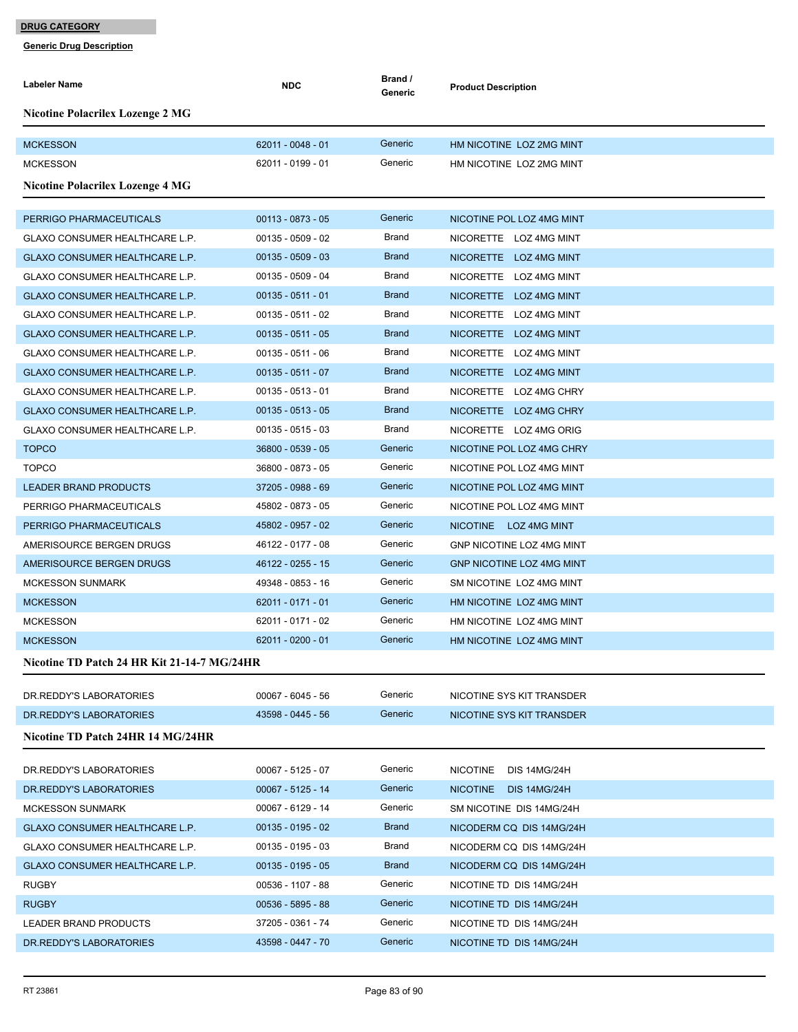| <b>Nicotine Polacrilex Lozenge 2 MG</b><br>Generic<br><b>MCKESSON</b><br>$62011 - 0048 - 01$<br>HM NICOTINE LOZ 2MG MINT<br>Generic<br><b>MCKESSON</b><br>62011 - 0199 - 01<br>HM NICOTINE LOZ 2MG MINT<br>Nicotine Polacrilex Lozenge 4 MG<br>Generic<br>$00113 - 0873 - 05$<br>PERRIGO PHARMACEUTICALS<br>NICOTINE POL LOZ 4MG MINT<br>$00135 - 0509 - 02$<br>Brand<br><b>GLAXO CONSUMER HEALTHCARE L.P.</b><br>NICORETTE LOZ 4MG MINT<br><b>Brand</b><br>GLAXO CONSUMER HEALTHCARE L.P.<br>$00135 - 0509 - 03$<br>NICORETTE LOZ 4MG MINT<br>Brand<br>GLAXO CONSUMER HEALTHCARE L.P.<br>00135 - 0509 - 04<br>NICORETTE LOZ 4MG MINT<br><b>Brand</b><br>GLAXO CONSUMER HEALTHCARE L.P.<br>$00135 - 0511 - 01$<br>NICORETTE LOZ 4MG MINT<br>Brand<br>$00135 - 0511 - 02$<br>GLAXO CONSUMER HEALTHCARE L.P.<br>NICORETTE LOZ 4MG MINT<br>$00135 - 0511 - 05$<br><b>Brand</b><br><b>GLAXO CONSUMER HEALTHCARE L.P.</b><br>NICORETTE LOZ 4MG MINT<br>Brand<br><b>GLAXO CONSUMER HEALTHCARE L.P.</b><br>$00135 - 0511 - 06$<br>NICORETTE LOZ 4MG MINT<br><b>Brand</b><br>GLAXO CONSUMER HEALTHCARE L.P.<br>$00135 - 0511 - 07$<br>NICORETTE LOZ 4MG MINT<br>Brand<br>$00135 - 0513 - 01$<br>GLAXO CONSUMER HEALTHCARE L.P.<br>NICORETTE LOZ 4MG CHRY<br><b>Brand</b><br>$00135 - 0513 - 05$<br>GLAXO CONSUMER HEALTHCARE L.P.<br>NICORETTE LOZ 4MG CHRY<br>$00135 - 0515 - 03$<br>Brand<br>GLAXO CONSUMER HEALTHCARE L.P.<br>NICORETTE LOZ 4MG ORIG<br>Generic<br><b>TOPCO</b><br>36800 - 0539 - 05<br>NICOTINE POL LOZ 4MG CHRY<br>Generic<br><b>TOPCO</b><br>36800 - 0873 - 05<br>NICOTINE POL LOZ 4MG MINT<br>37205 - 0988 - 69<br>Generic<br><b>LEADER BRAND PRODUCTS</b><br>NICOTINE POL LOZ 4MG MINT<br>Generic<br>45802 - 0873 - 05<br>PERRIGO PHARMACEUTICALS<br>NICOTINE POL LOZ 4MG MINT<br>45802 - 0957 - 02<br>Generic<br>PERRIGO PHARMACEUTICALS<br>NICOTINE LOZ 4MG MINT<br>Generic<br>AMERISOURCE BERGEN DRUGS<br>46122 - 0177 - 08<br>GNP NICOTINE LOZ 4MG MINT<br>Generic<br>AMERISOURCE BERGEN DRUGS<br>46122 - 0255 - 15<br><b>GNP NICOTINE LOZ 4MG MINT</b><br>Generic<br>49348 - 0853 - 16<br><b>MCKESSON SUNMARK</b><br>SM NICOTINE LOZ 4MG MINT<br>Generic<br>62011 - 0171 - 01<br><b>MCKESSON</b><br>HM NICOTINE LOZ 4MG MINT<br>62011 - 0171 - 02<br>Generic<br><b>MCKESSON</b><br>HM NICOTINE LOZ 4MG MINT<br>Generic<br><b>MCKESSON</b><br>$62011 - 0200 - 01$<br>HM NICOTINE LOZ 4MG MINT<br>Nicotine TD Patch 24 HR Kit 21-14-7 MG/24HR<br>Generic<br>DR. REDDY'S LABORATORIES<br>00067 - 6045 - 56<br>NICOTINE SYS KIT TRANSDER<br>Generic<br>43598 - 0445 - 56<br>DR. REDDY'S LABORATORIES<br>NICOTINE SYS KIT TRANSDER<br>Nicotine TD Patch 24HR 14 MG/24HR<br>Generic<br>$00067 - 5125 - 07$<br>DR. REDDY'S LABORATORIES<br><b>NICOTINE</b><br><b>DIS 14MG/24H</b><br>Generic<br>00067 - 5125 - 14<br>DR. REDDY'S LABORATORIES<br><b>NICOTINE</b><br><b>DIS 14MG/24H</b><br>Generic<br>00067 - 6129 - 14<br>SM NICOTINE DIS 14MG/24H<br><b>MCKESSON SUNMARK</b><br><b>Brand</b><br>GLAXO CONSUMER HEALTHCARE L.P.<br>$00135 - 0195 - 02$<br>NICODERM CQ DIS 14MG/24H | Labeler Name                   | <b>NDC</b>          | Brand /<br>Generic | <b>Product Description</b> |
|---------------------------------------------------------------------------------------------------------------------------------------------------------------------------------------------------------------------------------------------------------------------------------------------------------------------------------------------------------------------------------------------------------------------------------------------------------------------------------------------------------------------------------------------------------------------------------------------------------------------------------------------------------------------------------------------------------------------------------------------------------------------------------------------------------------------------------------------------------------------------------------------------------------------------------------------------------------------------------------------------------------------------------------------------------------------------------------------------------------------------------------------------------------------------------------------------------------------------------------------------------------------------------------------------------------------------------------------------------------------------------------------------------------------------------------------------------------------------------------------------------------------------------------------------------------------------------------------------------------------------------------------------------------------------------------------------------------------------------------------------------------------------------------------------------------------------------------------------------------------------------------------------------------------------------------------------------------------------------------------------------------------------------------------------------------------------------------------------------------------------------------------------------------------------------------------------------------------------------------------------------------------------------------------------------------------------------------------------------------------------------------------------------------------------------------------------------------------------------------------------------------------------------------------------------------------------------------------------------------------------------------------------------------------------------------------------------------------------------------------------------------------------------------------------------------------------------------------------------------------------------------------------------------------------------------------------------------------------------------------------------------------------------------------------------------------------------------------------|--------------------------------|---------------------|--------------------|----------------------------|
|                                                                                                                                                                                                                                                                                                                                                                                                                                                                                                                                                                                                                                                                                                                                                                                                                                                                                                                                                                                                                                                                                                                                                                                                                                                                                                                                                                                                                                                                                                                                                                                                                                                                                                                                                                                                                                                                                                                                                                                                                                                                                                                                                                                                                                                                                                                                                                                                                                                                                                                                                                                                                                                                                                                                                                                                                                                                                                                                                                                                                                                                                                   |                                |                     |                    |                            |
|                                                                                                                                                                                                                                                                                                                                                                                                                                                                                                                                                                                                                                                                                                                                                                                                                                                                                                                                                                                                                                                                                                                                                                                                                                                                                                                                                                                                                                                                                                                                                                                                                                                                                                                                                                                                                                                                                                                                                                                                                                                                                                                                                                                                                                                                                                                                                                                                                                                                                                                                                                                                                                                                                                                                                                                                                                                                                                                                                                                                                                                                                                   |                                |                     |                    |                            |
|                                                                                                                                                                                                                                                                                                                                                                                                                                                                                                                                                                                                                                                                                                                                                                                                                                                                                                                                                                                                                                                                                                                                                                                                                                                                                                                                                                                                                                                                                                                                                                                                                                                                                                                                                                                                                                                                                                                                                                                                                                                                                                                                                                                                                                                                                                                                                                                                                                                                                                                                                                                                                                                                                                                                                                                                                                                                                                                                                                                                                                                                                                   |                                |                     |                    |                            |
|                                                                                                                                                                                                                                                                                                                                                                                                                                                                                                                                                                                                                                                                                                                                                                                                                                                                                                                                                                                                                                                                                                                                                                                                                                                                                                                                                                                                                                                                                                                                                                                                                                                                                                                                                                                                                                                                                                                                                                                                                                                                                                                                                                                                                                                                                                                                                                                                                                                                                                                                                                                                                                                                                                                                                                                                                                                                                                                                                                                                                                                                                                   |                                |                     |                    |                            |
|                                                                                                                                                                                                                                                                                                                                                                                                                                                                                                                                                                                                                                                                                                                                                                                                                                                                                                                                                                                                                                                                                                                                                                                                                                                                                                                                                                                                                                                                                                                                                                                                                                                                                                                                                                                                                                                                                                                                                                                                                                                                                                                                                                                                                                                                                                                                                                                                                                                                                                                                                                                                                                                                                                                                                                                                                                                                                                                                                                                                                                                                                                   |                                |                     |                    |                            |
|                                                                                                                                                                                                                                                                                                                                                                                                                                                                                                                                                                                                                                                                                                                                                                                                                                                                                                                                                                                                                                                                                                                                                                                                                                                                                                                                                                                                                                                                                                                                                                                                                                                                                                                                                                                                                                                                                                                                                                                                                                                                                                                                                                                                                                                                                                                                                                                                                                                                                                                                                                                                                                                                                                                                                                                                                                                                                                                                                                                                                                                                                                   |                                |                     |                    |                            |
|                                                                                                                                                                                                                                                                                                                                                                                                                                                                                                                                                                                                                                                                                                                                                                                                                                                                                                                                                                                                                                                                                                                                                                                                                                                                                                                                                                                                                                                                                                                                                                                                                                                                                                                                                                                                                                                                                                                                                                                                                                                                                                                                                                                                                                                                                                                                                                                                                                                                                                                                                                                                                                                                                                                                                                                                                                                                                                                                                                                                                                                                                                   |                                |                     |                    |                            |
|                                                                                                                                                                                                                                                                                                                                                                                                                                                                                                                                                                                                                                                                                                                                                                                                                                                                                                                                                                                                                                                                                                                                                                                                                                                                                                                                                                                                                                                                                                                                                                                                                                                                                                                                                                                                                                                                                                                                                                                                                                                                                                                                                                                                                                                                                                                                                                                                                                                                                                                                                                                                                                                                                                                                                                                                                                                                                                                                                                                                                                                                                                   |                                |                     |                    |                            |
|                                                                                                                                                                                                                                                                                                                                                                                                                                                                                                                                                                                                                                                                                                                                                                                                                                                                                                                                                                                                                                                                                                                                                                                                                                                                                                                                                                                                                                                                                                                                                                                                                                                                                                                                                                                                                                                                                                                                                                                                                                                                                                                                                                                                                                                                                                                                                                                                                                                                                                                                                                                                                                                                                                                                                                                                                                                                                                                                                                                                                                                                                                   |                                |                     |                    |                            |
|                                                                                                                                                                                                                                                                                                                                                                                                                                                                                                                                                                                                                                                                                                                                                                                                                                                                                                                                                                                                                                                                                                                                                                                                                                                                                                                                                                                                                                                                                                                                                                                                                                                                                                                                                                                                                                                                                                                                                                                                                                                                                                                                                                                                                                                                                                                                                                                                                                                                                                                                                                                                                                                                                                                                                                                                                                                                                                                                                                                                                                                                                                   |                                |                     |                    |                            |
|                                                                                                                                                                                                                                                                                                                                                                                                                                                                                                                                                                                                                                                                                                                                                                                                                                                                                                                                                                                                                                                                                                                                                                                                                                                                                                                                                                                                                                                                                                                                                                                                                                                                                                                                                                                                                                                                                                                                                                                                                                                                                                                                                                                                                                                                                                                                                                                                                                                                                                                                                                                                                                                                                                                                                                                                                                                                                                                                                                                                                                                                                                   |                                |                     |                    |                            |
|                                                                                                                                                                                                                                                                                                                                                                                                                                                                                                                                                                                                                                                                                                                                                                                                                                                                                                                                                                                                                                                                                                                                                                                                                                                                                                                                                                                                                                                                                                                                                                                                                                                                                                                                                                                                                                                                                                                                                                                                                                                                                                                                                                                                                                                                                                                                                                                                                                                                                                                                                                                                                                                                                                                                                                                                                                                                                                                                                                                                                                                                                                   |                                |                     |                    |                            |
|                                                                                                                                                                                                                                                                                                                                                                                                                                                                                                                                                                                                                                                                                                                                                                                                                                                                                                                                                                                                                                                                                                                                                                                                                                                                                                                                                                                                                                                                                                                                                                                                                                                                                                                                                                                                                                                                                                                                                                                                                                                                                                                                                                                                                                                                                                                                                                                                                                                                                                                                                                                                                                                                                                                                                                                                                                                                                                                                                                                                                                                                                                   |                                |                     |                    |                            |
|                                                                                                                                                                                                                                                                                                                                                                                                                                                                                                                                                                                                                                                                                                                                                                                                                                                                                                                                                                                                                                                                                                                                                                                                                                                                                                                                                                                                                                                                                                                                                                                                                                                                                                                                                                                                                                                                                                                                                                                                                                                                                                                                                                                                                                                                                                                                                                                                                                                                                                                                                                                                                                                                                                                                                                                                                                                                                                                                                                                                                                                                                                   |                                |                     |                    |                            |
|                                                                                                                                                                                                                                                                                                                                                                                                                                                                                                                                                                                                                                                                                                                                                                                                                                                                                                                                                                                                                                                                                                                                                                                                                                                                                                                                                                                                                                                                                                                                                                                                                                                                                                                                                                                                                                                                                                                                                                                                                                                                                                                                                                                                                                                                                                                                                                                                                                                                                                                                                                                                                                                                                                                                                                                                                                                                                                                                                                                                                                                                                                   |                                |                     |                    |                            |
|                                                                                                                                                                                                                                                                                                                                                                                                                                                                                                                                                                                                                                                                                                                                                                                                                                                                                                                                                                                                                                                                                                                                                                                                                                                                                                                                                                                                                                                                                                                                                                                                                                                                                                                                                                                                                                                                                                                                                                                                                                                                                                                                                                                                                                                                                                                                                                                                                                                                                                                                                                                                                                                                                                                                                                                                                                                                                                                                                                                                                                                                                                   |                                |                     |                    |                            |
|                                                                                                                                                                                                                                                                                                                                                                                                                                                                                                                                                                                                                                                                                                                                                                                                                                                                                                                                                                                                                                                                                                                                                                                                                                                                                                                                                                                                                                                                                                                                                                                                                                                                                                                                                                                                                                                                                                                                                                                                                                                                                                                                                                                                                                                                                                                                                                                                                                                                                                                                                                                                                                                                                                                                                                                                                                                                                                                                                                                                                                                                                                   |                                |                     |                    |                            |
|                                                                                                                                                                                                                                                                                                                                                                                                                                                                                                                                                                                                                                                                                                                                                                                                                                                                                                                                                                                                                                                                                                                                                                                                                                                                                                                                                                                                                                                                                                                                                                                                                                                                                                                                                                                                                                                                                                                                                                                                                                                                                                                                                                                                                                                                                                                                                                                                                                                                                                                                                                                                                                                                                                                                                                                                                                                                                                                                                                                                                                                                                                   |                                |                     |                    |                            |
|                                                                                                                                                                                                                                                                                                                                                                                                                                                                                                                                                                                                                                                                                                                                                                                                                                                                                                                                                                                                                                                                                                                                                                                                                                                                                                                                                                                                                                                                                                                                                                                                                                                                                                                                                                                                                                                                                                                                                                                                                                                                                                                                                                                                                                                                                                                                                                                                                                                                                                                                                                                                                                                                                                                                                                                                                                                                                                                                                                                                                                                                                                   |                                |                     |                    |                            |
|                                                                                                                                                                                                                                                                                                                                                                                                                                                                                                                                                                                                                                                                                                                                                                                                                                                                                                                                                                                                                                                                                                                                                                                                                                                                                                                                                                                                                                                                                                                                                                                                                                                                                                                                                                                                                                                                                                                                                                                                                                                                                                                                                                                                                                                                                                                                                                                                                                                                                                                                                                                                                                                                                                                                                                                                                                                                                                                                                                                                                                                                                                   |                                |                     |                    |                            |
|                                                                                                                                                                                                                                                                                                                                                                                                                                                                                                                                                                                                                                                                                                                                                                                                                                                                                                                                                                                                                                                                                                                                                                                                                                                                                                                                                                                                                                                                                                                                                                                                                                                                                                                                                                                                                                                                                                                                                                                                                                                                                                                                                                                                                                                                                                                                                                                                                                                                                                                                                                                                                                                                                                                                                                                                                                                                                                                                                                                                                                                                                                   |                                |                     |                    |                            |
|                                                                                                                                                                                                                                                                                                                                                                                                                                                                                                                                                                                                                                                                                                                                                                                                                                                                                                                                                                                                                                                                                                                                                                                                                                                                                                                                                                                                                                                                                                                                                                                                                                                                                                                                                                                                                                                                                                                                                                                                                                                                                                                                                                                                                                                                                                                                                                                                                                                                                                                                                                                                                                                                                                                                                                                                                                                                                                                                                                                                                                                                                                   |                                |                     |                    |                            |
|                                                                                                                                                                                                                                                                                                                                                                                                                                                                                                                                                                                                                                                                                                                                                                                                                                                                                                                                                                                                                                                                                                                                                                                                                                                                                                                                                                                                                                                                                                                                                                                                                                                                                                                                                                                                                                                                                                                                                                                                                                                                                                                                                                                                                                                                                                                                                                                                                                                                                                                                                                                                                                                                                                                                                                                                                                                                                                                                                                                                                                                                                                   |                                |                     |                    |                            |
|                                                                                                                                                                                                                                                                                                                                                                                                                                                                                                                                                                                                                                                                                                                                                                                                                                                                                                                                                                                                                                                                                                                                                                                                                                                                                                                                                                                                                                                                                                                                                                                                                                                                                                                                                                                                                                                                                                                                                                                                                                                                                                                                                                                                                                                                                                                                                                                                                                                                                                                                                                                                                                                                                                                                                                                                                                                                                                                                                                                                                                                                                                   |                                |                     |                    |                            |
|                                                                                                                                                                                                                                                                                                                                                                                                                                                                                                                                                                                                                                                                                                                                                                                                                                                                                                                                                                                                                                                                                                                                                                                                                                                                                                                                                                                                                                                                                                                                                                                                                                                                                                                                                                                                                                                                                                                                                                                                                                                                                                                                                                                                                                                                                                                                                                                                                                                                                                                                                                                                                                                                                                                                                                                                                                                                                                                                                                                                                                                                                                   |                                |                     |                    |                            |
|                                                                                                                                                                                                                                                                                                                                                                                                                                                                                                                                                                                                                                                                                                                                                                                                                                                                                                                                                                                                                                                                                                                                                                                                                                                                                                                                                                                                                                                                                                                                                                                                                                                                                                                                                                                                                                                                                                                                                                                                                                                                                                                                                                                                                                                                                                                                                                                                                                                                                                                                                                                                                                                                                                                                                                                                                                                                                                                                                                                                                                                                                                   |                                |                     |                    |                            |
|                                                                                                                                                                                                                                                                                                                                                                                                                                                                                                                                                                                                                                                                                                                                                                                                                                                                                                                                                                                                                                                                                                                                                                                                                                                                                                                                                                                                                                                                                                                                                                                                                                                                                                                                                                                                                                                                                                                                                                                                                                                                                                                                                                                                                                                                                                                                                                                                                                                                                                                                                                                                                                                                                                                                                                                                                                                                                                                                                                                                                                                                                                   |                                |                     |                    |                            |
|                                                                                                                                                                                                                                                                                                                                                                                                                                                                                                                                                                                                                                                                                                                                                                                                                                                                                                                                                                                                                                                                                                                                                                                                                                                                                                                                                                                                                                                                                                                                                                                                                                                                                                                                                                                                                                                                                                                                                                                                                                                                                                                                                                                                                                                                                                                                                                                                                                                                                                                                                                                                                                                                                                                                                                                                                                                                                                                                                                                                                                                                                                   |                                |                     |                    |                            |
|                                                                                                                                                                                                                                                                                                                                                                                                                                                                                                                                                                                                                                                                                                                                                                                                                                                                                                                                                                                                                                                                                                                                                                                                                                                                                                                                                                                                                                                                                                                                                                                                                                                                                                                                                                                                                                                                                                                                                                                                                                                                                                                                                                                                                                                                                                                                                                                                                                                                                                                                                                                                                                                                                                                                                                                                                                                                                                                                                                                                                                                                                                   |                                |                     |                    |                            |
|                                                                                                                                                                                                                                                                                                                                                                                                                                                                                                                                                                                                                                                                                                                                                                                                                                                                                                                                                                                                                                                                                                                                                                                                                                                                                                                                                                                                                                                                                                                                                                                                                                                                                                                                                                                                                                                                                                                                                                                                                                                                                                                                                                                                                                                                                                                                                                                                                                                                                                                                                                                                                                                                                                                                                                                                                                                                                                                                                                                                                                                                                                   |                                |                     |                    |                            |
|                                                                                                                                                                                                                                                                                                                                                                                                                                                                                                                                                                                                                                                                                                                                                                                                                                                                                                                                                                                                                                                                                                                                                                                                                                                                                                                                                                                                                                                                                                                                                                                                                                                                                                                                                                                                                                                                                                                                                                                                                                                                                                                                                                                                                                                                                                                                                                                                                                                                                                                                                                                                                                                                                                                                                                                                                                                                                                                                                                                                                                                                                                   |                                |                     |                    |                            |
|                                                                                                                                                                                                                                                                                                                                                                                                                                                                                                                                                                                                                                                                                                                                                                                                                                                                                                                                                                                                                                                                                                                                                                                                                                                                                                                                                                                                                                                                                                                                                                                                                                                                                                                                                                                                                                                                                                                                                                                                                                                                                                                                                                                                                                                                                                                                                                                                                                                                                                                                                                                                                                                                                                                                                                                                                                                                                                                                                                                                                                                                                                   |                                |                     |                    |                            |
|                                                                                                                                                                                                                                                                                                                                                                                                                                                                                                                                                                                                                                                                                                                                                                                                                                                                                                                                                                                                                                                                                                                                                                                                                                                                                                                                                                                                                                                                                                                                                                                                                                                                                                                                                                                                                                                                                                                                                                                                                                                                                                                                                                                                                                                                                                                                                                                                                                                                                                                                                                                                                                                                                                                                                                                                                                                                                                                                                                                                                                                                                                   |                                |                     |                    |                            |
|                                                                                                                                                                                                                                                                                                                                                                                                                                                                                                                                                                                                                                                                                                                                                                                                                                                                                                                                                                                                                                                                                                                                                                                                                                                                                                                                                                                                                                                                                                                                                                                                                                                                                                                                                                                                                                                                                                                                                                                                                                                                                                                                                                                                                                                                                                                                                                                                                                                                                                                                                                                                                                                                                                                                                                                                                                                                                                                                                                                                                                                                                                   |                                |                     |                    |                            |
|                                                                                                                                                                                                                                                                                                                                                                                                                                                                                                                                                                                                                                                                                                                                                                                                                                                                                                                                                                                                                                                                                                                                                                                                                                                                                                                                                                                                                                                                                                                                                                                                                                                                                                                                                                                                                                                                                                                                                                                                                                                                                                                                                                                                                                                                                                                                                                                                                                                                                                                                                                                                                                                                                                                                                                                                                                                                                                                                                                                                                                                                                                   |                                |                     |                    |                            |
|                                                                                                                                                                                                                                                                                                                                                                                                                                                                                                                                                                                                                                                                                                                                                                                                                                                                                                                                                                                                                                                                                                                                                                                                                                                                                                                                                                                                                                                                                                                                                                                                                                                                                                                                                                                                                                                                                                                                                                                                                                                                                                                                                                                                                                                                                                                                                                                                                                                                                                                                                                                                                                                                                                                                                                                                                                                                                                                                                                                                                                                                                                   |                                |                     |                    |                            |
|                                                                                                                                                                                                                                                                                                                                                                                                                                                                                                                                                                                                                                                                                                                                                                                                                                                                                                                                                                                                                                                                                                                                                                                                                                                                                                                                                                                                                                                                                                                                                                                                                                                                                                                                                                                                                                                                                                                                                                                                                                                                                                                                                                                                                                                                                                                                                                                                                                                                                                                                                                                                                                                                                                                                                                                                                                                                                                                                                                                                                                                                                                   | GLAXO CONSUMER HEALTHCARE L.P. | $00135 - 0195 - 03$ | Brand              | NICODERM CQ DIS 14MG/24H   |
| <b>Brand</b><br>$00135 - 0195 - 05$<br>GLAXO CONSUMER HEALTHCARE L.P.<br>NICODERM CQ DIS 14MG/24H                                                                                                                                                                                                                                                                                                                                                                                                                                                                                                                                                                                                                                                                                                                                                                                                                                                                                                                                                                                                                                                                                                                                                                                                                                                                                                                                                                                                                                                                                                                                                                                                                                                                                                                                                                                                                                                                                                                                                                                                                                                                                                                                                                                                                                                                                                                                                                                                                                                                                                                                                                                                                                                                                                                                                                                                                                                                                                                                                                                                 |                                |                     |                    |                            |
| Generic<br>00536 - 1107 - 88<br><b>RUGBY</b><br>NICOTINE TD DIS 14MG/24H                                                                                                                                                                                                                                                                                                                                                                                                                                                                                                                                                                                                                                                                                                                                                                                                                                                                                                                                                                                                                                                                                                                                                                                                                                                                                                                                                                                                                                                                                                                                                                                                                                                                                                                                                                                                                                                                                                                                                                                                                                                                                                                                                                                                                                                                                                                                                                                                                                                                                                                                                                                                                                                                                                                                                                                                                                                                                                                                                                                                                          |                                |                     |                    |                            |
| Generic<br>00536 - 5895 - 88<br><b>RUGBY</b><br>NICOTINE TD DIS 14MG/24H                                                                                                                                                                                                                                                                                                                                                                                                                                                                                                                                                                                                                                                                                                                                                                                                                                                                                                                                                                                                                                                                                                                                                                                                                                                                                                                                                                                                                                                                                                                                                                                                                                                                                                                                                                                                                                                                                                                                                                                                                                                                                                                                                                                                                                                                                                                                                                                                                                                                                                                                                                                                                                                                                                                                                                                                                                                                                                                                                                                                                          |                                |                     |                    |                            |
| Generic<br>37205 - 0361 - 74<br>NICOTINE TD DIS 14MG/24H<br>LEADER BRAND PRODUCTS                                                                                                                                                                                                                                                                                                                                                                                                                                                                                                                                                                                                                                                                                                                                                                                                                                                                                                                                                                                                                                                                                                                                                                                                                                                                                                                                                                                                                                                                                                                                                                                                                                                                                                                                                                                                                                                                                                                                                                                                                                                                                                                                                                                                                                                                                                                                                                                                                                                                                                                                                                                                                                                                                                                                                                                                                                                                                                                                                                                                                 |                                |                     |                    |                            |
| Generic<br>DR. REDDY'S LABORATORIES<br>43598 - 0447 - 70<br>NICOTINE TD DIS 14MG/24H                                                                                                                                                                                                                                                                                                                                                                                                                                                                                                                                                                                                                                                                                                                                                                                                                                                                                                                                                                                                                                                                                                                                                                                                                                                                                                                                                                                                                                                                                                                                                                                                                                                                                                                                                                                                                                                                                                                                                                                                                                                                                                                                                                                                                                                                                                                                                                                                                                                                                                                                                                                                                                                                                                                                                                                                                                                                                                                                                                                                              |                                |                     |                    |                            |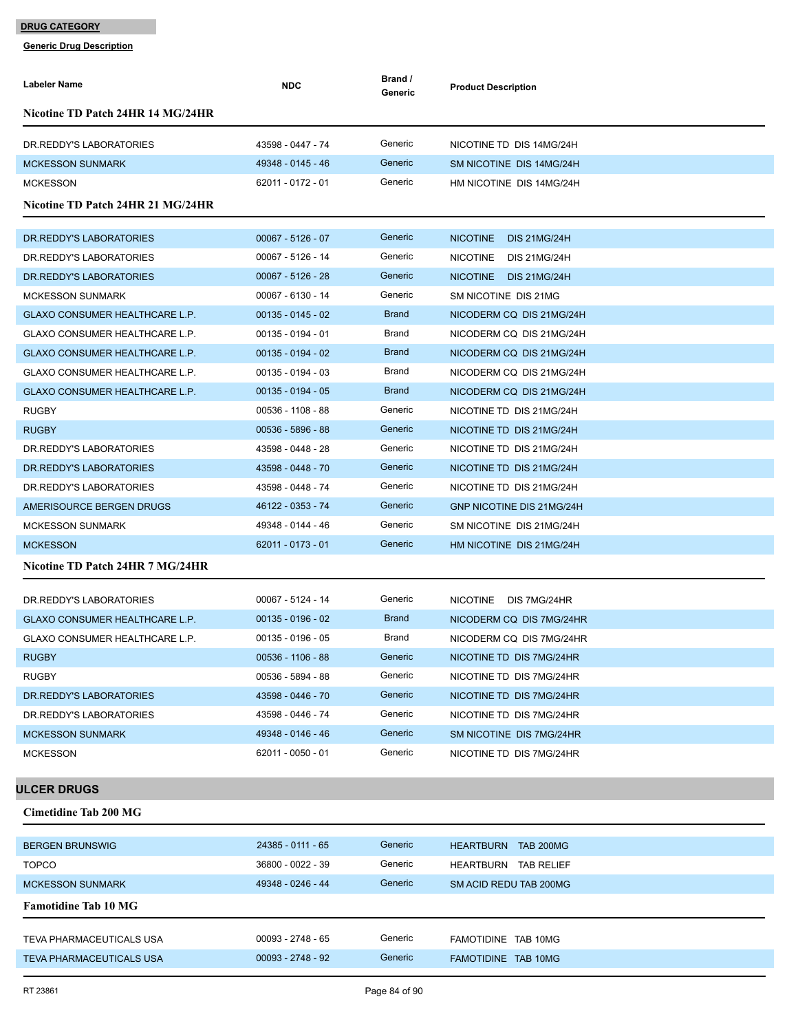| Labeler Name                      | <b>NDC</b>          | Brand /<br>Generic | <b>Product Description</b>             |
|-----------------------------------|---------------------|--------------------|----------------------------------------|
| Nicotine TD Patch 24HR 14 MG/24HR |                     |                    |                                        |
| DR.REDDY'S LABORATORIES           | 43598 - 0447 - 74   | Generic            | NICOTINE TD DIS 14MG/24H               |
| <b>MCKESSON SUNMARK</b>           | 49348 - 0145 - 46   | Generic            | SM NICOTINE DIS 14MG/24H               |
| <b>MCKESSON</b>                   | 62011 - 0172 - 01   | Generic            | HM NICOTINE DIS 14MG/24H               |
| Nicotine TD Patch 24HR 21 MG/24HR |                     |                    |                                        |
|                                   |                     |                    |                                        |
| DR. REDDY'S LABORATORIES          | $00067 - 5126 - 07$ | Generic            | <b>NICOTINE</b><br><b>DIS 21MG/24H</b> |
| DR. REDDY'S LABORATORIES          | 00067 - 5126 - 14   | Generic            | NICOTINE DIS 21MG/24H                  |
| DR. REDDY'S LABORATORIES          | $00067 - 5126 - 28$ | Generic            | NICOTINE DIS 21MG/24H                  |
| <b>MCKESSON SUNMARK</b>           | 00067 - 6130 - 14   | Generic            | SM NICOTINE DIS 21MG                   |
| GLAXO CONSUMER HEALTHCARE L.P.    | $00135 - 0145 - 02$ | <b>Brand</b>       | NICODERM CQ DIS 21MG/24H               |
| GLAXO CONSUMER HEALTHCARE L.P.    | $00135 - 0194 - 01$ | Brand              | NICODERM CQ DIS 21MG/24H               |
| GLAXO CONSUMER HEALTHCARE L.P.    | $00135 - 0194 - 02$ | <b>Brand</b>       | NICODERM CQ DIS 21MG/24H               |
| GLAXO CONSUMER HEALTHCARE L.P.    | $00135 - 0194 - 03$ | Brand              | NICODERM CQ DIS 21MG/24H               |
| GLAXO CONSUMER HEALTHCARE L.P.    | $00135 - 0194 - 05$ | <b>Brand</b>       | NICODERM CQ DIS 21MG/24H               |
| <b>RUGBY</b>                      | 00536 - 1108 - 88   | Generic            | NICOTINE TD DIS 21MG/24H               |
| <b>RUGBY</b>                      | 00536 - 5896 - 88   | Generic            | NICOTINE TD DIS 21MG/24H               |
| DR. REDDY'S LABORATORIES          | 43598 - 0448 - 28   | Generic            | NICOTINE TD DIS 21MG/24H               |
| DR. REDDY'S LABORATORIES          | 43598 - 0448 - 70   | Generic            | NICOTINE TD DIS 21MG/24H               |
| DR.REDDY'S LABORATORIES           | 43598 - 0448 - 74   | Generic            | NICOTINE TD DIS 21MG/24H               |
| AMERISOURCE BERGEN DRUGS          | 46122 - 0353 - 74   | Generic            | GNP NICOTINE DIS 21MG/24H              |
| <b>MCKESSON SUNMARK</b>           | 49348 - 0144 - 46   | Generic            | SM NICOTINE DIS 21MG/24H               |
| <b>MCKESSON</b>                   | 62011 - 0173 - 01   | Generic            | HM NICOTINE DIS 21MG/24H               |
| Nicotine TD Patch 24HR 7 MG/24HR  |                     |                    |                                        |
| DR. REDDY'S LABORATORIES          | 00067 - 5124 - 14   | Generic            | NICOTINE DIS 7MG/24HR                  |
| GLAXO CONSUMER HEALTHCARE L.P.    | $00135 - 0196 - 02$ | <b>Brand</b>       | NICODERM CQ DIS 7MG/24HR               |
| GLAXO CONSUMER HEALTHCARE L.P.    | $00135 - 0196 - 05$ | Brand              | NICODERM CQ DIS 7MG/24HR               |
| <b>RUGBY</b>                      | 00536 - 1106 - 88   | Generic            | NICOTINE TD DIS 7MG/24HR               |
| <b>RUGBY</b>                      | 00536 - 5894 - 88   | Generic            | NICOTINE TD DIS 7MG/24HR               |
| DR. REDDY'S LABORATORIES          | 43598 - 0446 - 70   | Generic            | NICOTINE TD DIS 7MG/24HR               |
| DR. REDDY'S LABORATORIES          | 43598 - 0446 - 74   | Generic            | NICOTINE TD DIS 7MG/24HR               |
| <b>MCKESSON SUNMARK</b>           | 49348 - 0146 - 46   | Generic            | SM NICOTINE DIS 7MG/24HR               |
| <b>MCKESSON</b>                   | 62011 - 0050 - 01   | Generic            | NICOTINE TD DIS 7MG/24HR               |
| <b>ULCER DRUGS</b>                |                     |                    |                                        |
|                                   |                     |                    |                                        |
| <b>Cimetidine Tab 200 MG</b>      |                     |                    |                                        |
| <b>BERGEN BRUNSWIG</b>            | 24385 - 0111 - 65   | Generic            | HEARTBURN TAB 200MG                    |
| <b>TOPCO</b>                      | 36800 - 0022 - 39   | Generic            | HEARTBURN TAB RELIEF                   |
| <b>MCKESSON SUNMARK</b>           | 49348 - 0246 - 44   | Generic            | SM ACID REDU TAB 200MG                 |
| <b>Famotidine Tab 10 MG</b>       |                     |                    |                                        |
| TEVA PHARMACEUTICALS USA          | $00093 - 2748 - 65$ | Generic            | FAMOTIDINE TAB 10MG                    |
| <b>TEVA PHARMACEUTICALS USA</b>   | $00093 - 2748 - 92$ | Generic            | FAMOTIDINE TAB 10MG                    |
|                                   |                     |                    |                                        |
| RT 23861                          |                     | Page 84 of 90      |                                        |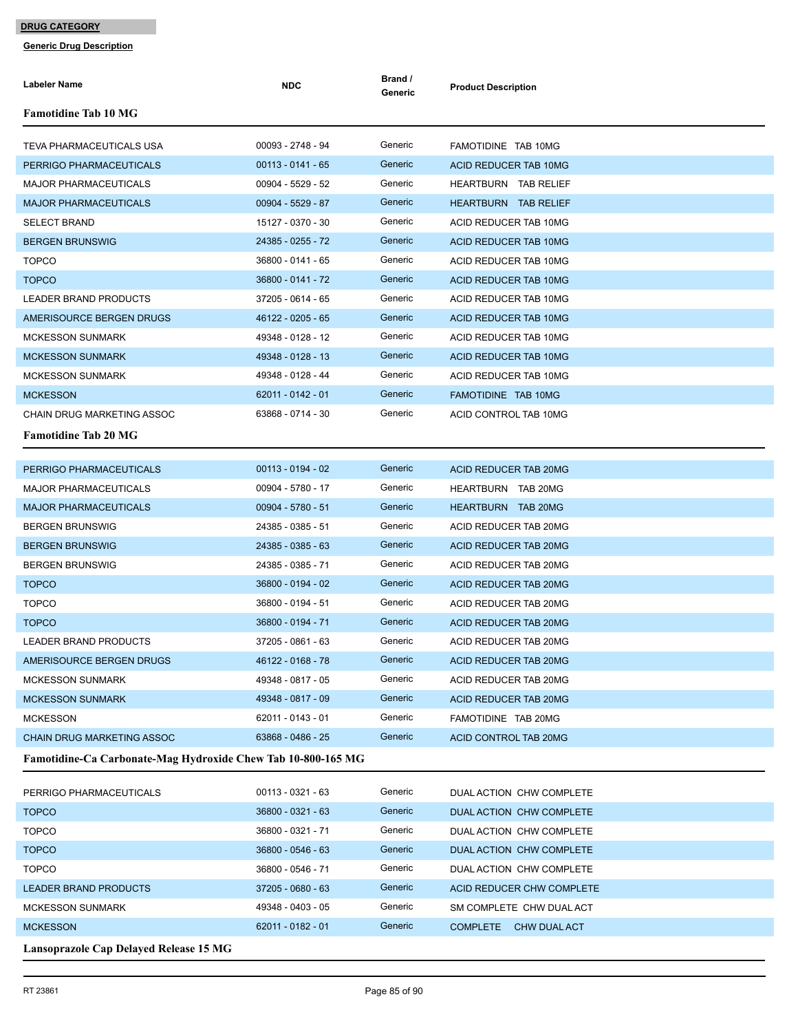| Labeler Name                                                 | <b>NDC</b>          | Brand /<br>Generic | <b>Product Description</b>                           |  |  |
|--------------------------------------------------------------|---------------------|--------------------|------------------------------------------------------|--|--|
| <b>Famotidine Tab 10 MG</b>                                  |                     |                    |                                                      |  |  |
| TEVA PHARMACEUTICALS USA                                     | 00093 - 2748 - 94   | Generic            | FAMOTIDINE TAB 10MG                                  |  |  |
| PERRIGO PHARMACEUTICALS                                      | $00113 - 0141 - 65$ | Generic            | ACID REDUCER TAB 10MG                                |  |  |
| <b>MAJOR PHARMACEUTICALS</b>                                 | 00904 - 5529 - 52   | Generic            | <b>HEARTBURN TAB RELIEF</b>                          |  |  |
| <b>MAJOR PHARMACEUTICALS</b>                                 | 00904 - 5529 - 87   | Generic            | HEARTBURN TAB RELIEF                                 |  |  |
| <b>SELECT BRAND</b>                                          | 15127 - 0370 - 30   | Generic            | ACID REDUCER TAB 10MG                                |  |  |
| <b>BERGEN BRUNSWIG</b>                                       | 24385 - 0255 - 72   | Generic            | ACID REDUCER TAB 10MG                                |  |  |
| <b>TOPCO</b>                                                 | 36800 - 0141 - 65   | Generic            | ACID REDUCER TAB 10MG                                |  |  |
| <b>TOPCO</b>                                                 | 36800 - 0141 - 72   | Generic            | ACID REDUCER TAB 10MG                                |  |  |
| LEADER BRAND PRODUCTS                                        | 37205 - 0614 - 65   | Generic            | ACID REDUCER TAB 10MG                                |  |  |
| AMERISOURCE BERGEN DRUGS                                     | 46122 - 0205 - 65   | Generic            | ACID REDUCER TAB 10MG                                |  |  |
| <b>MCKESSON SUNMARK</b>                                      | 49348 - 0128 - 12   | Generic            | ACID REDUCER TAB 10MG                                |  |  |
| <b>MCKESSON SUNMARK</b>                                      | 49348 - 0128 - 13   | Generic            | ACID REDUCER TAB 10MG                                |  |  |
| <b>MCKESSON SUNMARK</b>                                      | 49348 - 0128 - 44   | Generic            | ACID REDUCER TAB 10MG                                |  |  |
| <b>MCKESSON</b>                                              | 62011 - 0142 - 01   | Generic            | FAMOTIDINE TAB 10MG                                  |  |  |
| CHAIN DRUG MARKETING ASSOC                                   | 63868 - 0714 - 30   | Generic            | ACID CONTROL TAB 10MG                                |  |  |
| <b>Famotidine Tab 20 MG</b>                                  |                     |                    |                                                      |  |  |
| PERRIGO PHARMACEUTICALS                                      | $00113 - 0194 - 02$ | Generic            | ACID REDUCER TAB 20MG                                |  |  |
| <b>MAJOR PHARMACEUTICALS</b>                                 | 00904 - 5780 - 17   | Generic            | HEARTBURN TAB 20MG                                   |  |  |
| <b>MAJOR PHARMACEUTICALS</b>                                 | $00904 - 5780 - 51$ | Generic            | HEARTBURN TAB 20MG                                   |  |  |
| <b>BERGEN BRUNSWIG</b>                                       | 24385 - 0385 - 51   | Generic            | ACID REDUCER TAB 20MG                                |  |  |
| <b>BERGEN BRUNSWIG</b>                                       | 24385 - 0385 - 63   | Generic            | ACID REDUCER TAB 20MG                                |  |  |
| <b>BERGEN BRUNSWIG</b>                                       | 24385 - 0385 - 71   | Generic            | ACID REDUCER TAB 20MG                                |  |  |
| <b>TOPCO</b>                                                 | 36800 - 0194 - 02   | Generic            | ACID REDUCER TAB 20MG                                |  |  |
| <b>TOPCO</b>                                                 | 36800 - 0194 - 51   | Generic            | ACID REDUCER TAB 20MG                                |  |  |
| <b>TOPCO</b>                                                 | 36800 - 0194 - 71   | Generic            | ACID REDUCER TAB 20MG                                |  |  |
| <b>LEADER BRAND PRODUCTS</b>                                 | 37205 - 0861 - 63   | Generic            | ACID REDUCER TAB 20MG                                |  |  |
| AMERISOURCE BERGEN DRUGS                                     | 46122 - 0168 - 78   | Generic            | ACID REDUCER TAB 20MG                                |  |  |
| <b>MCKESSON SUNMARK</b>                                      | 49348 - 0817 - 05   | Generic            | ACID REDUCER TAB 20MG                                |  |  |
| <b>MCKESSON SUNMARK</b>                                      | 49348 - 0817 - 09   | Generic            | ACID REDUCER TAB 20MG                                |  |  |
| <b>MCKESSON</b>                                              | 62011 - 0143 - 01   | Generic            | FAMOTIDINE TAB 20MG                                  |  |  |
| <b>CHAIN DRUG MARKETING ASSOC</b>                            | 63868 - 0486 - 25   | Generic            | ACID CONTROL TAB 20MG                                |  |  |
| Famotidine-Ca Carbonate-Mag Hydroxide Chew Tab 10-800-165 MG |                     |                    |                                                      |  |  |
|                                                              | 00113 - 0321 - 63   | Generic            |                                                      |  |  |
| PERRIGO PHARMACEUTICALS<br><b>TOPCO</b>                      | 36800 - 0321 - 63   | Generic            | DUAL ACTION CHW COMPLETE<br>DUAL ACTION CHW COMPLETE |  |  |
| <b>TOPCO</b>                                                 | 36800 - 0321 - 71   | Generic            | DUAL ACTION CHW COMPLETE                             |  |  |
| <b>TOPCO</b>                                                 | 36800 - 0546 - 63   | Generic            | DUAL ACTION CHW COMPLETE                             |  |  |
| <b>TOPCO</b>                                                 | 36800 - 0546 - 71   | Generic            | DUAL ACTION CHW COMPLETE                             |  |  |
| <b>LEADER BRAND PRODUCTS</b>                                 | 37205 - 0680 - 63   | Generic            | ACID REDUCER CHW COMPLETE                            |  |  |
| <b>MCKESSON SUNMARK</b>                                      | 49348 - 0403 - 05   | Generic            | SM COMPLETE CHW DUAL ACT                             |  |  |
| <b>MCKESSON</b>                                              | 62011 - 0182 - 01   | Generic            | COMPLETE CHW DUAL ACT                                |  |  |
| Lansoprazole Cap Delayed Release 15 MG                       |                     |                    |                                                      |  |  |
|                                                              |                     |                    |                                                      |  |  |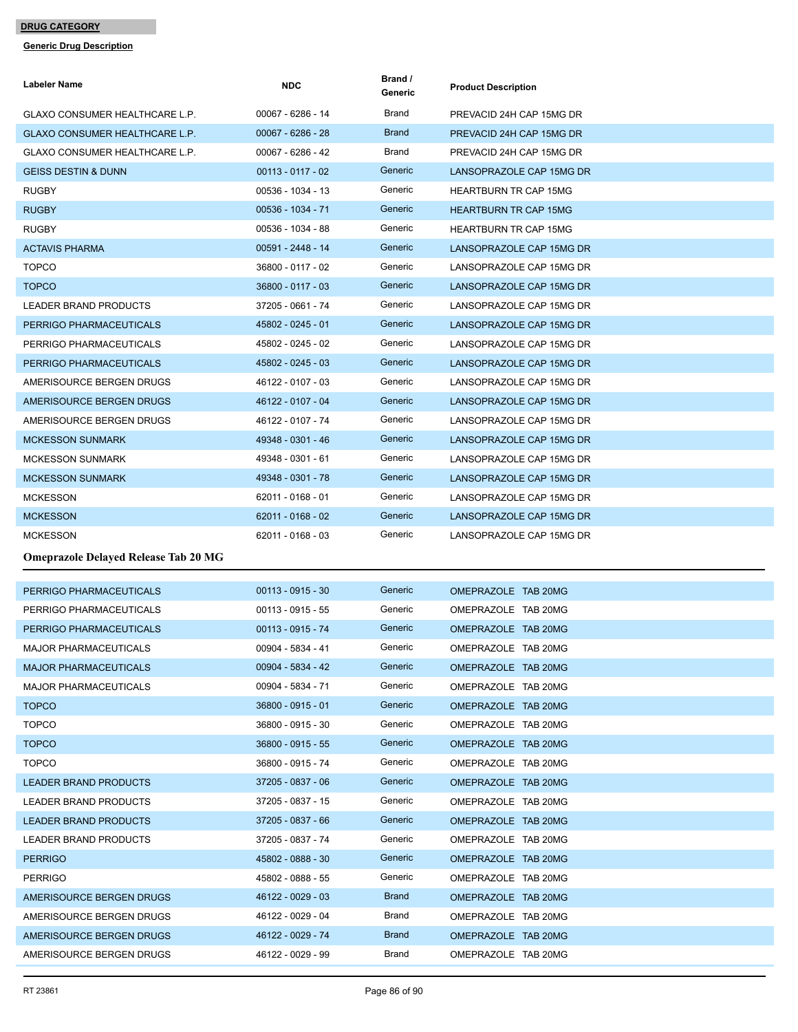| Labeler Name                                | <b>NDC</b>          | Brand /<br>Generic | <b>Product Description</b>   |
|---------------------------------------------|---------------------|--------------------|------------------------------|
| GLAXO CONSUMER HEALTHCARE L.P.              | 00067 - 6286 - 14   | Brand              | PREVACID 24H CAP 15MG DR     |
| GLAXO CONSUMER HEALTHCARE L.P.              | $00067 - 6286 - 28$ | <b>Brand</b>       | PREVACID 24H CAP 15MG DR     |
| GLAXO CONSUMER HEALTHCARE L.P.              | 00067 - 6286 - 42   | <b>Brand</b>       | PREVACID 24H CAP 15MG DR     |
| <b>GEISS DESTIN &amp; DUNN</b>              | $00113 - 0117 - 02$ | Generic            | LANSOPRAZOLE CAP 15MG DR     |
| <b>RUGBY</b>                                | 00536 - 1034 - 13   | Generic            | <b>HEARTBURN TR CAP 15MG</b> |
| <b>RUGBY</b>                                | 00536 - 1034 - 71   | Generic            | <b>HEARTBURN TR CAP 15MG</b> |
| <b>RUGBY</b>                                | 00536 - 1034 - 88   | Generic            | <b>HEARTBURN TR CAP 15MG</b> |
| <b>ACTAVIS PHARMA</b>                       | 00591 - 2448 - 14   | Generic            | LANSOPRAZOLE CAP 15MG DR     |
| <b>TOPCO</b>                                | 36800 - 0117 - 02   | Generic            | LANSOPRAZOLE CAP 15MG DR     |
| <b>TOPCO</b>                                | 36800 - 0117 - 03   | Generic            | LANSOPRAZOLE CAP 15MG DR     |
| <b>LEADER BRAND PRODUCTS</b>                | 37205 - 0661 - 74   | Generic            | LANSOPRAZOLE CAP 15MG DR     |
| PERRIGO PHARMACEUTICALS                     | 45802 - 0245 - 01   | Generic            | LANSOPRAZOLE CAP 15MG DR     |
| PERRIGO PHARMACEUTICALS                     | 45802 - 0245 - 02   | Generic            | LANSOPRAZOLE CAP 15MG DR     |
| PERRIGO PHARMACEUTICALS                     | 45802 - 0245 - 03   | Generic            | LANSOPRAZOLE CAP 15MG DR     |
| AMERISOURCE BERGEN DRUGS                    | 46122 - 0107 - 03   | Generic            | LANSOPRAZOLE CAP 15MG DR     |
| AMERISOURCE BERGEN DRUGS                    | 46122 - 0107 - 04   | Generic            | LANSOPRAZOLE CAP 15MG DR     |
| AMERISOURCE BERGEN DRUGS                    | 46122 - 0107 - 74   | Generic            | LANSOPRAZOLE CAP 15MG DR     |
| <b>MCKESSON SUNMARK</b>                     | 49348 - 0301 - 46   | Generic            | LANSOPRAZOLE CAP 15MG DR     |
| <b>MCKESSON SUNMARK</b>                     | 49348 - 0301 - 61   | Generic            | LANSOPRAZOLE CAP 15MG DR     |
| <b>MCKESSON SUNMARK</b>                     | 49348 - 0301 - 78   | Generic            | LANSOPRAZOLE CAP 15MG DR     |
| <b>MCKESSON</b>                             | 62011 - 0168 - 01   | Generic            | LANSOPRAZOLE CAP 15MG DR     |
| <b>MCKESSON</b>                             | 62011 - 0168 - 02   | Generic            | LANSOPRAZOLE CAP 15MG DR     |
| <b>MCKESSON</b>                             | 62011 - 0168 - 03   | Generic            | LANSOPRAZOLE CAP 15MG DR     |
| <b>Omeprazole Delayed Release Tab 20 MG</b> |                     |                    |                              |
| PERRIGO PHARMACEUTICALS                     | $00113 - 0915 - 30$ | Generic            | OMEPRAZOLE TAB 20MG          |
| PERRIGO PHARMACEUTICALS                     | $00113 - 0915 - 55$ | Generic            | OMEPRAZOLE TAB 20MG          |
| PERRIGO PHARMACEUTICALS                     | $00113 - 0915 - 74$ | Generic            | OMEPRAZOLE TAB 20MG          |
| <b>MAJOR PHARMACEUTICALS</b>                | 00904 - 5834 - 41   | Generic            | OMEPRAZOLE TAB 20MG          |
| <b>MAJOR PHARMACEUTICALS</b>                | 00904 - 5834 - 42   | Generic            | OMEPRAZOLE TAB 20MG          |
| <b>MAJOR PHARMACEUTICALS</b>                | 00904 - 5834 - 71   | Generic            | OMEPRAZOLE TAB 20MG          |
| <b>TOPCO</b>                                | 36800 - 0915 - 01   | Generic            | OMEPRAZOLE TAB 20MG          |
| <b>TOPCO</b>                                | 36800 - 0915 - 30   | Generic            | OMEPRAZOLE TAB 20MG          |
| <b>TOPCO</b>                                | 36800 - 0915 - 55   | Generic            | OMEPRAZOLE TAB 20MG          |
| <b>TOPCO</b>                                | 36800 - 0915 - 74   | Generic            | OMEPRAZOLE TAB 20MG          |
| <b>LEADER BRAND PRODUCTS</b>                | 37205 - 0837 - 06   | Generic            | OMEPRAZOLE TAB 20MG          |
| LEADER BRAND PRODUCTS                       | 37205 - 0837 - 15   | Generic            | OMEPRAZOLE TAB 20MG          |
| <b>LEADER BRAND PRODUCTS</b>                | 37205 - 0837 - 66   | Generic            | OMEPRAZOLE TAB 20MG          |
| LEADER BRAND PRODUCTS                       | 37205 - 0837 - 74   | Generic            | OMEPRAZOLE TAB 20MG          |
| <b>PERRIGO</b>                              | 45802 - 0888 - 30   | Generic            | OMEPRAZOLE TAB 20MG          |
| <b>PERRIGO</b>                              | 45802 - 0888 - 55   | Generic            | OMEPRAZOLE TAB 20MG          |
| AMERISOURCE BERGEN DRUGS                    | 46122 - 0029 - 03   | <b>Brand</b>       | OMEPRAZOLE TAB 20MG          |
| AMERISOURCE BERGEN DRUGS                    | 46122 - 0029 - 04   | Brand              | OMEPRAZOLE TAB 20MG          |
| AMERISOURCE BERGEN DRUGS                    | 46122 - 0029 - 74   | <b>Brand</b>       | OMEPRAZOLE TAB 20MG          |
| AMERISOURCE BERGEN DRUGS                    | 46122 - 0029 - 99   | Brand              | OMEPRAZOLE TAB 20MG          |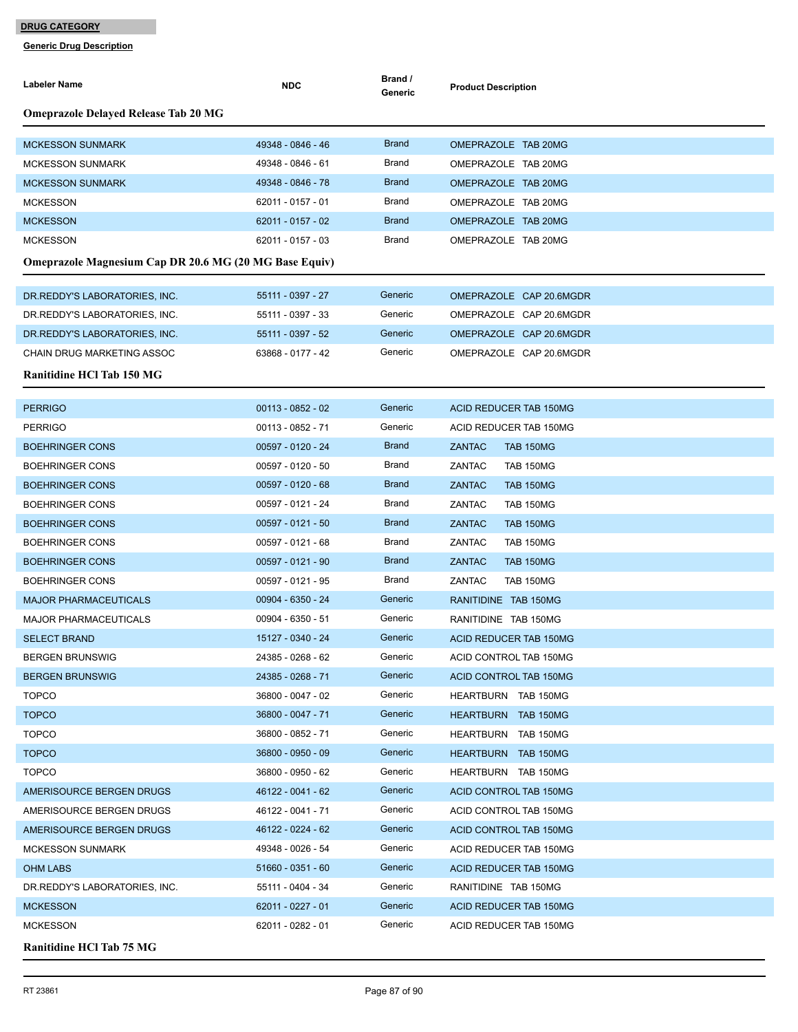| Labeler Name                                                  | <b>NDC</b>          | Brand /<br>Generic | <b>Product Description</b>                                      |  |  |  |
|---------------------------------------------------------------|---------------------|--------------------|-----------------------------------------------------------------|--|--|--|
| <b>Omeprazole Delayed Release Tab 20 MG</b>                   |                     |                    |                                                                 |  |  |  |
| <b>MCKESSON SUNMARK</b>                                       | 49348 - 0846 - 46   | <b>Brand</b>       | OMEPRAZOLE TAB 20MG                                             |  |  |  |
| <b>MCKESSON SUNMARK</b>                                       | 49348 - 0846 - 61   | Brand              | OMEPRAZOLE TAB 20MG                                             |  |  |  |
| <b>MCKESSON SUNMARK</b>                                       | 49348 - 0846 - 78   | <b>Brand</b>       | OMEPRAZOLE TAB 20MG                                             |  |  |  |
| <b>MCKESSON</b>                                               | 62011 - 0157 - 01   | Brand              | OMEPRAZOLE TAB 20MG                                             |  |  |  |
| <b>MCKESSON</b>                                               | 62011 - 0157 - 02   | <b>Brand</b>       | OMEPRAZOLE TAB 20MG                                             |  |  |  |
| <b>MCKESSON</b>                                               | 62011 - 0157 - 03   | Brand              | OMEPRAZOLE TAB 20MG                                             |  |  |  |
| <b>Omeprazole Magnesium Cap DR 20.6 MG (20 MG Base Equiv)</b> |                     |                    |                                                                 |  |  |  |
| DR.REDDY'S LABORATORIES, INC.                                 | 55111 - 0397 - 27   | Generic            | OMEPRAZOLE CAP 20.6MGDR                                         |  |  |  |
| DR.REDDY'S LABORATORIES, INC.                                 | 55111 - 0397 - 33   | Generic            | OMEPRAZOLE CAP 20.6MGDR                                         |  |  |  |
| DR.REDDY'S LABORATORIES, INC.                                 | 55111 - 0397 - 52   | Generic            | OMEPRAZOLE CAP 20.6MGDR                                         |  |  |  |
| <b>CHAIN DRUG MARKETING ASSOC</b>                             | 63868 - 0177 - 42   | Generic            | OMEPRAZOLE CAP 20.6MGDR                                         |  |  |  |
| <b>Ranitidine HCl Tab 150 MG</b>                              |                     |                    |                                                                 |  |  |  |
| <b>PERRIGO</b>                                                | $00113 - 0852 - 02$ | Generic            | ACID REDUCER TAB 150MG                                          |  |  |  |
|                                                               | 00113 - 0852 - 71   | Generic            |                                                                 |  |  |  |
| <b>PERRIGO</b>                                                | 00597 - 0120 - 24   | <b>Brand</b>       | ACID REDUCER TAB 150MG                                          |  |  |  |
| <b>BOEHRINGER CONS</b><br>BOEHRINGER CONS                     | 00597 - 0120 - 50   | Brand              | <b>ZANTAC</b><br><b>TAB 150MG</b><br>ZANTAC<br><b>TAB 150MG</b> |  |  |  |
| <b>BOEHRINGER CONS</b>                                        | $00597 - 0120 - 68$ | <b>Brand</b>       | <b>ZANTAC</b><br><b>TAB 150MG</b>                               |  |  |  |
| <b>BOEHRINGER CONS</b>                                        | 00597 - 0121 - 24   | Brand              | ZANTAC<br><b>TAB 150MG</b>                                      |  |  |  |
| <b>BOEHRINGER CONS</b>                                        | 00597 - 0121 - 50   | <b>Brand</b>       | <b>ZANTAC</b><br><b>TAB 150MG</b>                               |  |  |  |
| <b>BOEHRINGER CONS</b>                                        | 00597 - 0121 - 68   | Brand              | ZANTAC<br><b>TAB 150MG</b>                                      |  |  |  |
| <b>BOEHRINGER CONS</b>                                        | 00597 - 0121 - 90   | <b>Brand</b>       | <b>ZANTAC</b><br><b>TAB 150MG</b>                               |  |  |  |
| BOEHRINGER CONS                                               | 00597 - 0121 - 95   | Brand              | ZANTAC<br><b>TAB 150MG</b>                                      |  |  |  |
| <b>MAJOR PHARMACEUTICALS</b>                                  | 00904 - 6350 - 24   | Generic            | RANITIDINE TAB 150MG                                            |  |  |  |
| MAJOR PHARMACEUTICALS                                         | 00904 - 6350 - 51   | Generic            | RANITIDINE TAB 150MG                                            |  |  |  |
| <b>SELECT BRAND</b>                                           | 15127 - 0340 - 24   | Generic            | ACID REDUCER TAB 150MG                                          |  |  |  |
| <b>BERGEN BRUNSWIG</b>                                        | 24385 - 0268 - 62   | Generic            | ACID CONTROL TAB 150MG                                          |  |  |  |
| <b>BERGEN BRUNSWIG</b>                                        | 24385 - 0268 - 71   | Generic            | ACID CONTROL TAB 150MG                                          |  |  |  |
| <b>TOPCO</b>                                                  | 36800 - 0047 - 02   | Generic            | HEARTBURN TAB 150MG                                             |  |  |  |
| <b>TOPCO</b>                                                  | 36800 - 0047 - 71   | Generic            | <b>HEARTBURN TAB 150MG</b>                                      |  |  |  |
| <b>TOPCO</b>                                                  | 36800 - 0852 - 71   | Generic            | HEARTBURN TAB 150MG                                             |  |  |  |
| <b>TOPCO</b>                                                  | 36800 - 0950 - 09   | Generic            | <b>HEARTBURN TAB 150MG</b>                                      |  |  |  |
| <b>TOPCO</b>                                                  | 36800 - 0950 - 62   | Generic            | HEARTBURN TAB 150MG                                             |  |  |  |
| AMERISOURCE BERGEN DRUGS                                      | 46122 - 0041 - 62   | Generic            | <b>ACID CONTROL TAB 150MG</b>                                   |  |  |  |
| AMERISOURCE BERGEN DRUGS                                      | 46122 - 0041 - 71   | Generic            | ACID CONTROL TAB 150MG                                          |  |  |  |
| AMERISOURCE BERGEN DRUGS                                      | 46122 - 0224 - 62   | Generic            | ACID CONTROL TAB 150MG                                          |  |  |  |
| <b>MCKESSON SUNMARK</b>                                       | 49348 - 0026 - 54   | Generic            | ACID REDUCER TAB 150MG                                          |  |  |  |
| <b>OHM LABS</b>                                               | $51660 - 0351 - 60$ | Generic            | ACID REDUCER TAB 150MG                                          |  |  |  |
| DR.REDDY'S LABORATORIES, INC.                                 | 55111 - 0404 - 34   | Generic            | RANITIDINE TAB 150MG                                            |  |  |  |
| <b>MCKESSON</b>                                               | 62011 - 0227 - 01   | Generic            | ACID REDUCER TAB 150MG                                          |  |  |  |
| <b>MCKESSON</b>                                               | 62011 - 0282 - 01   | Generic            | ACID REDUCER TAB 150MG                                          |  |  |  |
| <b>Ranitidine HCl Tab 75 MG</b>                               |                     |                    |                                                                 |  |  |  |
|                                                               |                     |                    |                                                                 |  |  |  |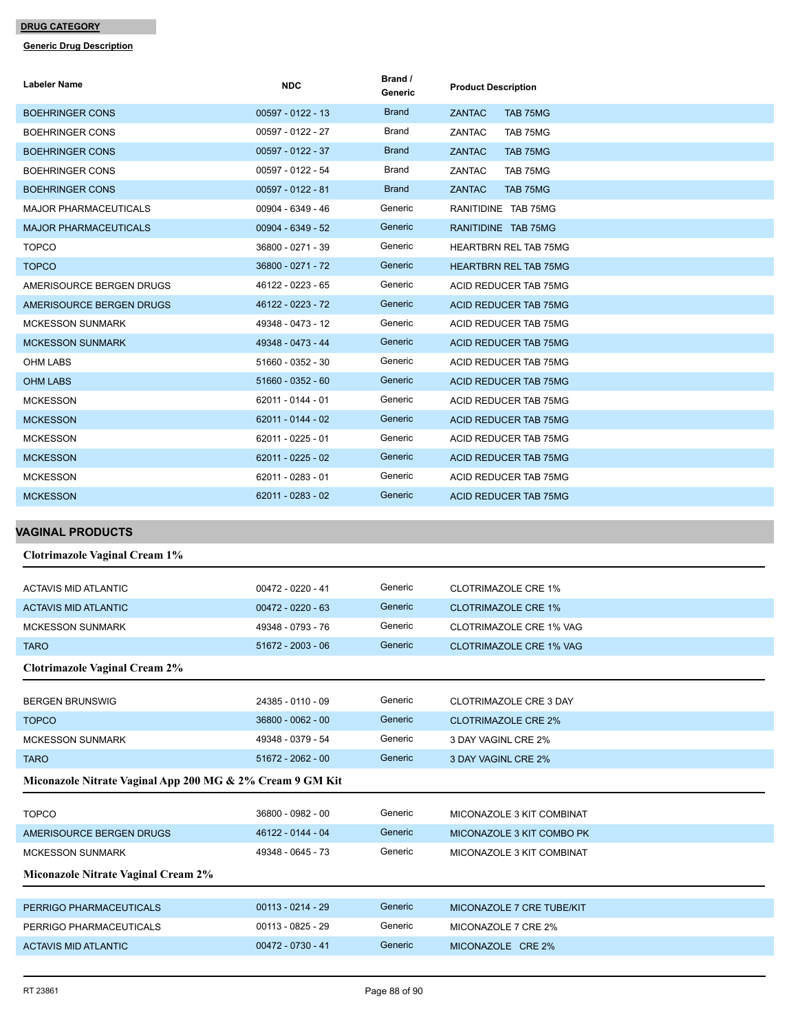| Labeler Name                                                                      | <b>NDC</b>                             | Brand /<br>Generic | <b>Product Description</b>               |
|-----------------------------------------------------------------------------------|----------------------------------------|--------------------|------------------------------------------|
| <b>BOEHRINGER CONS</b>                                                            | 00597 - 0122 - 13                      | <b>Brand</b>       | ZANTAC<br>TAB 75MG                       |
| <b>BOEHRINGER CONS</b>                                                            | 00597 - 0122 - 27                      | Brand              | ZANTAC<br>TAB 75MG                       |
| <b>BOEHRINGER CONS</b>                                                            | 00597 - 0122 - 37                      | <b>Brand</b>       | <b>ZANTAC</b><br>TAB 75MG                |
| <b>BOEHRINGER CONS</b>                                                            | 00597 - 0122 - 54                      | Brand              | ZANTAC<br>TAB 75MG                       |
| <b>BOEHRINGER CONS</b>                                                            | 00597 - 0122 - 81                      | <b>Brand</b>       | <b>ZANTAC</b><br>TAB 75MG                |
| <b>MAJOR PHARMACEUTICALS</b>                                                      | 00904 - 6349 - 46                      | Generic            | RANITIDINE TAB 75MG                      |
| <b>MAJOR PHARMACEUTICALS</b>                                                      | 00904 - 6349 - 52                      | Generic            | RANITIDINE TAB 75MG                      |
| <b>TOPCO</b>                                                                      | 36800 - 0271 - 39                      | Generic            | <b>HEARTBRN REL TAB 75MG</b>             |
| <b>TOPCO</b>                                                                      | 36800 - 0271 - 72                      | Generic            | <b>HEARTBRN REL TAB 75MG</b>             |
| AMERISOURCE BERGEN DRUGS                                                          | 46122 - 0223 - 65                      | Generic            | ACID REDUCER TAB 75MG                    |
| AMERISOURCE BERGEN DRUGS                                                          | 46122 - 0223 - 72                      | Generic            | ACID REDUCER TAB 75MG                    |
| <b>MCKESSON SUNMARK</b>                                                           | 49348 - 0473 - 12                      | Generic            | ACID REDUCER TAB 75MG                    |
| <b>MCKESSON SUNMARK</b>                                                           | 49348 - 0473 - 44                      | Generic            | ACID REDUCER TAB 75MG                    |
| <b>OHM LABS</b>                                                                   | 51660 - 0352 - 30                      | Generic            | ACID REDUCER TAB 75MG                    |
| <b>OHM LABS</b>                                                                   | 51660 - 0352 - 60                      | Generic            | ACID REDUCER TAB 75MG                    |
| <b>MCKESSON</b>                                                                   | 62011 - 0144 - 01                      | Generic            | ACID REDUCER TAB 75MG                    |
| <b>MCKESSON</b>                                                                   | 62011 - 0144 - 02                      | Generic            | ACID REDUCER TAB 75MG                    |
| <b>MCKESSON</b>                                                                   | 62011 - 0225 - 01                      | Generic            | <b>ACID REDUCER TAB 75MG</b>             |
| <b>MCKESSON</b>                                                                   | 62011 - 0225 - 02                      | Generic            | ACID REDUCER TAB 75MG                    |
| <b>MCKESSON</b>                                                                   | 62011 - 0283 - 01                      | Generic            | ACID REDUCER TAB 75MG                    |
| <b>MCKESSON</b>                                                                   | 62011 - 0283 - 02                      | Generic            | ACID REDUCER TAB 75MG                    |
|                                                                                   |                                        |                    |                                          |
|                                                                                   |                                        |                    |                                          |
|                                                                                   |                                        |                    |                                          |
| <b>Clotrimazole Vaginal Cream 1%</b>                                              |                                        |                    |                                          |
| <b>ACTAVIS MID ATLANTIC</b>                                                       | 00472 - 0220 - 41                      | Generic            | <b>CLOTRIMAZOLE CRE 1%</b>               |
| ACTAVIS MID ATLANTIC                                                              | $00472 - 0220 - 63$                    | Generic            | <b>CLOTRIMAZOLE CRE 1%</b>               |
| <b>MCKESSON SUNMARK</b>                                                           | 49348 - 0793 - 76                      | Generic            | CLOTRIMAZOLE CRE 1% VAG                  |
| <b>TARO</b>                                                                       | 51672 - 2003 - 06                      | Generic            | <b>CLOTRIMAZOLE CRE 1% VAG</b>           |
| <b>Clotrimazole Vaginal Cream 2%</b>                                              |                                        |                    |                                          |
|                                                                                   |                                        |                    |                                          |
| <b>BERGEN BRUNSWIG</b>                                                            | 24385 - 0110 - 09                      | Generic<br>Generic | <b>CLOTRIMAZOLE CRE 3 DAY</b>            |
| <b>TOPCO</b>                                                                      | 36800 - 0062 - 00                      | Generic            | <b>CLOTRIMAZOLE CRE 2%</b>               |
| <b>MCKESSON SUNMARK</b>                                                           | 49348 - 0379 - 54                      | Generic            | 3 DAY VAGINL CRE 2%                      |
| <b>TARO</b><br>Miconazole Nitrate Vaginal App 200 MG & 2% Cream 9 GM Kit          | 51672 - 2062 - 00                      |                    | 3 DAY VAGINL CRE 2%                      |
|                                                                                   |                                        |                    |                                          |
| <b>TOPCO</b>                                                                      | 36800 - 0982 - 00                      | Generic            | MICONAZOLE 3 KIT COMBINAT                |
| AMERISOURCE BERGEN DRUGS                                                          | 46122 - 0144 - 04                      | Generic            | MICONAZOLE 3 KIT COMBO PK                |
| <b>MCKESSON SUNMARK</b>                                                           | 49348 - 0645 - 73                      | Generic            | MICONAZOLE 3 KIT COMBINAT                |
| Miconazole Nitrate Vaginal Cream 2%                                               |                                        |                    |                                          |
|                                                                                   |                                        | Generic            |                                          |
| PERRIGO PHARMACEUTICALS                                                           | $00113 - 0214 - 29$                    | Generic            | MICONAZOLE 7 CRE TUBE/KIT                |
| <b>VAGINAL PRODUCTS</b><br>PERRIGO PHARMACEUTICALS<br><b>ACTAVIS MID ATLANTIC</b> | 00113 - 0825 - 29<br>00472 - 0730 - 41 | Generic            | MICONAZOLE 7 CRE 2%<br>MICONAZOLE CRE 2% |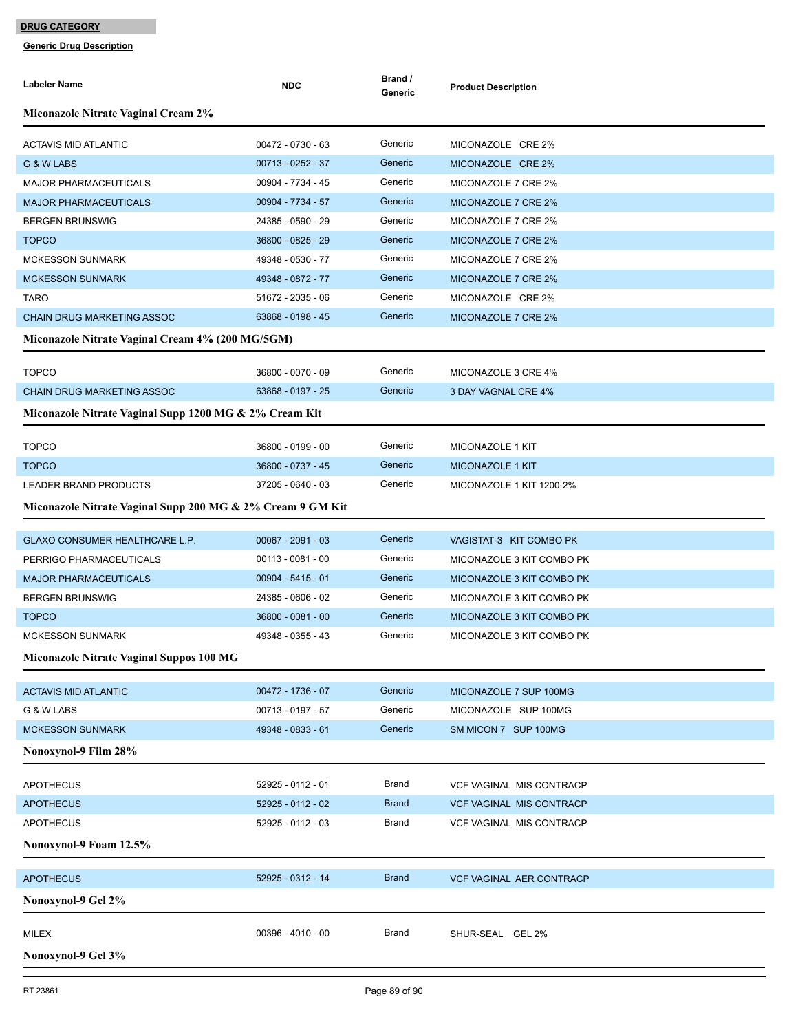| Labeler Name                                               | <b>NDC</b>          | Brand /<br>Generic | <b>Product Description</b>      |  |  |
|------------------------------------------------------------|---------------------|--------------------|---------------------------------|--|--|
| <b>Miconazole Nitrate Vaginal Cream 2%</b>                 |                     |                    |                                 |  |  |
| <b>ACTAVIS MID ATLANTIC</b>                                | 00472 - 0730 - 63   | Generic            | MICONAZOLE CRE 2%               |  |  |
| G & W LABS                                                 | 00713 - 0252 - 37   | Generic            | MICONAZOLE CRE 2%               |  |  |
| <b>MAJOR PHARMACEUTICALS</b>                               | 00904 - 7734 - 45   | Generic            | MICONAZOLE 7 CRE 2%             |  |  |
| <b>MAJOR PHARMACEUTICALS</b>                               | 00904 - 7734 - 57   | Generic            | MICONAZOLE 7 CRE 2%             |  |  |
| <b>BERGEN BRUNSWIG</b>                                     | 24385 - 0590 - 29   | Generic            | MICONAZOLE 7 CRE 2%             |  |  |
| <b>TOPCO</b>                                               | 36800 - 0825 - 29   | Generic            | MICONAZOLE 7 CRE 2%             |  |  |
| <b>MCKESSON SUNMARK</b>                                    | 49348 - 0530 - 77   | Generic            | MICONAZOLE 7 CRE 2%             |  |  |
| <b>MCKESSON SUNMARK</b>                                    | 49348 - 0872 - 77   | Generic            | MICONAZOLE 7 CRE 2%             |  |  |
| <b>TARO</b>                                                | 51672 - 2035 - 06   | Generic            | MICONAZOLE CRE 2%               |  |  |
| <b>CHAIN DRUG MARKETING ASSOC</b>                          | 63868 - 0198 - 45   | Generic            | MICONAZOLE 7 CRE 2%             |  |  |
| Miconazole Nitrate Vaginal Cream 4% (200 MG/5GM)           |                     |                    |                                 |  |  |
| <b>TOPCO</b>                                               | 36800 - 0070 - 09   | Generic            | MICONAZOLE 3 CRE 4%             |  |  |
| <b>CHAIN DRUG MARKETING ASSOC</b>                          | 63868 - 0197 - 25   | Generic            | 3 DAY VAGNAL CRE 4%             |  |  |
| Miconazole Nitrate Vaginal Supp 1200 MG & 2% Cream Kit     |                     |                    |                                 |  |  |
| <b>TOPCO</b>                                               | 36800 - 0199 - 00   | Generic            | MICONAZOLE 1 KIT                |  |  |
| <b>TOPCO</b>                                               | 36800 - 0737 - 45   | Generic            | <b>MICONAZOLE 1 KIT</b>         |  |  |
| <b>LEADER BRAND PRODUCTS</b>                               | 37205 - 0640 - 03   | Generic            | MICONAZOLE 1 KIT 1200-2%        |  |  |
| Miconazole Nitrate Vaginal Supp 200 MG & 2% Cream 9 GM Kit |                     |                    |                                 |  |  |
|                                                            |                     |                    |                                 |  |  |
| GLAXO CONSUMER HEALTHCARE L.P.                             | $00067 - 2091 - 03$ | Generic            | VAGISTAT-3 KIT COMBO PK         |  |  |
| PERRIGO PHARMACEUTICALS                                    | $00113 - 0081 - 00$ | Generic            | MICONAZOLE 3 KIT COMBO PK       |  |  |
| <b>MAJOR PHARMACEUTICALS</b>                               | $00904 - 5415 - 01$ | Generic            | MICONAZOLE 3 KIT COMBO PK       |  |  |
| <b>BERGEN BRUNSWIG</b>                                     | 24385 - 0606 - 02   | Generic            | MICONAZOLE 3 KIT COMBO PK       |  |  |
| <b>TOPCO</b>                                               | 36800 - 0081 - 00   | Generic            | MICONAZOLE 3 KIT COMBO PK       |  |  |
| <b>MCKESSON SUNMARK</b>                                    | 49348 - 0355 - 43   | Generic            | MICONAZOLE 3 KIT COMBO PK       |  |  |
| Miconazole Nitrate Vaginal Suppos 100 MG                   |                     |                    |                                 |  |  |
| <b>ACTAVIS MID ATLANTIC</b>                                | 00472 - 1736 - 07   | Generic            | MICONAZOLE 7 SUP 100MG          |  |  |
| G & W LABS                                                 | 00713 - 0197 - 57   | Generic            | MICONAZOLE SUP 100MG            |  |  |
| <b>MCKESSON SUNMARK</b>                                    | 49348 - 0833 - 61   | Generic            | SM MICON 7 SUP 100MG            |  |  |
| Nonoxynol-9 Film 28%                                       |                     |                    |                                 |  |  |
| <b>APOTHECUS</b>                                           | 52925 - 0112 - 01   | <b>Brand</b>       | <b>VCF VAGINAL MIS CONTRACP</b> |  |  |
| <b>APOTHECUS</b>                                           | 52925 - 0112 - 02   | <b>Brand</b>       | <b>VCF VAGINAL MIS CONTRACP</b> |  |  |
| <b>APOTHECUS</b>                                           | 52925 - 0112 - 03   | <b>Brand</b>       | <b>VCF VAGINAL MIS CONTRACP</b> |  |  |
| Nonoxynol-9 Foam 12.5%                                     |                     |                    |                                 |  |  |
| <b>APOTHECUS</b>                                           | 52925 - 0312 - 14   | <b>Brand</b>       | <b>VCF VAGINAL AER CONTRACP</b> |  |  |
| Nonoxynol-9 Gel 2%                                         |                     |                    |                                 |  |  |
|                                                            |                     |                    |                                 |  |  |
| MILEX                                                      | 00396 - 4010 - 00   | Brand              | SHUR-SEAL GEL 2%                |  |  |
| Nonoxynol-9 Gel 3%                                         |                     |                    |                                 |  |  |